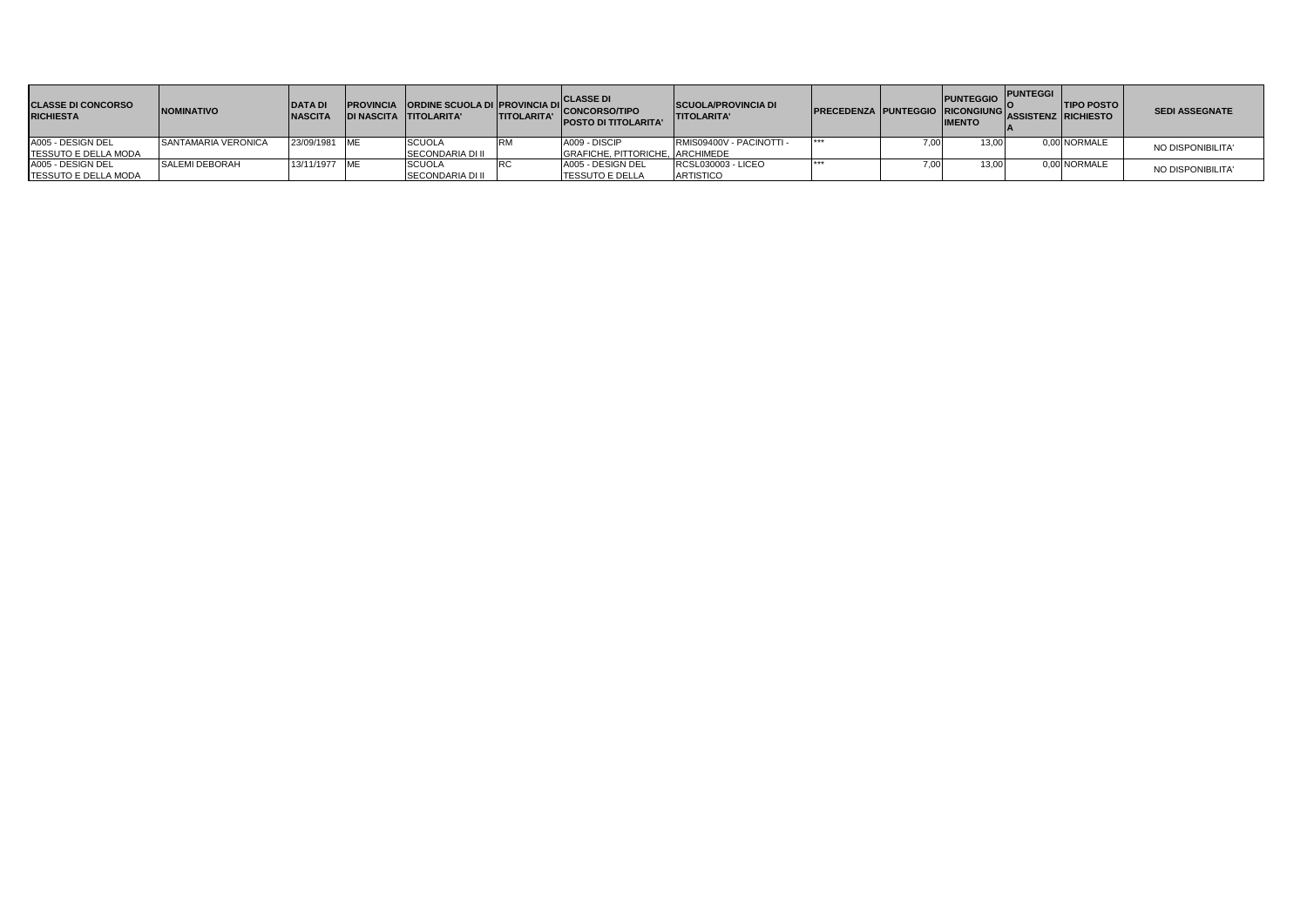| <b>CLASSE DI CONCORSO</b><br><b>RICHIESTA</b> | <b>NOMINATIVO</b>   | DATA D.<br><b>NASCIT</b> | <b>DI NASCITA TITOLARITA'</b> | <b>TITOLARITA'</b> | <b>CLASSE DI</b><br><b>IPROVINCIA ORDINE SCUOLA DI PROVINCIA DI CONCORSO/TIPO</b><br><b>POSTO DI TITOLARITA'</b> | <b>SCUOLA/PROVINCIA DI</b><br><b>ITITOLARITA'</b> | PRECEDENZA PUNTEGGIO RICONGIUNGI |      | <b>PUNTEGGIO</b><br><b>IMENTO</b> | <b>PUNTEGGI</b><br><b>IASSISTENZ RICHIESTO</b> | <b>TIPO POSTO</b> | <b>SEDI ASSEGNATE</b> |
|-----------------------------------------------|---------------------|--------------------------|-------------------------------|--------------------|------------------------------------------------------------------------------------------------------------------|---------------------------------------------------|----------------------------------|------|-----------------------------------|------------------------------------------------|-------------------|-----------------------|
| A005 - DESIGN DEL                             | SANTAMARIA VERONICA | 23/09/1981 ME            | <b>SCUOLA</b>                 |                    | A009 - DISCIP                                                                                                    | RMIS09400V - PACINOTTI -                          | ***                              | 7.00 | 13.00                             |                                                | 0.00 NORMALE      | NO DISPONIBILITA'     |
| TESSUTO E DELLA MODA                          |                     |                          | <b>SECONDARIA DI II</b>       |                    | GRAFICHE, PITTORICHE, ARCHIMEDE                                                                                  |                                                   |                                  |      |                                   |                                                |                   |                       |
| A005 - DESIGN DEL                             | SALEMI DEBORAH      | 13/11/1977 ME            | <b>SCUOLA</b>                 |                    | A005 - DESIGN DEL                                                                                                | RCSL030003 - LICEO                                |                                  |      | 13,00                             |                                                | 0,00 NORMALE      | NO DISPONIBILITA'     |
| TESSUTO E DELLA MODA                          |                     |                          | <b>SECONDARIA DI II</b>       |                    | <b>TESSUTO E DELLA</b>                                                                                           | <b>ARTISTICO</b>                                  |                                  |      |                                   |                                                |                   |                       |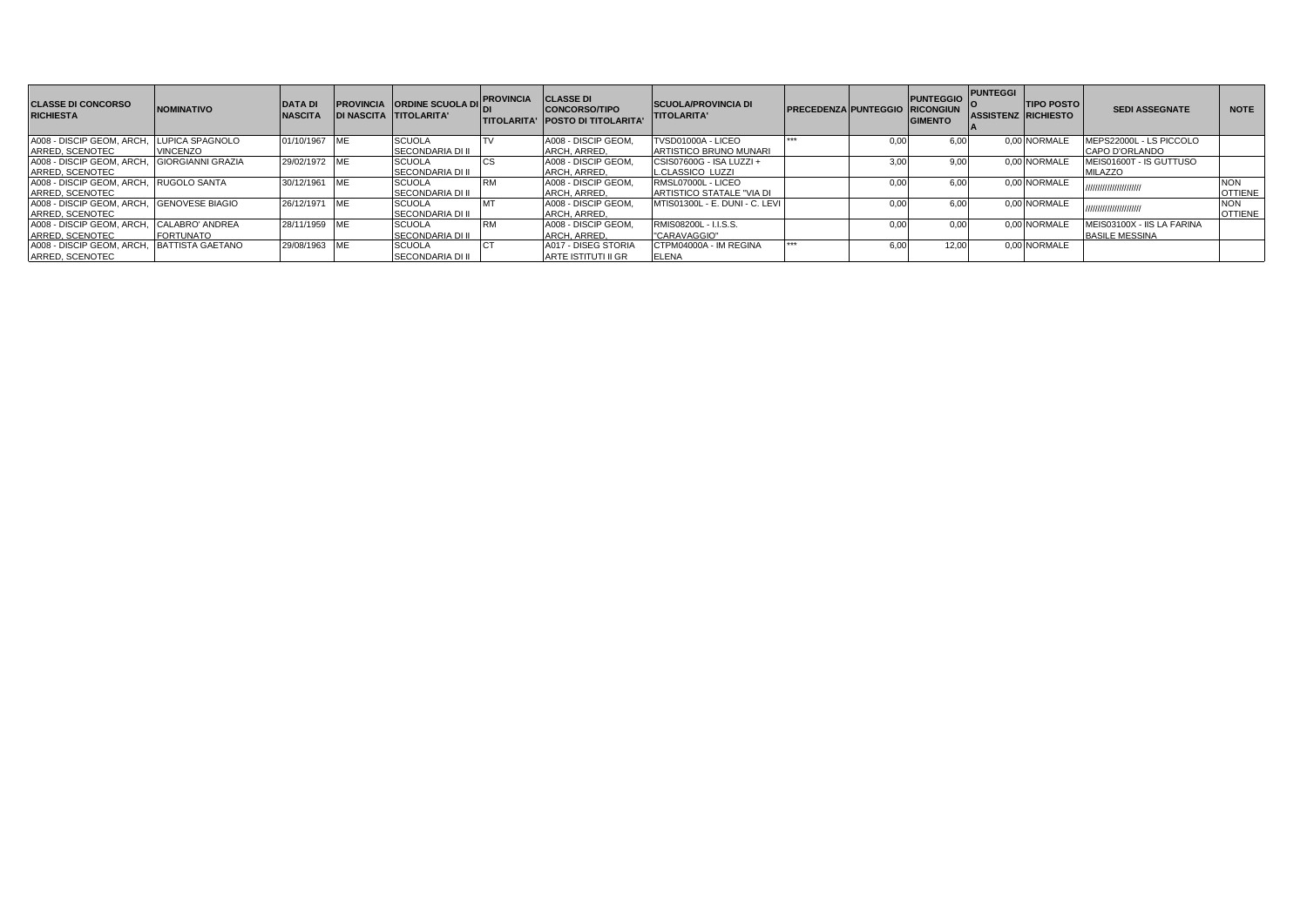| <b>CLASSE DI CONCORSO</b><br><b>RICHIESTA</b> | <b>NOMINATIVO</b>        | <b>DATA DI</b><br><b>NASCITA</b> | <b>DI NASCITA TITOLARITA'</b> | PROVINCIA ORDINE SCUOLA DI | <b>PROVINCIA</b> | <b>CLASSE DI</b><br><b>CONCORSO/TIPO</b><br><b>ITITOLARITA' IPOSTO DI TITOLARITA</b> | <b>SCUOLA/PROVINCIA DI</b><br><b>TITOLARITA'</b> | <b>PRECEDENZA PUNTEGGIO RICONGIUN</b> |      | <b>PUNTEGGIO</b><br><b>GIMENTO</b> | <b>PUNTEGGI</b><br><b>ASSISTENZ RICHIESTO</b> | <b>TIPO POSTO</b> | <b>SEDI ASSEGNATE</b>      | <b>NOTE</b>    |
|-----------------------------------------------|--------------------------|----------------------------------|-------------------------------|----------------------------|------------------|--------------------------------------------------------------------------------------|--------------------------------------------------|---------------------------------------|------|------------------------------------|-----------------------------------------------|-------------------|----------------------------|----------------|
| A008 - DISCIP GEOM, ARCH.                     | LUPICA SPAGNOLO          | 01/10/1967                       |                               | <b>SCUOLA</b>              |                  | A008 - DISCIP GEOM.                                                                  | TVSD01000A - LICEO                               |                                       | 0.00 | 6.00                               |                                               | 0.00 NORMALE      | MEPS22000L - LS PICCOLO    |                |
| ARRED, SCENOTEC                               | <b>VINCENZO</b>          |                                  |                               | <b>SECONDARIA DI II</b>    |                  | ARCH, ARRED.                                                                         | ARTISTICO BRUNO MUNARI                           |                                       |      |                                    |                                               |                   | CAPO D'ORLANDO             |                |
| A008 - DISCIP GEOM, ARCH,                     | <b>GIORGIANNI GRAZIA</b> | 29/02/1972                       |                               | <b>SCUOLA</b>              |                  | A008 - DISCIP GEOM.                                                                  | CSIS07600G - ISA LUZZI +                         |                                       | 3.00 | 9.00                               |                                               | 0.00 NORMALE      | MEIS01600T - IS GUTTUSO    |                |
| ARRED, SCENOTEC                               |                          |                                  |                               | <b>SECONDARIA DI II</b>    |                  | ARCH, ARRED.                                                                         | <b>L.CLASSICO LUZZI</b>                          |                                       |      |                                    |                                               |                   | <b>MILAZZO</b>             |                |
| A008 - DISCIP GEOM, ARCH,                     | RUGOLO SANTA             | 30/12/1961                       |                               | <b>SCUOLA</b>              | <b>RM</b>        | A008 - DISCIP GEOM.                                                                  | RMSL07000L - LICEO                               |                                       | 0.00 | 6.00                               |                                               | 0.00 NORMALE      | ,,,,,,,,,,,,,,,,,,,,,,,    | <b>NON</b>     |
| ARRED, SCENOTEC                               |                          |                                  |                               | <b>SECONDARIA DI II</b>    |                  | ARCH, ARRED.                                                                         | ARTISTICO STATALE "VIA DI                        |                                       |      |                                    |                                               |                   |                            | <b>OTTIENE</b> |
| A008 - DISCIP GEOM, ARCH, GENOVESE BIAGIO     |                          | 26/12/1971                       |                               | <b>SCUOLA</b>              | <b>MT</b>        | A008 - DISCIP GEOM.                                                                  | MTIS01300L - E. DUNI - C. LEVI                   |                                       | 0.00 | 6.00                               |                                               | 0.00 NORMALE      | ,,,,,,,,,,,,,,,,,,,,,,     | <b>NON</b>     |
| ARRED, SCENOTEC                               |                          |                                  |                               | <b>SECONDARIA DI II</b>    |                  | ARCH. ARRED.                                                                         |                                                  |                                       |      |                                    |                                               |                   |                            | <b>OTTIENE</b> |
| A008 - DISCIP GEOM, ARCH                      | CALABRO' ANDREA          | 28/11/1959                       | <b>IME</b>                    | <b>SCUOLA</b>              | <b>RM</b>        | A008 - DISCIP GEOM.                                                                  | RMIS08200L - I.I.S.S.                            |                                       | 0.00 | 0.00                               |                                               | 0.00 NORMALE      | MEIS03100X - IIS LA FARINA |                |
| ARRED, SCENOTEC                               | <b>FORTUNATO</b>         |                                  |                               | <b>SECONDARIA DI II</b>    |                  | ARCH, ARRED.                                                                         | "CARAVAGGIO"                                     |                                       |      |                                    |                                               |                   | <b>BASILE MESSINA</b>      |                |
| A008 - DISCIP GEOM, ARCH                      | <b>BATTISTA GAETANO</b>  | 29/08/1963                       | <b>IME</b>                    | <b>SCUOLA</b>              |                  | A017 - DISEG STORIA                                                                  | CTPM04000A - IM REGINA                           |                                       | 6.00 | 12.00                              |                                               | 0.00 NORMALE      |                            |                |
| ARRED, SCENOTEC                               |                          |                                  |                               | <b>SECONDARIA DI II</b>    |                  | <b>ARTE ISTITUTI II GR</b>                                                           | <b>ELENA</b>                                     |                                       |      |                                    |                                               |                   |                            |                |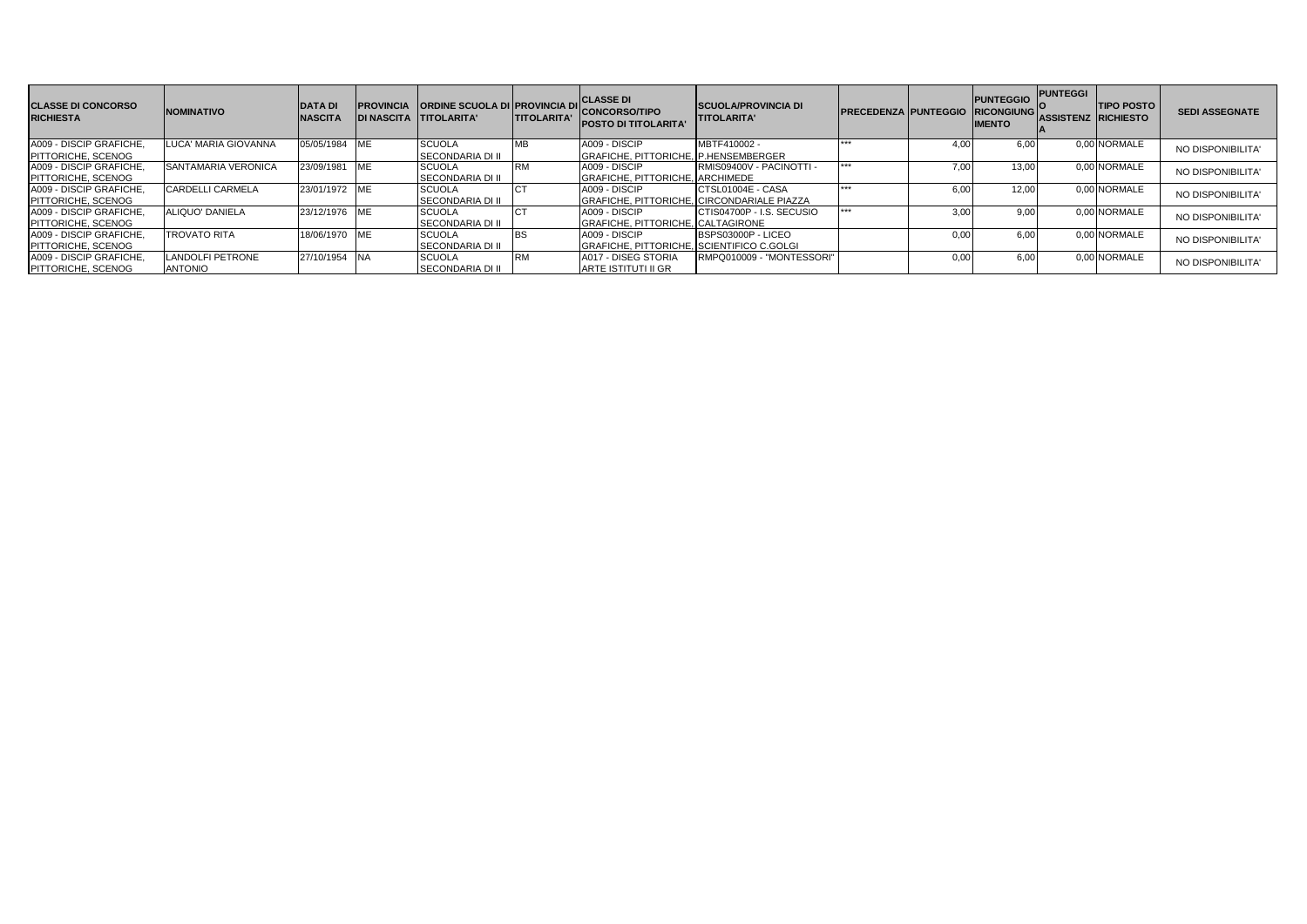| <b>CLASSE DI CONCORSO</b><br><b>RICHIESTA</b> | <b>NOMINATIVO</b>       | <b>DATA DI</b><br><b>NASCITA</b> | <b>PROVINCIA</b><br><b>DI NASCITA</b> | <b>ORDINE SCUOLA DI PROVINCIA DI</b><br><b>ITITOLARITA'</b> | <b>ITITOLARITA'</b> | <b>CLASSE DI</b><br><b>CONCORSO/TIPO</b><br><b>POSTO DI TITOLARITA</b> | <b>ISCUOLA/PROVINCIA DI</b><br><b>TITOLARITA'</b> | <b>PRECEDENZA PUNTEGGIO</b> |      | <b>PUNTEGGIO</b><br><b>RICONGIUNG</b><br><b>IMENTO</b> | <b>PUNTEGGI</b><br><b>ASSISTENZ RICHIESTO</b> | <b>TIPO POSTO</b> | <b>SEDI ASSEGNATE</b> |
|-----------------------------------------------|-------------------------|----------------------------------|---------------------------------------|-------------------------------------------------------------|---------------------|------------------------------------------------------------------------|---------------------------------------------------|-----------------------------|------|--------------------------------------------------------|-----------------------------------------------|-------------------|-----------------------|
| A009 - DISCIP GRAFICHE.                       | LUCA' MARIA GIOVANNA    | 05/05/1984 ME                    |                                       | <b>SCUOLA</b>                                               | <b>MB</b>           | A009 - DISCIP                                                          | MBTF410002 -                                      | ***                         |      | 6.00                                                   |                                               | 0.00 NORMALE      | NO DISPONIBILITA'     |
| <b>PITTORICHE, SCENOG</b>                     |                         |                                  |                                       | <b>SECONDARIA DI II</b>                                     |                     | GRAFICHE, PITTORICHE, P.HENSEMBERGER                                   |                                                   |                             |      |                                                        |                                               |                   |                       |
| A009 - DISCIP GRAFICHE.                       | SANTAMARIA VERONICA     | 23/09/1981                       | <b>ME</b>                             | <b>SCUOLA</b>                                               |                     | A009 - DISCIP                                                          | RMIS09400V - PACINOTTI -                          |                             |      | 13.00                                                  |                                               | 0.00 NORMALE      | NO DISPONIBILITA'     |
| <b>PITTORICHE, SCENOG</b>                     |                         |                                  |                                       | <b>SECONDARIA DI II</b>                                     |                     | <b>GRAFICHE, PITTORICHE, ARCHIMEDE</b>                                 |                                                   |                             |      |                                                        |                                               |                   |                       |
| A009 - DISCIP GRAFICHE                        | CARDELLI CARMELA        | 23/01/1972 ME                    |                                       | <b>SCUOLA</b>                                               |                     | A009 - DISCIP                                                          | ICTSL01004E - CASA                                | ***                         |      | 12.00                                                  |                                               | 0,00 NORMALE      | NO DISPONIBILITA'     |
| PITTORICHE, SCENOG                            |                         |                                  |                                       | <b>SECONDARIA DI II</b>                                     |                     | <b>GRAFICHE, PITTORICHE, CIRCONDARIALE PIAZZA</b>                      |                                                   |                             |      |                                                        |                                               |                   |                       |
| A009 - DISCIP GRAFICHE.                       | ALIQUO' DANIELA         | 23/12/1976 ME                    |                                       | <b>SCUOLA</b>                                               |                     | A009 - DISCIP                                                          | ICTIS04700P - I.S. SECUSIO                        |                             | 3.00 | 9.00                                                   |                                               | 0.00 NORMALE      | NO DISPONIBILITA'     |
| <b>PITTORICHE, SCENOG</b>                     |                         |                                  |                                       | <b>SECONDARIA DI II</b>                                     |                     | GRAFICHE, PITTORICHE, CALTAGIRONE                                      |                                                   |                             |      |                                                        |                                               |                   |                       |
| A009 - DISCIP GRAFICHE.                       | <b>TROVATO RITA</b>     | 18/06/1970 ME                    |                                       | <b>SCUOLA</b>                                               |                     | A009 - DISCIP                                                          | <b>IBSPS03000P - LICEO</b>                        |                             | 0.00 | 6.00                                                   |                                               | 0.00 NORMALE      | NO DISPONIBILITA'     |
| <b>PITTORICHE, SCENOG</b>                     |                         |                                  |                                       | <b>SECONDARIA DI II</b>                                     |                     | GRAFICHE. PITTORICHE, SCIENTIFICO C.GOLGI                              |                                                   |                             |      |                                                        |                                               |                   |                       |
| A009 - DISCIP GRAFICHE                        | <b>LANDOLFI PETRONE</b> | 27/10/1954 NA                    |                                       | <b>SCUOLA</b>                                               |                     | A017 - DISEG STORIA                                                    | RMPQ010009 - "MONTESSORI"                         |                             |      | 6.00                                                   |                                               | 0.00 NORMALE      | NO DISPONIBILITA'     |
| PITTORICHE, SCENOG                            | <b>ANTONIO</b>          |                                  |                                       | <b>SECONDARIA DI II</b>                                     |                     | ARTE ISTITUTI II GR                                                    |                                                   |                             |      |                                                        |                                               |                   |                       |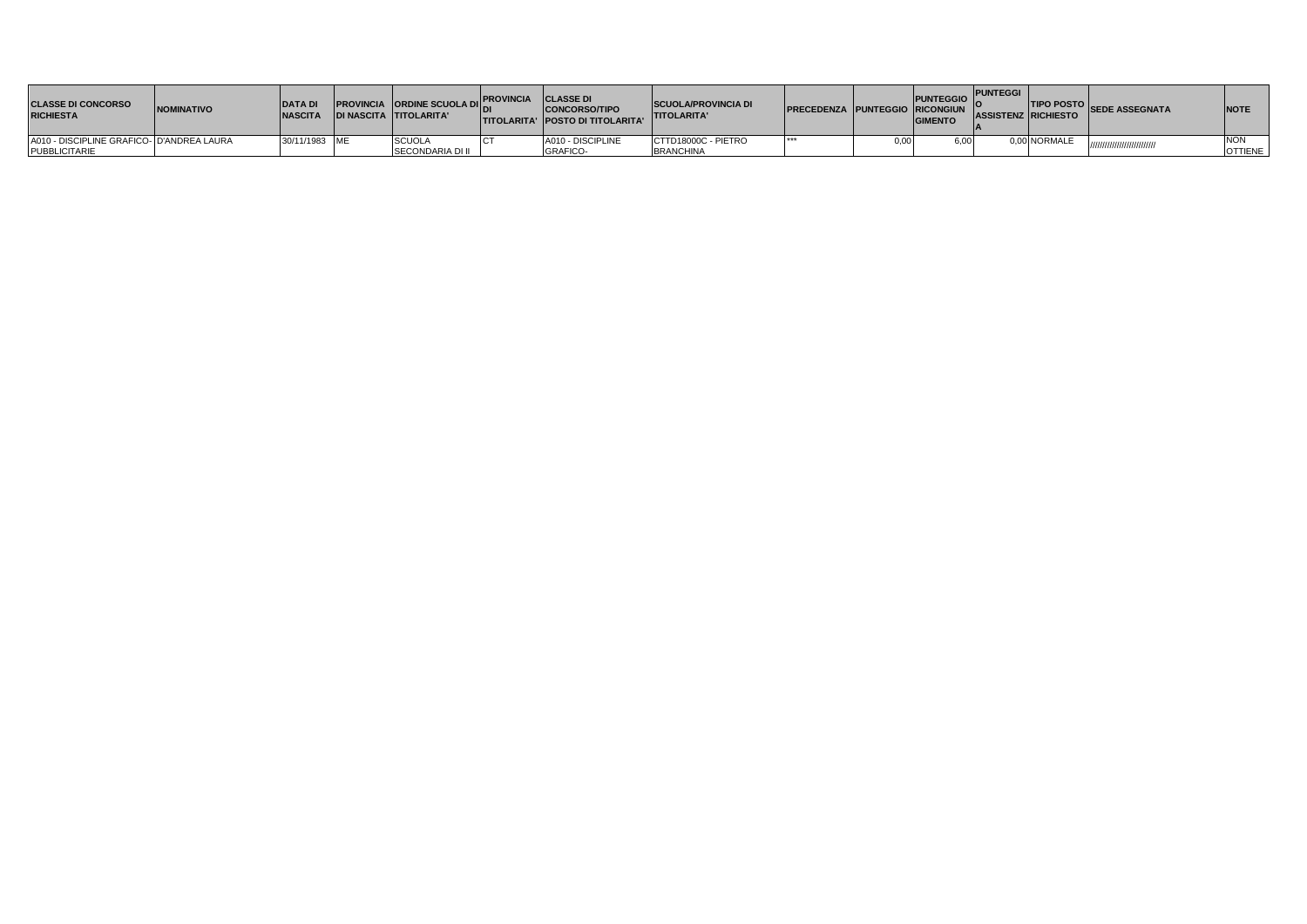| <b>CLASSE DI CONCORSO</b><br><b>RICHIESTA</b> | <b>NOMINATIVO</b> | <b>IDATA DI</b><br><b>NASCITA</b> | <b>PROVINCIA</b> ORDINE SCUOLA DICAVINCIA CLASSE DI<br><b>IDI NASCITA TITOLARITA'</b> | <b>CONCORSO/TIPO</b><br><b>ITITOLARITA' IPOSTO DI TITOLARITA'</b> | <b>SCUOLA/PROVINCIA DI</b><br><b>TITOLARITA'</b> | <b>PRECEDENZA PUNTEGGIO RICONGIUN</b> | <b>PUNTEGGIO</b><br><b>GIMENTO</b> | <b>PUNTEGGI</b> | ASSISTENZ RICHIESTO | <b>THEO POSTO SEDE ASSEGNATA</b> | <b>INOTE</b>   |
|-----------------------------------------------|-------------------|-----------------------------------|---------------------------------------------------------------------------------------|-------------------------------------------------------------------|--------------------------------------------------|---------------------------------------|------------------------------------|-----------------|---------------------|----------------------------------|----------------|
| A010 - DISCIPLINE GRAFICO- D'ANDREA LAURA     |                   | 30/11/1983 ME                     | <b>SCUOL</b>                                                                          | A010 - DISCIPLINE                                                 | CTTD18000C - PIETRO                              |                                       | 6,00                               |                 | .00 NORMALE         |                                  |                |
| <b>PUBBLICITARIE</b>                          |                   |                                   | <b>SECONDARIA DI II</b>                                                               | <b>GRAFICO-</b>                                                   | <b>BRANCHINA</b>                                 |                                       |                                    |                 |                     |                                  | <b>OTTIENE</b> |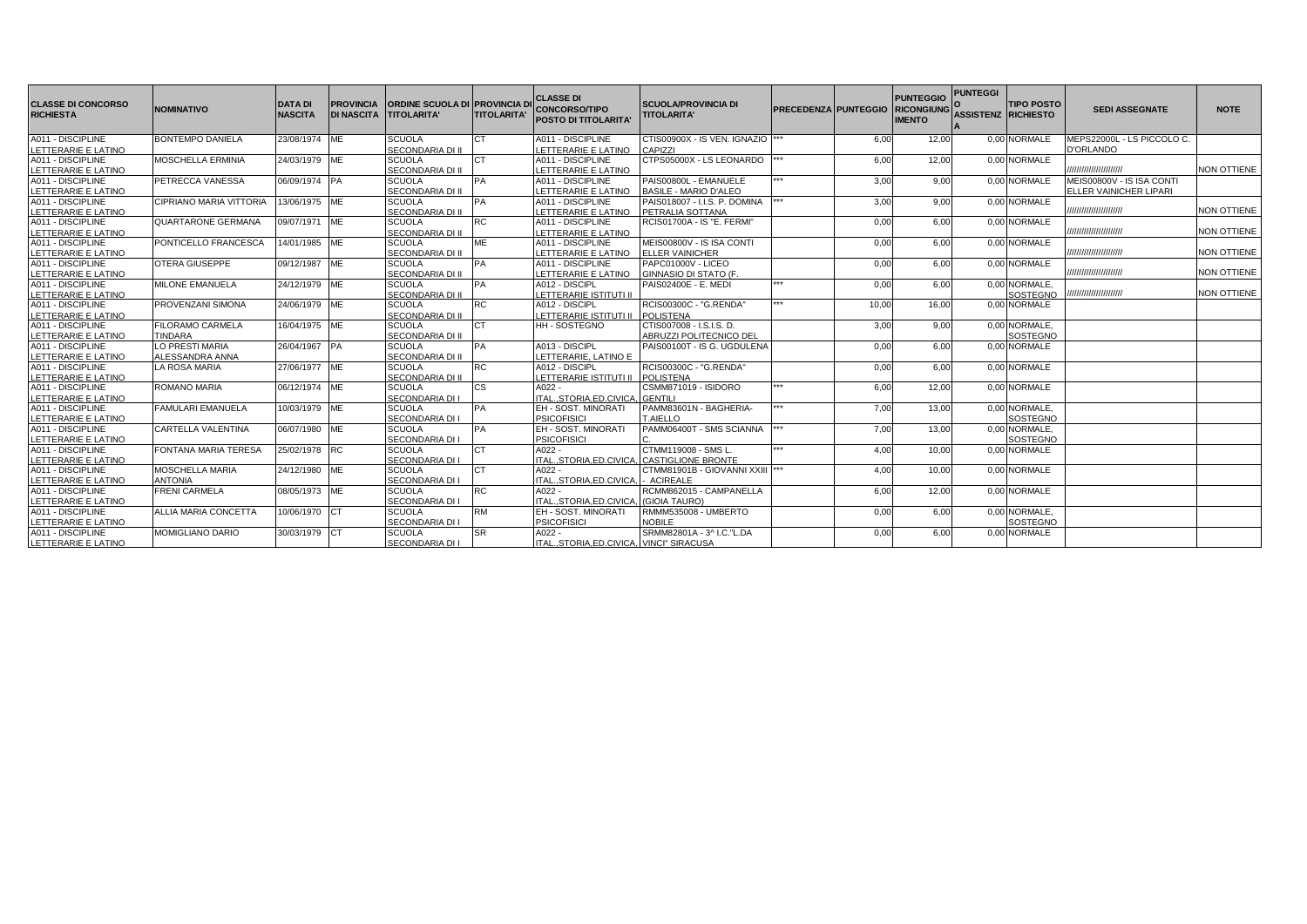| <b>CLASSE DI CONCORSO</b><br><b>RICHIESTA</b> | <b>NOMINATIVO</b>              | <b>DATA DI</b><br><b>NASCITA</b> | <b>PROVINCIA</b><br><b>DI NASCITA</b> | <b>ORDINE SCUOLA DI IPROVINCIA D</b><br><b>TITOLARITA'</b> | <b>TITOLARITA'</b> | <b>CLASSE DI</b><br><b>CONCORSO/TIPO</b><br><b>POSTO DI TITOLARITA</b> | <b>SCUOLA/PROVINCIA DI</b><br><b>TITOLARITA'</b> | <b>PRECEDENZA PUNTEGGIO</b> |       | <b>PUNTEGGIO</b><br><b>RICONGIUNG</b><br><b>IMENTO</b> | <b>PUNTEGGI</b><br>ASSISTENZ RICHIESTO | <b>TIPO POSTO</b>        | <b>SEDI ASSEGNATE</b>      | <b>NOTE</b>        |
|-----------------------------------------------|--------------------------------|----------------------------------|---------------------------------------|------------------------------------------------------------|--------------------|------------------------------------------------------------------------|--------------------------------------------------|-----------------------------|-------|--------------------------------------------------------|----------------------------------------|--------------------------|----------------------------|--------------------|
| A011 - DISCIPLINE                             | <b>BONTEMPO DANIELA</b>        | 23/08/1974 ME                    |                                       | <b>SCUOLA</b>                                              | CT                 | A011 - DISCIPLINE                                                      | CTIS00900X - IS VEN. IGNAZIO ***                 |                             | 6.00  | 12.00                                                  |                                        | 0,00 NORMALE             | MEPS22000L - LS PICCOLO C. |                    |
| LETTERARIE E LATINO                           |                                |                                  |                                       | SECONDARIA DI II                                           |                    | LETTERARIE E LATINO                                                    | CAPIZZI                                          |                             |       |                                                        |                                        |                          | D'ORLANDO                  |                    |
| A011 - DISCIPLINE                             | <b>MOSCHELLA ERMINIA</b>       | 24/03/1979 ME                    |                                       | <b>SCUOLA</b>                                              | <b>CT</b>          | A011 - DISCIPLINE                                                      | CTPS05000X - LS LEONARDO                         |                             | 6.00  | 12.00                                                  |                                        | 0.00 NORMALE             |                            |                    |
| LETTERARIE E LATINO                           |                                |                                  |                                       | SECONDARIA DI II                                           |                    | LETTERARIE E LATINO                                                    |                                                  |                             |       |                                                        |                                        |                          | ,,,,,,,,,,,,,,,,,,,,,,     | <b>NON OTTIENE</b> |
| A011 - DISCIPLINE                             | <b>PETRECCA VANESSA</b>        | 06/09/1974 PA                    |                                       | <b>SCUOLA</b>                                              | <b>PA</b>          | A011 - DISCIPLINE                                                      | PAIS00800L - EMANUELE                            | ***                         | 3,00  | 9.00                                                   |                                        | 0.00 NORMALE             | MEIS00800V - IS ISA CONTI  |                    |
| LETTERARIE E LATINO                           |                                |                                  |                                       | SECONDARIA DI II                                           |                    | LETTERARIE E LATINO                                                    | <b>BASILE - MARIO D'ALEO</b>                     |                             |       |                                                        |                                        |                          | ELLER VAINICHER LIPARI     |                    |
| A011 - DISCIPLINE                             | <b>CIPRIANO MARIA VITTORIA</b> | 13/06/1975 ME                    |                                       | <b>SCUOLA</b>                                              | PA                 | A011 - DISCIPLINE                                                      | PAIS018007 - I.I.S. P. DOMINA                    | ***                         | 3,00  | 9.00                                                   |                                        | 0.00 NORMALE             |                            |                    |
| LETTERARIE E LATINO                           |                                |                                  |                                       | SECONDARIA DI II                                           |                    | LETTERARIE E LATINO                                                    | PETRALIA SOTTANA                                 |                             |       |                                                        |                                        |                          | ///////////////////////    | <b>NON OTTIENE</b> |
| A011 - DISCIPLINE                             | QUARTARONE GERMANA             | 09/07/1971 ME                    |                                       | <b>SCUOLA</b>                                              | <b>RC</b>          | A011 - DISCIPLINE                                                      | RCIS01700A - IS "E. FERMI"                       |                             | 0,00  | 6.00                                                   |                                        | 0.00 NORMALE             |                            |                    |
| LETTERARIE E LATINO                           |                                |                                  |                                       | SECONDARIA DI II                                           |                    | LETTERARIE E LATINO                                                    |                                                  |                             |       |                                                        |                                        |                          | ,,,,,,,,,,,,,,,,,,,,,,,    | <b>NON OTTIENE</b> |
| A011 - DISCIPLINE                             | PONTICELLO FRANCESCA           | 14/01/1985 ME                    |                                       | <b>SCUOLA</b>                                              | <b>ME</b>          | A011 - DISCIPLINE                                                      | MEIS00800V - IS ISA CONTI                        |                             | 0,00  | 6.00                                                   |                                        | 0.00 NORMALE             |                            |                    |
| LETTERARIE E LATINO                           |                                |                                  |                                       | <b>SECONDARIA DI II</b>                                    |                    | LETTERARIE E LATINO                                                    | <b>ELLER VAINICHER</b>                           |                             |       |                                                        |                                        |                          |                            | NON OTTIENE        |
| A011 - DISCIPLINE                             | <b>OTERA GIUSEPPE</b>          | 09/12/1987 ME                    |                                       | <b>SCUOLA</b>                                              | PA                 | A011 - DISCIPLINE                                                      | PAPC01000V - LICEO                               |                             | 0,00  | 6,00                                                   |                                        | 0.00 NORMALE             |                            | <b>NON OTTIENE</b> |
| LETTERARIE E LATINO                           |                                |                                  |                                       | SECONDARIA DI II                                           |                    | LETTERARIE E LATINO                                                    | <b>GINNASIO DI STATO (F</b>                      | ***                         |       |                                                        |                                        |                          | ,,,,,,,,,,,,,,,,,,,,,,     |                    |
| A011 - DISCIPLINE                             | MILONE EMANUELA                | 24/12/1979 ME                    |                                       | <b>SCUOLA</b>                                              | <b>PA</b>          | A012 - DISCIPL                                                         | PAIS02400E - E. MEDI                             |                             | 0.00  | 6.00                                                   |                                        | 0.00 NORMALE.            |                            | <b>NON OTTIENE</b> |
| LETTERARIE E LATINO                           |                                |                                  |                                       | SECONDARIA DI II                                           |                    | LETTERARIE ISTITUTI II                                                 |                                                  | ***                         |       |                                                        |                                        | SOSTEGNO                 |                            |                    |
| A011 - DISCIPLINE                             | <b>PROVENZANI SIMONA</b>       | 24/06/1979 ME                    |                                       | <b>SCUOLA</b><br><b>SECONDARIA DI II</b>                   | <b>RC</b>          | A012 - DISCIPL                                                         | RCIS00300C - "G.RENDA"                           |                             | 10,00 | 16.00                                                  |                                        | 0.00 NORMALE             |                            |                    |
| LETTERARIE E LATINO<br>A011 - DISCIPLINE      | <b>FILORAMO CARMELA</b>        | 16/04/1975 ME                    |                                       | <b>SCUOLA</b>                                              | <b>CT</b>          | LETTERARIE ISTITUTI II<br><b>HH-SOSTEGNO</b>                           | <b>POLISTENA</b><br>CTIS007008 - I.S.I.S. D.     |                             | 3,00  | 9.00                                                   |                                        | 0.00 NORMALE.            |                            |                    |
| LETTERARIE E LATINO                           | <b>TINDARA</b>                 |                                  |                                       | SECONDARIA DI II                                           |                    |                                                                        | <b>ABRUZZI POLITECNICO DEL</b>                   |                             |       |                                                        |                                        |                          |                            |                    |
| A011 - DISCIPLINE                             | LO PRESTI MARIA                | 26/04/1967 PA                    |                                       | <b>SCUOLA</b>                                              | <b>PA</b>          | A013 - DISCIPL                                                         | PAIS00100T - IS G. UGDULENA                      |                             | 0.00  | 6.00                                                   |                                        | SOSTEGNO<br>0.00 NORMALE |                            |                    |
| LETTERARIE E LATINO                           | ALESSANDRA ANNA                |                                  |                                       | SECONDARIA DI II                                           |                    | LETTERARIE, LATINO E                                                   |                                                  |                             |       |                                                        |                                        |                          |                            |                    |
| A011 - DISCIPLINE                             | <b>LA ROSA MARIA</b>           | 27/06/1977 ME                    |                                       | <b>SCUOLA</b>                                              | <b>RC</b>          | A012 - DISCIPL                                                         | RCIS00300C - "G.RENDA"                           |                             | 0,00  | 6.00                                                   |                                        | 0,00 NORMALE             |                            |                    |
| LETTERARIE E LATINO                           |                                |                                  |                                       | <b>SECONDARIA DI II</b>                                    |                    | LETTERARIE ISTITUTI II                                                 | <b>POLISTENA</b>                                 |                             |       |                                                        |                                        |                          |                            |                    |
| A011 - DISCIPLINE                             | ROMANO MARIA                   | 06/12/1974 ME                    |                                       | <b>SCUOLA</b>                                              | <b>CS</b>          | $A022 -$                                                               | CSMM871019 - ISIDORO                             | ***                         | 6,00  | 12.00                                                  |                                        | 0.00 NORMALE             |                            |                    |
| LETTERARIE E LATINO                           |                                |                                  |                                       | <b>SECONDARIA DI I</b>                                     |                    | ITALSTORIA.ED.CIVICA. GENTILI                                          |                                                  |                             |       |                                                        |                                        |                          |                            |                    |
| A011 - DISCIPLINE                             | <b>FAMULARI EMANUELA</b>       | 10/03/1979 ME                    |                                       | <b>SCUOLA</b>                                              | <b>PA</b>          | EH - SOST, MINORATI                                                    | PAMM83601N - BAGHERIA-                           | ***                         | 7.00  | 13.00                                                  |                                        | 0.00 NORMALE.            |                            |                    |
| LETTERARIE E LATINO                           |                                |                                  |                                       | SECONDARIA DI I                                            |                    | <b>PSICOFISICI</b>                                                     | <b>T.AIELLO</b>                                  |                             |       |                                                        |                                        | SOSTEGNO                 |                            |                    |
| A011 - DISCIPLINE                             | <b>CARTELLA VALENTINA</b>      | 06/07/1980 ME                    |                                       | <b>SCUOLA</b>                                              | <b>PA</b>          | EH - SOST, MINORAT                                                     | PAMM06400T - SMS SCIANNA                         |                             | 7,00  | 13,00                                                  |                                        | 0,00 NORMALE,            |                            |                    |
| LETTERARIE E LATINO                           |                                |                                  |                                       | <b>SECONDARIA DI I</b>                                     |                    | <b>PSICOFISICI</b>                                                     |                                                  |                             |       |                                                        |                                        | SOSTEGNO                 |                            |                    |
| A011 - DISCIPLINE                             | <b>FONTANA MARIA TERESA</b>    | 25/02/1978 RC                    |                                       | <b>SCUOLA</b>                                              | CT                 | $A022 -$                                                               | CTMM119008 - SMS L                               | ***                         | 4.00  | 10.00                                                  |                                        | 0.00 NORMALE             |                            |                    |
| LETTERARIE E LATINO                           |                                |                                  |                                       | SECONDARIA DI I                                            |                    | ITALSTORIA.ED.CIVICA. CASTIGLIONE BRONTE                               |                                                  |                             |       |                                                        |                                        |                          |                            |                    |
| A011 - DISCIPLINE                             | <b>MOSCHELLA MARIA</b>         | 24/12/1980 ME                    |                                       | <b>SCUOLA</b>                                              | <b>CT</b>          | $A022 -$                                                               | CTMM81901B - GIOVANNI XXIII  ***                 |                             | 4.00  | 10.00                                                  |                                        | 0.00 NORMALE             |                            |                    |
| LETTERARIE E LATINO                           | <b>ANTONIA</b>                 |                                  |                                       | <b>SECONDARIA DI I</b>                                     |                    | ITAL., STORIA, ED.CIVICA,                                              | <b>ACIREALE</b>                                  |                             |       |                                                        |                                        |                          |                            |                    |
| A011 - DISCIPLINE                             | <b>FRENI CARMELA</b>           | 08/05/1973 ME                    |                                       | <b>SCUOLA</b>                                              | <b>RC</b>          | $A022 -$                                                               | RCMM862015 - CAMPANELLA                          |                             | 6,00  | 12.00                                                  |                                        | 0,00 NORMALE             |                            |                    |
| LETTERARIE E LATINO                           |                                |                                  |                                       | SECONDARIA DI I                                            |                    | <b>TALSTORIA.ED.CIVICA.</b>                                            | (GIOIA TAURO)                                    |                             |       |                                                        |                                        |                          |                            |                    |
| A011 - DISCIPLINE                             | ALLIA MARIA CONCETTA           | 10/06/1970 CT                    |                                       | <b>SCUOLA</b>                                              | <b>RM</b>          | EH - SOST. MINORATI                                                    | RMMM535008 - UMBERTO                             |                             | 0.00  | 6.00                                                   |                                        | 0,00 NORMALE,            |                            |                    |
| LETTERARIE E LATINO                           |                                |                                  |                                       | <b>SECONDARIA DI I</b>                                     |                    | <b>PSICOFISICI</b>                                                     | <b>NOBILE</b>                                    |                             |       |                                                        |                                        | SOSTEGNO                 |                            |                    |
| A011 - DISCIPLINE                             | <b>MOMIGLIANO DARIO</b>        | 30/03/1979 CT                    |                                       | <b>SCUOLA</b>                                              | <b>SR</b>          | A022 -                                                                 | SRMM82801A - 3^ I.C."L.DA                        |                             | 0.00  | 6.00                                                   |                                        | 0.00 NORMALE             |                            |                    |
| LETTERARIE E LATINO                           |                                |                                  |                                       | <b>SECONDARIA DI I</b>                                     |                    | ITAL., STORIA, ED.CIVICA, VINCI" SIRACUSA                              |                                                  |                             |       |                                                        |                                        |                          |                            |                    |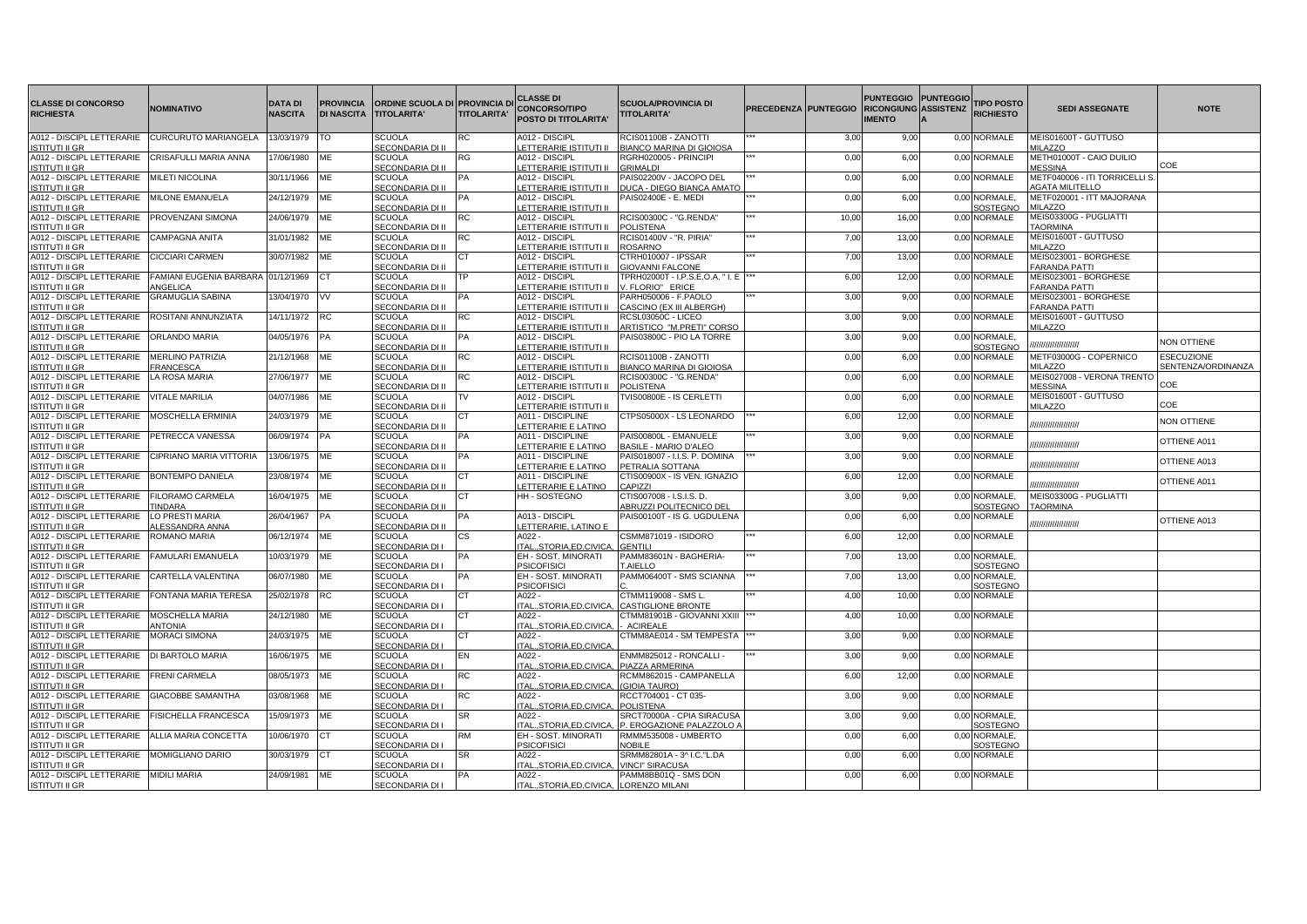| <b>CLASSE DI CONCORSO</b><br><b>RICHIESTA</b>                           | NOMINATIVO                                 | <b>DATA DI</b><br><b>NASCITA</b> | <b>PROVINCIA</b><br><b>DI NASCITA</b> | <b>ORDINE SCUOLA DI PROVINCIA DI</b><br><b>TITOLARITA'</b> | <b>TITOLARITA'</b> | <b>CLASSE DI</b><br><b>CONCORSO/TIPO</b><br>POSTO DI TITOLARITA' | <b>SCUOLA/PROVINCIA DI</b><br><b>TITOLARITA'</b>                 | PRECEDENZA PUNTEGGIO |       | PUNTEGGIO PUNTEGGIO<br><b>RICONGIUNG ASSISTENZ</b><br><b>IMENTO</b> | <b>TIPO POSTO</b><br><b>RICHIESTO</b> | <b>SEDI ASSEGNATE</b>                                          | <b>NOTE</b>               |
|-------------------------------------------------------------------------|--------------------------------------------|----------------------------------|---------------------------------------|------------------------------------------------------------|--------------------|------------------------------------------------------------------|------------------------------------------------------------------|----------------------|-------|---------------------------------------------------------------------|---------------------------------------|----------------------------------------------------------------|---------------------------|
| A012 - DISCIPL LETTERARIE<br><b>ISTITUTI II GR</b>                      | CURCURUTO MARIANGELA                       | 13/03/1979                       | ΓО                                    | <b>SCUOLA</b><br>SECONDARIA DI II                          | RC                 | A012 - DISCIPL<br>ETTERARIE ISTITUTI II                          | RCIS01100B - ZANOTTI<br><b>BIANCO MARINA DI GIOIOSA</b>          |                      | 3,00  | 9,00                                                                | 0,00 NORMALE                          | MEIS01600T - GUTTUSO<br>MILAZZO                                |                           |
| A012 - DISCIPL LETTERARIE<br><b>ISTITUTI II GR</b>                      | CRISAFULLI MARIA ANNA                      | 17/06/1980                       | ME                                    | <b>SCUOLA</b><br>SECONDARIA DI II                          | RG                 | A012 - DISCIPL<br>ETTERARIE ISTITUTI II                          | RGRH020005 - PRINCIPI<br><b>GRIMALDI</b>                         |                      | 0.00  | 6,00                                                                | 0,00 NORMALE                          | METH01000T - CAIO DUILIO<br><b>JESSINA</b>                     | COE                       |
| A012 - DISCIPL LETTERARIE   MILETI NICOLINA<br><b>ISTITUTI II GR</b>    |                                            | 30/11/1966                       | ME                                    | <b>SCUOLA</b><br>SECONDARIA DI II                          |                    | A012 - DISCIPL<br>ETTERARIE ISTITUTI II                          | PAIS02200V - JACOPO DEL<br>DUCA - DIEGO BIANCA AMATO             |                      | 0,00  | 6,00                                                                | 0,00 NORMALE                          | METF040006 - ITI TORRICELLI S<br><b><i>AGATA MILITELLO</i></b> |                           |
| A012 - DISCIPL LETTERARIE MILONE EMANUELA<br><b>ISTITUTI II GR</b>      |                                            | 24/12/1979                       | <b>ME</b>                             | <b>SCUOLA</b><br>SECONDARIA DI II                          |                    | A012 - DISCIPL<br>ETTERARIE ISTITUTI II                          | PAIS02400E - E. MEDI                                             |                      | 0,00  | 6,00                                                                | 0,00 NORMALE,                         | METF020001 - ITT MAJORANA<br>MILAZZO                           |                           |
| A012 - DISCIPL LETTERARIE PROVENZANI SIMONA                             |                                            | 24/06/1979                       | ME                                    | <b>SCUOLA</b>                                              | RC.                | A012 - DISCIPL                                                   | RCIS00300C - "G.RENDA"                                           |                      | 10,00 | 16,00                                                               | SOSTEGNO<br>0,00 NORMALE              | MEIS03300G - PUGLIATTI                                         |                           |
| <b>ISTITUTI II GR</b><br>A012 - DISCIPL LETTERARIE                      | <b>CAMPAGNA ANITA</b>                      | 31/01/1982                       | <b>MF</b>                             | SECONDARIA DI I<br><b>SCUOLA</b>                           | RC.                | ETTERARIE ISTITUTI II<br>A012 - DISCIPL                          | <b>POLISTENA</b><br><b>RCIS01400V - "R. PIRIA"</b>               |                      | 7.00  | 13,00                                                               | 0.00 NORMALE                          | <b>TAORMINA</b><br>MEIS01600T - GUTTUSO                        |                           |
| <b>ISTITUTI II GR</b><br>A012 - DISCIPL LETTERARIE                      | CICCIARI CARMEN                            | 30/07/1982                       | <b>ME</b>                             | SECONDARIA DI II<br><b>SCUOLA</b>                          |                    | ETTERARIE ISTITUTI II<br>A012 - DISCIPL                          | <b>ROSARNO</b><br>CTRH010007 - IPSSAR                            |                      | 7,00  | 13,00                                                               | 0,00 NORMALE                          | <b>MILAZZO</b><br>MEIS023001 - BORGHESE                        |                           |
| <b>ISTITUTI II GR</b><br>A012 - DISCIPL LETTERARIE                      | FAMIANI EUGENIA BARBARA                    | 01/12/1969                       |                                       | SECONDARIA DI II<br><b>SCUOLA</b>                          |                    | ETTERARIE ISTITUTI II<br>A012 - DISCIPL                          | <b>GIOVANNI FALCONE</b><br>TPRH02000T - I.P.S.E.O.A. " I. E  *** |                      | 6,00  | 12,00                                                               | 0,00 NORMALE                          | <b>FARANDA PATTI</b><br>MEIS023001 - BORGHESE                  |                           |
| <b>ISTITUTI II GR</b><br>A012 - DISCIPL LETTERARIE                      | <b>INGELICA</b><br><b>GRAMUGLIA SABINA</b> | 13/04/1970                       | <b>VV</b>                             | SECONDARIA DI II<br><b>SCUOLA</b>                          |                    | ETTERARIE ISTITUTI II<br>A012 - DISCIPL                          | V. FLORIO" ERICE<br>PARH050006 - F.PAOLO                         |                      | 3,00  | 9,00                                                                | 0,00 NORMALE                          | <b>FARANDA PATTI</b><br>MEIS023001 - BORGHESE                  |                           |
| <b>ISTITUTI II GR</b><br>A012 - DISCIPL LETTERARIE                      | ROSITANI ANNUNZIATA                        | 14/11/1972                       | RC                                    | SECONDARIA DI II<br><b>SCUOLA</b>                          | RC                 | ETTERARIE ISTITUTI II<br>A012 - DISCIPL                          | CASCINO (EX III ALBERGH)<br>RCSL03050C - LICEO                   |                      | 3,00  | 9,00                                                                | 0,00 NORMALE                          | <b>FARANDA PATTI</b><br>MEIS01600T - GUTTUSO                   |                           |
| <b>ISTITUTI II GR</b><br>A012 - DISCIPL LETTERARIE                      | <b>ORLANDO MARIA</b>                       | 04/05/1976                       |                                       | SECONDARIA DI II<br><b>SCUOLA</b>                          | PA                 | ETTERARIE ISTITUTI II<br>A012 - DISCIPL                          | ARTISTICO "M.PRETI" CORSO<br>PAIS03800C - PIO LA TORRE           |                      | 3,00  | 9,00                                                                | 0,00 NORMALE,                         | <b>MILAZZO</b>                                                 | <b>NON OTTIENE</b>        |
| <b>ISTITUTI II GR</b><br>A012 - DISCIPL LETTERARIE                      | <b>MERLINO PATRIZIA</b>                    | 21/12/1968                       | ME                                    | SECONDARIA DI II<br><b>SCUOLA</b>                          | RC                 | ETTERARIE ISTITUTI II<br>A012 - DISCIPL                          | RCIS01100B - ZANOTTI                                             |                      | 0,00  | 6,00                                                                | SOSTEGNO<br>0,00 NORMALE              | ,,,,,,,,,,,,,,,,,,<br>METF03000G - COPERNICO                   | <b>ESECUZIONE</b>         |
| <b>ISTITUTI II GR</b><br>A012 - DISCIPL LETTERARIE   LA ROSA MARIA      | FRANCESCA                                  | 27/06/1977                       | <b>ME</b>                             | SECONDARIA DI II<br><b>SCUOLA</b>                          | RC                 | ETTERARIE ISTITUTI II<br>A012 - DISCIPL                          | BIANCO MARINA DI GIOIOSA<br>RCIS00300C - "G.RENDA"               |                      | 0,00  | 6,00                                                                | 0,00 NORMALE                          | MILAZZO<br>MEIS027008 - VERONA TRENTO                          | SENTENZA/ORDINANZA        |
| <b>ISTITUTI II GR</b><br>A012 - DISCIPL LETTERARIE                      | <b>VITALE MARILIA</b>                      | 04/07/1986                       | ME                                    | SECONDARIA DI II<br><b>SCUOLA</b>                          | TV                 | ETTERARIE ISTITUTI II<br>A012 - DISCIPL                          | POLISTENA<br>TVIS00800E - IS CERLETTI                            |                      | 0,00  | 6,00                                                                | 0,00 NORMALE                          | <b>MESSINA</b><br>MEIS01600T - GUTTUSO                         | COE                       |
| <b>ISTITUTI II GR</b><br>A012 - DISCIPL LETTERARIE                      | <b>MOSCHELLA ERMINIA</b>                   | 24/03/1979                       | <b>ME</b>                             | SECONDARIA DI I<br><b>SCUOLA</b>                           |                    | ETTERARIE ISTITUTI II<br>A011 - DISCIPLINE                       | CTPS05000X - LS LEONARDO                                         |                      | 6.00  | 12,00                                                               | 0.00 NORMALE                          | <b>MILAZZO</b>                                                 | COE<br><b>NON OTTIENE</b> |
| <b>ISTITUTI II GR</b><br>A012 - DISCIPL LETTERARIE                      | PETRECCA VANESSA                           | 06/09/1974                       |                                       | SECONDARIA DI II<br><b>SCUOLA</b>                          | PA                 | ETTERARIE E LATINO<br>A011 - DISCIPLINE                          | PAIS00800L - EMANUELE                                            |                      | 3,00  | 9,00                                                                | 0,00 NORMALE                          | ,,,,,,,,,,,,,,,,,,                                             | OTTIENE A011              |
| <b>ISTITUTI II GR</b><br>A012 - DISCIPL LETTERARIE                      | CIPRIANO MARIA VITTORIA                    | 13/06/1975                       | <b>ME</b>                             | SECONDARIA DI II<br><b>SCUOLA</b>                          |                    | <b>ETTERARIE E LATINO</b><br>A011 - DISCIPLINE                   | <b>BASILE - MARIO D'ALEO</b><br>PAIS018007 - I.I.S. P. DOMINA    |                      | 3,00  | 9,00                                                                | 0,00 NORMALE                          | ,,,,,,,,,,,,,,,,,,                                             | OTTIENE A013              |
| <b>ISTITUTI II GR</b><br>A012 - DISCIPL LETTERARIE                      | <b>BONTEMPO DANIELA</b>                    | 23/08/1974                       | <b>ME</b>                             | SECONDARIA DI II<br><b>SCUOLA</b>                          |                    | ETTERARIE E LATINO<br>A011 - DISCIPLINE                          | PETRALIA SOTTANA<br>CTIS00900X - IS VEN. IGNAZIO                 |                      | 6,00  | 12,00                                                               | 0,00 NORMALE                          | ,,,,,,,,,,,,,,,,,,                                             | OTTIENE A011              |
| <b>ISTITUTI II GR</b><br>A012 - DISCIPL LETTERARIE                      | FILORAMO CARMELA                           | 16/04/1975                       | <b>ME</b>                             | SECONDARIA DI II<br><b>SCUOLA</b>                          | <b>CT</b>          | ETTERARIE E LATINO<br>HH - SOSTEGNO                              | CAPIZZI<br>CTIS007008 - I.S.I.S. D.                              |                      | 3,00  | 9,00                                                                | 0,00 NORMALE,                         | ,,,,,,,,,,,,,,,,<br>MEIS03300G - PUGLIATTI                     |                           |
| <b>ISTITUTI II GR</b><br>A012 - DISCIPL LETTERARIE                      | <b>TINDARA</b><br>LO PRESTI MARIA          | 26/04/1967                       | PA                                    | SECONDARIA DI II<br><b>SCUOLA</b>                          |                    | A013 - DISCIPL                                                   | ABRUZZI POLITECNICO DEL<br>PAIS00100T - IS G. UGDULENA           |                      | 0,00  | 6,00                                                                | SOSTEGNO<br>0,00 NORMALE              | <b>TAORMINA</b>                                                |                           |
| <b>ISTITUTI II GR</b><br>A012 - DISCIPL LETTERARIE                      | ALESSANDRA ANNA<br><b>ROMANO MARIA</b>     | 06/12/1974                       | ME                                    | SECONDARIA DI II<br><b>SCUOLA</b>                          | СS                 | ETTERARIE, LATINO E<br>A022 -                                    | CSMM871019 - ISIDORO                                             |                      | 6,00  | 12,00                                                               | 0,00 NORMALE                          | ,,,,,,,,,,,,,,,,,,                                             | OTTIENE A013              |
| <b>ISTITUTI II GR</b><br>A012 - DISCIPL LETTERARIE FAMULARI EMANUELA    |                                            | 10/03/1979                       | ME                                    | SECONDARIA DI I<br><b>SCUOLA</b>                           | <b>PA</b>          | TAL., STORIA, ED. CIVICA<br>EH - SOST. MINORATI                  | GENTILI<br>PAMM83601N - BAGHERIA-                                |                      | 7,00  | 13,00                                                               | 0,00 NORMALE,                         |                                                                |                           |
| <b>ISTITUTI II GR</b><br>A012 - DISCIPL LETTERARIE                      | <b>CARTELLA VALENTINA</b>                  | 06/07/1980                       | <b>ME</b>                             | SECONDARIA DI I<br><b>SCUOLA</b>                           | <b>PA</b>          | <b>PSICOFISIC</b><br>EH - SOST. MINORATI                         | <b>T.AIELLO</b><br>PAMM06400T - SMS SCIANNA                      |                      | 7,00  | 13,00                                                               | SOSTEGNO<br>0,00 NORMALE,             |                                                                |                           |
| <b>ISTITUTI II GR</b><br>A012 - DISCIPL LETTERARIE FONTANA MARIA TERESA |                                            | 25/02/1978                       | <b>RC</b>                             | SECONDARIA DI I<br><b>SCUOLA</b>                           |                    | <b>PSICOFISICI</b><br>A022 -                                     | CTMM119008 - SMS L                                               |                      | 4,00  | 10,00                                                               | SOSTEGNO<br>0,00 NORMALE              |                                                                |                           |
| <b>ISTITUTI II GR</b><br>A012 - DISCIPL LETTERARIE                      | MOSCHELLA MARIA                            | 24/12/1980                       | MЕ                                    | SECONDARIA DI I<br><b>SCUOLA</b>                           |                    | TALSTORIA.ED.CIVICA<br>A022 -                                    | <b>ASTIGLIONE BRONTE</b><br>CTMM81901B - GIOVANNI XXIII          |                      | 4,00  | 10,00                                                               | 0,00 NORMALE                          |                                                                |                           |
| <b>ISTITUTI II GR</b><br>A012 - DISCIPL LETTERARIE                      | <b>NTONIA</b><br><b>MORACI SIMONA</b>      | 24/03/1975                       | ME                                    | SECONDARIA DI I<br><b>SCUOLA</b>                           |                    | TALSTORIA.ED.CIVICA<br>A022 -                                    | <b>ACIREALE</b><br>CTMM8AE014 - SM TEMPESTA                      |                      | 3,00  | 9,00                                                                | 0,00 NORMALE                          |                                                                |                           |
| <b>ISTITUTI II GR</b><br>A012 - DISCIPL LETTERARIE                      | DI BARTOLO MARIA                           | 16/06/1975                       | <b>MF</b>                             | SECONDARIA DI I<br><b>SCUOLA</b>                           | EN                 | TAL., STORIA, ED. CIVICA<br>A022 -                               | ENMM825012 - RONCALLI -                                          |                      | 3,00  | 9,00                                                                | 0,00 NORMALE                          |                                                                |                           |
| <b>ISTITUTI II GR</b><br>A012 - DISCIPL LETTERARIE                      | <b>FRENI CARMELA</b>                       | 08/05/1973                       | ME                                    | SECONDARIA DI I                                            |                    | TALSTORIA.ED.CIVICA                                              | PIAZZA ARMERINA                                                  |                      |       | 12,00                                                               | 0,00 NORMALE                          |                                                                |                           |
| <b>ISTITUTI II GR</b>                                                   |                                            |                                  |                                       | <b>SCUOLA</b><br>SECONDARIA DI I                           | RC                 | A022 -<br>TALSTORIA.ED.CIVICA                                    | RCMM862015 - CAMPANELLA<br>(GIOIA TAURO)                         |                      | 6,00  |                                                                     |                                       |                                                                |                           |
| A012 - DISCIPL LETTERARIE<br><b>ISTITUTI II GR</b>                      | <b>GIACOBBE SAMANTHA</b>                   | 03/08/1968                       | <b>ME</b>                             | <b>SCUOLA</b><br>SECONDARIA DI I                           | RC.                | A022 -<br>TAL., STORIA, ED. CIVICA                               | RCCT704001 - CT 035-<br><b>POLISTENA</b>                         |                      | 3,00  | 9,00                                                                | 0,00 NORMALE                          |                                                                |                           |
| A012 - DISCIPL LETTERARIE FISICHELLA FRANCESCA<br><b>ISTITUTI II GR</b> |                                            | 15/09/1973                       | ME                                    | <b>SCUOLA</b><br>SECONDARIA DI I                           | <b>SR</b>          | A022 -<br>TAL., STORIA, ED. CIVICA                               | SRCT70000A - CPIA SIRACUSA<br>P. EROGAZIONE PALAZZOLO            |                      | 3,00  | 9,00                                                                | 0,00 NORMALE,<br>SOSTEGNO             |                                                                |                           |
| A012 - DISCIPL LETTERARIE ALLIA MARIA CONCETTA<br><b>ISTITUTI II GR</b> |                                            | 10/06/1970                       | СT                                    | <b>SCUOLA</b><br>SECONDARIA DI I                           | <b>RM</b>          | EH - SOST, MINORATI<br><b>PSICOFISICI</b>                        | RMMM535008 - UMBERTO<br><b>VOBILE</b>                            |                      | 0.00  | 6,00                                                                | 0.00 NORMALE.<br>SOSTEGNO             |                                                                |                           |
| A012 - DISCIPL LETTERARIE MOMIGLIANO DARIO<br><b>ISTITUTI II GR</b>     |                                            | 30/03/1979                       | ICT.                                  | SCUOLA<br>SECONDARIA DI I                                  | ISR.               | A022 -<br>TALSTORIA.ED.CIVICA.                                   | SRMM82801A - 3^ I.C."L.DA<br><b>VINCI" SIRACUSA</b>              |                      | 0,00  | 6,00                                                                | 0,00 NORMALE                          |                                                                |                           |
| A012 - DISCIPL LETTERARIE MIDILI MARIA<br><b>ISTITUTI II GR</b>         |                                            | 24/09/1981                       | ME                                    | <b>SCUOLA</b><br>SECONDARIA DI I                           |                    | A022 -<br>ITALSTORIA.ED.CIVICA.                                  | PAMM8BB01Q - SMS DON<br><b>LORENZO MILANI</b>                    |                      | 0,00  | 6,00                                                                | 0,00 NORMALE                          |                                                                |                           |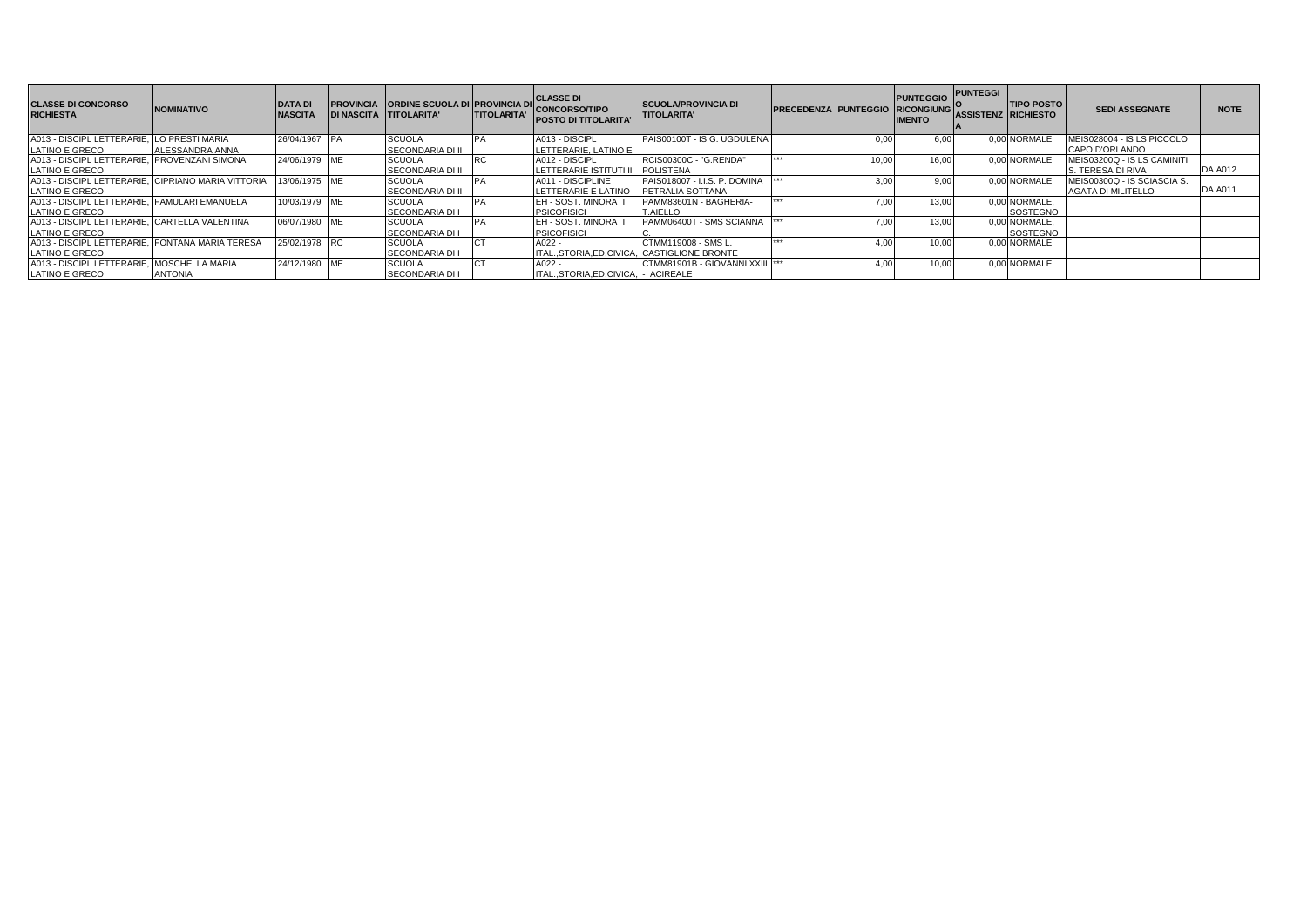| <b>CLASSE DI CONCORSO</b><br><b>RICHIESTA</b>      | <b>NOMINATIVO</b> | <b>DATA DI</b><br><b>NASCITA</b> | PROVINCIA ORDINE SCUOLA DI PROVINCIA DI CLASSE DI<br><b>DI NASCITA TITOLARITA'</b> | <b>TITOLARITA'</b> | <b>CONCORSO/TIPO</b><br><b>POSTO DI TITOLARITA'</b> | <b>SCUOLA/PROVINCIA DI</b><br><b>TITOLARITA'</b> | <b>PRECEDENZA PUNTEGGIO</b> |       | <b>PUNTEGGIO</b><br><b>RICONGIUNG</b><br><b>IMENTO</b> | <b>PUNTEGGI</b><br><b>ASSISTENZ RICHIESTO</b> | <b>TIPO POSTO</b> | <b>SEDI ASSEGNATE</b>        | <b>NOTE</b>    |
|----------------------------------------------------|-------------------|----------------------------------|------------------------------------------------------------------------------------|--------------------|-----------------------------------------------------|--------------------------------------------------|-----------------------------|-------|--------------------------------------------------------|-----------------------------------------------|-------------------|------------------------------|----------------|
| A013 - DISCIPL LETTERARIE. LO PRESTI MARIA         |                   | 26/04/1967 PA                    | <b>SCUOLA</b>                                                                      |                    | A013 - DISCIPL                                      | PAIS00100T - IS G. UGDULENA                      |                             |       | 6.00                                                   |                                               | 0.00 NORMALE      | MEIS028004 - IS LS PICCOLO   |                |
| LATINO E GRECO                                     | ALESSANDRA ANNA   |                                  | SECONDARIA DI II                                                                   |                    | LETTERARIE, LATINO E                                |                                                  | $+ + +$                     |       |                                                        |                                               |                   | CAPO D'ORLANDO               |                |
| A013 - DISCIPL LETTERARIE. PROVENZANI SIMONA       |                   | 24/06/1979 ME                    | <b>SCUOLA</b>                                                                      | <b>RC</b>          | A012 - DISCIPL                                      | RCIS00300C - "G.RENDA"                           |                             | 10,00 | 16.00                                                  |                                               | 0.00 NORMALE      | MEIS03200Q - IS LS CAMINITI  |                |
| LATINO E GRECO                                     |                   |                                  | <b>SECONDARIA DI II</b>                                                            |                    | LETTERARIE ISTITUTI II                              | <b>POLISTENA</b>                                 |                             |       |                                                        |                                               |                   | <b>S. TERESA DI RIVA</b>     | <b>DA A012</b> |
| A013 - DISCIPL LETTERARIE. CIPRIANO MARIA VITTORIA |                   | 13/06/1975 ME                    | <b>SCUOLA</b>                                                                      | <b>IPA</b>         | A011 - DISCIPLINE                                   | PAIS018007 - I.I.S. P. DOMINA                    |                             |       | 9,00                                                   |                                               | 0.00 NORMALE      | IMEIS00300Q - IS SCIASCIA S. |                |
| LATINO E GRECO                                     |                   |                                  | SECONDARIA DI II                                                                   |                    | LETTERARIE E LATINO                                 | <b>PETRALIA SOTTANA</b>                          |                             |       |                                                        |                                               |                   | AGATA DI MILITELLO           | <b>DA A011</b> |
| A013 - DISCIPL LETTERARIE. FAMULARI EMANUELA       |                   | 10/03/1979 ME                    | <b>SCUOLA</b>                                                                      | <b>IPA</b>         | <b>EH - SOST, MINORATI</b>                          | PAMM83601N - BAGHERIA-                           | $+ + +$                     |       | 13.00                                                  |                                               | 0.00 NORMALE.     |                              |                |
| LATINO E GRECO                                     |                   |                                  | <b>SECONDARIA DI I</b>                                                             |                    | <b>PSICOFISICI</b>                                  | T.AIELLO                                         |                             |       |                                                        |                                               | SOSTEGNO          |                              |                |
| A013 - DISCIPL LETTERARIE. CARTELLA VALENTINA      |                   | 06/07/1980 ME                    | <b>SCUOLA</b>                                                                      | <b>IPA</b>         | <b>EH - SOST, MINORATI</b>                          | PAMM06400T - SMS SCIANNA                         |                             | 7.00  | 13.00                                                  |                                               | 0.00 NORMALE.     |                              |                |
| LATINO E GRECO                                     |                   |                                  | SECONDARIA DI I                                                                    |                    | <b>PSICOFISICI</b>                                  |                                                  |                             |       |                                                        |                                               | SOSTEGNO          |                              |                |
| A013 - DISCIPL LETTERARIE. FONTANA MARIA TERESA    |                   | 25/02/1978 RC                    | <b>SCUOLA</b>                                                                      |                    | $A022 -$                                            | CTMM119008 - SMS L.                              | $+ + +$                     |       | 10.00                                                  |                                               | 0.00 NORMALE      |                              |                |
| LATINO E GRECO                                     |                   |                                  | <b>SECONDARIA DI I</b>                                                             |                    | ITALSTORIA.ED.CIVICA. CASTIGLIONE BRONTE            |                                                  |                             |       |                                                        |                                               |                   |                              |                |
| A013 - DISCIPL LETTERARIE.                         | . MOSCHELLA MARIA | 24/12/1980 ME                    | <b>SCUOLA</b>                                                                      |                    | $A022 -$                                            | ICTMM81901B - GIOVANNI XXIII  ***                |                             |       | 10,00                                                  |                                               | 0,00 NORMALE      |                              |                |
| LATINO E GRECO                                     | <b>ANTONIA</b>    |                                  | SECONDARIA DI I                                                                    |                    | ITALSTORIA.ED.CIVICA. - ACIREALE                    |                                                  |                             |       |                                                        |                                               |                   |                              |                |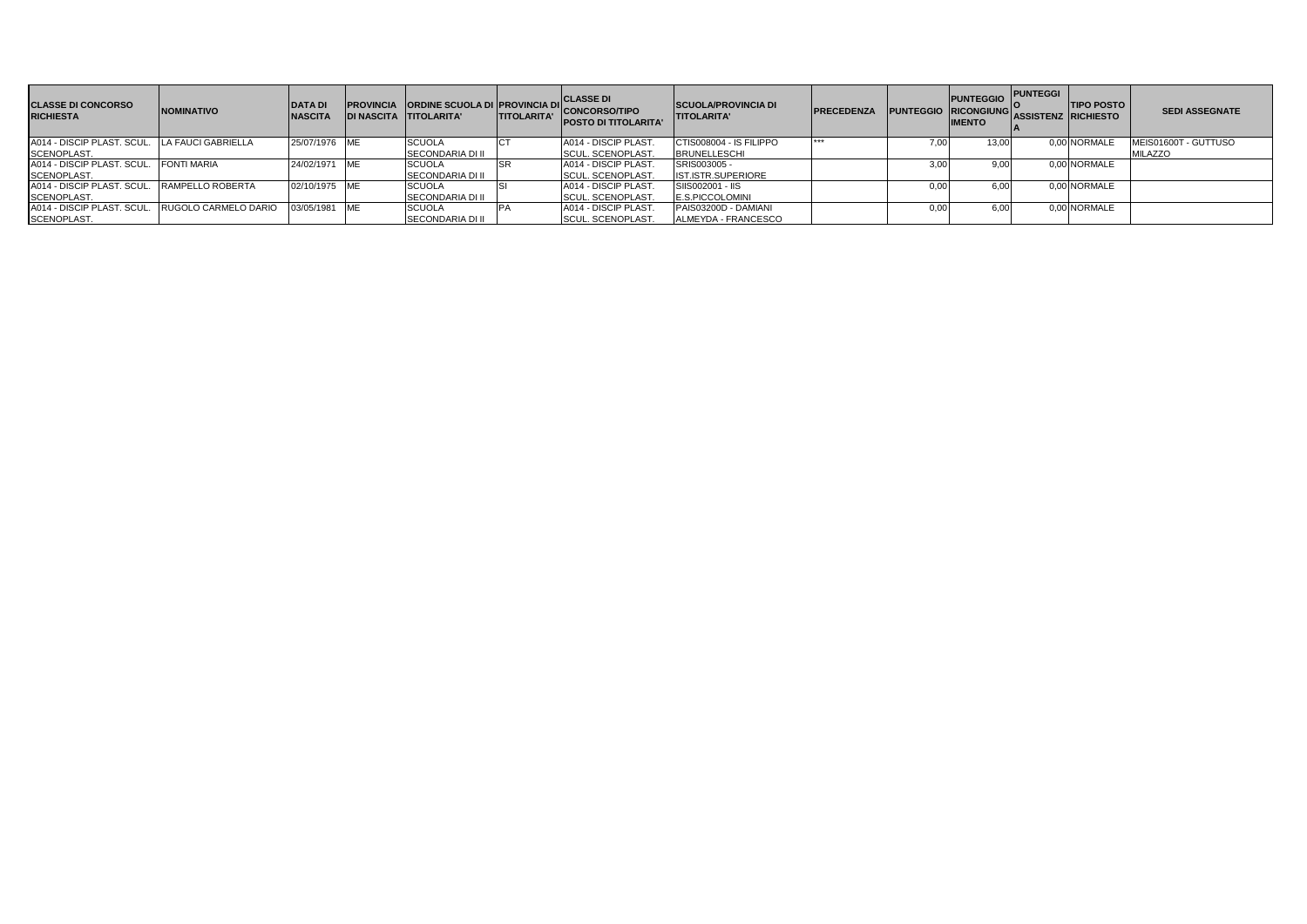| <b>CLASSE DI CONCORSO</b><br><b>RICHIESTA</b> | <b>INOMINATIVO</b>   | <b>DATA DI</b><br><b>NASCITA</b> | <b>PROVINCIA ORDINE SCUOLA DI PROVINCIA DI CLASSE DI</b><br>IDI NASCITA TITOLARITA' | <b>TITOLARITA'</b> | " CONCORSO/TIPO<br><b>POSTO DI TITOLARITA'</b> | <b>SCUOLA/PROVINCIA DI</b><br><b>ITITOLARITA'</b> | <b>IPRECEDENZA</b> |      | <b>PUNTEGGIO</b> PUNTEGGI I<br>PUNTEGGIO RICONGIUNGO<br><b>IMENTO</b> | ASSISTENZ RICHIESTO | <b>TIPO POSTO</b> | <b>SEDI ASSEGNATE</b> |
|-----------------------------------------------|----------------------|----------------------------------|-------------------------------------------------------------------------------------|--------------------|------------------------------------------------|---------------------------------------------------|--------------------|------|-----------------------------------------------------------------------|---------------------|-------------------|-----------------------|
| <b>A014 - DISCIP PLAST, SCUL.</b>             | LA FAUCI GABRIELLA   | 25/07/1976 ME                    | <b>SCUOLA</b>                                                                       |                    | A014 - DISCIP PLAST.                           | CTIS008004 - IS FILIPPO                           | ***                | 7.00 | 13.00                                                                 |                     | 0.00 NORMALE      | MEIS01600T - GUTTUSO  |
| SCENOPLAST.                                   |                      |                                  | <b>SECONDARIA DI II</b>                                                             |                    | <b>SCUL. SCENOPLAST.</b>                       | <b>BRUNELLESCHI</b>                               |                    |      |                                                                       |                     |                   | <b>MILAZZO</b>        |
| A014 - DISCIP PLAST, SCUL.                    | <b>FONTI MARIA</b>   | 24/02/1971 ME                    | <b>SCUOLA</b>                                                                       | -SR                | A014 - DISCIP PLAST.                           | SRIS003005 -                                      |                    | 3.00 | 9,00                                                                  |                     | 0,00 NORMALE      |                       |
| SCENOPLAST.                                   |                      |                                  | SECONDARIA DI II                                                                    |                    | <b>SCUL. SCENOPLAST.</b>                       | IST.ISTR.SUPERIORE                                |                    |      |                                                                       |                     |                   |                       |
| A014 - DISCIP PLAST, SCUL.                    | RAMPELLO ROBERTA     | 02/10/1975 ME                    | <b>SCUOLA</b>                                                                       |                    | A014 - DISCIP PLAST.                           | <b>SIIS002001 - IIS</b>                           |                    | 0.00 | 6.00                                                                  |                     | 0.00 NORMALE      |                       |
| SCENOPLAST.                                   |                      |                                  | <b>SECONDARIA DI II</b>                                                             |                    | <b>SCUL. SCENOPLAST.</b>                       | <b>E.S.PICCOLOMINI</b>                            |                    |      |                                                                       |                     |                   |                       |
| A014 - DISCIP PLAST, SCUL                     | RUGOLO CARMELO DARIO | 03/05/1981 ME                    | <b>SCUOLA</b>                                                                       |                    | A014 - DISCIP PLAST.                           | PAIS03200D - DAMIANI                              |                    | 0.00 | 6.00                                                                  |                     | 0.00 NORMALE      |                       |
| SCENOPLAST.                                   |                      |                                  | <b>SECONDARIA DI II</b>                                                             |                    | <b>ISCUL, SCENOPLAST.</b>                      | ALMEYDA - FRANCESCO                               |                    |      |                                                                       |                     |                   |                       |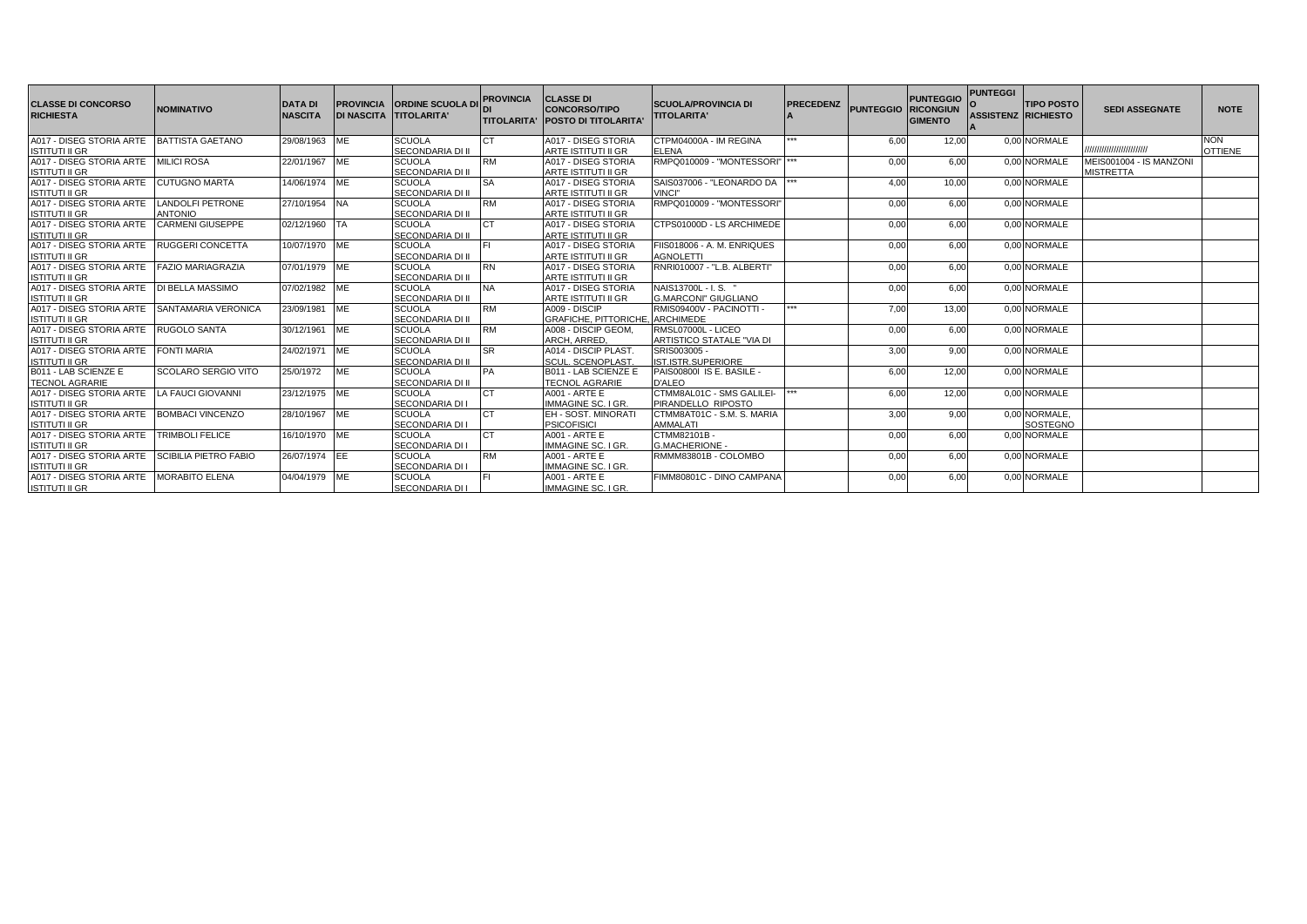| <b>CLASSE DI CONCORSO</b><br><b>RICHIESTA</b>  | <b>NOMINATIVO</b>          | <b>DATA DI</b><br><b>NASCITA</b> | <b>DI NASCITA TITOLARITA'</b> | <b>PROVINCIA ORDINE SCUOLA D</b> | <b>PROVINCIA</b> | <b>CLASSE DI</b><br><b>CONCORSO/TIPO</b><br><b>TITOLARITA' IPOSTO DI TITOLARITA</b> | <b>SCUOLA/PROVINCIA DI</b><br><b>TITOLARITA'</b> | <b>PRECEDENZ</b> | <b>PUNTEGGIO</b> | <b>PUNTEGGIO</b><br><b>RICONGIUN</b><br><b>GIMENTO</b> | <b>PUNTEGGI</b><br><b>ASSISTENZ RICHIESTO</b> | <b>TIPO POSTO</b> | <b>SEDI ASSEGNATE</b>    | <b>NOTE</b>    |
|------------------------------------------------|----------------------------|----------------------------------|-------------------------------|----------------------------------|------------------|-------------------------------------------------------------------------------------|--------------------------------------------------|------------------|------------------|--------------------------------------------------------|-----------------------------------------------|-------------------|--------------------------|----------------|
| A017 - DISEG STORIA ARTE BATTISTA GAETANO      |                            | 29/08/1963 ME                    |                               | <b>SCUOLA</b>                    | СT               | A017 - DISEG STORIA                                                                 | CTPM04000A - IM REGINA                           | ***              | 6.00             | 12,00                                                  |                                               | 0.00 NORMALE      |                          | <b>NON</b>     |
| <b>ISTITUTI II GR</b>                          |                            |                                  |                               | SECONDARIA DI II                 |                  | <b>ARTE ISTITUTI II GR</b>                                                          | <b>ELENA</b>                                     |                  |                  |                                                        |                                               |                   | ,,,,,,,,,,,,,,,,,,,,,,,, | <b>OTTIENE</b> |
| A017 - DISEG STORIA ARTE MILICI ROSA           |                            | 22/01/1967 ME                    |                               | <b>SCUOLA</b>                    | <b>RM</b>        | A017 - DISEG STORIA                                                                 | RMPQ010009 - "MONTESSORI"  ***                   |                  | 0.00             | 6.00                                                   |                                               | 0.00 NORMALE      | MEIS001004 - IS MANZONI  |                |
| <b>ISTITUTI II GR</b>                          |                            |                                  |                               | <b>SECONDARIA DI II</b>          |                  | <b>ARTE ISTITUTI II GR</b>                                                          |                                                  |                  |                  |                                                        |                                               |                   | <b>MISTRETTA</b>         |                |
| A017 - DISEG STORIA ARTE CUTUGNO MARTA         |                            | 14/06/1974 ME                    |                               | <b>SCUOLA</b>                    |                  | A017 - DISEG STORIA                                                                 | SAIS037006 - "LEONARDO DA ***                    |                  | 4.00             | 10.00                                                  |                                               | 0.00 NORMALE      |                          |                |
| <b>ISTITUTI II GR</b>                          |                            |                                  |                               | SECONDARIA DI II                 |                  | <b>ARTE ISTITUTI II GR</b>                                                          | VINCI"                                           |                  |                  |                                                        |                                               |                   |                          |                |
| A017 - DISEG STORIA ARTE                       | <b>LANDOLFI PETRONE</b>    | 27/10/1954 NA                    |                               | <b>SCUOLA</b>                    | <b>RM</b>        | A017 - DISEG STORIA                                                                 | RMPQ010009 - "MONTESSORI"                        |                  | 0,00             | 6,00                                                   |                                               | 0.00 NORMALE      |                          |                |
| <b>ISTITUTI II GR</b>                          | <b>ANTONIO</b>             |                                  |                               | <b>SECONDARIA DI II</b>          |                  | ARTE ISTITUTI II GR                                                                 |                                                  |                  |                  |                                                        |                                               |                   |                          |                |
| A017 - DISEG STORIA ARTE                       | <b>CARMENI GIUSEPPE</b>    | 02/12/1960                       | <b>TA</b>                     | <b>SCUOLA</b>                    |                  | A017 - DISEG STORIA                                                                 | CTPS01000D - LS ARCHIMEDE                        |                  | 0,00             | 6.00                                                   |                                               | 0.00 NORMALE      |                          |                |
| <b>ISTITUTI II GR</b>                          |                            |                                  |                               | SECONDARIA DI II                 |                  | ARTE ISTITUTI II GR                                                                 |                                                  |                  |                  |                                                        |                                               |                   |                          |                |
| A017 - DISEG STORIA ARTE RUGGERI CONCETTA      |                            | 10/07/1970 ME                    |                               | <b>SCUOLA</b>                    |                  | A017 - DISEG STORIA                                                                 | FIIS018006 - A. M. ENRIQUES                      |                  | 0,00             | 6,00                                                   |                                               | 0.00 NORMALE      |                          |                |
| <b>ISTITUTI II GR</b>                          |                            |                                  |                               | SECONDARIA DI II                 |                  | <b>ARTE ISTITUTI II GR</b>                                                          | <b>AGNOLETTI</b>                                 |                  |                  |                                                        |                                               |                   |                          |                |
| A017 - DISEG STORIA ARTE FAZIO MARIAGRAZIA     |                            | 07/01/1979 ME                    |                               | <b>SCUOLA</b>                    | <b>RN</b>        | A017 - DISEG STORIA                                                                 | RNRI010007 - "L.B. ALBERTI"                      |                  | 0,00             | 6,00                                                   |                                               | 0.00 NORMALE      |                          |                |
| <b>ISTITUTI II GR</b>                          |                            |                                  |                               | SECONDARIA DI II                 |                  | ARTE ISTITUTI II GR                                                                 |                                                  |                  |                  |                                                        |                                               |                   |                          |                |
| A017 - DISEG STORIA ARTE IDI BELLA MASSIMO     |                            | 07/02/1982 ME                    |                               | <b>SCUOLA</b>                    | <b>NA</b>        | A017 - DISEG STORIA                                                                 | NAIS13700L - I.S. "                              |                  | 0.00             | 6.00                                                   |                                               | 0.00 NORMALE      |                          |                |
| <b>ISTITUTI II GR</b>                          |                            |                                  |                               | SECONDARIA DI II                 |                  | <b>ARTE ISTITUTI II GR</b>                                                          | <b>G.MARCONI" GIUGLIANO</b>                      |                  |                  |                                                        |                                               |                   |                          |                |
| A017 - DISEG STORIA ARTE SANTAMARIA VERONICA   |                            | 23/09/1981                       | ME                            | <b>SCUOLA</b>                    | <b>RM</b>        | A009 - DISCIP                                                                       | RMIS09400V - PACINOTTI -                         | ***              | 7,00             | 13,00                                                  |                                               | 0.00 NORMALE      |                          |                |
| <b>ISTITUTI II GR</b>                          |                            |                                  |                               | SECONDARIA DI II                 |                  | <b>GRAFICHE, PITTORICHE, ARCHIMEDE</b>                                              |                                                  |                  |                  |                                                        |                                               |                   |                          |                |
| A017 - DISEG STORIA ARTE RUGOLO SANTA          |                            | 30/12/1961                       | <b>ME</b>                     | <b>SCUOLA</b>                    | <b>RM</b>        | A008 - DISCIP GEOM.                                                                 | RMSL07000L - LICEO                               |                  | 0,00             | 6,00                                                   |                                               | 0.00 NORMALE      |                          |                |
| <b>ISTITUTI II GR</b>                          |                            |                                  |                               | SECONDARIA DI II                 |                  | ARCH, ARRED.                                                                        | ARTISTICO STATALE "VIA DI                        |                  |                  |                                                        |                                               |                   |                          |                |
| A017 - DISEG STORIA ARTE                       | <b>FONTI MARIA</b>         | 24/02/1971                       | <b>IME</b>                    | <b>SCUOLA</b>                    | <b>SR</b>        | A014 - DISCIP PLAST.                                                                | SRIS003005 -                                     |                  | 3.00             | 9.00                                                   |                                               | 0.00 NORMALE      |                          |                |
| <b>ISTITUTI II GR</b>                          |                            |                                  |                               | <b>SECONDARIA DI II</b>          |                  | <b>SCUL. SCENOPLAST</b>                                                             | IST.ISTR.SUPERIORE                               |                  |                  |                                                        |                                               |                   |                          |                |
| B011 - LAB SCIENZE E                           | <b>SCOLARO SERGIO VITO</b> | 25/0/1972                        | ME                            | <b>SCUOLA</b>                    | <b>PA</b>        | B011 - LAB SCIENZE E                                                                | PAIS00800I IS E. BASILE -                        |                  | 6,00             | 12,00                                                  |                                               | 0.00 NORMALE      |                          |                |
| <b>TECNOL AGRARIE</b>                          |                            |                                  |                               | SECONDARIA DI II                 |                  | <b>TECNOL AGRARIE</b>                                                               | <b>D'ALEO</b>                                    |                  |                  |                                                        |                                               |                   |                          |                |
| A017 - DISEG STORIA ARTE LA FAUCI GIOVANNI     |                            | 23/12/1975 ME                    |                               | <b>SCUOLA</b>                    | <b>CT</b>        | A001 - ARTE E                                                                       | CTMM8AL01C - SMS GALILEI-                        |                  | 6,00             | 12,00                                                  |                                               | 0.00 NORMALE      |                          |                |
| <b>ISTITUTI II GR</b>                          |                            |                                  |                               | SECONDARIA DI I                  |                  | IMMAGINE SC. I GR.                                                                  | PIRANDELLO RIPOSTO                               |                  |                  |                                                        |                                               |                   |                          |                |
| A017 - DISEG STORIA ARTE BOMBACI VINCENZO      |                            | 28/10/1967 ME                    |                               | <b>SCUOLA</b>                    | <b>CT</b>        | <b>EH - SOST. MINORATI</b>                                                          | CTMM8AT01C - S.M. S. MARIA                       |                  | 3,00             | 9,00                                                   |                                               | 0,00 NORMALE,     |                          |                |
| <b>ISTITUTI II GR</b>                          |                            |                                  |                               | <b>SECONDARIA DI I</b>           |                  | <b>PSICOFISICI</b>                                                                  | AMMALATI                                         |                  |                  |                                                        |                                               | <b>SOSTEGNO</b>   |                          |                |
| A017 - DISEG STORIA ARTE TRIMBOLI FELICE       |                            | 16/10/1970 ME                    |                               | <b>SCUOLA</b>                    | CT.              | A001 - ARTE E                                                                       | CTMM82101B -                                     |                  | 0,00             | 6,00                                                   |                                               | 0.00 NORMALE      |                          |                |
| <b>ISTITUTI II GR</b>                          |                            |                                  |                               | SECONDARIA DI I                  |                  | <b>IMMAGINE SC. I GR.</b>                                                           | G.MACHERIONE -                                   |                  |                  |                                                        |                                               |                   |                          |                |
| A017 - DISEG STORIA ARTE SCIBILIA PIETRO FABIO |                            | 26/07/1974 EE                    |                               | <b>SCUOLA</b>                    | <b>RM</b>        | <b>A001 - ARTE E</b>                                                                | RMMM83801B - COLOMBO                             |                  | 0,00             | 6.00                                                   |                                               | 0.00 NORMALE      |                          |                |
| <b>ISTITUTI II GR</b>                          |                            |                                  |                               | SECONDARIA DI I                  |                  | <b>IMMAGINE SC. I GR.</b>                                                           |                                                  |                  |                  |                                                        |                                               |                   |                          |                |
| A017 - DISEG STORIA ARTE MORABITO ELENA        |                            | 04/04/1979 ME                    |                               | <b>SCUOLA</b>                    |                  | <b>A001 - ARTE E</b>                                                                | FIMM80801C - DINO CAMPANA                        |                  | 0.00             | 6.00                                                   |                                               | 0.00 NORMALE      |                          |                |
| <b>ISTITUTI II GR</b>                          |                            |                                  |                               | <b>SECONDARIA DI I</b>           |                  | <b>IMMAGINE SC. I GR.</b>                                                           |                                                  |                  |                  |                                                        |                                               |                   |                          |                |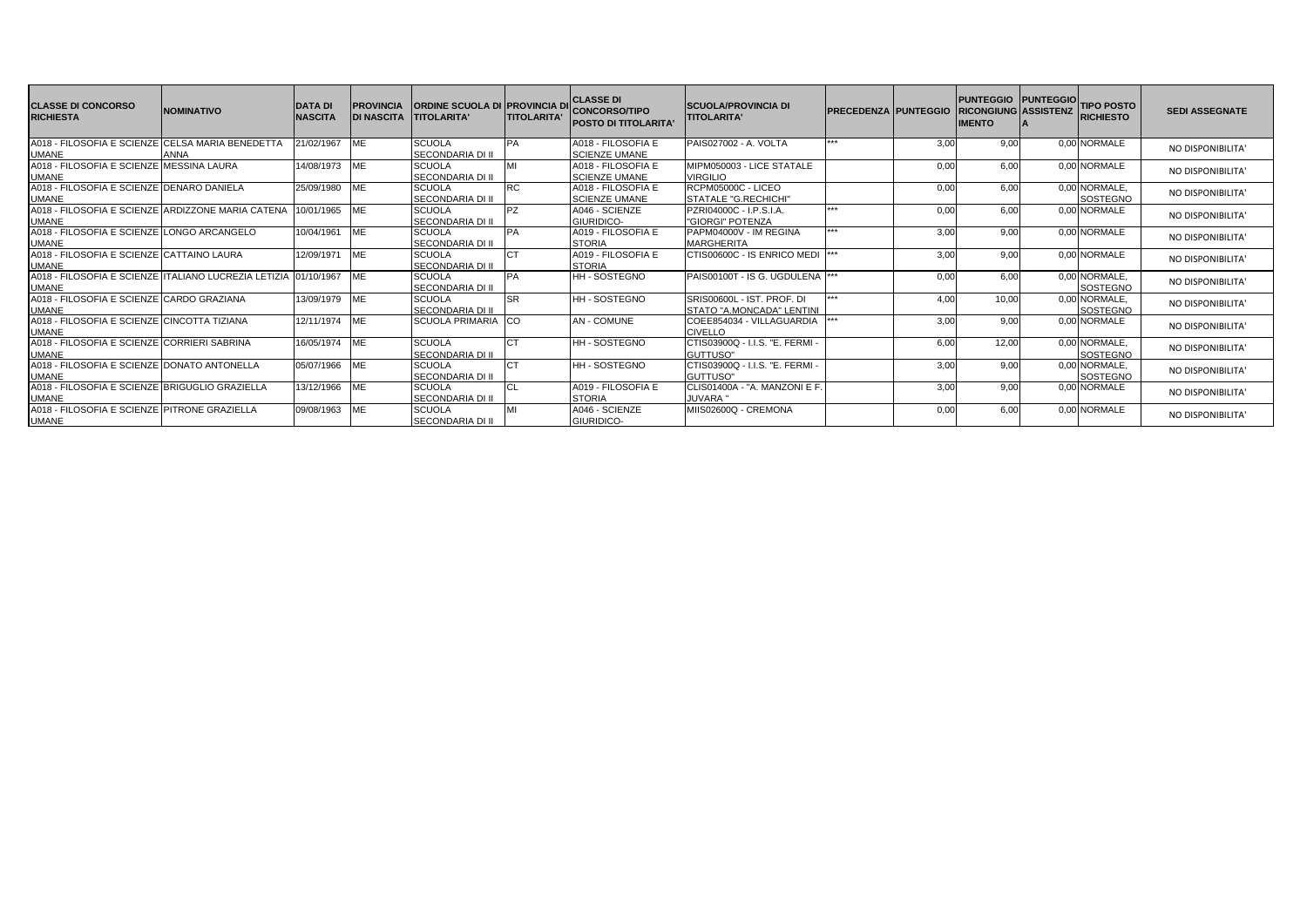| <b>CLASSE DI CONCORSO</b><br><b>RICHIESTA</b>                                   | <b>NOMINATIVO</b> | <b>DATA DI</b><br><b>NASCITA</b> | <b>PROVINCIA</b><br><b>DI NASCITA</b> | <b>ORDINE SCUOLA DI PROVINCIA D</b><br><b>ITITOLARITA'</b> | <b>TITOLARITA'</b> | <b>ICLASSE DI</b><br><b>CONCORSO/TIPO</b><br><b>POSTO DI TITOLARITA'</b> | <b>ISCUOLA/PROVINCIA DI</b><br><b>TITOLARITA'</b>       | <b>PRECEDENZA PUNTEGGIO</b> |      | <b>PUNTEGGIO</b><br><b>RICONGIUNG ASSISTENZ</b><br><b>IMENTO</b> | PUNTEGGIO TIPO POSTO<br><b>RICHIESTO</b> | <b>SEDI ASSEGNATE</b> |
|---------------------------------------------------------------------------------|-------------------|----------------------------------|---------------------------------------|------------------------------------------------------------|--------------------|--------------------------------------------------------------------------|---------------------------------------------------------|-----------------------------|------|------------------------------------------------------------------|------------------------------------------|-----------------------|
| A018 - FILOSOFIA E SCIENZE CELSA MARIA BENEDETTA<br><b>UMANE</b>                | <b>ANNA</b>       | 21/02/1967                       | <b>IME</b>                            | <b>SCUOLA</b><br><b>SECONDARIA DI II</b>                   | PA                 | A018 - FILOSOFIA E<br><b>SCIENZE UMANE</b>                               | PAIS027002 - A. VOLTA                                   | $***$                       | 3.00 | 9.00                                                             | 0,00 NORMALE                             | NO DISPONIBILITA'     |
| A018 - FILOSOFIA E SCIENZE MESSINA LAURA<br><b>UMANE</b>                        |                   | 14/08/1973 ME                    |                                       | <b>SCUOLA</b><br>SECONDARIA DI II                          |                    | A018 - FILOSOFIA E<br><b>SCIENZE UMANE</b>                               | MIPM050003 - LICE STATALE<br><b>VIRGILIO</b>            |                             | 0.00 | 6.00                                                             | 0,00 NORMALE                             | NO DISPONIBILITA'     |
| A018 - FILOSOFIA E SCIENZE DENARO DANIELA<br><b>UMANE</b>                       |                   | 25/09/1980 ME                    |                                       | <b>SCUOLA</b><br>SECONDARIA DI II                          | <b>RC</b>          | A018 - FILOSOFIA E<br><b>SCIENZE UMANE</b>                               | RCPM05000C - LICEO<br>STATALE "G.RECHICHI"              |                             | 0.00 | 6,00                                                             | 0,00 NORMALE,<br><b>SOSTEGNO</b>         | NO DISPONIBILITA'     |
| A018 - FILOSOFIA E SCIENZE ARDIZZONE MARIA CATENA<br><b>UMANE</b>               |                   | 0/01/1965 ME                     |                                       | <b>SCUOLA</b><br><b>SECONDARIA DI II</b>                   | <b>PZ</b>          | A046 - SCIENZE<br>GIURIDICO-                                             | PZRI04000C - I.P.S.I.A<br>"GIORGI" POTENZA              | $***$                       | 0.00 | 6.00                                                             | 0.00 NORMALE                             | NO DISPONIBILITA'     |
| A018 - FILOSOFIA E SCIENZE LONGO ARCANGELO                                      |                   | 10/04/1961                       | <b>MF</b>                             | <b>SCUOLA</b><br><b>SECONDARIA DI II</b>                   | PA                 | A019 - FILOSOFIA E<br><b>STORIA</b>                                      | PAPM04000V - IM REGINA<br><b>MARGHERITA</b>             | $***$                       | 3,00 | 9,00                                                             | 0.00 NORMALE                             | NO DISPONIBILITA'     |
| UMANE<br>A018 - FILOSOFIA E SCIENZE CATTAINO LAURA<br><b>UMANE</b>              |                   | 12/09/1971 ME                    |                                       | <b>SCUOLA</b><br><b>SECONDARIA DI II</b>                   |                    | A019 - FILOSOFIA E<br><b>STORIA</b>                                      | CTIS00600C - IS ENRICO MEDI                             |                             | 3.00 | 9.00                                                             | 0.00 NORMALE                             | NO DISPONIBILITA'     |
| A018 - FILOSOFIA E SCIENZE ITALIANO LUCREZIA LETIZIA 01/10/1967<br><b>UMANE</b> |                   |                                  |                                       | <b>SCUOLA</b><br><b>SECONDARIA DI II</b>                   | PA                 | <b>HH-SOSTEGNO</b>                                                       | PAIS00100T - IS G. UGDULENA                             |                             | 0.00 | 6.00                                                             | 0.00 NORMALE.<br>SOSTEGNO                | NO DISPONIBILITA'     |
| A018 - FILOSOFIA E SCIENZE CARDO GRAZIANA<br><b>UMANE</b>                       |                   | 13/09/1979                       | <b>MF</b>                             | <b>SCUOLA</b><br><b>SECONDARIA DI II</b>                   | <b>SR</b>          | <b>HH-SOSTEGNO</b>                                                       | SRIS00600L - IST, PROF, DI<br>STATO "A.MONCADA" LENTINI | ***                         | 4.00 | 10,00                                                            | 0,00 NORMALE,<br><b>SOSTEGNO</b>         | NO DISPONIBILITA'     |
| A018 - FILOSOFIA E SCIENZE CINCOTTA TIZIANA<br><b>UMANE</b>                     |                   | 12/11/1974                       | <b>MF</b>                             | SCUOLA PRIMARIA CO                                         |                    | <b>AN - COMUNE</b>                                                       | COEE854034 - VILLAGUARDIA<br><b>CIVELLO</b>             | $***$                       | 3.00 | 9.00                                                             | 0,00 NORMALE                             | NO DISPONIBILITA'     |
| A018 - FILOSOFIA E SCIENZE CORRIERI SABRINA<br><b>UMANE</b>                     |                   | 16/05/1974 ME                    |                                       | <b>SCUOLA</b><br>SECONDARIA DI II                          |                    | <b>HH-SOSTEGNO</b>                                                       | CTIS03900Q - I.I.S. "E. FERMI-<br>GUTTUSO"              |                             | 6,00 | 12,00                                                            | 0,00 NORMALE,<br><b>SOSTEGNO</b>         | NO DISPONIBILITA'     |
| A018 - FILOSOFIA E SCIENZE DONATO ANTONELLA<br><b>UMANE</b>                     |                   | 05/07/1966 ME                    |                                       | <b>SCUOLA</b><br><b>SECONDARIA DI II</b>                   |                    | HH - SOSTEGNO                                                            | CTIS03900Q - I.I.S. "E. FERMI -<br>GUTTUSO"             |                             | 3,00 | 9,00                                                             | 0.00 NORMALE.<br><b>SOSTEGNO</b>         | NO DISPONIBILITA'     |
| A018 - FILOSOFIA E SCIENZE BRIGUGLIO GRAZIELLA<br><b>UMANE</b>                  |                   | 13/12/1966                       | <b>IMF</b>                            | <b>SCUOLA</b><br><b>SECONDARIA DI II</b>                   |                    | A019 - FILOSOFIA E<br><b>STORIA</b>                                      | CLIS01400A - "A. MANZONI E F<br>JUVARA "                |                             | 3.00 | 9.00                                                             | 0.00 NORMALE                             | NO DISPONIBILITA'     |
| A018 - FILOSOFIA E SCIENZE PITRONE GRAZIELLA<br><b>UMANE</b>                    |                   | 09/08/1963 ME                    |                                       | <b>SCUOLA</b><br>SECONDARIA DI II                          |                    | A046 - SCIENZE<br>GIURIDICO-                                             | MIIS02600Q - CREMONA                                    |                             | 0.00 | 6.00                                                             | 0.00 NORMALE                             | NO DISPONIBILITA'     |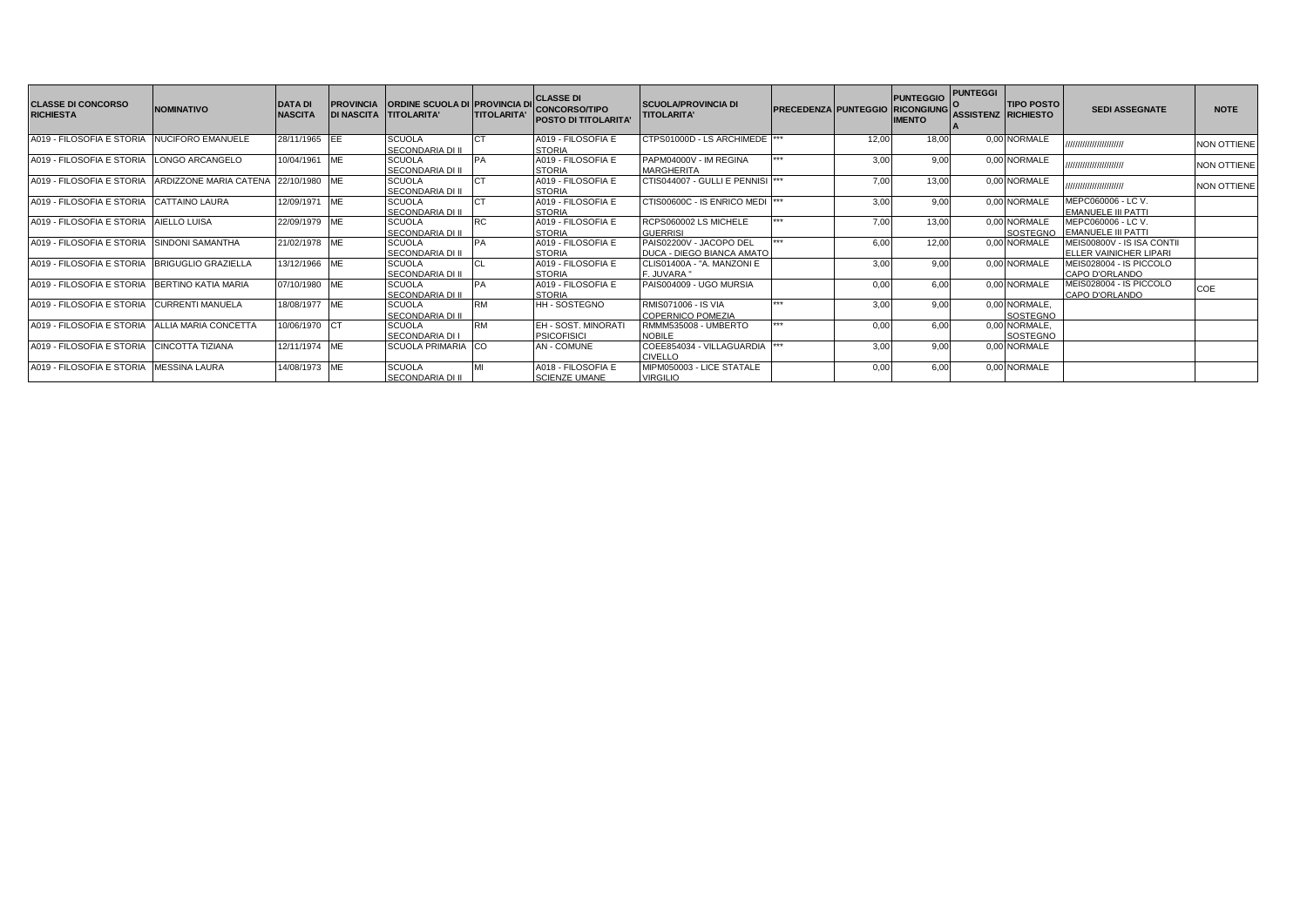| <b>CLASSE DI CONCORSO</b><br><b>RICHIESTA</b> | <b>NOMINATIVO</b>           | <b>DATA DI</b><br><b>NASCITA</b> | <b>PROVINCIA</b> | ORDINE SCUOLA DI PROVINCIA DI CLASSE DI<br>DI NASCITA TITOLARITA' | <b>TITOLARITA'</b> | <b>CONCORSO/TIPO</b><br><b>POSTO DI TITOLARITA</b> | <b>SCUOLA/PROVINCIA DI</b><br><b>TITOLARITA'</b>     | PRECEDENZA PUNTEGGIO RICONGIUNG |       | <b>PUNTEGGIO</b><br><b>IMENTO</b> | <b>PUNTEGGI</b> | <b>TIPO POSTO</b><br>ASSISTENZ RICHIESTO | <b>SEDI ASSEGNATE</b>                               | <b>NOTE</b>        |
|-----------------------------------------------|-----------------------------|----------------------------------|------------------|-------------------------------------------------------------------|--------------------|----------------------------------------------------|------------------------------------------------------|---------------------------------|-------|-----------------------------------|-----------------|------------------------------------------|-----------------------------------------------------|--------------------|
| A019 - FILOSOFIA E STORIA                     | NUCIFORO EMANUELE           | 28/11/1965 IEE                   |                  | <b>SCUOLA</b><br>SECONDARIA DI II                                 |                    | A019 - FILOSOFIA E<br><b>STORIA</b>                | CTPS01000D - LS ARCHIMEDE                            |                                 | 12.00 | 18.00                             |                 | 0.00 NORMALE                             | ,,,,,,,,,,,,,,,,,,,,,,,                             | <b>NON OTTIENE</b> |
| A019 - FILOSOFIA E STORIA                     | LONGO ARCANGELO             | 10/04/1961                       | <b>IME</b>       | <b>SCUOLA</b><br><b>SECONDARIA DI II</b>                          | PA                 | A019 - FILOSOFIA E<br><b>STORIA</b>                | PAPM04000V - IM REGINA<br><b>MARGHERITA</b>          | ***                             | 3.00  | 9,00                              |                 | 0,00 NORMALE                             | /////////////////////////                           | <b>NON OTTIENE</b> |
| A019 - FILOSOFIA E STORIA                     | ARDIZZONE MARIA CATENA      | 22/10/1980 ME                    |                  | <b>SCUOLA</b><br>SECONDARIA DI II                                 |                    | A019 - FILOSOFIA E<br><b>STORIA</b>                | CTIS044007 - GULLI E PENNISI                         |                                 | 7,00  | 13,00                             |                 | 0,00 NORMALE                             | ,,,,,,,,,,,,,,,,,,,,,,                              | <b>NON OTTIENE</b> |
| A019 - FILOSOFIA E STORIA                     | CATTAINO LAURA              | 12/09/1971                       | ME               | <b>SCUOLA</b><br><b>SECONDARIA DI I</b>                           |                    | A019 - FILOSOFIA E<br><b>STORIA</b>                | CTIS00600C - IS ENRICO MEDI                          |                                 | 3.00  | 9.00                              |                 | 0.00 NORMALE                             | MEPC060006 - LC V.<br><b>EMANUELE III PATTI</b>     |                    |
| A019 - FILOSOFIA E STORIA                     | AIELLO LUISA                | 22/09/1979 ME                    |                  | <b>SCUOLA</b><br>SECONDARIA DI II                                 |                    | A019 - FILOSOFIA E<br><b>STORIA</b>                | RCPS060002 LS MICHELE<br><b>GUERRISI</b>             | ***                             | 7.00  | 13,00                             |                 | 0.00 NORMALE                             | MEPC060006 - LC V<br>SOSTEGNO EMANUELE III PATTI    |                    |
| A019 - FILOSOFIA E STORIA                     | SINDONI SAMANTHA            | 21/02/1978 ME                    |                  | <b>SCUOLA</b><br><b>SECONDARIA DI II</b>                          |                    | A019 - FILOSOFIA E<br><b>STORIA</b>                | PAIS02200V - JACOPO DEL<br>DUCA - DIEGO BIANCA AMATO | ***                             | 6.00  | 12,00                             |                 | 0,00 NORMALE                             | MEIS00800V - IS ISA CONTI<br>ELLER VAINICHER LIPARI |                    |
| A019 - FILOSOFIA E STORIA                     | <b>BRIGUGLIO GRAZIELLA</b>  | 13/12/1966 ME                    |                  | <b>SCUOLA</b><br>SECONDARIA DI II                                 |                    | A019 - FILOSOFIA E<br><b>STORIA</b>                | CLIS01400A - "A. MANZONI E<br>F. JUVARA "            |                                 | 3.00  | 9.00                              |                 | 0.00 NORMALE                             | MEIS028004 - IS PICCOLO<br>CAPO D'ORLANDO           |                    |
| A019 - FILOSOFIA E STORIA                     | BERTINO KATIA MARIA         | 07/10/1980 ME                    |                  | <b>SCUOLA</b><br><b>SECONDARIA DI II</b>                          |                    | A019 - FILOSOFIA E<br><b>STORIA</b>                | PAIS004009 - UGO MURSIA                              |                                 |       | 6.00                              |                 | 0.00 NORMALE                             | MEIS028004 - IS PICCOLO<br>CAPO D'ORLANDO           | COE                |
| A019 - FILOSOFIA E STORIA                     | <b>CURRENTI MANUELA</b>     | 18/08/1977 ME                    |                  | <b>SCUOLA</b><br><b>SECONDARIA DI II</b>                          | <b>RM</b>          | <b>HH-SOSTEGNO</b>                                 | RMIS071006 - IS VIA<br><b>COPERNICO POMEZIA</b>      | $+ + +$                         | 3.00  | 9,00                              |                 | 0.00 NORMALE.<br>SOSTEGNO                |                                                     |                    |
| A019 - FILOSOFIA E STORIA                     | <b>ALLIA MARIA CONCETTA</b> | 10/06/1970 CT                    |                  | <b>SCUOLA</b><br>SECONDARIA DI I                                  | <b>RM</b>          | EH - SOST, MINORATI<br><b>PSICOFISICI</b>          | RMMM535008 - UMBERTO<br><b>NOBILE</b>                | $+ + +$                         | 0.00  | 6,00                              |                 | 0.00 NORMALE.<br>SOSTEGNO                |                                                     |                    |
| A019 - FILOSOFIA E STORIA                     | <b>CINCOTTA TIZIANA</b>     | 12/11/1974 ME                    |                  | <b>SCUOLA PRIMARIA CO</b>                                         |                    | <b>AN - COMUNE</b>                                 | COEE854034 - VILLAGUARDIA<br><b>CIVELLO</b>          |                                 | 3.00  | 9.00                              |                 | 0.00 NORMALE                             |                                                     |                    |
| A019 - FILOSOFIA E STORIA                     | <b>MESSINA LAURA</b>        | 14/08/1973 ME                    |                  | <b>SCUOLA</b><br>SECONDARIA DI II                                 |                    | A018 - FILOSOFIA E<br><b>SCIENZE UMANE</b>         | MIPM050003 - LICE STATALE<br><b>VIRGILIO</b>         |                                 | 0.00  | 6.00                              |                 | 0.00 NORMALE                             |                                                     |                    |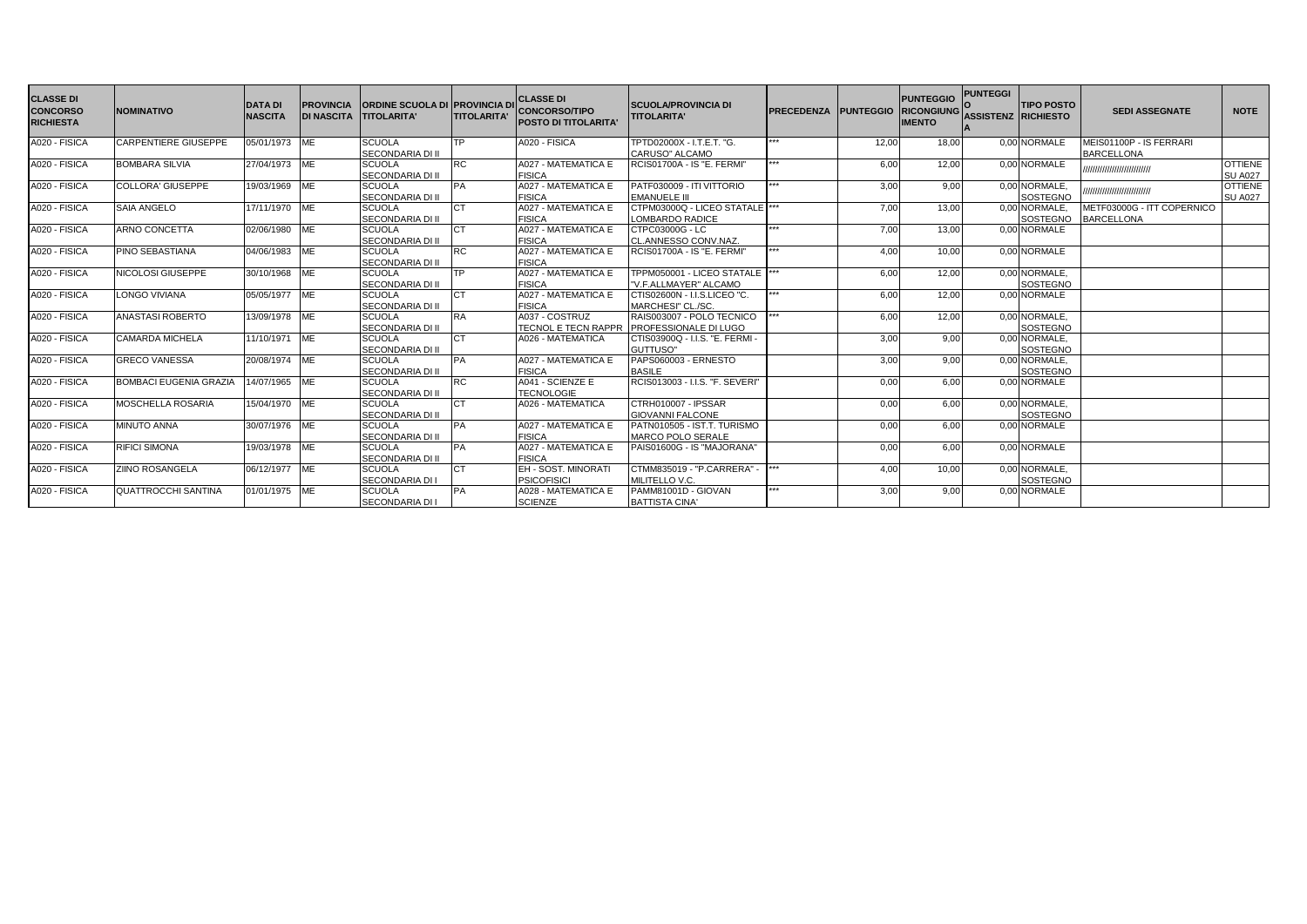| <b>CLASSE DI</b><br><b>CONCORSO</b><br><b>RICHIESTA</b> | <b>NOMINATIVO</b>             | <b>DATA DI</b><br><b>NASCITA</b> | <b>PROVINCIA</b><br><b>DI NASCITA</b> | <b>ORDINE SCUOLA DI PROVINCIA D</b><br><b>TITOLARITA'</b> | <b>ITITOLARITA'</b> | <b>CLASSE DI</b><br><b>CONCORSO/TIPO</b><br><b>POSTO DI TITOLARITA'</b> | <b>SCUOLA/PROVINCIA DI</b><br><b>TITOLARITA'</b>          | <b>PRECEDENZA</b> | <b>PUNTEGGIO</b> | <b>PUNTEGGIO</b><br><b>RICONGIUNG</b><br><b>IMENTO</b> | <b>PUNTEGGI</b><br><b>ASSISTENZ RICHIESTO</b> | <b>TIPO POSTO</b>                | <b>SEDI ASSEGNATE</b>                           | <b>NOTE</b>                      |
|---------------------------------------------------------|-------------------------------|----------------------------------|---------------------------------------|-----------------------------------------------------------|---------------------|-------------------------------------------------------------------------|-----------------------------------------------------------|-------------------|------------------|--------------------------------------------------------|-----------------------------------------------|----------------------------------|-------------------------------------------------|----------------------------------|
| A020 - FISICA                                           | <b>CARPENTIERE GIUSEPPE</b>   | 05/01/1973 ME                    |                                       | <b>SCUOLA</b><br><b>SECONDARIA DI II</b>                  | <b>TP</b>           | A020 - FISICA                                                           | TPTD02000X - I.T.E.T. "G.<br>CARUSO" ALCAMO               | ***               | 12,00            | 18,00                                                  |                                               | 0.00 NORMALE                     | MEIS01100P - IS FERRARI<br><b>BARCELLONA</b>    |                                  |
| A020 - FISICA                                           | <b>BOMBARA SILVIA</b>         | 27/04/1973 ME                    |                                       | <b>SCUOLA</b><br><b>SECONDARIA DI II</b>                  | <b>IRC</b>          | A027 - MATEMATICA E<br><b>FISICA</b>                                    | RCIS01700A - IS "E. FERMI"                                |                   | 6,00             | 12,00                                                  |                                               | 0.00 NORMALE                     | ,,,,,,,,,,,,,,,,,,,,,,,,,                       | <b>OTTIENE</b><br><b>SU A027</b> |
| A020 - FISICA                                           | <b>COLLORA' GIUSEPPE</b>      | 19/03/1969 ME                    |                                       | <b>SCUOLA</b><br><b>SECONDARIA DI II</b>                  | PA                  | A027 - MATEMATICA E<br><b>FISICA</b>                                    | PATF030009 - ITI VITTORIO<br><b>EMANUELE III</b>          |                   | 3.00             | 9.00                                                   |                                               | 0,00 NORMALE,<br><b>SOSTEGNO</b> | ,,,,,,,,,,,,,,,,,,,,,,,,,                       | <b>OTTIENE</b><br><b>SU A027</b> |
| A020 - FISICA                                           | <b>SAIA ANGELO</b>            | 17/11/1970 ME                    |                                       | <b>SCUOLA</b><br><b>SECONDARIA DI II</b>                  | CT                  | A027 - MATEMATICA E<br><b>FISICA</b>                                    | CTPM03000Q - LICEO STATALE ***<br>OMBARDO RADICE          |                   | 7,00             | 13,00                                                  |                                               | 0.00 NORMALE.<br><b>SOSTEGNO</b> | METF03000G - ITT COPERNICO<br><b>BARCELLONA</b> |                                  |
| A020 - FISICA                                           | ARNO CONCETTA                 | 02/06/1980                       | <b>ME</b>                             | <b>SCUOLA</b><br><b>SECONDARIA DI II</b>                  | CT                  | A027 - MATEMATICA E<br><b>FISICA</b>                                    | CTPC03000G - LC<br>CL.ANNESSO CONV.NAZ.                   | ***               | 7,00             | 13,00                                                  |                                               | 0.00 NORMALE                     |                                                 |                                  |
| A020 - FISICA                                           | PINO SEBASTIANA               | 04/06/1983 ME                    |                                       | <b>SCUOLA</b><br><b>SECONDARIA DI II</b>                  | <b>RC</b>           | A027 - MATEMATICA E<br><b>FISICA</b>                                    | <b>RCIS01700A - IS "E. FERMI"</b>                         |                   | 4.00             | 10.00                                                  |                                               | 0.00 NORMALE                     |                                                 |                                  |
| A020 - FISICA                                           | NICOLOSI GIUSEPPE             | 30/10/1968                       | <b>ME</b>                             | <b>SCUOLA</b><br>SECONDARIA DI II                         | TP.                 | A027 - MATEMATICA E<br><b>FISICA</b>                                    | TPPM050001 - LICEO STATALE<br>"V.F.ALLMAYER" ALCAMO       |                   | 6,00             | 12,00                                                  |                                               | 0.00 NORMALE.<br><b>SOSTEGNO</b> |                                                 |                                  |
| A020 - FISICA                                           | <b>LONGO VIVIANA</b>          | 05/05/1977 ME                    |                                       | <b>SCUOLA</b><br><b>SECONDARIA DI II</b>                  | <b>CT</b>           | A027 - MATEMATICA E<br><b>FISICA</b>                                    | CTIS02600N - I.I.S.LICEO "C.<br>MARCHESI" CL./SC.         |                   | 6.00             | 12.00                                                  |                                               | 0.00 NORMALE                     |                                                 |                                  |
| A020 - FISICA                                           | ANASTASI ROBERTO              | 13/09/1978 ME                    |                                       | <b>SCUOLA</b><br><b>SECONDARIA DI II</b>                  | <b>RA</b>           | A037 - COSTRUZ<br>TECNOL E TECN RAPPR                                   | RAIS003007 - POLO TECNICO<br><b>PROFESSIONALE DI LUGO</b> |                   | 6.00             | 12,00                                                  |                                               | 0,00 NORMALE,<br><b>SOSTEGNO</b> |                                                 |                                  |
| A020 - FISICA                                           | <b>CAMARDA MICHELA</b>        | 11/10/1971 ME                    |                                       | <b>SCUOLA</b><br><b>SECONDARIA DI II</b>                  | СT                  | A026 - MATEMATICA                                                       | CTIS03900Q - I.I.S. "E. FERMI<br>GUTTUSO"                 |                   | 3,00             | 9,00                                                   |                                               | 0,00 NORMALE,<br>SOSTEGNO        |                                                 |                                  |
| A020 - FISICA                                           | <b>GRECO VANESSA</b>          | 20/08/1974 ME                    |                                       | <b>SCUOLA</b><br><b>SECONDARIA DI II</b>                  | PA                  | A027 - MATEMATICA E<br><b>FISICA</b>                                    | PAPS060003 - ERNESTO<br><b>BASILE</b>                     |                   | 3,00             | 9.00                                                   |                                               | 0,00 NORMALE,<br><b>SOSTEGNO</b> |                                                 |                                  |
| A020 - FISICA                                           | <b>BOMBACI EUGENIA GRAZIA</b> | 14/07/1965 ME                    |                                       | <b>SCUOLA</b><br><b>SECONDARIA DI II</b>                  | <b>RC</b>           | A041 - SCIENZE E<br><b>TECNOLOGIE</b>                                   | RCIS013003 - I.I.S. "F. SEVERI"                           |                   | 0,00             | 6.00                                                   |                                               | 0.00 NORMALE                     |                                                 |                                  |
| A020 - FISICA                                           | <b>MOSCHELLA ROSARIA</b>      | 15/04/1970 ME                    |                                       | <b>SCUOLA</b><br><b>SECONDARIA DI II</b>                  | <b>CT</b>           | A026 - MATEMATICA                                                       | CTRH010007 - IPSSAR<br><b>GIOVANNI FALCONE</b>            |                   | 0,00             | 6.00                                                   |                                               | 0.00 NORMALE.<br><b>SOSTEGNO</b> |                                                 |                                  |
| A020 - FISICA                                           | <b>MINUTO ANNA</b>            | 30/07/1976 ME                    |                                       | <b>SCUOLA</b><br><b>SECONDARIA DI II</b>                  | PA                  | A027 - MATEMATICA E<br><b>FISICA</b>                                    | PATN010505 - IST.T. TURISMO<br><b>MARCO POLO SERALE</b>   |                   | 0.00             | 6.00                                                   |                                               | 0.00 NORMALE                     |                                                 |                                  |
| A020 - FISICA                                           | <b>RIFICI SIMONA</b>          | 19/03/1978 ME                    |                                       | <b>SCUOLA</b><br><b>SECONDARIA DI II</b>                  | <b>PA</b>           | A027 - MATEMATICA E<br><b>FISICA</b>                                    | PAIS01600G - IS "MAJORANA"                                |                   | 0,00             | 6.00                                                   |                                               | 0,00 NORMALE                     |                                                 |                                  |
| A020 - FISICA                                           | <b>ZIINO ROSANGELA</b>        | 06/12/1977 ME                    |                                       | <b>SCUOLA</b><br><b>SECONDARIA DI I</b>                   | CT                  | EH - SOST, MINORATI<br><b>PSICOFISICI</b>                               | CTMM835019 - "P.CARRERA" -<br>MILITELLO V.C.              |                   | 4.00             | 10,00                                                  |                                               | 0,00 NORMALE,<br><b>SOSTEGNO</b> |                                                 |                                  |
| A020 - FISICA                                           | <b>QUATTROCCHI SANTINA</b>    | 01/01/1975 ME                    |                                       | <b>SCUOLA</b><br><b>SECONDARIA DI I</b>                   | PA                  | A028 - MATEMATICA E<br><b>SCIENZE</b>                                   | PAMM81001D - GIOVAN<br><b>BATTISTA CINA'</b>              |                   | 3,00             | 9,00                                                   |                                               | 0,00 NORMALE                     |                                                 |                                  |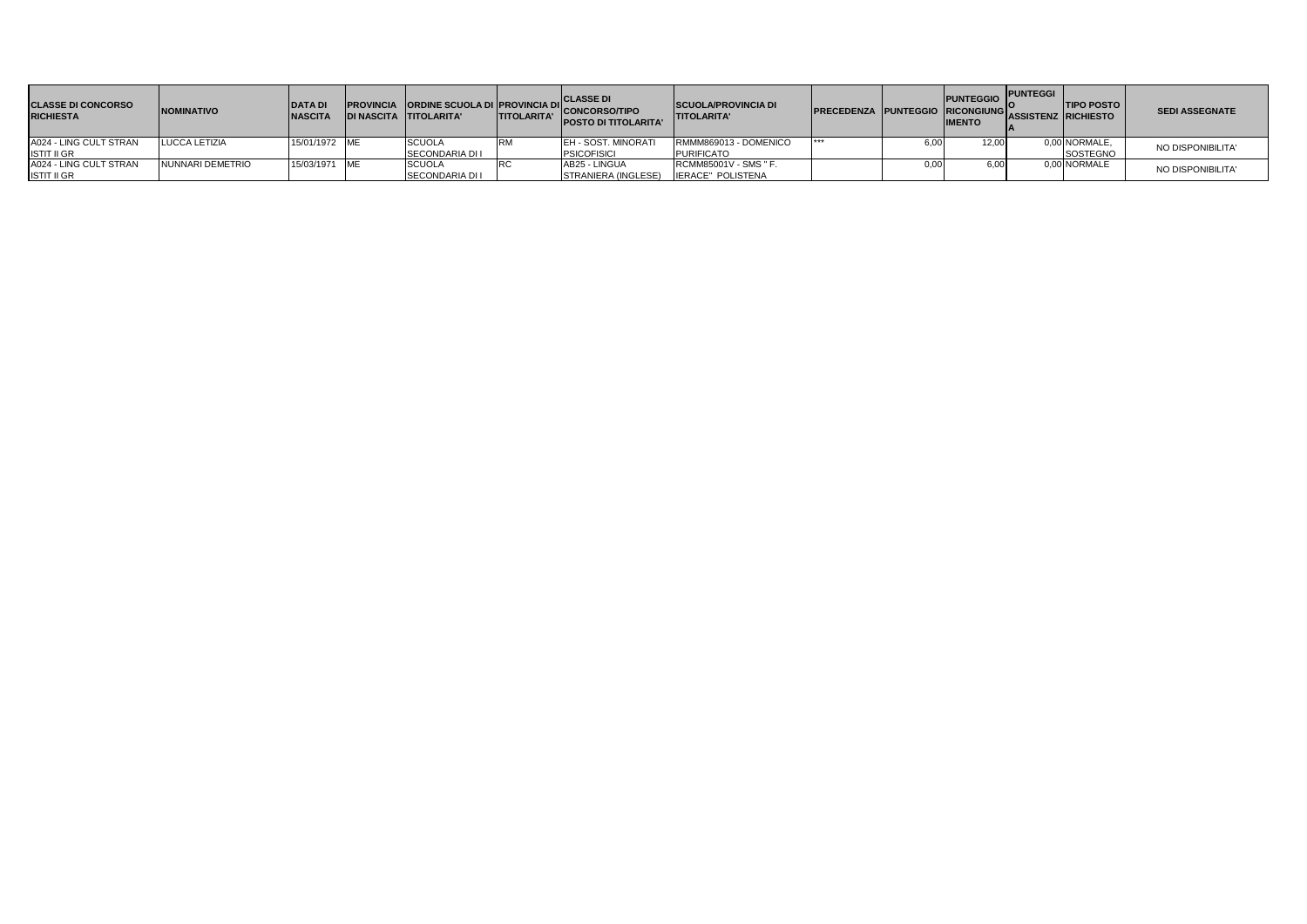| <b>CLASSE DI CONCORSO</b><br><b>RICHIESTA</b> | <b>NOMINATIVO</b> | <b>DATAD</b><br><b>NASCITA</b> | <b>DI NASCITA TITOLARITA'</b> | <b>TITOLARITA'</b> | <b>PROVINCIA ORDINE SCUOLA DI PROVINCIA DI CONCORSO/TIPO</b><br><b>POSTO DI TITOLARITA'</b> | <b>SCUOLA/PROVINCIA DI</b><br><b>ITITOLARITA'</b> | PRECEDENZA PUNTEGGIO RICONGIUNG ASSISTENZ RICHIESTO |      | <b>PUNTEGGIO</b><br><b>IMENTO</b> | <b>PUNTEGGI</b> | <b>TIPO POSTO</b> | <b>SEDI ASSEGNATE</b> |
|-----------------------------------------------|-------------------|--------------------------------|-------------------------------|--------------------|---------------------------------------------------------------------------------------------|---------------------------------------------------|-----------------------------------------------------|------|-----------------------------------|-----------------|-------------------|-----------------------|
| A024 - LING CULT STRAN                        | LUCCA LETIZIA     | 15/01/1972 ME                  | <b>SCUOLA</b>                 |                    | <b>IEH - SOST, MINORATI</b>                                                                 | RMMM869013 - DOMENICO                             | ***                                                 | 6.00 | 12.00                             |                 | 0,00 NORMALE,     | NO DISPONIBILITA'     |
| <b>ISTIT II GR</b>                            |                   |                                | <b>SECONDARIA DI I</b>        |                    | <b>PSICOFISICI</b>                                                                          | <b>PURIFICATO</b>                                 |                                                     |      |                                   |                 | <b>SOSTEGNO</b>   |                       |
| A024 - LING CULT STRAN                        | NUNNARI DEMETRIO  | 15/03/1971 ME                  | <b>SCUOLA</b>                 |                    | AB25 - LINGUA                                                                               | RCMM85001V - SMS " F.                             |                                                     | 0,00 | 6.00                              |                 | 0,00 NORMALE      | NO DISPONIBILITA'     |
| <b>ISTIT II GR</b>                            |                   |                                | <b>SECONDARIA DI I</b>        |                    | STRANIERA (INGLESE)                                                                         | IERACE" POLISTENA                                 |                                                     |      |                                   |                 |                   |                       |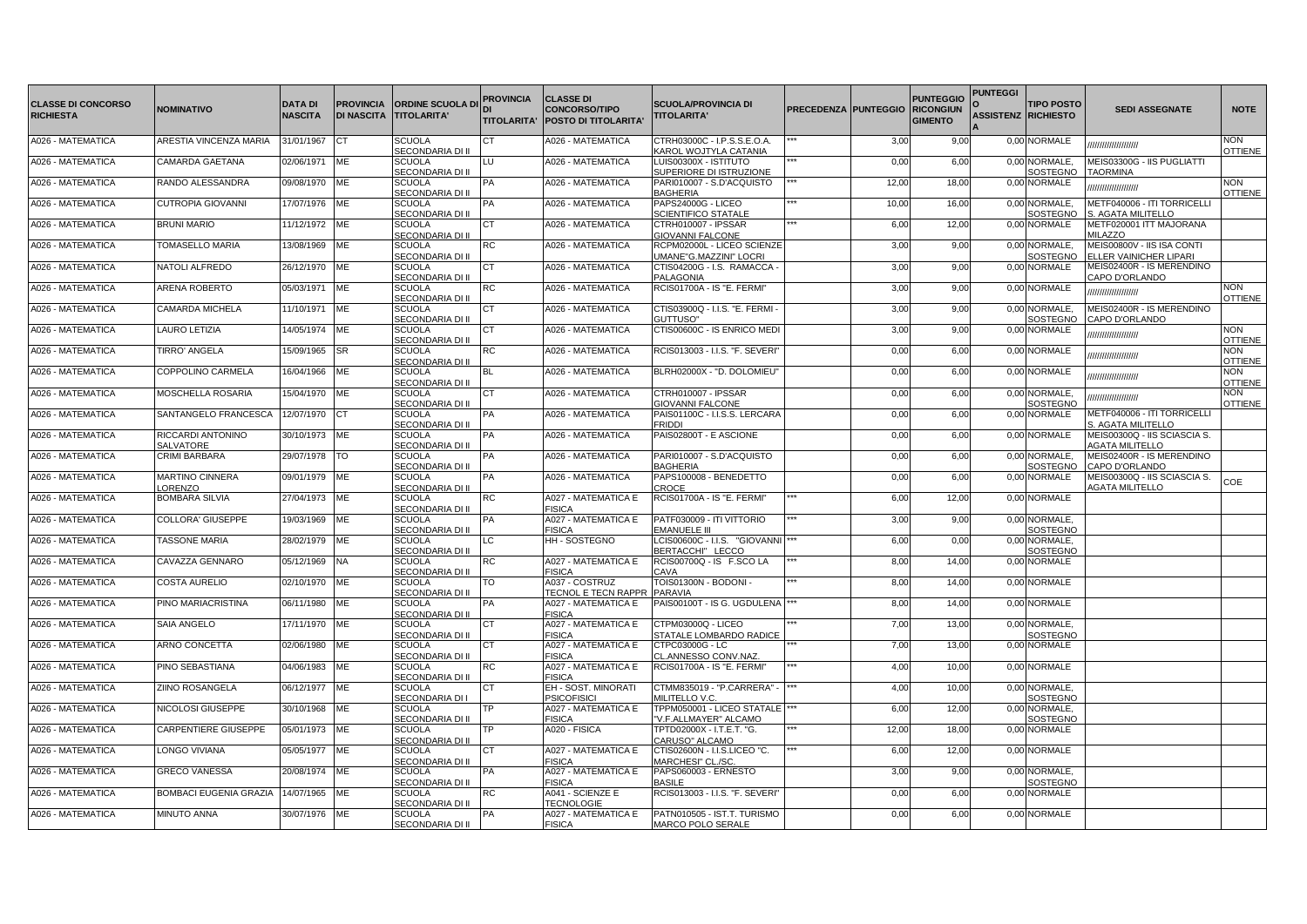|                                               |                                   |                                  |           |                                                             | <b>PROVINCIA</b>   | <b>CLASSE DI</b>                                    |                                                          |                      |       | <b>PUNTEGGIO</b>                   | <b>PUNTEGGI</b>            |                                  |                                                             |                              |
|-----------------------------------------------|-----------------------------------|----------------------------------|-----------|-------------------------------------------------------------|--------------------|-----------------------------------------------------|----------------------------------------------------------|----------------------|-------|------------------------------------|----------------------------|----------------------------------|-------------------------------------------------------------|------------------------------|
| <b>CLASSE DI CONCORSO</b><br><b>RICHIESTA</b> | NOMINATIVO                        | <b>DATA DI</b><br><b>NASCITA</b> |           | <b>PROVINCIA ORDINE SCUOLA DI</b><br>DI NASCITA TITOLARITA' | <b>TITOLARITA'</b> | <b>CONCORSO/TIPO</b><br><b>POSTO DI TITOLARITA'</b> | <b>SCUOLA/PROVINCIA DI</b><br><b>TITOLARITA'</b>         | PRECEDENZA PUNTEGGIO |       | <b>RICONGIUN</b><br><b>GIMENTO</b> | <b>ASSISTENZ RICHIESTO</b> | <b>TIPO POSTO</b>                | <b>SEDI ASSEGNATE</b>                                       | <b>NOTE</b>                  |
| A026 - MATEMATICA                             | ARESTIA VINCENZA MARIA            | 31/01/1967                       | СT        | <b>SCUOLA</b><br>SECONDARIA DI II                           | IСT                | A026 - MATEMATICA                                   | CTRH03000C - I.P.S.S.E.O.A.<br>KAROL WOJTYLA CATANIA     |                      | 3,00  | 9,00                               |                            | 0,00 NORMALE                     | ,,,,,,,,,,,,,,,,,                                           | <b>NON</b><br>OTTIENE        |
| A026 - MATEMATICA                             | CAMARDA GAETANA                   | 02/06/1971                       | ME        | <b>SCUOLA</b><br>SECONDARIA DI II                           | LU                 | A026 - MATEMATICA                                   | LUIS00300X - ISTITUTO<br>SUPERIORE DI ISTRUZIONE         |                      | 0,00  | 6,00                               |                            | 0,00 NORMALE,<br>SOSTEGNO        | MEIS03300G - IIS PUGLIATTI<br><b>TAORMINA</b>               |                              |
| A026 - MATEMATICA                             | RANDO ALESSANDRA                  | 09/08/1970                       | ME        | <b>SCUOLA</b><br>SECONDARIA DI II                           | PA                 | A026 - MATEMATICA                                   | PARI010007 - S.D'ACQUISTO<br><b>BAGHERIA</b>             |                      | 12,00 | 18,00                              |                            | 0,00 NORMALE                     | ,,,,,,,,,,,,,,,,,,                                          | <b>NON</b><br>OTTIENE        |
| A026 - MATEMATICA                             | CUTROPIA GIOVANNI                 | 17/07/1976 ME                    |           | <b>SCUOLA</b><br>SECONDARIA DI II                           | PA                 | A026 - MATEMATICA                                   | PAPS24000G - LICEO<br><b>SCIENTIFICO STATALE</b>         |                      | 10,00 | 16,00                              |                            | 0,00 NORMALE,<br><b>OSTEGNO</b>  | METF040006 - ITI TORRICELLI<br>S. AGATA MILITELLO           |                              |
| A026 - MATEMATICA                             | <b>BRUNI MARIO</b>                | 11/12/1972 ME                    |           | <b>SCUOLA</b><br>SECONDARIA DI II                           | CТ                 | A026 - MATEMATICA                                   | CTRH010007 - IPSSAR<br><b>GIOVANNI FALCONE</b>           |                      | 6,00  | 12,00                              |                            | 0,00 NORMALE                     | METF020001 ITT MAJORANA<br><b>MILAZZO</b>                   |                              |
| A026 - MATEMATICA                             | TOMASELLO MARIA                   | 13/08/1969                       | ME        | <b>SCUOLA</b><br>SECONDARIA DI II                           | RC                 | A026 - MATEMATICA                                   | RCPM02000L - LICEO SCIENZE<br>UMANE"G.MAZZINI" LOCRI     |                      | 3,00  | 9,00                               |                            | 0,00 NORMALE,<br>SOSTEGNO        | MEIS00800V - IIS ISA CONTI<br><b>ELLER VAINICHER LIPARI</b> |                              |
| A026 - MATEMATICA                             | NATOLI ALFREDO                    | 26/12/1970                       | ME        | <b>SCUOLA</b><br>SECONDARIA DI II                           | C <sub>1</sub>     | A026 - MATEMATICA                                   | CTIS04200G - I.S. RAMACCA ·<br>PALAGONIA                 |                      | 3,00  | 9,00                               |                            | 0,00 NORMALE                     | MEIS02400R - IS MERENDINO<br>CAPO D'ORLANDO                 |                              |
| A026 - MATEMATICA                             | <b>ARENA ROBERTO</b>              | 05/03/1971 ME                    |           | <b>SCUOLA</b><br>SECONDARIA DI II                           | RC                 | A026 - MATEMATICA                                   | RCIS01700A - IS "E. FERMI"                               |                      | 3,00  | 9,00                               |                            | 0,00 NORMALE                     | ,,,,,,,,,,,,,,,,,,                                          | <b>NON</b><br><b>OTTIENE</b> |
| A026 - MATEMATICA                             | <b>CAMARDA MICHELA</b>            | 11/10/1971                       | ME        | <b>SCUOLA</b><br>SECONDARIA DI II                           | CT                 | A026 - MATEMATICA                                   | CTIS03900Q - I.I.S. "E. FERMI -<br><b>GUTTUSO'</b>       |                      | 3,00  | 9,00                               |                            | 0,00 NORMALE,<br>SOSTEGNO        | MEIS02400R - IS MERENDINO<br>CAPO D'ORLANDO                 |                              |
| A026 - MATEMATICA                             | <b>LAURO LETIZIA</b>              | 14/05/1974                       | <b>ME</b> | <b>SCUOLA</b><br>SECONDARIA DI II                           | CТ                 | A026 - MATEMATICA                                   | CTIS00600C - IS ENRICO MEDI                              |                      | 3,00  | 9,00                               |                            | 0,00 NORMALE                     | ,,,,,,,,,,,,,,,,,,                                          | VON<br><b>OTTIENE</b>        |
| A026 - MATEMATICA                             | <b>TIRRO' ANGELA</b>              | 15/09/1965                       | <b>SR</b> | <b>SCUOLA</b><br>SECONDARIA DI II                           | <b>RC</b>          | A026 - MATEMATICA                                   | RCIS013003 - I.I.S. "F. SEVERI"                          |                      | 0,00  | 6,00                               |                            | 0,00 NORMALE                     | ,,,,,,,,,,,,,,,,,,,                                         | <b>NON</b><br>OTTIENE        |
| A026 - MATEMATICA                             | COPPOLINO CARMELA                 | 16/04/1966                       | ME        | <b>SCUOLA</b><br>SECONDARIA DI II                           | <b>BL</b>          | A026 - MATEMATICA                                   | BLRH02000X - "D. DOLOMIEU"                               |                      | 0,00  | 6,00                               |                            | 0,00 NORMALE                     | ,,,,,,,,,,,,,,,,,,                                          | <b>NON</b><br><b>OTTIENE</b> |
| A026 - MATEMATICA                             | MOSCHELLA ROSARIA                 | 15/04/1970 ME                    |           | <b>SCUOLA</b><br>SECONDARIA DI II                           | <b>CT</b>          | A026 - MATEMATICA                                   | CTRH010007 - IPSSAR<br><b>GIOVANNI FALCONE</b>           |                      | 0,00  | 6,00                               |                            | 0.00 NORMALE.<br><b>OSTEGNO</b>  | ,,,,,,,,,,,,,,,,,,,                                         | <b>NON</b><br><b>OTTIENE</b> |
| A026 - MATEMATICA                             | SANTANGELO FRANCESCA              | 12/07/1970                       | <b>CT</b> | <b>SCUOLA</b><br>SECONDARIA DI II                           | PA                 | A026 - MATEMATICA                                   | PAIS01100C - I.I.S.S. LERCARA<br><b>FRIDDI</b>           |                      | 0,00  | 6,00                               |                            | 0,00 NORMALE                     | METF040006 - ITI TORRICELLI<br>S. AGATA MILITELLO           |                              |
| A026 - MATEMATICA                             | RICCARDI ANTONINO<br>SALVATORE    | 30/10/1973 ME                    |           | <b>SCUOLA</b><br>SECONDARIA DI II                           | <b>PA</b>          | A026 - MATEMATICA                                   | PAIS02800T - E ASCIONE                                   |                      | 0,00  | 6,00                               |                            | 0.00 NORMALE                     | MEIS00300Q - IIS SCIASCIA S.<br><b>AGATA MILITELLO</b>      |                              |
| A026 - MATEMATICA                             | CRIMI BARBARA                     | 29/07/1978                       | <b>TO</b> | <b>SCUOLA</b><br>SECONDARIA DI II                           | PA                 | A026 - MATEMATICA                                   | PARI010007 - S.D'ACQUISTO<br><b>BAGHERIA</b>             |                      | 0,00  | 6,00                               |                            | 0,00 NORMALE,<br>SOSTEGNO        | MEIS02400R - IS MERENDINO<br>CAPO D'ORLANDO                 |                              |
| A026 - MATEMATICA                             | <b>MARTINO CINNERA</b><br>LORENZO | 09/01/1979 ME                    |           | <b>SCUOLA</b><br>SECONDARIA DI II                           | PA                 | A026 - MATEMATICA                                   | PAPS100008 - BENEDETTO<br>CROCE                          |                      | 0,00  | 6,00                               |                            | 0,00 NORMALE                     | MEIS00300Q - IIS SCIASCIA S.<br><b>AGATA MILITELLO</b>      | COE                          |
| A026 - MATEMATICA                             | <b>BOMBARA SILVIA</b>             | 27/04/1973                       | ME        | <b>SCUOLA</b><br>SECONDARIA DI II                           | RC                 | A027 - MATEMATICA E<br><b>FISICA</b>                | RCIS01700A - IS "E. FERMI"                               |                      | 6,00  | 12,00                              |                            | 0,00 NORMALE                     |                                                             |                              |
| A026 - MATEMATICA                             | <b>COLLORA' GIUSEPPE</b>          | 19/03/1969                       | ME        | <b>SCUOLA</b><br>SECONDARIA DI II                           | PA                 | A027 - MATEMATICA E<br><b>FISICA</b>                | PATF030009 - ITI VITTORIO<br><b>EMANUELE III</b>         |                      | 3,00  | 9,00                               |                            | 0,00 NORMALE,<br>SOSTEGNO        |                                                             |                              |
| A026 - MATEMATICA                             | <b>TASSONE MARIA</b>              | 28/02/1979                       | <b>ME</b> | <b>SCUOLA</b><br>SECONDARIA DI II                           | LC                 | <b>HH-SOSTEGNO</b>                                  | LCIS00600C - I.I.S. "GIOVANNI ***<br>BERTACCHI" LECCO    |                      | 6,00  | 0,00                               | 0.00                       | NORMALE,<br>SOSTEGNO             |                                                             |                              |
| A026 - MATEMATICA                             | CAVAZZA GENNARO                   | 05/12/1969                       | <b>NA</b> | <b>SCUOLA</b><br>SECONDARIA DI II                           | <b>RC</b>          | A027 - MATEMATICA E<br><b>FISICA</b>                | RCIS00700Q - IS F.SCO LA<br>CAVA                         |                      | 8,00  | 14,00                              |                            | 0,00 NORMALE                     |                                                             |                              |
| A026 - MATEMATICA                             | COSTA AURELIO                     | 02/10/1970                       | ME        | <b>SCUOLA</b><br>SECONDARIA DI II                           | TO                 | A037 - COSTRUZ<br><b>TECNOL E TECN RAPPR</b>        | TOIS01300N - BODONI -<br>PARAVIA                         |                      | 8,00  | 14,00                              |                            | 0.00 NORMALE                     |                                                             |                              |
| A026 - MATEMATICA                             | PINO MARIACRISTINA                | 06/11/1980                       | ME        | <b>SCUOLA</b><br>SECONDARIA DI II                           | PA                 | A027 - MATEMATICA E<br>FISICA                       | PAIS00100T - IS G. UGDULENA  ***                         |                      | 8,00  | 14,00                              |                            | 0,00 NORMALE                     |                                                             |                              |
| A026 - MATEMATICA                             | SAIA ANGELO                       | 17/11/1970 ME                    |           | <b>SCUOLA</b><br>SECONDARIA DI II                           |                    | A027 - MATEMATICA E<br><b>FISICA</b>                | CTPM03000Q - LICEO<br>STATALE LOMBARDO RADICE            |                      | 7,00  | 13,00                              |                            | 0,00 NORMALE,<br>SOSTEGNO        |                                                             |                              |
| A026 - MATEMATICA                             | <b>ARNO CONCETTA</b>              | 02/06/1980                       | ME        | <b>SCUOLA</b><br>SECONDARIA DI II                           |                    | A027 - MATEMATICA E<br><b>FISICA</b>                | CTPC03000G - LC<br>CL.ANNESSO CONV.NAZ                   |                      | 7,00  | 13,00                              |                            | 0,00 NORMALE                     |                                                             |                              |
| A026 - MATEMATICA                             | PINO SEBASTIANA                   | 04/06/1983                       | ME        | <b>SCUOLA</b><br>SECONDARIA DI II                           | <b>RC</b>          | A027 - MATEMATICA E<br><b>FISICA</b>                | RCIS01700A - IS "E. FERMI"                               |                      | 4,00  | 10,00                              |                            | 0,00 NORMALE                     |                                                             |                              |
| A026 - MATEMATICA                             | ZIINO ROSANGELA                   | 06/12/1977                       | <b>ME</b> | <b>SCUOLA</b><br>SECONDARIA DI I                            |                    | EH - SOST, MINORATI<br><b>PSICOFISICI</b>           | CTMM835019 - "P.CARRERA" -<br>MILITELLO V.C.             |                      | 4,00  | 10,00                              |                            | 0.00 NORMALE.<br>SOSTEGNO        |                                                             |                              |
| A026 - MATEMATICA                             | NICOLOSI GIUSEPPE                 | 30/10/1968                       | ME        | <b>SCUOLA</b><br>SECONDARIA DI II                           | TP                 | A027 - MATEMATICA E<br><b>FISICA</b>                | TPPM050001 - LICEO STATALE  ***<br>'V.F.ALLMAYER" ALCAMO |                      | 6,00  | 12,00                              |                            | 0,00 NORMALE,<br><b>SOSTEGNO</b> |                                                             |                              |
| A026 - MATEMATICA                             | CARPENTIERE GIUSEPPE              | 05/01/1973                       | ME        | <b>SCUOLA</b><br>SECONDARIA DI II                           | <b>TP</b>          | A020 - FISICA                                       | TPTD02000X - I.T.E.T. "G.<br>CARUSO" ALCAMO              |                      | 12,00 | 18,00                              |                            | 0.00 NORMALE                     |                                                             |                              |
| A026 - MATEMATICA                             | LONGO VIVIANA                     | 05/05/1977                       | ME        | <b>SCUOLA</b><br>SECONDARIA DI II                           | CT                 | A027 - MATEMATICA E<br><b>FISICA</b>                | CTIS02600N - I.I.S.LICEO "C.<br>MARCHESI" CL./SC         |                      | 6,00  | 12,00                              |                            | 0,00 NORMALE                     |                                                             |                              |
| A026 - MATEMATICA                             | <b>GRECO VANESSA</b>              | 20/08/1974                       | ME        | <b>SCUOLA</b><br>SECONDARIA DI II                           | PA                 | A027 - MATEMATICA E<br><b>FISICA</b>                | PAPS060003 - ERNESTO<br><b>BASILE</b>                    |                      | 3,00  | 9,00                               |                            | 0,00 NORMALE,<br>SOSTEGNO        |                                                             |                              |
| A026 - MATEMATICA                             | BOMBACI EUGENIA GRAZIA            | 14/07/1965                       | ME        | <b>SCUOLA</b><br>SECONDARIA DI II                           | RC                 | A041 - SCIENZE E<br><b>TECNOLOGIE</b>               | RCIS013003 - I.I.S. "F. SEVERI"                          |                      | 0,00  | 6,00                               |                            | 0,00 NORMALE                     |                                                             |                              |
| A026 - MATEMATICA                             | MINUTO ANNA                       | 30/07/1976 ME                    |           | <b>SCUOLA</b><br>SECONDARIA DI II                           | <b>PA</b>          | A027 - MATEMATICA E<br><b>FISICA</b>                | PATN010505 - IST.T. TURISMO<br><b>MARCO POLO SERALE</b>  |                      | 0,00  | 6,00                               |                            | 0,00 NORMALE                     |                                                             |                              |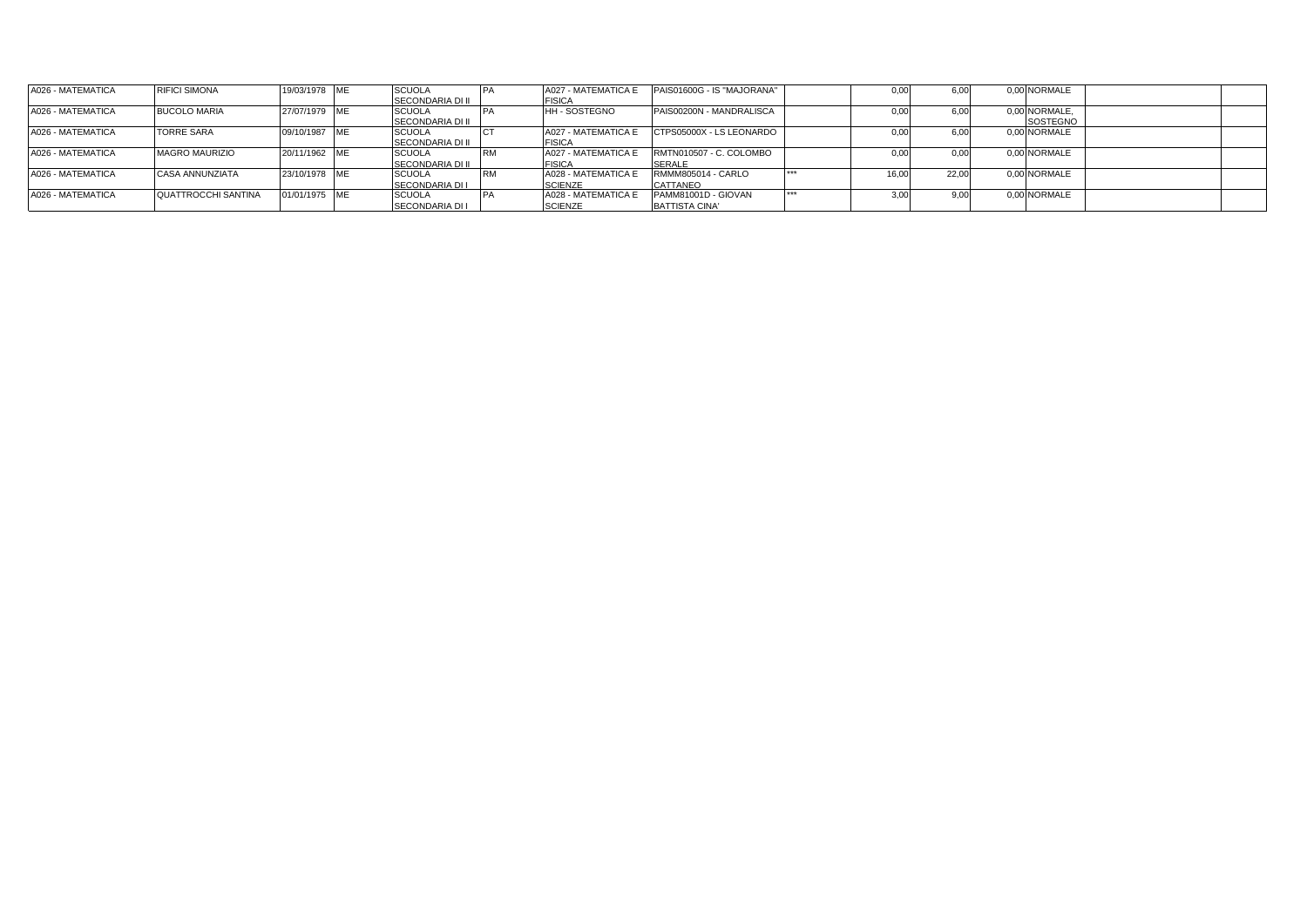| A026 - MATEMATICA | <b>RIFICI SIMONA</b>       | 19/03/1978 ME | <b>SCUOLA</b>           | A027 - MATEMATICA E | PAIS01600G - IS "MAJORANA" |             | 0.00  | 6.00  | 0.00 NORMALE  |  |
|-------------------|----------------------------|---------------|-------------------------|---------------------|----------------------------|-------------|-------|-------|---------------|--|
|                   |                            |               | <b>SECONDARIA DI II</b> | <b>FISICA</b>       |                            |             |       |       |               |  |
| A026 - MATEMATICA | <b>BUCOLO MARIA</b>        | 27/07/1979 ME | <b>SCUOLA</b>           | <b>HH-SOSTEGNO</b>  | PAIS00200N - MANDRALISCA   |             | 0.00  | 6,00  | 0,00 NORMALE, |  |
|                   |                            |               | <b>SECONDARIA DI II</b> |                     |                            |             |       |       | SOSTEGNO      |  |
| A026 - MATEMATICA | <b>TORRE SARA</b>          | 09/10/1987 ME | <b>SCUOLA</b>           | A027 - MATEMATICA E | CTPS05000X - LS LEONARDO   |             | 0.00  | 6,00  | 0.00 NORMALE  |  |
|                   |                            |               | <b>SECONDARIA DI II</b> | <b>FISICA</b>       |                            |             |       |       |               |  |
| A026 - MATEMATICA | <b>MAGRO MAURIZIO</b>      | 20/11/1962 ME | <b>SCUOLA</b>           | A027 - MATEMATICA E | RMTN010507 - C. COLOMBO    |             |       | 0,00  | 0,00 NORMALE  |  |
|                   |                            |               | <b>SECONDARIA DI II</b> | <b>FISICA</b>       | <b>SERALE</b>              |             |       |       |               |  |
| A026 - MATEMATICA | <b>CASA ANNUNZIATA</b>     | 23/10/1978 ME | <b>SCUOLA</b>           | A028 - MATEMATICA E | RMMM805014 - CARLO         | <b>WWW.</b> | 16.00 | 22.00 | 0.00 NORMALE  |  |
|                   |                            |               | SECONDARIA DI I         | <b>SCIENZE</b>      | CATTANEO                   |             |       |       |               |  |
| A026 - MATEMATICA | <b>QUATTROCCHI SANTINA</b> | 01/01/1975 ME | <b>SCUOLA</b>           | A028 - MATEMATICA E | PAMM81001D - GIOVAN        | ***         | 3.00  | 9.00  | 0.00 NORMALE  |  |
|                   |                            |               | <b>SECONDARIA DI I</b>  | <b>SCIENZE</b>      | <b>BATTISTA CINA'</b>      |             |       |       |               |  |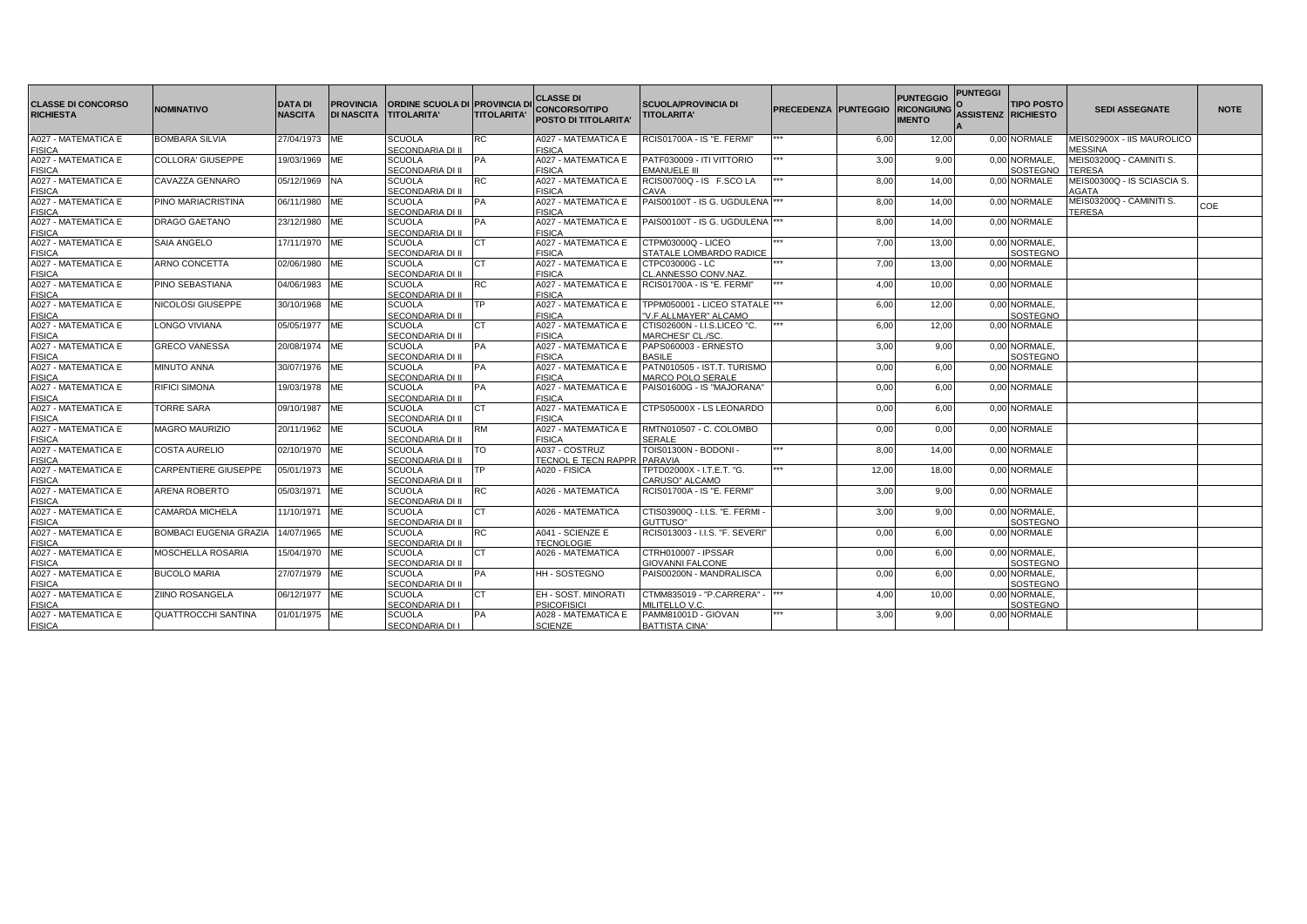| <b>CLASSE DI CONCORSO</b><br><b>RICHIESTA</b> | <b>NOMINATIVO</b>                    | <b>DATA DI</b><br><b>NASCITA</b> | <b>PROVINCIA</b><br><b>DI NASCITA</b> | ORDINE SCUOLA DI PROVINCIA DI<br><b>TITOLARITA'</b> | <b>TITOLARITA'</b> | <b>CLASSE DI</b><br><b>CONCORSO/TIPO</b><br>POSTO DI TITOLARITA' | <b>SCUOLA/PROVINCIA DI</b><br><b>TITOLARITA'</b>         | <b>PRECEDENZA PUNTEGGIO</b> |       | <b>PUNTEGGIO</b><br><b>RICONGIUNG</b><br><b>IMENTO</b> | <b>PUNTEGGI</b><br><b>ASSISTENZ RICHIESTO</b> | <b>TIPO POSTO</b>                | <b>SEDI ASSEGNATE</b>                        | <b>NOTE</b> |
|-----------------------------------------------|--------------------------------------|----------------------------------|---------------------------------------|-----------------------------------------------------|--------------------|------------------------------------------------------------------|----------------------------------------------------------|-----------------------------|-------|--------------------------------------------------------|-----------------------------------------------|----------------------------------|----------------------------------------------|-------------|
| A027 - MATEMATICA E<br><b>FISICA</b>          | <b>BOMBARA SILVIA</b>                | 27/04/1973 ME                    |                                       | <b>SCUOLA</b><br>SECONDARIA DI II                   | RC                 | A027 - MATEMATICA E<br><b>FISICA</b>                             | RCIS01700A - IS "E. FERMI"                               |                             | 6,00  | 12,00                                                  |                                               | 0,00 NORMALE                     | MEIS02900X - IIS MAUROLICO<br><b>MESSINA</b> |             |
| A027 - MATEMATICA E<br><b>FISICA</b>          | <b>COLLORA' GIUSEPPE</b>             | 19/03/1969                       | ME                                    | SCUOLA<br>SECONDARIA DI II                          | PА                 | A027 - MATEMATICA E<br><b>FISICA</b>                             | PATF030009 - ITI VITTORIO<br>EMANUELE III                | ***                         | 3,00  | 9,00                                                   |                                               | 0,00 NORMALE<br><b>SOSTEGNO</b>  | MEIS03200Q - CAMINITI S.<br><b>TERESA</b>    |             |
| A027 - MATEMATICA E<br><b>FISICA</b>          | CAVAZZA GENNARO                      | 05/12/1969                       | <b>NA</b>                             | <b>SCUOLA</b><br>SECONDARIA DI II                   | RC                 | A027 - MATEMATICA E<br><b>FISICA</b>                             | RCIS00700Q - IS F.SCO LA<br>CAVA                         |                             | 8,00  | 14,00                                                  |                                               | 0.00 NORMALE                     | MEIS00300Q - IS SCIASCIA S.<br>AGATA         |             |
| A027 - MATEMATICA E<br><b>FISICA</b>          | PINO MARIACRISTINA                   | 06/11/1980 ME                    |                                       | <b>SCUOLA</b><br>SECONDARIA DI II                   | PА                 | A027 - MATEMATICA E<br><b>FISICA</b>                             | PAIS00100T - IS G. UGDULENA  ***                         |                             | 8,00  | 14,00                                                  |                                               | 0,00 NORMALE                     | MEIS03200Q - CAMINITI S.<br><b>TERESA</b>    | COE         |
| A027 - MATEMATICA E<br><b>FISICA</b>          | <b>DRAGO GAETANO</b>                 | 23/12/1980                       | ME                                    | SCUOLA<br>SECONDARIA DI II                          | PA                 | A027 - MATEMATICA E<br><b>FISICA</b>                             | PAIS00100T - IS G. UGDULENA  ***                         |                             | 8,00  | 14,00                                                  |                                               | 0.00 NORMALE                     |                                              |             |
| A027 - MATEMATICA E<br><b>FISICA</b>          | <b>SAIA ANGELO</b>                   | 17/11/1970 ME                    |                                       | <b>SCUOLA</b><br>SECONDARIA DI II                   |                    | A027 - MATEMATICA E<br><b>FISICA</b>                             | CTPM03000Q - LICEO<br>STATALE LOMBARDO RADICE            |                             | 7,00  | 13,00                                                  |                                               | 0.00 NORMALE,<br><b>SOSTEGNO</b> |                                              |             |
| A027 - MATEMATICA E<br><b>FISICA</b>          | ARNO CONCETTA                        | 02/06/1980 ME                    |                                       | <b>SCUOLA</b><br>SECONDARIA DI II                   | CТ                 | A027 - MATEMATICA E<br><b>FISICA</b>                             | CTPC03000G - LC<br>CL.ANNESSO CONV.NAZ.                  | ***                         | 7,00  | 13,00                                                  |                                               | 0,00 NORMALE                     |                                              |             |
| A027 - MATEMATICA E<br><b>FISICA</b>          | PINO SEBASTIANA                      | 04/06/1983                       | ME                                    | <b>SCUOLA</b><br>SECONDARIA DI II                   | RC                 | A027 - MATEMATICA E<br><b>FISICA</b>                             | RCIS01700A - IS "E. FERMI"                               | ***                         | 4,00  | 10,00                                                  |                                               | 0,00 NORMALE                     |                                              |             |
| A027 - MATEMATICA E<br><b>FISICA</b>          | NICOLOSI GIUSEPPE                    | 30/10/1968 ME                    |                                       | <b>SCUOLA</b><br>SECONDARIA DI II                   | ГP                 | A027 - MATEMATICA E<br><b>FISICA</b>                             | TPPM050001 - LICEO STATALE  ***<br>"V.F.ALLMAYER" ALCAMO |                             | 6,00  | 12,00                                                  |                                               | 0,00 NORMALE,<br>SOSTEGNO        |                                              |             |
| A027 - MATEMATICA E<br><b>FISICA</b>          | <b>LONGO VIVIANA</b>                 | 05/05/1977 ME                    |                                       | SCUOLA<br>SECONDARIA DI II                          | CТ                 | A027 - MATEMATICA E<br><b>FISICA</b>                             | CTIS02600N - I.I.S.LICEO "C.<br>MARCHESI" CL./SC.        | ***                         | 6,00  | 12,00                                                  |                                               | 0,00 NORMALE                     |                                              |             |
| A027 - MATEMATICA E<br><b>FISICA</b>          | <b>GRECO VANESSA</b>                 | 20/08/1974 ME                    |                                       | <b>SCUOLA</b><br>SECONDARIA DI II                   | PA                 | A027 - MATEMATICA E<br><b>FISICA</b>                             | PAPS060003 - ERNESTO<br><b>BASILE</b>                    |                             | 3.00  | 9,00                                                   |                                               | 0.00 NORMALE.<br><b>SOSTEGNO</b> |                                              |             |
| A027 - MATEMATICA E<br><b>FISICA</b>          | <b>MINUTO ANNA</b>                   | 30/07/1976 ME                    |                                       | <b>SCUOLA</b><br>SECONDARIA DI II                   | PА                 | A027 - MATEMATICA E<br><b>FISICA</b>                             | PATN010505 - IST.T. TURISMO<br><b>MARCO POLO SERALE</b>  |                             | 0,00  | 6,00                                                   |                                               | 0.00 NORMALE                     |                                              |             |
| A027 - MATEMATICA E<br><b>FISICA</b>          | <b>RIFICI SIMONA</b>                 | 19/03/1978 ME                    |                                       | <b>SCUOLA</b><br>SECONDARIA DI II                   | PA                 | A027 - MATEMATICA E<br><b>FISICA</b>                             | PAIS01600G - IS "MAJORANA"                               |                             | 0,00  | 6,00                                                   |                                               | 0,00 NORMALE                     |                                              |             |
| A027 - MATEMATICA E<br><b>FISICA</b>          | <b>TORRE SARA</b>                    | 09/10/1987 ME                    |                                       | SCUOLA<br>SECONDARIA DI II                          | CТ                 | A027 - MATEMATICA E<br><b>FISICA</b>                             | CTPS05000X - LS LEONARDO                                 |                             | 0,00  | 6,00                                                   |                                               | 0.00 NORMALE                     |                                              |             |
| A027 - MATEMATICA E<br><b>FISICA</b>          | <b>MAGRO MAURIZIO</b>                | 20/11/1962 ME                    |                                       | <b>SCUOLA</b><br>SECONDARIA DI II                   | RM                 | A027 - MATEMATICA E<br><b>FISICA</b>                             | RMTN010507 - C. COLOMBO<br><b>SERALE</b>                 |                             | 0,00  | 0.00                                                   |                                               | 0,00 NORMALE                     |                                              |             |
| A027 - MATEMATICA E<br><b>FISICA</b>          | <b>COSTA AURELIO</b>                 | 02/10/1970 ME                    |                                       | SCUOLA<br>SECONDARIA DI II                          | LO.                | A037 - COSTRUZ<br><b>TECNOL E TECN RAPPR PARAVIA</b>             | TOIS01300N - BODONI -                                    |                             | 8,00  | 14,00                                                  |                                               | 0,00 NORMALE                     |                                              |             |
| A027 - MATEMATICA E<br><b>FISICA</b>          | <b>CARPENTIERE GIUSEPPE</b>          | 05/01/1973 ME                    |                                       | SCUOLA<br>SECONDARIA DI II                          | ТP                 | A020 - FISICA                                                    | TPTD02000X - I.T.E.T. "G.<br>CARUSO" ALCAMO              | ***                         | 12,00 | 18,00                                                  |                                               | 0,00 NORMALE                     |                                              |             |
| A027 - MATEMATICA E<br><b>FISICA</b>          | <b>ARENA ROBERTO</b>                 | 05/03/1971 ME                    |                                       | <b>SCUOLA</b><br>SECONDARIA DI II                   | RC                 | A026 - MATEMATICA                                                | <b>RCIS01700A - IS "E. FERMI"</b>                        |                             | 3,00  | 9,00                                                   |                                               | 0,00 NORMALE                     |                                              |             |
| A027 - MATEMATICA E<br><b>FISICA</b>          | <b>CAMARDA MICHELA</b>               | 11/10/1971 ME                    |                                       | <b>SCUOLA</b><br>SECONDARIA DI II                   | CТ                 | A026 - MATEMATICA                                                | CTIS03900Q - I.I.S. "E. FERMI -<br>GUTTUSO"              |                             | 3,00  | 9,00                                                   |                                               | 0,00 NORMALE.<br>SOSTEGNO        |                                              |             |
| A027 - MATEMATICA E<br><b>FISICA</b>          | BOMBACI EUGENIA GRAZIA 14/07/1965 ME |                                  |                                       | <b>SCUOLA</b><br>SECONDARIA DI II                   | RC                 | A041 - SCIENZE E<br><b>TECNOLOGIE</b>                            | RCIS013003 - I.I.S. "F. SEVERI"                          |                             | 0,00  | 6,00                                                   |                                               | 0,00 NORMALE                     |                                              |             |
| A027 - MATEMATICA E<br><b>FISICA</b>          | <b>MOSCHELLA ROSARIA</b>             | 15/04/1970 ME                    |                                       | <b>SCUOLA</b><br>SECONDARIA DI II                   | CТ                 | A026 - MATEMATICA                                                | CTRH010007 - IPSSAR<br><b>GIOVANNI FALCONE</b>           |                             | 0,00  | 6,00                                                   |                                               | 0.00 NORMALE.<br>SOSTEGNO        |                                              |             |
| A027 - MATEMATICA E<br><b>FISICA</b>          | <b>BUCOLO MARIA</b>                  | 27/07/1979 ME                    |                                       | SCUOLA<br>SECONDARIA DI II                          | PA                 | <b>HH-SOSTEGNO</b>                                               | PAIS00200N - MANDRALISCA                                 |                             | 0,00  | 6,00                                                   |                                               | 0,00 NORMALE,<br>SOSTEGNO        |                                              |             |
| A027 - MATEMATICA E<br><b>FISICA</b>          | <b>ZIINO ROSANGELA</b>               | 06/12/1977 ME                    |                                       | <b>SCUOLA</b><br>SECONDARIA DI I                    | СT                 | <b>EH - SOST. MINORATI</b><br><b>PSICOFISICI</b>                 | CTMM835019 - "P.CARRERA" -  ***<br>MILITELLO V.C.        |                             | 4,00  | 10,00                                                  |                                               | 0,00 NORMALE,<br><b>SOSTEGNO</b> |                                              |             |
| A027 - MATEMATICA E<br><b>FISICA</b>          | <b>QUATTROCCHI SANTINA</b>           | 01/01/1975 ME                    |                                       | <b>SCUOLA</b><br>SECONDARIA DI I                    | PA                 | A028 - MATEMATICA E<br><b>SCIENZE</b>                            | PAMM81001D - GIOVAN<br><b>BATTISTA CINA'</b>             | ***                         | 3,00  | 9,00                                                   |                                               | 0,00 NORMALE                     |                                              |             |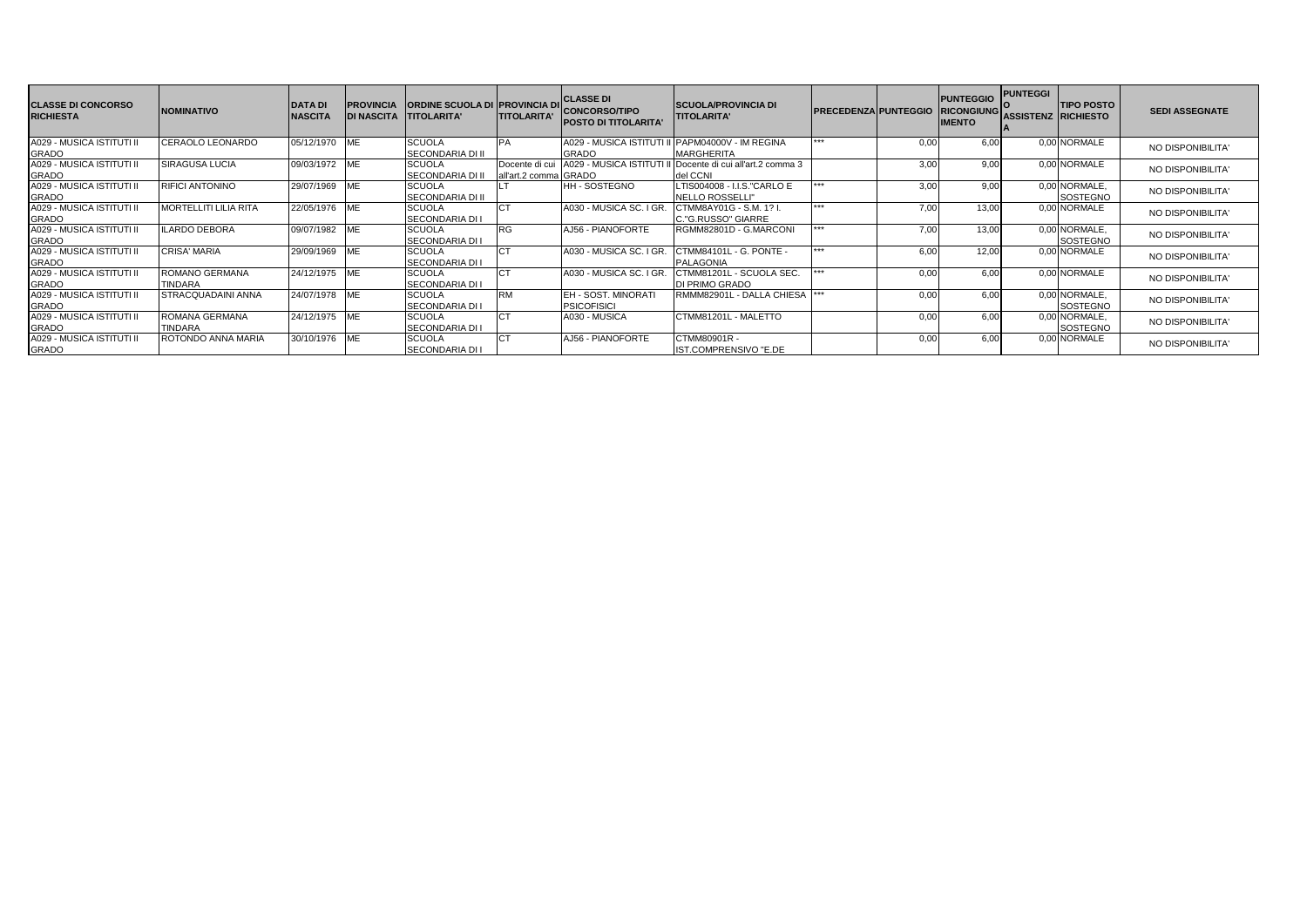| <b>CLASSE DI CONCORSO</b><br><b>RICHIESTA</b> | <b>INOMINATIVO</b>               | <b>DATAD</b><br><b>NASCITA</b> | <b>PROVINCIA</b> | <b>ORDINE SCUOLA DI PROVINCIA DI</b><br>DI NASCITA TITOLARITA' | <b>TITOLARITA'</b>                      | <b>CLASSE DI</b><br><b>CONCORSO/TIPO</b><br><b>POSTO DI TITOLARITA</b> | <b>SCUOLA/PROVINCIA DI</b><br><b>TITOLARITA'</b>                       | <b>IPRECEDENZAIPUNTEGGIO</b> |      | <b>PUNTEGGIO</b><br><b>RICONGIUNG</b><br><b>IMENTO</b> | <b>PUNTEGGI</b><br><b>ASSISTENZ RICHIESTO</b> | <b>TIPO POSTO</b>                | <b>SEDI ASSEGNATE</b> |
|-----------------------------------------------|----------------------------------|--------------------------------|------------------|----------------------------------------------------------------|-----------------------------------------|------------------------------------------------------------------------|------------------------------------------------------------------------|------------------------------|------|--------------------------------------------------------|-----------------------------------------------|----------------------------------|-----------------------|
| A029 - MUSICA ISTITUTI II<br><b>GRADO</b>     | CERAOLO LEONARDO                 | 05/12/1970                     | ME               | <b>SCUOLA</b><br><b>SECONDARIA DI II</b>                       |                                         | A029 - MUSICA ISTITUTI I<br><b>GRADO</b>                               | PAPM04000V - IM REGINA<br><b>MARGHERITA</b>                            | ***                          | 0.00 | 6.00                                                   |                                               | 0.00 NORMALE                     | NO DISPONIBILITA'     |
| A029 - MUSICA ISTITUTI II<br><b>GRADO</b>     | <b>SIRAGUSA LUCIA</b>            | 09/03/1972 ME                  |                  | <b>SCUOLA</b><br><b>SECONDARIA DI II</b>                       | Docente di cui<br>all'art.2 comma GRADO |                                                                        | A029 - MUSICA ISTITUTI II Docente di cui all'art.2 comma 3<br>del CCNI |                              | 3,00 | 9.00                                                   |                                               | 0.00 NORMALE                     | NO DISPONIBILITA'     |
| A029 - MUSICA ISTITUTI II<br><b>GRADO</b>     | <b>RIFICI ANTONINO</b>           | 29/07/1969                     | ME               | <b>SCUOLA</b><br><b>SECONDARIA DI II</b>                       |                                         | <b>HH-SOSTEGNO</b>                                                     | LTIS004008 - I.I.S."CARLO E<br>NELLO ROSSELLI"                         | ***                          | 3,00 | 9.00                                                   |                                               | 0,00 NORMALE,<br><b>SOSTEGNO</b> | NO DISPONIBILITA'     |
| A029 - MUSICA ISTITUTI II<br><b>GRADO</b>     | <b>MORTELLITI LILIA RITA</b>     | 22/05/1976 ME                  |                  | <b>SCUOLA</b><br><b>SECONDARIA DI I</b>                        |                                         | A030 - MUSICA SC. I GR                                                 | CTMM8AY01G - S.M. 1? I<br>C."G.RUSSO" GIARRE                           | ***                          | 7,00 | 13.00                                                  |                                               | 0.00 NORMALE                     | NO DISPONIBILITA'     |
| A029 - MUSICA ISTITUTI II<br><b>GRADO</b>     | <b>LARDO DEBORA</b>              | 09/07/1982                     | ME               | <b>SCUOLA</b><br><b>SECONDARIA DI I</b>                        |                                         | AJ56 - PIANOFORTE                                                      | RGMM82801D - G.MARCONI                                                 | ***                          | 7,00 | 13.00                                                  |                                               | 0.00 NORMALE.<br><b>SOSTEGNO</b> | NO DISPONIBILITA'     |
| A029 - MUSICA ISTITUTI II<br><b>GRADO</b>     | <b>CRISA' MARIA</b>              | 29/09/1969                     | <b>ME</b>        | <b>SCUOLA</b><br><b>SECONDARIA DI I</b>                        |                                         | A030 - MUSICA SC. I GF                                                 | CTMM84101L - G. PONTE -<br><b>PALAGONIA</b>                            | ***                          | 6,00 | 12.00                                                  |                                               | 0.00 NORMALE                     | NO DISPONIBILITA'     |
| A029 - MUSICA ISTITUTI II<br><b>GRADO</b>     | ROMANO GERMANA<br><b>TINDARA</b> | 24/12/1975 ME                  |                  | <b>SCUOLA</b><br><b>SECONDARIA DI I</b>                        |                                         | A030 - MUSICA SC. I GR                                                 | CTMM81201L - SCUOLA SEC.<br><b>DI PRIMO GRADO</b>                      | **                           | 0,00 | 6,00                                                   |                                               | 0.00 NORMALE                     | NO DISPONIBILITA'     |
| A029 - MUSICA ISTITUTI II<br><b>GRADO</b>     | <b>STRACQUADAINI ANNA</b>        | 24/07/1978 ME                  |                  | <b>SCUOLA</b><br><b>SECONDARIA DI</b>                          | RM                                      | EH - SOST, MINORATI<br><b>PSICOFISICI</b>                              | RMMM82901L - DALLA CHIESA                                              | ***                          | 0.00 | 6.00                                                   |                                               | 0,00 NORMALE,<br>SOSTEGNO        | NO DISPONIBILITA'     |
| A029 - MUSICA ISTITUTI II<br><b>GRADO</b>     | ROMANA GERMANA<br><b>TINDARA</b> | 24/12/1975 ME                  |                  | <b>SCUOLA</b><br><b>SECONDARIA DI</b>                          |                                         | A030 - MUSICA                                                          | CTMM81201L - MALETTO                                                   |                              | 0.00 | 6.00                                                   |                                               | 0,00 NORMALE,<br><b>SOSTEGNO</b> | NO DISPONIBILITA'     |
| A029 - MUSICA ISTITUTI II<br><b>GRADO</b>     | ROTONDO ANNA MARIA               | 30/10/1976 ME                  |                  | <b>SCUOLA</b><br><b>SECONDARIA DI I</b>                        |                                         | AJ56 - PIANOFORTE                                                      | CTMM80901R -<br>IST.COMPRENSIVO "E.DE                                  |                              | 0,00 | 6.00                                                   |                                               | 0,00 NORMALE                     | NO DISPONIBILITA'     |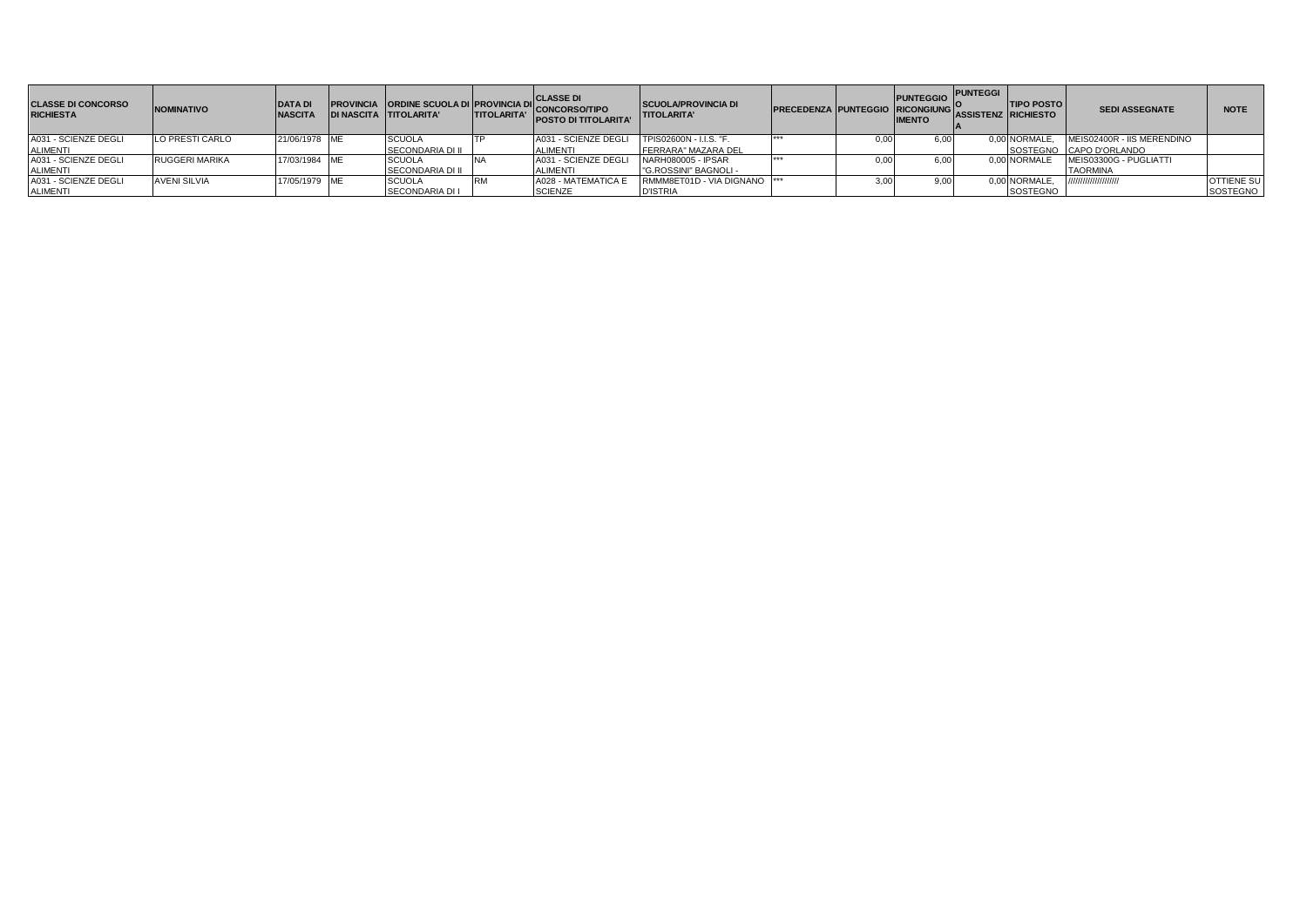| <b>CLASSE DI CONCORSO</b><br><b>RICHIESTA</b> | <b>NOMINATIVO</b>     | <b>DATA DI</b><br><b>NASCITA</b> |                         | <b>PROVINCIA ORDINE SCUOLA DI PROVINCIA DI CLASSE DI<br/>SANSCITA TITOLARITA' TITOLA PITA! CONCORSO/TIPO</b><br><b>POSTO DI TITOLARITA'</b> | <b>SCUOLA/PROVINCIA DI</b><br><b>TITOLARITA'</b> | <b>IPRECEDENZA PUNTEGGIO RICONGIUNGI</b> |      | <b>PUNTEGGIO</b> PUNTEGGI I<br><b>IMENTO</b> | <b>TIPO POSTO</b><br><b>ASSISTENZ RICHIESTO</b> | <b>SEDI ASSEGNATE</b>      | <b>NOTE</b>       |
|-----------------------------------------------|-----------------------|----------------------------------|-------------------------|---------------------------------------------------------------------------------------------------------------------------------------------|--------------------------------------------------|------------------------------------------|------|----------------------------------------------|-------------------------------------------------|----------------------------|-------------------|
| A031 - SCIENZE DEGLI                          | LO PRESTI CARLO       | 21/06/1978 ME                    | <b>SCUOLA</b>           | A031 - SCIENZE DEGL                                                                                                                         | TPIS02600N - I.I.S. "F.                          |                                          |      |                                              | NORMALE.                                        | MEIS02400R - IIS MERENDINO |                   |
| <b>ALIMENTI</b>                               |                       |                                  | <b>SECONDARIA DI II</b> | <b>ALIMENTI</b>                                                                                                                             | FERRARA" MAZARA DEL                              |                                          |      |                                              |                                                 | SOSTEGNO CAPO D'ORLANDO    |                   |
| A031 - SCIENZE DEGLI                          | <b>RUGGERI MARIKA</b> | 17/03/1984 ME                    | <b>SCUOLA</b>           | A031 - SCIENZE DEGL                                                                                                                         | NARH080005 - IPSAR                               |                                          | 0.00 |                                              | 0.00 NORMALE                                    | MEIS03300G - PUGLIATTI     |                   |
| <b>ALIMENTI</b>                               |                       |                                  | <b>SECONDARIA DI II</b> | <b>ALIMENTI</b>                                                                                                                             | "G.ROSSINI" BAGNOLI -                            |                                          |      |                                              |                                                 | <b>TAORMINA</b>            |                   |
| A031 - SCIENZE DEGLI                          | <b>AVENI SILVIA</b>   | 17/05/1979 ME                    | <b>SCUOLA</b>           | A028 - MATEMATICA I                                                                                                                         | RMMM8ET01D - VIA DIGNANO                         |                                          | 00.د |                                              | NORMALE.                                        | /////////////////////      | <b>OTTIENE SU</b> |
| <b>ALIMENTI</b>                               |                       |                                  | SECONDARIA DI I         | <b>SCIENZE</b>                                                                                                                              | <b>D'ISTRIA</b>                                  |                                          |      |                                              | SOSTEGNO                                        |                            | SOSTEGNO          |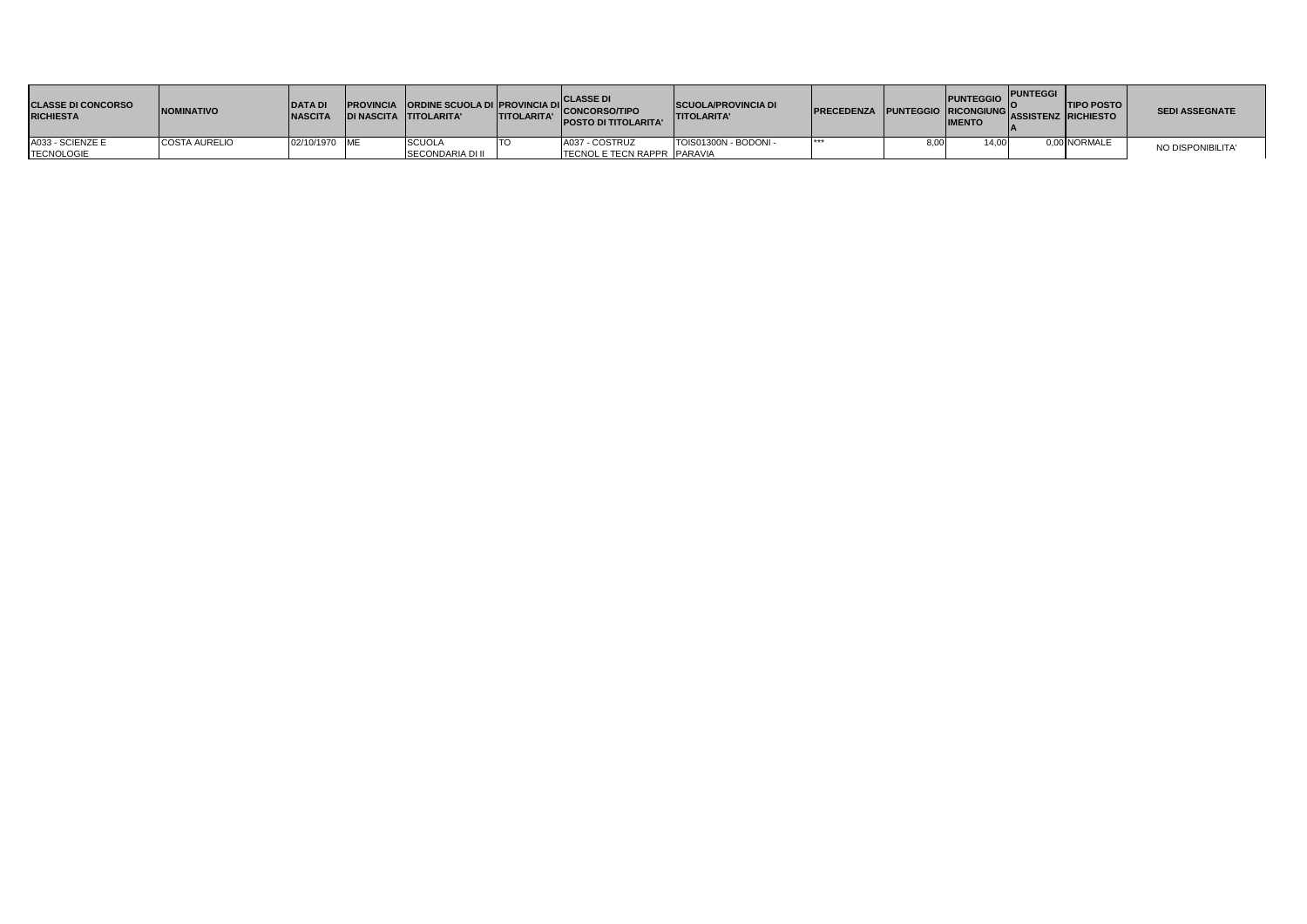| <b>CLASSE DI CONCORSO</b><br><b>RICHIESTA</b> | <b>INOMINATIVO</b>   | <b>DATAD</b><br><b>NASCITA</b> | DI NASCITA TITOLARITA' | <b>ITITOLARITA'</b> | <b>CLASSE DI</b><br>PROVINCIA ORDINE SCUOLA DI PROVINCIA DI CONCORSO/TIPO<br><b>IPOSTO DI TITOLARITA'</b> | <b>SCUOLA/PROVINCIA DI</b><br><b>TITOLARITA'</b> | <b>IPRECEDENZA</b> | <b>PUNTEGGIO</b><br><b>IMENTO</b> | <b>PUNTEGGI</b> | <b>TIPO POSTO</b><br><b>REFENZA PUNTEGGIO RICONGIUNG ASSISTENZ RICHIESTO</b> | <b>SEDI ASSEGNATE</b> |
|-----------------------------------------------|----------------------|--------------------------------|------------------------|---------------------|-----------------------------------------------------------------------------------------------------------|--------------------------------------------------|--------------------|-----------------------------------|-----------------|------------------------------------------------------------------------------|-----------------------|
| A033 - SCIENZE E                              | <b>COSTA AURELIO</b> | 02/10/1970 ME                  | SCUOLA                 |                     | A037 - COSTRUZ                                                                                            | TOIS01300N - BODONI -                            | ***                | 14.00                             |                 | 0,00 NORMALE                                                                 | NO DISPONIBILITA'     |
| <b>TECNOLOGIE</b>                             |                      |                                | SECONDARIA DI II       |                     | <b>TECNOL E TECN RAPPR PARAVIA</b>                                                                        |                                                  |                    |                                   |                 |                                                                              |                       |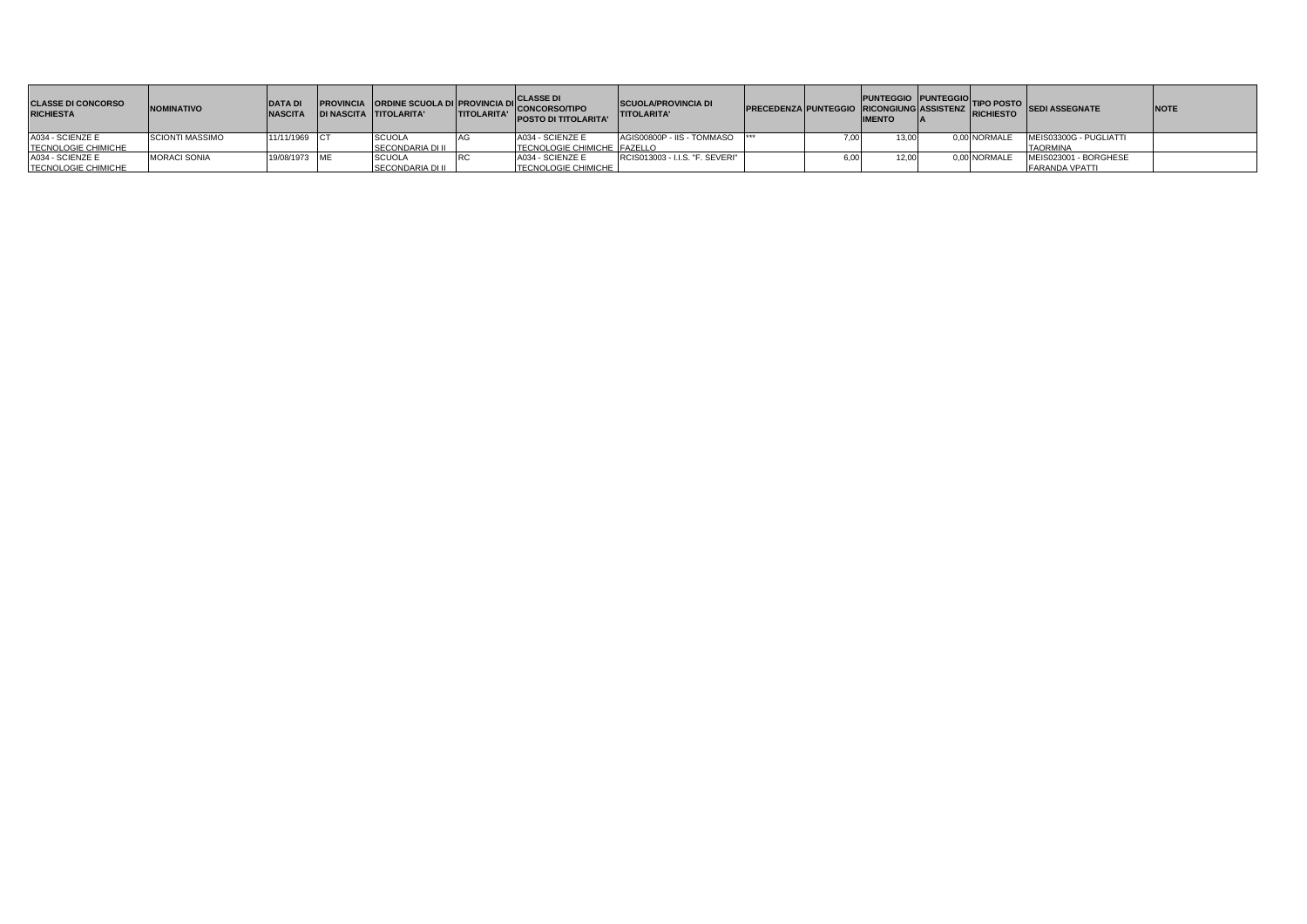| <b>CLASSE DI CONCORSO</b><br><b>RICHIESTA</b> | <b>NOMINATIVO</b>      | <b>DATA DI</b><br><b>NASCITA</b> | DI NASCITA TITOLARITA'  | <b>TITOLARITA'</b> | <b>PROVINCIA ORDINE SCUOLA DI PROVINCIA DI CLASSE DI</b><br>NASCITA TITOI APITA! TITOI APITA!<br><b>POSTO DI TITOLARITA'</b> | <b>ISCUOLA/PROVINCIA DI</b><br><b>ITITOLARITA'</b> |  | <b>IMENTO</b> |              | PRECEDENZA PUNTEGGIO PUNTEGGIO TIPO POSTO SEDI ASSEGNATE | <b>NOTE</b> |
|-----------------------------------------------|------------------------|----------------------------------|-------------------------|--------------------|------------------------------------------------------------------------------------------------------------------------------|----------------------------------------------------|--|---------------|--------------|----------------------------------------------------------|-------------|
| A034 - SCIENZE E                              | <b>SCIONTI MASSIMO</b> | 11/11/1969 CT                    | <b>SCUOLA</b>           |                    | A034 - SCIENZE E                                                                                                             | AGIS00800P - IIS - TOMMASO                         |  | 13.00         | 0.00 NORMALE | MEIS03300G - PUGLIATTI                                   |             |
| TECNOLOGIE CHIMICHE                           |                        |                                  | SECONDARIA DI II        |                    | TECNOLOGIE CHIMICHE FAZELLO                                                                                                  |                                                    |  |               |              | <b>TAORMINA</b>                                          |             |
| A034 - SCIENZE E                              | <b>MORACI SONIA</b>    | 19/08/1973 ME                    | <b>SCUOLA</b>           |                    | A034 - SCIENZE E                                                                                                             | RCIS013003 - I.I.S. "F. SEVERI"                    |  | 12.00         | 0.00 NORMALE | MEIS023001 - BORGHESE                                    |             |
| TECNOLOGIE CHIMICHE                           |                        |                                  | <b>SECONDARIA DI II</b> |                    | <b>TECNOLOGIE CHIMICHE</b>                                                                                                   |                                                    |  |               |              | <b>FARANDA VPATTI</b>                                    |             |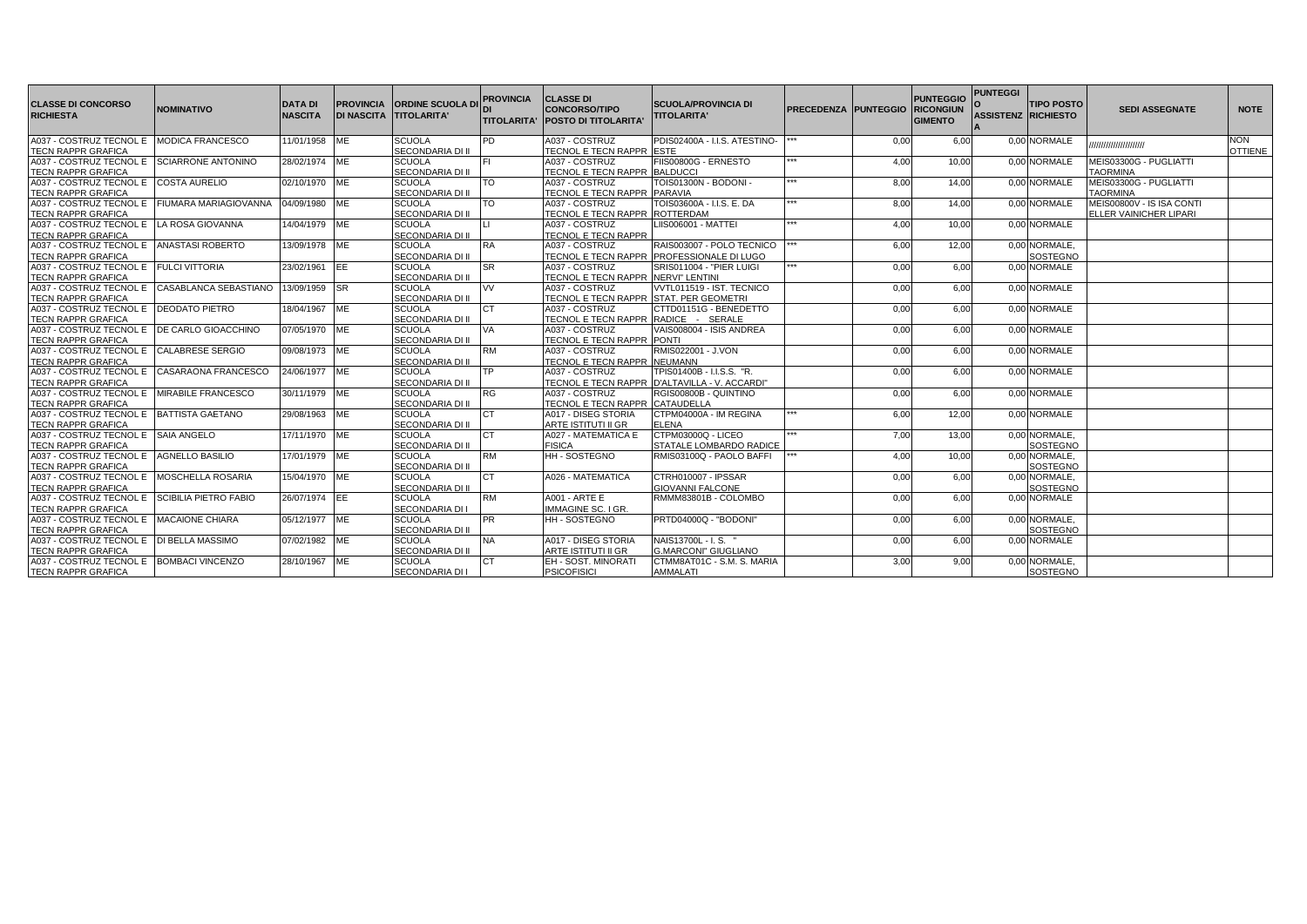| <b>CLASSE DI CONCORSO</b><br><b>RICHIESTA</b>                            | <b>NOMINATIVO</b>       | <b>DATA DI</b><br><b>NASCITA</b> | <b>DI NASCITA TITOLARITA'</b> | <b>PROVINCIA ORDINE SCUOLA DI</b>        | <b>PROVINCIA</b> | <b>CLASSE DI</b><br><b>CONCORSO/TIPO</b><br>ITITOLARITA' IPOSTO DI TITOLARITA | <b>SCUOLA/PROVINCIA DI</b><br><b>TITOLARITA'</b> | <b>PRECEDENZA PUNTEGGIO</b> |      | <b>PUNTEGGIO</b><br><b>RICONGIUN</b><br><b>GIMENTO</b> | <b>PUNTEGGI</b><br><b>ASSISTENZ RICHIESTO</b> | <b>TIPO POSTO</b> | <b>SEDI ASSEGNATE</b>     | <b>NOTE</b>    |
|--------------------------------------------------------------------------|-------------------------|----------------------------------|-------------------------------|------------------------------------------|------------------|-------------------------------------------------------------------------------|--------------------------------------------------|-----------------------------|------|--------------------------------------------------------|-----------------------------------------------|-------------------|---------------------------|----------------|
| A037 - COSTRUZ TECNOL E MODICA FRANCESCO                                 |                         | 11/01/1958 ME                    |                               | <b>SCUOLA</b>                            | PD.              | A037 - COSTRUZ                                                                | PDIS02400A - I.I.S. ATESTINO-                    |                             | 0,00 | 6,00                                                   |                                               | 0,00 NORMALE      |                           | <b>NON</b>     |
| <b>TECN RAPPR GRAFICA</b>                                                |                         |                                  |                               | SECONDARIA DI II                         |                  | TECNOL E TECN RAPPR ESTE                                                      |                                                  |                             |      |                                                        |                                               |                   | ,,,,,,,,,,,,,,,,,,,,,,    | <b>OTTIENE</b> |
| A037 - COSTRUZ TECNOL E SCIARRONE ANTONINO                               |                         | 28/02/1974 ME                    |                               | <b>SCUOLA</b>                            |                  | A037 - COSTRUZ                                                                | FIIS00800G - ERNESTO                             |                             | 4,00 | 10.00                                                  |                                               | 0.00 NORMALE      | MEIS03300G - PUGLIATTI    |                |
| <b>TECN RAPPR GRAFICA</b>                                                |                         |                                  |                               | <b>SECONDARIA DI II</b>                  |                  | <b>TECNOL E TECN RAPPR BALDUCCI</b>                                           |                                                  |                             |      |                                                        |                                               |                   | <b>TAORMINA</b>           |                |
| A037 - COSTRUZ TECNOL E COSTA AURELIO                                    |                         | 02/10/1970                       | <b>ME</b>                     | <b>SCUOLA</b>                            | <b>TO</b>        | A037 - COSTRUZ                                                                | TOIS01300N - BODONI -                            | ***                         | 8,00 | 14.00                                                  |                                               | 0.00 NORMALE      | MEIS03300G - PUGLIATTI    |                |
| <b>TECN RAPPR GRAFICA</b>                                                |                         |                                  |                               | <b>SECONDARIA DI II</b>                  |                  | TECNOL E TECN RAPPR PARAVIA                                                   |                                                  |                             |      |                                                        |                                               |                   | <b>TAORMINA</b>           |                |
| A037 - COSTRUZ TECNOL E FIUMARA MARIAGIOVANNA                            |                         | 04/09/1980 ME                    |                               | <b>SCUOLA</b>                            | TΩ               | A037 - COSTRUZ                                                                | TOIS03600A - I.I.S. E. DA                        |                             | 8,00 | 14,00                                                  |                                               | 0.00 NORMALE      | MEIS00800V - IS ISA CONTI |                |
| <b>TECN RAPPR GRAFICA</b>                                                |                         |                                  |                               | <b>SECONDARIA DI II</b>                  |                  | TECNOL E TECN RAPPR                                                           | <b>ROTTERDAM</b>                                 |                             |      |                                                        |                                               |                   | ELLER VAINICHER LIPARI    |                |
| A037 - COSTRUZ TECNOL E LA ROSA GIOVANNA                                 |                         | 14/04/1979 ME                    |                               | SCUOLA                                   |                  | A037 - COSTRUZ                                                                | LIIS006001 - MATTEI                              | ***                         | 4,00 | 10,00                                                  |                                               | 0.00 NORMALE      |                           |                |
| <b>TECN RAPPR GRAFICA</b>                                                |                         |                                  |                               | <b>SECONDARIA DI II</b>                  |                  | <b>TECNOL E TECN RAPPR</b>                                                    |                                                  |                             |      |                                                        |                                               |                   |                           |                |
| A037 - COSTRUZ TECNOL E ANASTASI ROBERTO                                 |                         | 13/09/1978 ME                    |                               | <b>SCUOLA</b>                            | <b>RA</b>        | A037 - COSTRUZ                                                                | RAIS003007 - POLO TECNICO                        | ***                         | 6,00 | 12,00                                                  |                                               | 0.00 NORMALE.     |                           |                |
| <b>TECN RAPPR GRAFICA</b>                                                |                         |                                  |                               | SECONDARIA DI II                         |                  |                                                                               | TECNOL E TECN RAPPR PROFESSIONALE DI LUGO        |                             |      |                                                        |                                               | SOSTEGNO          |                           |                |
| A037 - COSTRUZ TECNOL E FULCI VITTORIA                                   |                         | 23/02/1961                       | EE                            | <b>SCUOLA</b>                            | SR.              | A037 - COSTRUZ                                                                | SRIS011004 - "PIER LUIGI                         | <b>ERW</b>                  | 0,00 | 6,00                                                   |                                               | 0,00 NORMALE      |                           |                |
| <b>TECN RAPPR GRAFICA</b>                                                |                         |                                  |                               | SECONDARIA DI II                         |                  | <b>TECNOL E TECN RAPPR INERVI" LENTINI</b>                                    |                                                  |                             |      |                                                        |                                               |                   |                           |                |
| A037 - COSTRUZ TECNOL E CASABLANCA SEBASTIANO                            |                         | 13/09/1959 SR                    |                               | SCUOLA                                   | VV.              | A037 - COSTRUZ                                                                | VVTL011519 - IST. TECNICO                        |                             | 0,00 | 6.00                                                   |                                               | 0.00 NORMALE      |                           |                |
| <b>TECN RAPPR GRAFICA</b>                                                |                         |                                  |                               | <b>SECONDARIA DI II</b>                  |                  | TECNOL E TECN RAPPR STAT. PER GEOMETRI                                        |                                                  |                             |      |                                                        |                                               |                   |                           |                |
| A037 - COSTRUZ TECNOL E                                                  | <b>DEODATO PIETRO</b>   | 18/04/1967                       | ME                            | <b>SCUOLA</b>                            | C <sub>T</sub>   | A037 - COSTRUZ                                                                | CTTD01151G - BENEDETTO                           |                             | 0,00 | 6.00                                                   |                                               | 0.00 NORMALE      |                           |                |
| <b>TECN RAPPR GRAFICA</b>                                                |                         |                                  |                               | <b>SECONDARIA DI II</b>                  |                  | TECNOL E TECN RAPPR RADICE - SERALE                                           |                                                  |                             |      |                                                        |                                               |                   |                           |                |
| A037 - COSTRUZ TECNOL E IDE CARLO GIOACCHINO                             |                         | 07/05/1970 ME                    |                               | <b>SCUOLA</b><br><b>SECONDARIA DI II</b> | VA               | A037 - COSTRUZ                                                                | VAIS008004 - ISIS ANDREA<br><b>PONTI</b>         |                             | 0,00 | 6,00                                                   |                                               | 0.00 NORMALE      |                           |                |
| <b>TECN RAPPR GRAFICA</b><br>A037 - COSTRUZ TECNOL E CALABRESE SERGIO    |                         |                                  |                               | <b>SCUOLA</b>                            | <b>RM</b>        | TECNOL E TECN RAPPR                                                           | RMIS022001 - J.VON                               |                             |      |                                                        |                                               | 0.00 NORMALE      |                           |                |
|                                                                          |                         | 09/08/1973 ME                    |                               | <b>SECONDARIA DI II</b>                  |                  | A037 - COSTRUZ                                                                |                                                  |                             | 0,00 | 6.00                                                   |                                               |                   |                           |                |
| <b>TECN RAPPR GRAFICA</b><br>A037 - COSTRUZ TECNOL E CASARAONA FRANCESCO |                         | 24/06/1977 ME                    |                               | <b>SCUOLA</b>                            |                  | <b>TECNOL E TECN RAPPR INEUMANN</b><br>A037 - COSTRUZ                         | TPIS01400B - I.I.S.S. "R.                        |                             | 0,00 | 6,00                                                   |                                               | 0.00 NORMALE      |                           |                |
| <b>TECN RAPPR GRAFICA</b>                                                |                         |                                  |                               | SECONDARIA DI II                         |                  |                                                                               | TECNOL E TECN RAPPR D'ALTAVILLA - V. ACCARDI"    |                             |      |                                                        |                                               |                   |                           |                |
| A037 - COSTRUZ TECNOL E MIRABILE FRANCESCO                               |                         | 30/11/1979 ME                    |                               | <b>SCUOLA</b>                            | RG               | A037 - COSTRUZ                                                                | RGIS00800B - QUINTINO                            |                             | 0,00 | 6,00                                                   |                                               | 0.00 NORMALE      |                           |                |
| <b>TECN RAPPR GRAFICA</b>                                                |                         |                                  |                               | SECONDARIA DI II                         |                  | TECNOL E TECN RAPPR CATAUDELLA                                                |                                                  |                             |      |                                                        |                                               |                   |                           |                |
| A037 - COSTRUZ TECNOL E BATTISTA GAETANO                                 |                         | 29/08/1963 ME                    |                               | <b>SCUOLA</b>                            |                  | A017 - DISEG STORIA                                                           | CTPM04000A - IM REGINA                           | <b>ERW</b>                  | 6,00 | 12.00                                                  |                                               | 0.00 NORMALE      |                           |                |
| <b>TECN RAPPR GRAFICA</b>                                                |                         |                                  |                               | <b>SECONDARIA DI II</b>                  |                  | ARTE ISTITUTI II GR                                                           | <b>ELENA</b>                                     |                             |      |                                                        |                                               |                   |                           |                |
| A037 - COSTRUZ TECNOL E SAIA ANGELO                                      |                         | 17/11/1970 ME                    |                               | <b>SCUOLA</b>                            |                  | A027 - MATEMATICA E                                                           | CTPM03000Q - LICEO                               | ***                         | 7,00 | 13,00                                                  |                                               | 0.00 NORMALE      |                           |                |
| <b>TECN RAPPR GRAFICA</b>                                                |                         |                                  |                               | SECONDARIA DI II                         |                  | <b>FISICA</b>                                                                 | STATALE LOMBARDO RADICE                          |                             |      |                                                        |                                               | <b>SOSTEGNO</b>   |                           |                |
| A037 - COSTRUZ TECNOL E AGNELLO BASILIO                                  |                         | 17/01/1979 ME                    |                               | <b>SCUOLA</b>                            | RM               | <b>HH-SOSTEGNO</b>                                                            | RMIS03100Q - PAOLO BAFFI                         |                             | 4,00 | 10,00                                                  |                                               | 0.00 NORMALE.     |                           |                |
| <b>TECN RAPPR GRAFICA</b>                                                |                         |                                  |                               | <b>SECONDARIA DI II</b>                  |                  |                                                                               |                                                  |                             |      |                                                        |                                               | SOSTEGNO          |                           |                |
| A037 - COSTRUZ TECNOL E MOSCHELLA ROSARIA                                |                         | 15/04/1970 ME                    |                               | <b>SCUOLA</b>                            | CT.              | A026 - MATEMATICA                                                             | CTRH010007 - IPSSAR                              |                             | 0,00 | 6.00                                                   |                                               | 0.00 NORMALE.     |                           |                |
| <b>TECN RAPPR GRAFICA</b>                                                |                         |                                  |                               | <b>SECONDARIA DI II</b>                  |                  |                                                                               | <b>GIOVANNI FALCONE</b>                          |                             |      |                                                        |                                               | SOSTEGNO          |                           |                |
| A037 - COSTRUZ TECNOL E SCIBILIA PIETRO FABIO                            |                         | 26/07/1974 EE                    |                               | <b>SCUOLA</b>                            | <b>RM</b>        | <b>A001 - ARTE E</b>                                                          | RMMM83801B - COLOMBO                             |                             | 0,00 | 6,00                                                   |                                               | 0,00 NORMALE      |                           |                |
| <b>TECN RAPPR GRAFICA</b>                                                |                         |                                  |                               | SECONDARIA DI I                          |                  | <b>IMMAGINE SC. I GR.</b>                                                     |                                                  |                             |      |                                                        |                                               |                   |                           |                |
| A037 - COSTRUZ TECNOL E MACAIONE CHIARA                                  |                         | 05/12/1977 ME                    |                               | <b>SCUOLA</b>                            | <b>PR</b>        | HH-SOSTEGNO                                                                   | PRTD04000Q - "BODONI"                            |                             | 0,00 | 6,00                                                   |                                               | 0.00 NORMALE      |                           |                |
| <b>TECN RAPPR GRAFICA</b>                                                |                         |                                  |                               | <b>SECONDARIA DI II</b>                  |                  |                                                                               |                                                  |                             |      |                                                        |                                               | <b>SOSTEGNO</b>   |                           |                |
| A037 - COSTRUZ TECNOL E IDI BELLA MASSIMO                                |                         | 07/02/1982 ME                    |                               | <b>SCUOLA</b>                            | <b>NA</b>        | A017 - DISEG STORIA                                                           | NAIS13700L - I.S.                                |                             | 0,00 | 6,00                                                   |                                               | 0.00 NORMALE      |                           |                |
| <b>TECN RAPPR GRAFICA</b>                                                |                         |                                  |                               | <b>SECONDARIA DI II</b>                  |                  | ARTE ISTITUTI II GR                                                           | <b>G.MARCONI" GIUGLIANO</b>                      |                             |      |                                                        |                                               |                   |                           |                |
| A037 - COSTRUZ TECNOL E                                                  | <b>BOMBACI VINCENZO</b> | 28/10/1967 ME                    |                               | <b>SCUOLA</b>                            |                  | EH - SOST, MINORATI                                                           | CTMM8AT01C - S.M. S. MARIA                       |                             | 3,00 | 9,00                                                   |                                               | 0.00 NORMALE.     |                           |                |
| <b>TECN RAPPR GRAFICA</b>                                                |                         |                                  |                               | <b>SECONDARIA DI I</b>                   |                  | <b>PSICOFISICI</b>                                                            | <b>AMMALATI</b>                                  |                             |      |                                                        |                                               | <b>SOSTEGNO</b>   |                           |                |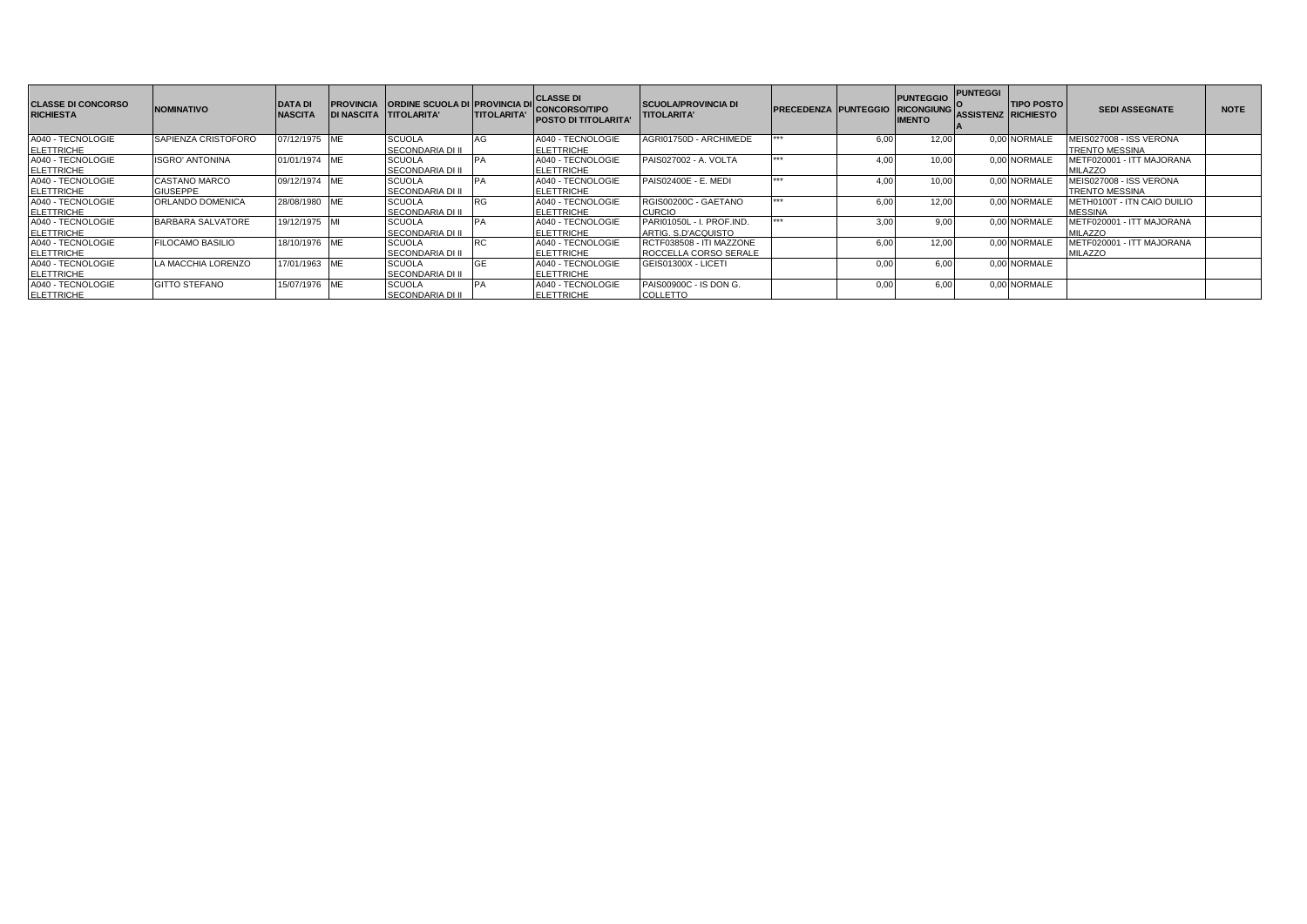| <b>CLASSE DI CONCORSO</b><br><b>RICHIESTA</b> | <b>NOMINATIVO</b>                       | <b>DATA DI</b><br><b>NASCITA</b> | <b>PROVINCIA CRDINE SCUOLA DI PROVINCIA DI</b><br>DI NASCITA TITOLARITA' | <b>ITITOLARITA'</b> | <b>CLASSE DI</b><br><b>CONCORSO/TIPO</b><br><b>POSTO DI TITOLARITA'</b> | <b>SCUOLA/PROVINCIA DI</b><br><b>TITOLARITA'</b>         | <b>PRECEDENZA PUNTEGGIO</b> |                  | <b>PUNTEGGIO</b><br><b>RICONGIUNG</b><br><b>IMENTO</b> | <b>PUNTEGGI</b> | <b>TIPO POSTO</b><br>ASSISTENZ  RICHIESTO | <b>SEDI ASSEGNATE</b>                            | <b>NOTE</b> |
|-----------------------------------------------|-----------------------------------------|----------------------------------|--------------------------------------------------------------------------|---------------------|-------------------------------------------------------------------------|----------------------------------------------------------|-----------------------------|------------------|--------------------------------------------------------|-----------------|-------------------------------------------|--------------------------------------------------|-------------|
| A040 - TECNOLOGIE<br><b>ELETTRICHE</b>        | <b>SAPIENZA CRISTOFORO</b>              | 07/12/1975 ME                    | <b>SCUOLA</b><br><b>SECONDARIA DI II</b>                                 | AG                  | A040 - TECNOLOGIE<br><b>ELETTRICHE</b>                                  | AGRI01750D - ARCHIMEDE                                   | $+ + +$                     | 6,00             | 12,00                                                  |                 | 0.00 NORMALE                              | MEIS027008 - ISS VERONA<br><b>TRENTO MESSINA</b> |             |
| A040 - TECNOLOGIE<br><b>ELETTRICHE</b>        | <b>ISGRO' ANTONINA</b>                  | 01/01/1974 ME                    | <b>SCUOLA</b><br><b>SECONDARIA DI II</b>                                 |                     | A040 - TECNOLOGIE<br><b>ELETTRICHE</b>                                  | PAIS027002 - A. VOLTA                                    | 1.11                        | 4.0 <sub>C</sub> | 10.00                                                  |                 | 0.00 NORMALE                              | METF020001 - ITT MAJORANA<br><b>MILAZZO</b>      |             |
| A040 - TECNOLOGIE<br><b>ELETTRICHE</b>        | <b>CASTANO MARCO</b><br><b>GIUSEPPE</b> | 09/12/1974 ME                    | <b>SCUOLA</b><br><b>SECONDARIA DI II</b>                                 |                     | A040 - TECNOLOGIE<br><b>ELETTRICHE</b>                                  | PAIS02400E - E. MEDI                                     | $+ + +$                     | 4.0 <sub>C</sub> | 10,00                                                  |                 | 0.00 NORMALE                              | MEIS027008 - ISS VERONA<br><b>TRENTO MESSINA</b> |             |
| A040 - TECNOLOGIE<br><b>ELETTRICHE</b>        | <b>ORLANDO DOMENICA</b>                 | 28/08/1980 ME                    | <b>SCUOLA</b><br><b>SECONDARIA DI II</b>                                 |                     | A040 - TECNOLOGIE<br><b>ELETTRICHE</b>                                  | RGIS00200C - GAETANO<br><b>CURCIO</b>                    | $+ + +$                     | 6.00             | 12.00                                                  |                 | 0.00 NORMALE                              | METH0100T - ITN CAIO DUILIO<br><b>MESSINA</b>    |             |
| A040 - TECNOLOGIE<br><b>ELETTRICHE</b>        | <b>BARBARA SALVATORE</b>                | 19/12/1975 MI                    | <b>SCUOLA</b><br><b>SECONDARIA DI II</b>                                 | <b>IPA</b>          | A040 - TECNOLOGIE<br><b>ELETTRICHE</b>                                  | PARI01050L - I. PROF.IND.<br>ARTIG. S.D'ACQUISTO         | ***                         | 3.00             | 9,00                                                   |                 | 0.00 NORMALE                              | METF020001 - ITT MAJORANA<br><b>MILAZZO</b>      |             |
| A040 - TECNOLOGIE<br><b>ELETTRICHE</b>        | <b>FILOCAMO BASILIO</b>                 | 18/10/1976 ME                    | <b>SCUOLA</b><br><b>SECONDARIA DI II</b>                                 | <b>RC</b>           | A040 - TECNOLOGIE<br><b>ELETTRICHE</b>                                  | RCTF038508 - ITI MAZZONE<br><b>ROCCELLA CORSO SERALE</b> |                             | 6.00             | 12.00                                                  |                 | 0.00 NORMALE                              | METF020001 - ITT MAJORANA<br><b>MILAZZO</b>      |             |
| A040 - TECNOLOGIE<br><b>ELETTRICHE</b>        | LA MACCHIA LORENZO                      | 17/01/1963 ME                    | <b>SCUOLA</b><br><b>SECONDARIA DI II</b>                                 |                     | A040 - TECNOLOGIE<br><b>ELETTRICHE</b>                                  | GEIS01300X - LICETI                                      |                             | 0.00             | 6.00                                                   |                 | 0.00 NORMALE                              |                                                  |             |
| A040 - TECNOLOGIE<br><b>ELETTRICHE</b>        | <b>GITTO STEFANO</b>                    | 15/07/1976 ME                    | <b>SCUOLA</b><br><b>SECONDARIA DI II</b>                                 |                     | A040 - TECNOLOGIE<br><b>ELETTRICHE</b>                                  | PAIS00900C - IS DON G.<br><b>COLLETTO</b>                |                             | 0.00             | 6.00                                                   |                 | 0.00 NORMALE                              |                                                  |             |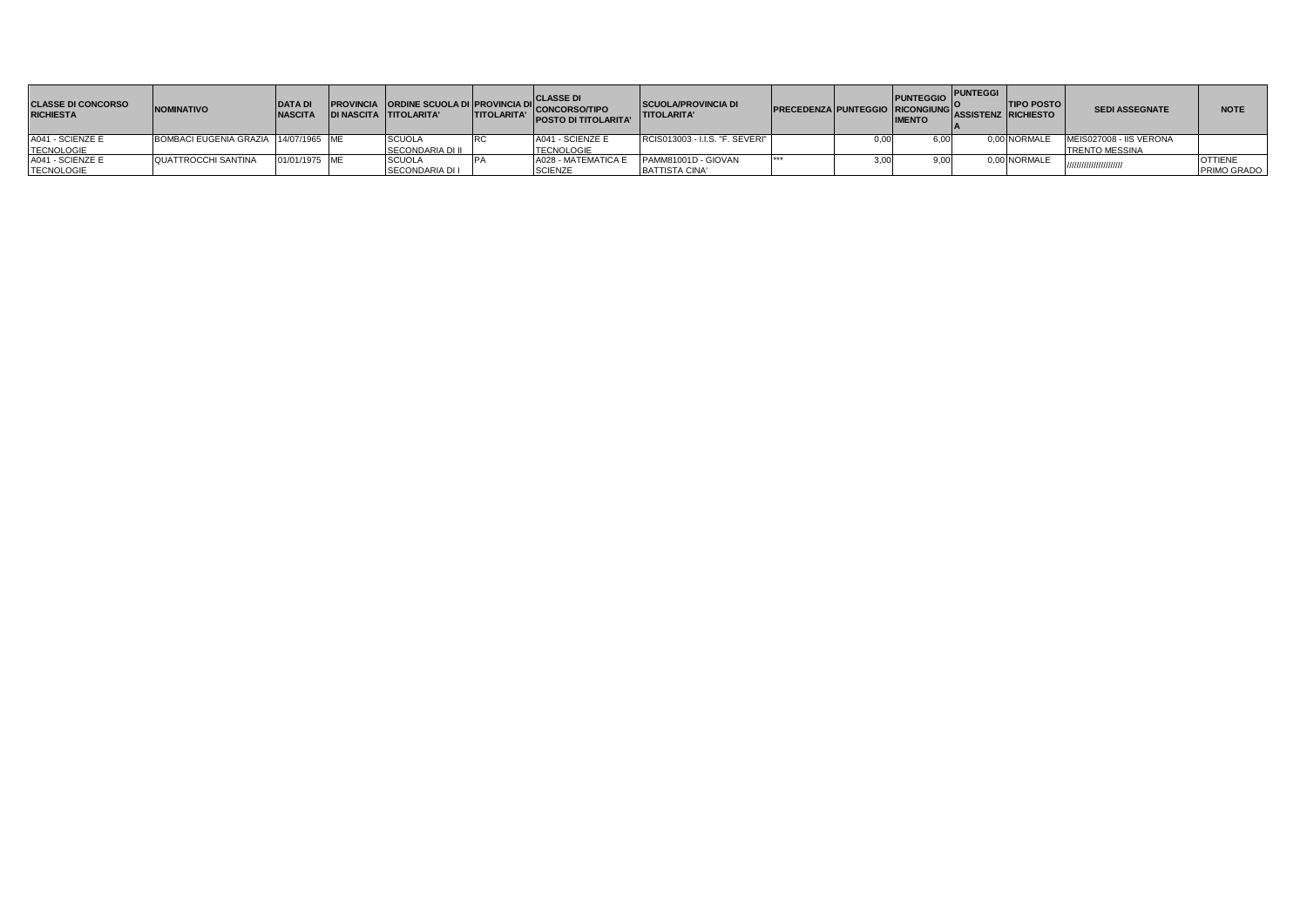| <b>CLASSE DI CONCORSO</b><br><b>RICHIESTA</b> | <b>NOMINATIVO</b>                    | <b>DATA DI</b><br><b>NASCITA</b> | <b>DI NASCITA TITOLARITA'</b> | <b>TITOLARITA'</b> | PROVINCIA ORDINE SCUOLA DI PROVINCIA DI CONCORSOTIPO<br><b>POSTO DI TITOLARITA'</b> | <b>SCUOLA/PROVINCIA DI</b><br><b>TITOLARITA'</b> | <b>PRECEDENZA PUNTEGGIO RICONGIUNG ASSISTENZ RICHIESTO</b> |      | <b>PUNTEGGIO</b><br><b>IMENTO</b> | <b>IPUNTEGGI</b> | <b>TIPO POSTO</b> | <b>SEDI ASSEGNATE</b>   | <b>NOTE</b>    |
|-----------------------------------------------|--------------------------------------|----------------------------------|-------------------------------|--------------------|-------------------------------------------------------------------------------------|--------------------------------------------------|------------------------------------------------------------|------|-----------------------------------|------------------|-------------------|-------------------------|----------------|
| A041 - SCIENZE E                              | BOMBACI EUGENIA GRAZIA 14/07/1965 ME |                                  | <b>SCUOLA</b>                 |                    | A041 - SCIENZE E                                                                    | RCIS013003 - I.I.S. "F. SEVERI"                  |                                                            | 0,00 |                                   |                  | 0.00 NORMALE      | MEIS027008 - IIS VERONA |                |
| <b>TECNOLOGIE</b>                             |                                      |                                  | <b>SECONDARIA DI II</b>       |                    | <b>TECNOLOGIE</b>                                                                   |                                                  |                                                            |      |                                   |                  |                   | <b>TRENTO MESSINA</b>   |                |
| A041 - SCIENZE E                              | <b>QUATTROCCHI SANTINA</b>           | 01/01/1975 ME                    | <b>SCUOLA</b>                 |                    | A028 - MATEMATICA E                                                                 | PAMM81001D - GIOVAN                              | $-1 - 1 - 1 = 0$                                           | 3,00 |                                   |                  | 0.00 NORMALE      |                         | <b>OTTIENE</b> |
| <b>TECNOLOGIE</b>                             |                                      |                                  | <b>SECONDARIA DI I</b>        |                    | <b>SCIENZE</b>                                                                      | BATTISTA CINA'                                   |                                                            |      |                                   |                  |                   | /////////////////////// | PRIMO GRADO    |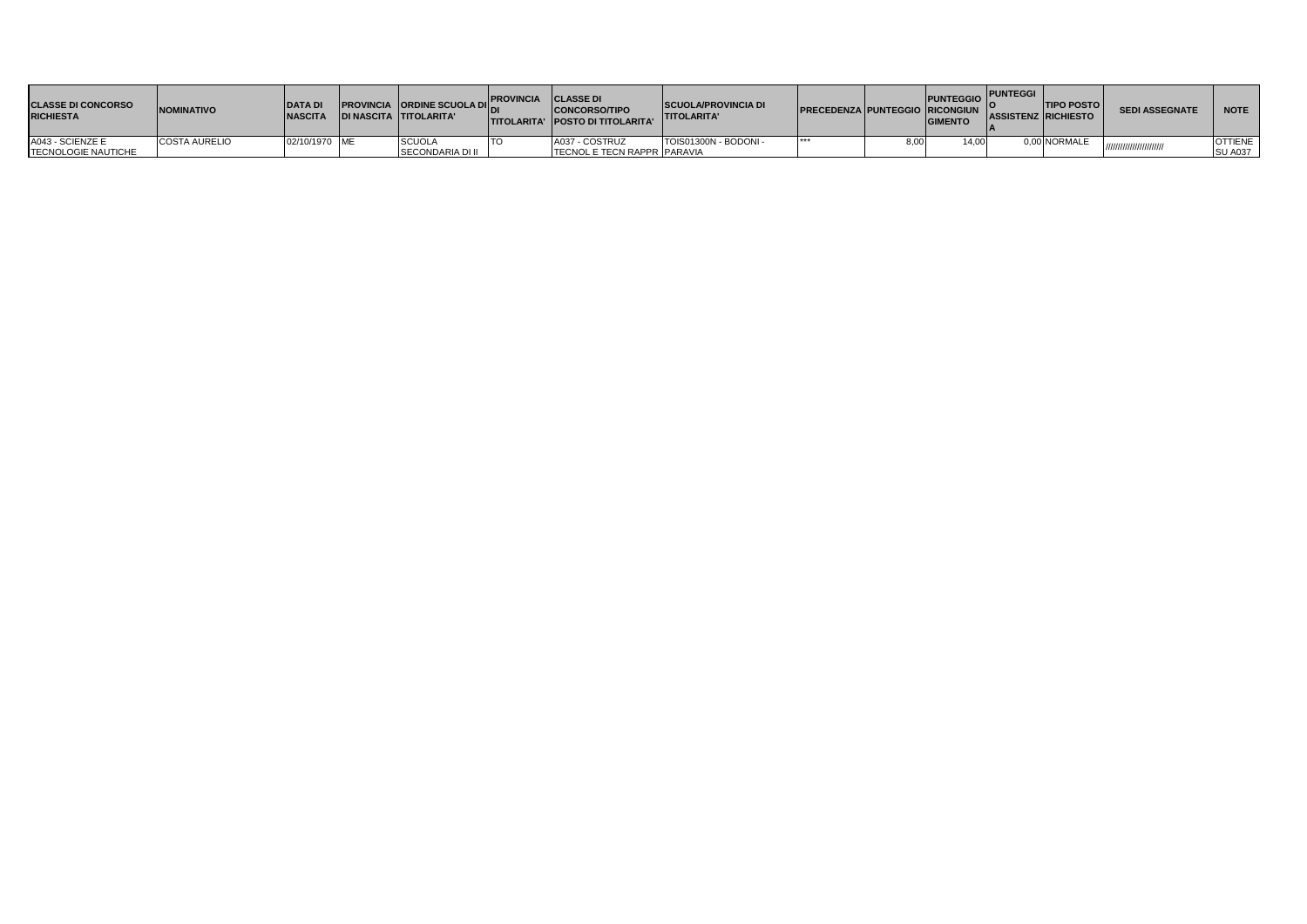| <b>CLASSE DI CONCORSO</b><br><b>RICHIESTA</b> | <b>NOMINATIVO</b>    | <b>DATAD</b><br><b>NASCITA</b> | <b>DI NASCITA TITOLARITA'</b> | FAN PROVINCIA ORDINE SCUOLA DI PROVINCIA CLASSE DI<br><b>CONCORSO/TIPO</b><br><b>TITOLARITA' POSTO DI TITOLARITA'</b> | <b>ISCUOLA/PROVINCIA DI</b><br><b>TITOLARITA'</b> | <b>PRECEDENZA PUNTEGGIO RICONGIUN</b> | <b>PUNTEGGIO</b><br><b>GIMENTO</b> | <b>PUNTEGGI</b> | <b>ITIPO POSTO</b><br><b>ASSISTENZ RICHIESTO</b> | <b>SEDI ASSEGNATE</b> | <b>NOTE</b>    |
|-----------------------------------------------|----------------------|--------------------------------|-------------------------------|-----------------------------------------------------------------------------------------------------------------------|---------------------------------------------------|---------------------------------------|------------------------------------|-----------------|--------------------------------------------------|-----------------------|----------------|
| A043 - SCIENZE E                              | <b>COSTA AURELIO</b> | 02/10/1970 ME                  | <b>SCUOLA</b>                 | A037 - COSTRUZ                                                                                                        | TOIS01300N - BODONI -                             | ***                                   | 14.00                              |                 | 0.00 NORMALE                                     | ,,,,,,,,,,,,,,,,,,,   | <b>OTTIENE</b> |
| <b>TECNOLOGIE NAUTICHE</b>                    |                      |                                | <b>SECONDARIA DI II</b>       | <b>TECNOL E TECN RAPPR PARAVIA</b>                                                                                    |                                                   |                                       |                                    |                 |                                                  |                       | <b>SU A037</b> |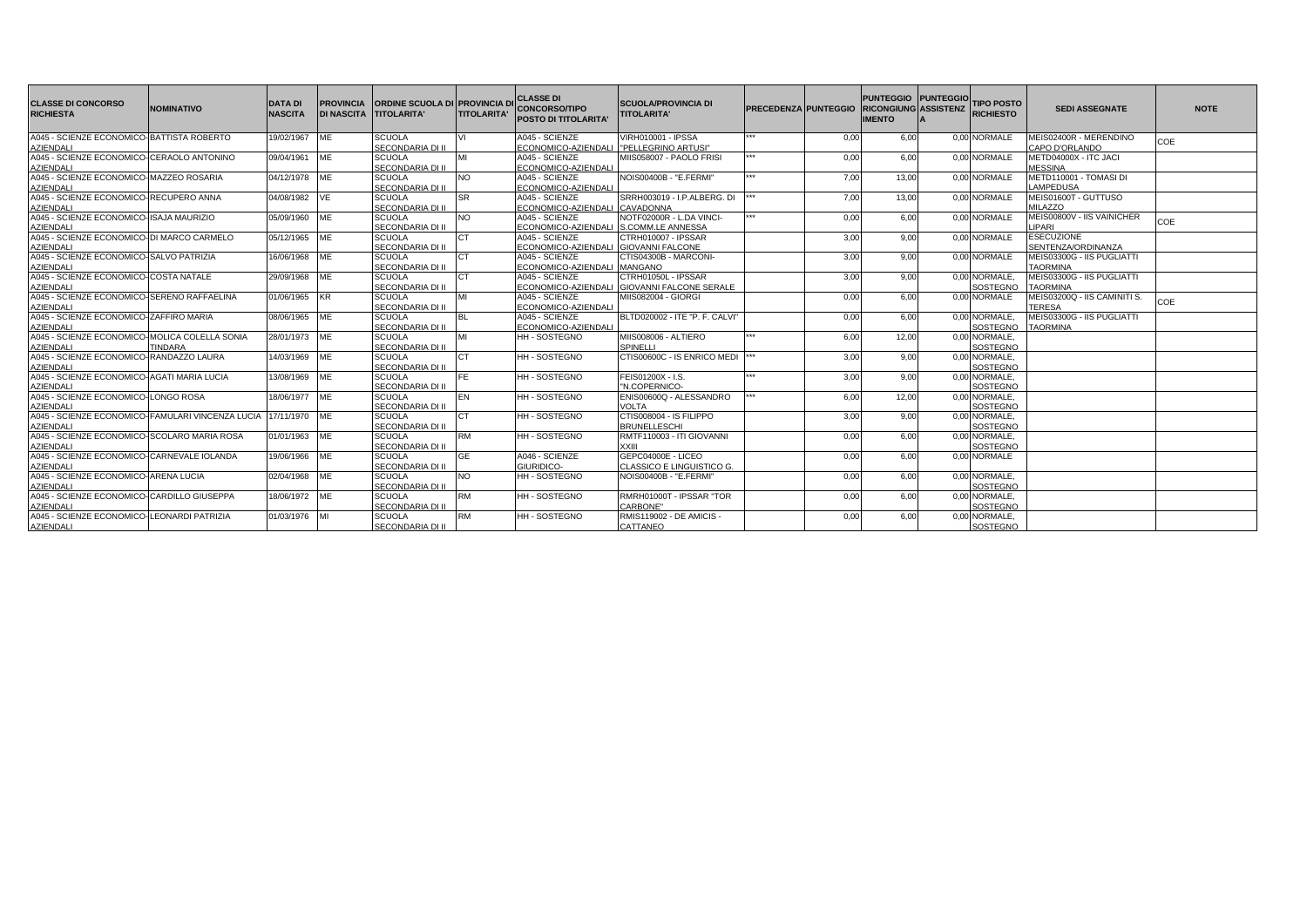| <b>CLASSE DI CONCORSO</b><br><b>RICHIESTA</b>                        | <b>NOMINATIVO</b> | <b>DATA DI</b><br><b>NASCITA</b> | <b>PROVINCIA</b><br><b>DI NASCITA TITOLARITA'</b> | <b>ORDINE SCUOLA DI PROVINCIA DI</b> | <b>TITOLARITA'</b> | <b>CLASSE DI</b><br><b>CONCORSO/TIPO</b><br><b>POSTO DI TITOLARITA</b> | <b>SCUOLA/PROVINCIA DI</b><br><b>TITOLARITA'</b> | <b>PRECEDENZA PUNTEGGIO</b> |      | <b>PUNTEGGIO PUNTEGGIO</b><br><b>RICONGIUNG ASSISTENZ</b><br><b>IMENTO</b> | <b>TIPO POSTO</b><br><b>RICHIESTO</b> | <b>SEDI ASSEGNATE</b>                    | <b>NOTE</b> |
|----------------------------------------------------------------------|-------------------|----------------------------------|---------------------------------------------------|--------------------------------------|--------------------|------------------------------------------------------------------------|--------------------------------------------------|-----------------------------|------|----------------------------------------------------------------------------|---------------------------------------|------------------------------------------|-------------|
| A045 - SCIENZE ECONOMICO-BATTISTA ROBERTO                            |                   | 19/02/1967 ME                    |                                                   | <b>SCUOLA</b><br>SECONDARIA DI II    |                    | A045 - SCIENZE                                                         | <b>VIRH010001 - IPSSA</b>                        | $***$                       | 0.00 | 6,00                                                                       | 0.00 NORMALE                          | MEIS02400R - MERENDINO<br>CAPO D'ORLANDO | COE         |
| <b>AZIENDALI</b><br>A045 - SCIENZE ECONOMICO-CERAOLO ANTONINO        |                   |                                  |                                                   | <b>SCUOLA</b>                        | MI                 | ECONOMICO-AZIENDALI I"PELLEGRINO ARTUSI"<br>A045 - SCIENZE             | MIIS058007 - PAOLO FRISI                         |                             | 0.00 | 6.00                                                                       | 0.00 NORMALE                          | METD04000X - ITC JACI                    |             |
|                                                                      |                   | 09/04/1961 ME                    |                                                   |                                      |                    |                                                                        |                                                  |                             |      |                                                                            |                                       |                                          |             |
| AZIENDALI<br>A045 - SCIENZE ECONOMICO-MAZZEO ROSARIA                 |                   | 04/12/1978 ME                    |                                                   | SECONDARIA DI II<br><b>SCUOLA</b>    | <b>NO</b>          | ECONOMICO-AZIENDALI<br>A045 - SCIENZE                                  | NOIS00400B - "E.FERMI"                           | ***                         | 7.00 | 13.00                                                                      | 0.00 NORMALE                          | <b>MESSINA</b><br>METD110001 - TOMASI DI |             |
| <b>AZIENDALI</b>                                                     |                   |                                  |                                                   | SECONDARIA DI II                     |                    | ECONOMICO-AZIENDALI                                                    |                                                  |                             |      |                                                                            |                                       | LAMPEDUSA                                |             |
| A045 - SCIENZE ECONOMICO-RECUPERO ANNA                               |                   | 04/08/1982 VE                    |                                                   | <b>SCUOLA</b>                        | <b>SR</b>          | A045 - SCIENZE                                                         | SRRH003019 - I.P.ALBERG, DI                      | $***$                       | 7,00 | 13,00                                                                      | 0.00 NORMALE                          | MEIS01600T - GUTTUSO                     |             |
| <b>AZIENDALI</b>                                                     |                   |                                  |                                                   | SECONDARIA DI II                     |                    | ECONOMICO-AZIENDALI CAVADONNA                                          |                                                  |                             |      |                                                                            |                                       | <b>MILAZZO</b>                           |             |
| A045 - SCIENZE ECONOMICO-ISAJA MAURIZIO                              |                   | 05/09/1960 ME                    |                                                   | <b>SCUOLA</b>                        | <b>NO</b>          | A045 - SCIENZE                                                         | NOTF02000R - L.DA VINCI-                         |                             | 0.00 | 6.00                                                                       | 0.00 NORMALE                          | MEIS00800V - IIS VAINICHER               |             |
| <b>AZIENDALI</b>                                                     |                   |                                  |                                                   | SECONDARIA DI II                     |                    | ECONOMICO-AZIENDALI                                                    | S.COMM.LE ANNESSA                                |                             |      |                                                                            |                                       | LIPARI                                   | COE         |
| A045 - SCIENZE ECONOMICO-DI MARCO CARMELO                            |                   | 05/12/1965 ME                    |                                                   | <b>SCUOLA</b>                        | CT.                | A045 - SCIENZE                                                         | CTRH010007 - IPSSAR                              |                             | 3,00 | 9,00                                                                       | 0.00 NORMALE                          | <b>ESECUZIONE</b>                        |             |
| <b>AZIENDALI</b>                                                     |                   |                                  |                                                   | SECONDARIA DI II                     |                    | ECONOMICO-AZIENDALI GIOVANNI FALCONE                                   |                                                  |                             |      |                                                                            |                                       | SENTENZA/ORDINANZA                       |             |
| A045 - SCIENZE ECONOMICO-SALVO PATRIZIA                              |                   | 16/06/1968 ME                    |                                                   | <b>SCUOLA</b>                        | <b>CT</b>          | A045 - SCIENZE                                                         | CTIS04300B - MARCONI-                            |                             | 3.00 | 9.00                                                                       | 0.00 NORMALE                          | MEIS03300G - IIS PUGLIATTI               |             |
| <b>AZIENDALI</b>                                                     |                   |                                  |                                                   | SECONDARIA DI II                     |                    | ECONOMICO-AZIENDALI MANGANO                                            |                                                  |                             |      |                                                                            |                                       | <b>TAORMINA</b>                          |             |
| A045 - SCIENZE ECONOMICO-COSTA NATALE                                |                   | 29/09/1968 ME                    |                                                   | <b>SCUOLA</b>                        |                    | A045 - SCIENZE                                                         | CTRH01050L - IPSSAR                              |                             | 3.00 | 9.00                                                                       | 0.00 NORMALE.                         | MEIS03300G - IIS PUGLIATTI               |             |
| <b>AZIENDALI</b>                                                     |                   |                                  |                                                   | SECONDARIA DI II                     |                    | ECONOMICO-AZIENDALI                                                    | <b>GIOVANNI FALCONE SERALE</b>                   |                             |      |                                                                            | SOSTEGNO                              | <b>TAORMINA</b>                          |             |
| A045 - SCIENZE ECONOMICO-SERENO RAFFAELINA                           |                   | 01/06/1965 KR                    |                                                   | <b>SCUOLA</b>                        |                    | A045 - SCIENZE                                                         | MIIS082004 - GIORGI                              |                             | 0,00 | 6,00                                                                       | 0,00 NORMALE                          | MEIS03200Q - IIS CAMINITI S.             | COE         |
| AZIENDALI                                                            |                   |                                  |                                                   | SECONDARIA DI II                     |                    | ECONOMICO-AZIENDALI                                                    |                                                  |                             |      |                                                                            |                                       | <b>TERESA</b>                            |             |
| A045 - SCIENZE ECONOMICO-ZAFFIRO MARIA                               |                   | 08/06/1965 ME                    |                                                   | <b>SCUOLA</b>                        |                    | A045 - SCIENZE                                                         | BLTD020002 - ITE "P. F. CALVI"                   |                             | 0.00 | 6.00                                                                       | 0.00 NORMALE.                         | MEIS03300G - IIS PUGLIATTI               |             |
| <b>AZIENDALI</b>                                                     |                   |                                  |                                                   | SECONDARIA DI II                     |                    | ECONOMICO-AZIENDALI                                                    |                                                  |                             |      |                                                                            | SOSTEGNO                              | <b>TAORMINA</b>                          |             |
| A045 - SCIENZE ECONOMICO-MOLICA COLELLA SONIA                        |                   | 28/01/1973 ME                    |                                                   | <b>SCUOLA</b>                        |                    | HH - SOSTEGNO                                                          | MIIS008006 - ALTIERO                             |                             | 6.00 | 12,00                                                                      | 0,00 NORMALE,                         |                                          |             |
| <b>AZIENDALI</b>                                                     | <b>TINDARA</b>    |                                  |                                                   | SECONDARIA DI II                     |                    |                                                                        | SPINELLI                                         |                             |      |                                                                            | SOSTEGNO                              |                                          |             |
| A045 - SCIENZE ECONOMICO-RANDAZZO LAURA                              |                   | 14/03/1969 ME                    |                                                   | <b>SCUOLA</b>                        | <b>CT</b>          | <b>HH-SOSTEGNO</b>                                                     | CTIS00600C - IS ENRICO MEDI  ***                 |                             | 3,00 | 9.00                                                                       | 0,00 NORMALE,                         |                                          |             |
| <b>AZIENDALI</b>                                                     |                   |                                  |                                                   | SECONDARIA DI II                     |                    |                                                                        |                                                  |                             |      |                                                                            | SOSTEGNO                              |                                          |             |
| A045 - SCIENZE ECONOMICO-AGATI MARIA LUCIA                           |                   | 13/08/1969 ME                    |                                                   | <b>SCUOLA</b>                        | FE.                | <b>HH-SOSTEGNO</b>                                                     | FEIS01200X - I.S.                                |                             | 3.00 | 9.00                                                                       | 0,00 NORMALE,                         |                                          |             |
| <b>AZIENDALI</b><br>A045 - SCIENZE ECONOMICO-LONGO ROSA              |                   |                                  |                                                   | SECONDARIA DI II<br><b>SCUOLA</b>    | EN                 | <b>HH-SOSTEGNO</b>                                                     | "N.COPERNICO-<br>ENIS00600Q - ALESSANDRO         |                             |      | 12.00                                                                      | SOSTEGNO<br>0.00 NORMALE.             |                                          |             |
|                                                                      |                   | 18/06/1977 ME                    |                                                   | SECONDARIA DI II                     |                    |                                                                        | VOLTA                                            |                             | 6.00 |                                                                            | SOSTEGNO                              |                                          |             |
| <b>AZIENDALI</b><br>A045 - SCIENZE ECONOMICO-FAMULARI VINCENZA LUCIA |                   | 17/11/1970 ME                    |                                                   | <b>SCUOLA</b>                        | <b>CT</b>          | HH - SOSTEGNO                                                          | CTIS008004 - IS FILIPPO                          |                             | 3,00 | 9.00                                                                       | 0,00 NORMALE,                         |                                          |             |
| <b>AZIENDALI</b>                                                     |                   |                                  |                                                   | SECONDARIA DI II                     |                    |                                                                        | <b>BRUNELLESCHI</b>                              |                             |      |                                                                            | SOSTEGNO                              |                                          |             |
| A045 - SCIENZE ECONOMICO-SCOLARO MARIA ROSA                          |                   | 01/01/1963                       | ME                                                | <b>SCUOLA</b>                        | <b>RM</b>          | HH - SOSTEGNO                                                          | RMTF110003 - ITI GIOVANNI                        |                             | 0.00 | 6.00                                                                       | 0,00 NORMALE,                         |                                          |             |
| <b>AZIENDALI</b>                                                     |                   |                                  |                                                   | <b>SECONDARIA DI II</b>              |                    |                                                                        | <b>XXIII</b>                                     |                             |      |                                                                            | SOSTEGNO                              |                                          |             |
| A045 - SCIENZE ECONOMICO-CARNEVALE IOLANDA                           |                   | 19/06/1966 ME                    |                                                   | <b>SCUOLA</b>                        | <b>GE</b>          | A046 - SCIENZE                                                         | GEPC04000E - LICEO                               |                             | 0.00 | 6.00                                                                       | 0.00 NORMALE                          |                                          |             |
| <b>AZIENDALI</b>                                                     |                   |                                  |                                                   | SECONDARIA DI II                     |                    | GIURIDICO-                                                             | CLASSICO E LINGUISTICO G.                        |                             |      |                                                                            |                                       |                                          |             |
| A045 - SCIENZE ECONOMICO-ARENA LUCIA                                 |                   | 02/04/1968 ME                    |                                                   | <b>SCUOLA</b>                        | <b>NO</b>          | <b>HH-SOSTEGNO</b>                                                     | NOIS00400B - "E.FERMI"                           |                             | 0.00 | 6.00                                                                       | 0.00 NORMALE.                         |                                          |             |
| AZIENDALI                                                            |                   |                                  |                                                   | SECONDARIA DI II                     |                    |                                                                        |                                                  |                             |      |                                                                            | SOSTEGNO                              |                                          |             |
| A045 - SCIENZE ECONOMICO-CARDILLO GIUSEPPA                           |                   | 18/06/1972 ME                    |                                                   | <b>SCUOLA</b>                        | <b>RM</b>          | HH - SOSTEGNO                                                          | RMRH01000T - IPSSAR "TOR                         |                             | 0.00 | 6.00                                                                       | 0,00 NORMALE,                         |                                          |             |
| <b>AZIENDALI</b>                                                     |                   |                                  |                                                   | SECONDARIA DI II                     |                    |                                                                        | CARBONE'                                         |                             |      |                                                                            | SOSTEGNO                              |                                          |             |
| A045 - SCIENZE ECONOMICO-LEONARDI PATRIZIA                           |                   | 01/03/1976 MI                    |                                                   | <b>SCUOLA</b>                        | <b>RM</b>          | <b>HH-SOSTEGNO</b>                                                     | RMIS119002 - DE AMICIS -                         |                             | 0.00 | 6.00                                                                       | 0,00 NORMALE,                         |                                          |             |
| <b>AZIENDALI</b>                                                     |                   |                                  |                                                   | SECONDARIA DI II                     |                    |                                                                        | CATTANEO                                         |                             |      |                                                                            | SOSTEGNO                              |                                          |             |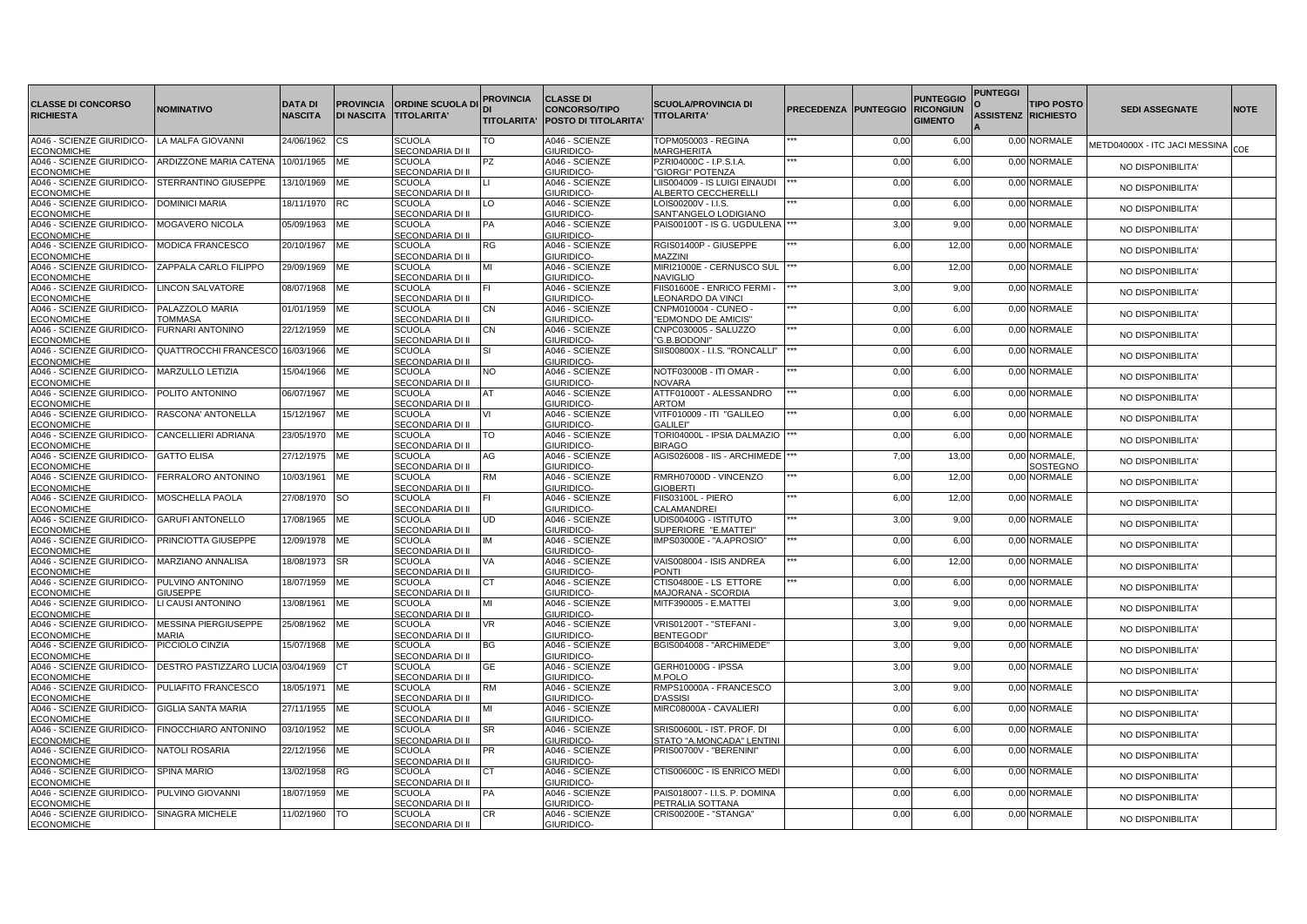| <b>CLASSE DI CONCORSO</b>                                      | <b>NOMINATIVO</b>                        | <b>DATA DI</b> | <b>PROVINCIA</b>  | <b>ORDINE SCUOLA DI</b>                  | PROVINCIA          | <b>CLASSE DI</b><br><b>CONCORSO/TIPO</b> | <b>SCUOLA/PROVINCIA DI</b>                           | <b>PRECEDENZA</b> | <b>PUNTEGGIO RICONGIUN</b> | <b>PUNTEGGIO</b> | <b>PUNTEGGI</b>            | <b>TIPO POSTO</b>        | <b>SEDI ASSEGNATE</b>         | <b>NOTE</b> |
|----------------------------------------------------------------|------------------------------------------|----------------|-------------------|------------------------------------------|--------------------|------------------------------------------|------------------------------------------------------|-------------------|----------------------------|------------------|----------------------------|--------------------------|-------------------------------|-------------|
| <b>RICHIESTA</b>                                               |                                          | <b>NASCITA</b> | <b>DI NASCITA</b> | <b>TITOLARITA'</b>                       | <b>TITOLARITA'</b> | POSTO DI TITOLARITA'                     | <b>TITOLARITA'</b>                                   |                   |                            | <b>GIMENTO</b>   | <b>ASSISTENZ RICHIESTO</b> |                          |                               |             |
| A046 - SCIENZE GIURIDICO-<br>ECONOMICHE                        | <b>LA MALFA GIOVANNI</b>                 | 24/06/1962     | сs                | <b>SCUOLA</b><br>SECONDARIA DI II        | TO                 | A046 - SCIENZE<br><b>GIURIDICO</b>       | TOPM050003 - REGINA<br><b>MARGHERITA</b>             |                   | 0,00                       | 6,00             |                            | 0,00 NORMALE             | METD04000X - ITC JACI MESSINA | COF         |
| A046 - SCIENZE GIURIDICO-<br><b>ECONOMICHE</b>                 | ARDIZZONE MARIA CATENA                   | 10/01/1965     | ME                | <b>SCUOLA</b><br><b>SECONDARIA DI II</b> | PZ                 | A046 - SCIENZE<br>GIURIDICO-             | PZRI04000C - I.P.S.I.A.<br>'GIORGI" POTENZA          |                   | 0,00                       | 6,00             |                            | 0,00 NORMALE             | NO DISPONIBILITA'             |             |
| A046 - SCIENZE GIURIDICO-<br><b>ECONOMICHE</b>                 | STERRANTINO GIUSEPPE                     | 13/10/1969     | ME                | <b>SCUOLA</b><br>SECONDARIA DI II        |                    | A046 - SCIENZE<br>GIURIDICO-             | LIIS004009 - IS LUIGI EINAUDI<br>ALBERTO CECCHERELLI |                   | 0,00                       | 6,00             |                            | 0,00 NORMALE             | NO DISPONIBILITA'             |             |
| A046 - SCIENZE GIURIDICO-<br><b>ECONOMICHE</b>                 | <b>DOMINICI MARIA</b>                    | 18/11/1970     | RC                | <b>SCUOLA</b><br>SECONDARIA DI II        | LO                 | A046 - SCIENZE<br>GIURIDICO-             | LOIS00200V - I.I.S.<br>SANT'ANGELO LODIGIANO         |                   | 0,00                       | 6,00             |                            | 0,00 NORMALE             | NO DISPONIBILITA'             |             |
| A046 - SCIENZE GIURIDICO-<br><b>ECONOMICHE</b>                 | MOGAVERO NICOLA                          | 05/09/1963     | ME                | <b>SCUOLA</b><br>SECONDARIA DI II        | PA                 | A046 - SCIENZE<br>GIURIDICO-             | PAIS00100T - IS G. UGDULENA                          |                   | 3,00                       | 9,00             |                            | 0,00 NORMALE             | NO DISPONIBILITA'             |             |
| A046 - SCIENZE GIURIDICO-<br><b>ECONOMICHE</b>                 | <b>MODICA FRANCESCO</b>                  | 20/10/1967     | ME                | <b>SCUOLA</b><br>SECONDARIA DI II        | RG                 | A046 - SCIENZE<br>GIURIDICO-             | RGIS01400P - GIUSEPPE<br><b>MAZZINI</b>              |                   | 6,00                       | 12,00            |                            | 0,00 NORMALE             | NO DISPONIBILITA'             |             |
| A046 - SCIENZE GIURIDICO-<br><b>ECONOMICHE</b>                 | ZAPPALA CARLO FILIPPO                    | 29/09/1969     | ME                | SCUOLA<br>SECONDARIA DI II               |                    | A046 - SCIENZE<br>GIURIDICO-             | MIRI21000E - CERNUSCO SUL<br><b>NAVIGLIO</b>         |                   | 6,00                       | 12,00            |                            | 0,00 NORMALE             | NO DISPONIBILITA'             |             |
| A046 - SCIENZE GIURIDICO-<br><b>ECONOMICHE</b>                 | <b>LINCON SALVATORE</b>                  | 08/07/1968     | МE                | <b>SCUOLA</b><br>SECONDARIA DI II        |                    | A046 - SCIENZE<br>GIURIDICO-             | FIIS01600E - ENRICO FERMI -<br>LEONARDO DA VINCI     |                   | 3,00                       | 9,00             |                            | 0,00 NORMALE             | NO DISPONIBILITA'             |             |
| A046 - SCIENZE GIURIDICO-<br><b>ECONOMICHE</b>                 | PALAZZOLO MARIA<br><b><i>TOMMASA</i></b> | 01/01/1959     | ME                | <b>SCUOLA</b><br>SECONDARIA DI II        | CN                 | A046 - SCIENZE<br>GIURIDICO-             | CNPM010004 - CUNEO -<br>'EDMONDO DE AMICIS"          |                   | 0,00                       | 6,00             |                            | 0,00 NORMALE             | NO DISPONIBILITA'             |             |
| A046 - SCIENZE GIURIDICO-<br><b>ECONOMICHE</b>                 | <b>FURNARI ANTONINO</b>                  | 22/12/1959     | ME                | <b>SCUOLA</b><br>SECONDARIA DI II        | CN                 | A046 - SCIENZE<br>GIURIDICO-             | CNPC030005 - SALUZZO<br>"G.B.BODONI"                 |                   | 0,00                       | 6,00             |                            | 0,00 NORMALE             | NO DISPONIBILITA'             |             |
| A046 - SCIENZE GIURIDICO-<br><b>ECONOMICHE</b>                 | QUATTROCCHI FRANCESCO 16/03/1966         |                | <b>ME</b>         | <b>SCUOLA</b><br><b>SECONDARIA DI II</b> |                    | A046 - SCIENZE<br>GIURIDICO-             | SIIS00800X - I.I.S. "RONCALLI"                       |                   | 0,00                       | 6,00             |                            | 0,00 NORMALE             | NO DISPONIBILITA'             |             |
| A046 - SCIENZE GIURIDICO-<br><b>ECONOMICHE</b>                 | MARZULLO LETIZIA                         | 15/04/1966     | MЕ                | <b>SCUOLA</b><br>SECONDARIA DI II        | NO.                | A046 - SCIENZE<br><b>GIURIDICO</b>       | NOTF03000B - ITI OMAR -<br><b>NOVARA</b>             |                   | 0,00                       | 6,00             |                            | 0,00 NORMALE             | NO DISPONIBILITA'             |             |
| A046 - SCIENZE GIURIDICO- POLITO ANTONINO<br><b>ECONOMICHE</b> |                                          | 06/07/1967     | ME                | <b>SCUOLA</b><br>SECONDARIA DI II        | AT                 | A046 - SCIENZE<br>GIURIDICO-             | ATTF01000T - ALESSANDRO<br><b>ARTOM</b>              |                   | 0,00                       | 6,00             |                            | 0,00 NORMALE             | NO DISPONIBILITA'             |             |
| A046 - SCIENZE GIURIDICO-                                      | RASCONA' ANTONELLA                       | 15/12/1967     | ME                | <b>SCUOLA</b><br>SECONDARIA DI II        |                    | A046 - SCIENZE                           | VITF010009 - ITI "GALILEO                            |                   | 0,00                       | 6,00             |                            | 0,00 NORMALE             | NO DISPONIBILITA'             |             |
| <b>ECONOMICHE</b><br>A046 - SCIENZE GIURIDICO-                 | CANCELLIERI ADRIANA                      | 23/05/1970     | ME                | <b>SCUOLA</b>                            | TO                 | GIURIDICO-<br>A046 - SCIENZE             | GALILEI"<br>TORI04000L - IPSIA DALMAZIO              |                   | 0,00                       | 6,00             |                            | 0,00 NORMALE             | NO DISPONIBILITA'             |             |
| <b>ECONOMICHE</b><br>A046 - SCIENZE GIURIDICO-                 | <b>GATTO ELISA</b>                       | 27/12/1975     | ME                | <b>SECONDARIA DI II</b><br><b>SCUOLA</b> | AG                 | GIURIDICO-<br>A046 - SCIENZE             | <b>BIRAGO</b><br>AGIS026008 - IIS - ARCHIMEDE        |                   | 7,00                       | 13,00            |                            | 0,00 NORMALE             | NO DISPONIBILITA'             |             |
| <b>ECONOMICHE</b><br>A046 - SCIENZE GIURIDICO-                 | FERRALORO ANTONINO                       | 10/03/1961     | ME                | SECONDARIA DI II<br><b>SCUOLA</b>        | RM                 | GIURIDICO-<br>A046 - SCIENZE             | RMRH07000D - VINCENZO                                |                   | 6,00                       | 12,00            |                            | SOSTEGNO<br>0,00 NORMALE | NO DISPONIBILITA'             |             |
| <b>ECONOMICHE</b><br>A046 - SCIENZE GIURIDICO-                 | MOSCHELLA PAOLA                          | 27/08/1970     | SO.               | <b>SECONDARIA DI II</b><br><b>SCUOLA</b> |                    | GIURIDICO-<br>A046 - SCIENZE             | <b>GIOBERTI</b><br>FIIS03100L - PIERO                |                   | 6,00                       | 12,00            |                            | 0,00 NORMALE             | NO DISPONIBILITA'             |             |
| <b>ECONOMICHE</b><br>A046 - SCIENZE GIURIDICO-                 | <b>GARUFI ANTONELLO</b>                  | 17/08/1965     | ME                | SECONDARIA DI II<br><b>SCUOLA</b>        | UD                 | <b>GIURIDICO</b><br>A046 - SCIENZE       | <b>CALAMANDREI</b><br>UDIS00400G - ISTITUTO          |                   | 3,00                       | 9,00             |                            | 0,00 NORMALE             | NO DISPONIBILITA'             |             |
| <b>ECONOMICHE</b><br>A046 - SCIENZE GIURIDICO-                 | PRINCIOTTA GIUSEPPE                      | 12/09/1978     | ME                | SECONDARIA DI II<br><b>SCUOLA</b>        |                    | GIURIDICO-<br>A046 - SCIENZE             | SUPERIORE "E.MATTEI"<br>IMPS03000E - "A.APROSIO"     |                   | 0,00                       | 6,00             |                            | 0,00 NORMALE             | NO DISPONIBILITA'             |             |
| <b>ECONOMICHE</b><br>A046 - SCIENZE GIURIDICO-                 | <b>MARZIANO ANNALISA</b>                 | 18/08/1973     | SR                | SECONDARIA DI II<br><b>SCUOLA</b>        | VA                 | GIURIDICO-<br>A046 - SCIENZE             | VAIS008004 - ISIS ANDREA                             |                   | 6,00                       | 12,00            |                            | 0,00 NORMALE             | NO DISPONIBILITA'             |             |
| <b>ECONOMICHE</b><br>A046 - SCIENZE GIURIDICO-                 | PULVINO ANTONINO                         | 18/07/1959     | ME                | SECONDARIA DI II<br><b>SCUOLA</b>        | СT                 | GIURIDICO-<br>A046 - SCIENZE             | <b>PONTI</b><br>CTIS04800E - LS ETTORE               |                   | 0,00                       | 6,00             |                            | 0,00 NORMALE             | NO DISPONIBILITA'             |             |
| <b>ECONOMICHE</b><br>A046 - SCIENZE GIURIDICO-                 | <b>SIUSEPPE</b><br>LI CAUSI ANTONINO     | 13/08/1961     | МE                | SECONDARIA DI II<br><b>SCUOLA</b>        |                    | <b>GIURIDICO</b><br>A046 - SCIENZE       | <u> MAJORANA - SCORDIA</u><br>MITF390005 - E.MATTEI  |                   | 3,00                       | 9,00             |                            | 0,00 NORMALE             | NO DISPONIBILITA'             |             |
| <b>ECONOMICHE</b><br>A046 - SCIENZE GIURIDICO-                 | <b>MESSINA PIERGIUSEPPE</b>              | 25/08/1962     | ME                | <b>SECONDARIA DI II</b><br><b>SCUOLA</b> | VR                 | <b>GIURIDICO</b><br>A046 - SCIENZE       | VRIS01200T - "STEFANI -                              |                   | 3,00                       | 9,00             |                            | 0,00 NORMALE             | NO DISPONIBILITA'             |             |
| <b>ECONOMICHE</b><br>A046 - SCIENZE GIURIDICO-                 | <b>AARIA</b><br>PICCIOLO CINZIA          | 15/07/1968     | ME                | <b>SECONDARIA DI II</b><br><b>SCUOLA</b> | <b>BG</b>          | GIURIDICO-<br>A046 - SCIENZE             | <b>BENTEGODI'</b><br>BGIS004008 - "ARCHIMEDE"        |                   | 3,00                       | 9,00             |                            | 0,00 NORMALE             | NO DISPONIBILITA'             |             |
| <b>ECONOMICHE</b><br>A046 - SCIENZE GIURIDICO-                 | DESTRO PASTIZZARO LUCIA 03/04/1969       |                | CT                | SECONDARIA DI II<br><b>SCUOLA</b>        | GE                 | GIURIDICO-<br>A046 - SCIENZE             | GERH01000G - IPSSA                                   |                   | 3,00                       | 9,00             |                            | 0,00 NORMALE             | NO DISPONIBILITA'             |             |
| ECONOMICHE<br>A046 - SCIENZE GIURIDICO-                        | PULIAFITO FRANCESCO                      | 18/05/1971     | ME                | SECONDARIA DI II<br><b>SCUOLA</b>        | RM                 | GIURIDICO-<br>A046 - SCIENZE             | <b>M.POLO</b><br>RMPS10000A - FRANCESCO              |                   | 3,00                       | 9,00             |                            | 0,00 NORMALE             | NO DISPONIBILITA'             |             |
| <b>ECONOMICHE</b><br>A046 - SCIENZE GIURIDICO-                 | <b>GIGLIA SANTA MARIA</b>                | 27/11/1955     | ME                | SECONDARIA DI II<br><b>SCUOLA</b>        | MI                 | GIURIDICO-<br>A046 - SCIENZE             | d'ASSISI<br>MIRC08000A - CAVALIERI                   |                   | 0,00                       | 6,00             |                            | 0,00 NORMALE             |                               |             |
| <b>ECONOMICHE</b><br>A046 - SCIENZE GIURIDICO-                 | <b>FINOCCHIARO ANTONINO</b>              | 03/10/1952     | ME                | <b>SECONDARIA DI II</b><br><b>SCUOLA</b> | <b>SR</b>          | GIURIDICO-<br>A046 - SCIENZE             | SRIS00600L - IST, PROF, DI                           |                   | 0,00                       | 6,00             |                            | 0,00 NORMALE             | NO DISPONIBILITA'             |             |
| <b>ECONOMICHE</b><br>A046 - SCIENZE GIURIDICO-                 | <b>NATOLI ROSARIA</b>                    | 22/12/1956     | ME                | SECONDARIA DI II<br><b>SCUOLA</b>        | PR                 | GIURIDICO-<br>A046 - SCIENZE             | STATO "A.MONCADA" LENTINI<br>PRIS00700V - "BERENINI" |                   | 0,00                       | 6,00             |                            | 0,00 NORMALE             | NO DISPONIBILITA'             |             |
| <b>ECONOMICHE</b><br>A046 - SCIENZE GIURIDICO-                 | <b>SPINA MARIO</b>                       | 13/02/1958     | RG                | SECONDARIA DI II<br><b>SCUOLA</b>        | СT                 | <b>GIURIDICO</b><br>A046 - SCIENZE       | CTIS00600C - IS ENRICO MEDI                          |                   | 0,00                       | 6,00             |                            | 0,00 NORMALE             | NO DISPONIBILITA'             |             |
| <b>ECONOMICHE</b><br>A046 - SCIENZE GIURIDICO-                 | PULVINO GIOVANNI                         | 18/07/1959     | ME                | <b>SECONDARIA DI II</b><br><b>SCUOLA</b> | РA                 | GIURIDICO-<br>A046 - SCIENZE             | PAIS018007 - I.I.S. P. DOMINA                        |                   | 0,00                       | 6,00             |                            | 0,00 NORMALE             | NO DISPONIBILITA'             |             |
| <b>ECONOMICHE</b><br>A046 - SCIENZE GIURIDICO-                 | SINAGRA MICHELE                          | 11/02/1960     |                   | SECONDARIA DI II<br><b>SCUOLA</b>        |                    | <b>GIURIDICO</b><br>A046 - SCIENZE       | PETRALIA SOTTANA<br>CRIS00200E - "STANGA"            |                   | 0,00                       | 6,00             |                            | 0,00 NORMALE             | NO DISPONIBILITA'             |             |
| <b>ECONOMICHE</b>                                              |                                          |                |                   | SECONDARIA DI II                         | СR                 | GIURIDICO-                               |                                                      |                   |                            |                  |                            |                          | NO DISPONIBILITA'             |             |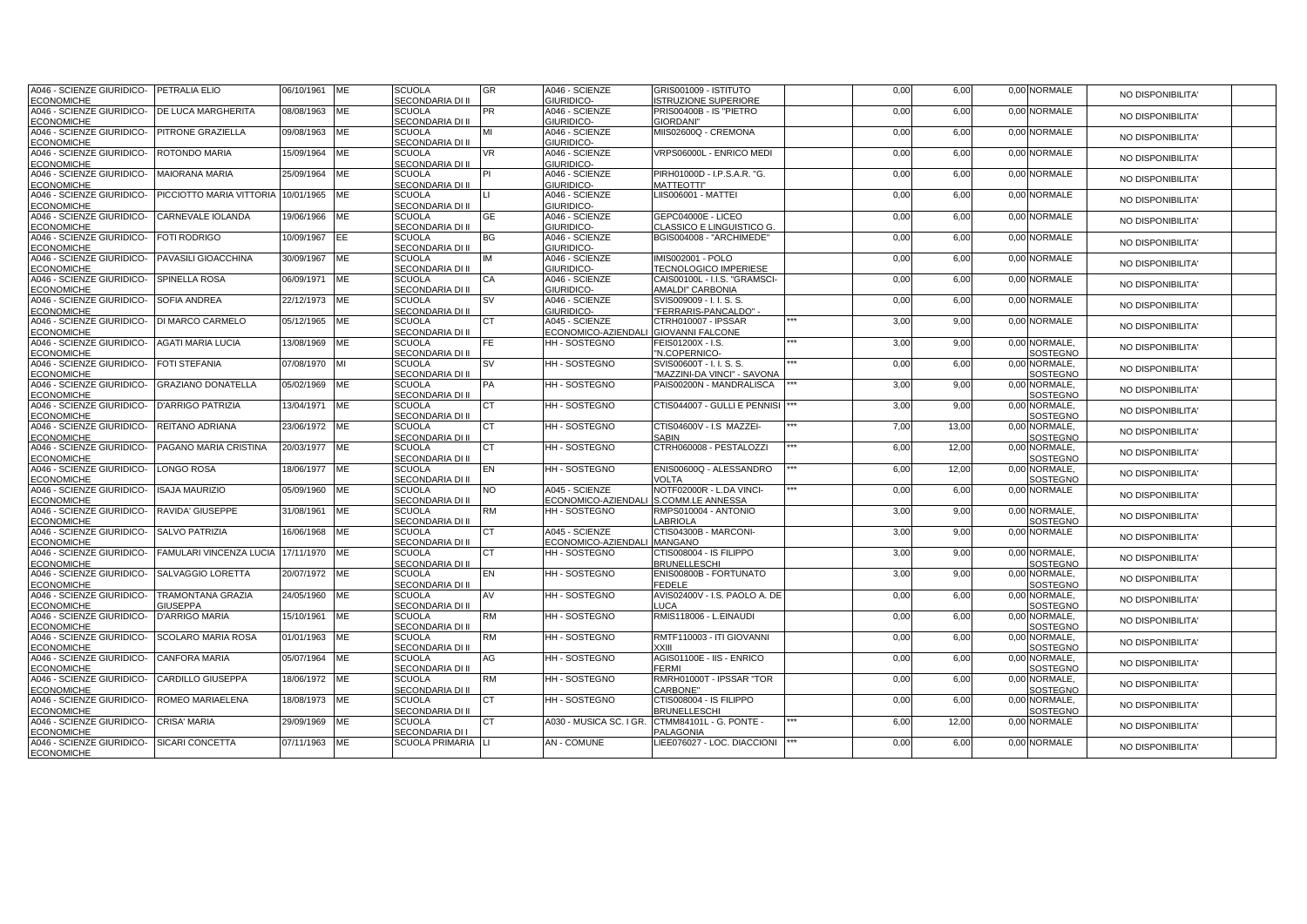| A046 - SCIENZE GIURIDICO-                      | PETRALIA ELIO                         | 06/10/1961    | ME         | <b>SCUOLA</b>                            | <b>GR</b> | A046 - SCIENZE                        | GRIS001009 - ISTITUTO            | 0,00 | 6,00  | 0,00 NORMALE             | NO DISPONIBILITA'        |  |
|------------------------------------------------|---------------------------------------|---------------|------------|------------------------------------------|-----------|---------------------------------------|----------------------------------|------|-------|--------------------------|--------------------------|--|
| <b>ECONOMICHE</b>                              |                                       |               |            | SECONDARIA DI II                         |           | GIURIDICO-                            | <b>STRUZIONE SUPERIORE</b>       |      |       |                          |                          |  |
| A046 - SCIENZE GIURIDICO-                      | <b>DE LUCA MARGHERITA</b>             | 08/08/1963    | <b>ME</b>  | <b>SCUOLA</b>                            | PR        | A046 - SCIENZE                        | PRIS00400B - IS "PIETRO          | 0,00 | 6,00  | 0,00 NORMALE             | NO DISPONIBILITA'        |  |
| <b>ECONOMICHE</b>                              |                                       |               |            | SECONDARIA DI II                         |           | GIURIDICO-                            | GIORDANI"                        |      |       |                          |                          |  |
| A046 - SCIENZE GIURIDICO-                      | <b>PITRONE GRAZIELLA</b>              | 09/08/1963    | ME         | <b>SCUOLA</b>                            | MI        | A046 - SCIENZE                        | MIIS02600Q - CREMONA             | 0,00 | 6,00  | 0,00 NORMALE             | NO DISPONIBILITA'        |  |
| <b>ECONOMICHE</b>                              |                                       |               |            | SECONDARIA DI II                         |           | GIURIDICO-                            |                                  |      |       |                          |                          |  |
| A046 - SCIENZE GIURIDICO-                      | <b>ROTONDO MARIA</b>                  | 15/09/1964    | ME         | <b>SCUOLA</b>                            | VR.       | A046 - SCIENZE                        | VRPS06000L - ENRICO MEDI         | 0,00 | 6,00  | 0.00 NORMALE             | NO DISPONIBILITA'        |  |
| <b>ECONOMICHE</b>                              |                                       |               |            | SECONDARIA DI II                         |           | GIURIDICO-                            |                                  |      |       |                          |                          |  |
| A046 - SCIENZE GIURIDICO-                      | <b>MAIORANA MARIA</b>                 | 25/09/1964    | <b>ME</b>  | <b>SCUOLA</b>                            | PI        | A046 - SCIENZE                        | PIRH01000D - I.P.S.A.R. "G.      | 0,00 | 6,00  | 0,00 NORMALE             | NO DISPONIBILITA'        |  |
| <b>ECONOMICHE</b>                              |                                       |               |            | SECONDARIA DI II                         |           | GIURIDICO-                            | <b>MATTEOTTI'</b>                |      |       |                          |                          |  |
| A046 - SCIENZE GIURIDICO-                      | PICCIOTTO MARIA VITTORIA 10/01/1965   |               | ME         | <b>SCUOLA</b>                            |           | A046 - SCIENZE                        | LIIS006001 - MATTEI              | 0,00 | 6,00  | 0,00 NORMALE             | NO DISPONIBILITA'        |  |
| <b>ECONOMICHE</b><br>A046 - SCIENZE GIURIDICO- | CARNEVALE IOLANDA                     |               |            | SECONDARIA DI II<br><b>SCUOLA</b>        |           | GIURIDICO-                            | GEPC04000E - LICEO               |      |       | 0,00 NORMALE             |                          |  |
|                                                |                                       | 19/06/1966    | ME         | SECONDARIA DI II                         | <b>GE</b> | A046 - SCIENZE<br>GIURIDICO-          | CLASSICO E LINGUISTICO G.        | 0,00 | 6,00  |                          | NO DISPONIBILITA'        |  |
| <b>ECONOMICHE</b><br>A046 - SCIENZE GIURIDICO- | <b>FOTI RODRIGO</b>                   | 10/09/1967    | EE         | <b>SCUOLA</b>                            | BG        | A046 - SCIENZE                        | BGIS004008 - "ARCHIMEDE"         | 0,00 | 6,00  | 0,00 NORMALE             |                          |  |
| <b>ECONOMICHE</b>                              |                                       |               |            | <b>SECONDARIA DI II</b>                  |           | GIURIDICO-                            |                                  |      |       |                          | NO DISPONIBILITA'        |  |
| A046 - SCIENZE GIURIDICO-                      | PAVASILI GIOACCHINA                   | 30/09/1967    | ME         | <b>SCUOLA</b>                            | IM        | A046 - SCIENZE                        | IMIS002001 - POLO                | 0,00 | 6,00  | 0,00 NORMALE             |                          |  |
| <b>ECONOMICHE</b>                              |                                       |               |            | SECONDARIA DI II                         |           | GIURIDICO-                            | <b>TECNOLOGICO IMPERIESE</b>     |      |       |                          | <b>NO DISPONIBILITA'</b> |  |
| A046 - SCIENZE GIURIDICO-                      | <b>SPINELLA ROSA</b>                  | 06/09/1971    | ME         | <b>SCUOLA</b>                            | СA        | A046 - SCIENZE                        | CAIS00100L - I.I.S. "GRAMSCI-    | 0,00 | 6,00  | 0,00 NORMALE             |                          |  |
| <b>ECONOMICHE</b>                              |                                       |               |            | SECONDARIA DI II                         |           | GIURIDICO-                            | AMALDI" CARBONIA                 |      |       |                          | NO DISPONIBILITA'        |  |
| A046 - SCIENZE GIURIDICO-                      | <b>SOFIA ANDREA</b>                   | 22/12/1973 ME |            | <b>SCUOLA</b>                            | <b>SV</b> | A046 - SCIENZE                        | SVIS009009 - I. I. S. S.         | 0,00 | 6,00  | 0,00 NORMALE             |                          |  |
| <b>ECONOMICHE</b>                              |                                       |               |            | <b>SECONDARIA DI II</b>                  |           | GIURIDICO-                            | "FERRARIS-PANCALDO" -            |      |       |                          | NO DISPONIBILITA'        |  |
| A046 - SCIENZE GIURIDICO-                      | <b>DI MARCO CARMELO</b>               | 05/12/1965    | ME         | <b>SCUOLA</b>                            | <b>CT</b> | A045 - SCIENZE                        | CTRH010007 - IPSSAR              | 3,00 | 9,00  | 0,00 NORMALE             |                          |  |
| <b>ECONOMICHE</b>                              |                                       |               |            | SECONDARIA DI II                         |           | ECONOMICO-AZIENDALI GIOVANNI FALCONE  |                                  |      |       |                          | NO DISPONIBILITA'        |  |
| A046 - SCIENZE GIURIDICO-                      | <b>AGATI MARIA LUCIA</b>              | 13/08/1969    | ME         | <b>SCUOLA</b>                            | FE.       | <b>HH-SOSTEGNO</b>                    | FEIS01200X - I.S.                | 3,00 | 9,00  | 0.00 NORMALE.            |                          |  |
| <b>ECONOMICHE</b>                              |                                       |               |            | SECONDARIA DI II                         |           |                                       | "N.COPERNICO-                    |      |       | SOSTEGNO                 | NO DISPONIBILITA'        |  |
| A046 - SCIENZE GIURIDICO-                      | <b>FOTI STEFANIA</b>                  | 07/08/1970    |            | <b>SCUOLA</b>                            | <b>SV</b> | HH - SOSTEGNO                         | SVIS00600T - I. I. S. S.         | 0,00 | 6,00  | 0,00 NORMALE,            |                          |  |
| <b>ECONOMICHE</b>                              |                                       |               |            | <b>SECONDARIA DI II</b>                  |           |                                       | "MAZZINI-DA VINCI" - SAVONA      |      |       | <b>SOSTEGNO</b>          | NO DISPONIBILITA'        |  |
| A046 - SCIENZE GIURIDICO-                      | <b>GRAZIANO DONATELLA</b>             | 05/02/1969    | ME         | <b>SCUOLA</b>                            | PA        | HH - SOSTEGNO                         | PAIS00200N - MANDRALISCA         | 3,00 | 9,00  | 0,00 NORMALE,            | NO DISPONIBILITA'        |  |
| <b>ECONOMICHE</b>                              |                                       |               |            | SECONDARIA DI II                         |           |                                       |                                  |      |       | SOSTEGNO                 |                          |  |
| A046 - SCIENZE GIURIDICO-                      | <b>D'ARRIGO PATRIZIA</b>              | 13/04/1971    | ME         | <b>SCUOLA</b>                            | СT        | <b>HH-SOSTEGNO</b>                    | CTIS044007 - GULLI E PENNISI     | 3,00 | 9,00  | 0,00 NORMALE,            | NO DISPONIBILITA'        |  |
| <b>ECONOMICHE</b>                              |                                       |               |            | SECONDARIA DI II                         |           |                                       |                                  |      |       | SOSTEGNO                 |                          |  |
| A046 - SCIENZE GIURIDICO-                      | REITANO ADRIANA                       | 23/06/1972 ME |            | <b>SCUOLA</b>                            | СT        | HH - SOSTEGNO                         | CTIS04600V - I.S MAZZEI-         | 7,00 | 13,00 | 0,00 NORMALE,            | NO DISPONIBILITA'        |  |
| <b>ECONOMICHE</b>                              |                                       |               |            | <b>SECONDARIA DI II</b>                  |           |                                       | SARIN                            |      |       | SOSTEGNO                 |                          |  |
| A046 - SCIENZE GIURIDICO-                      | PAGANO MARIA CRISTINA                 | 20/03/1977    | ME         | <b>SCUOLA</b>                            | <b>CT</b> | HH - SOSTEGNO                         | CTRH060008 - PESTALOZZI          | 6,00 | 12,00 | 0,00 NORMALE,            | NO DISPONIBILITA'        |  |
| <b>ECONOMICHE</b>                              |                                       |               |            | SECONDARIA DI II                         |           |                                       |                                  |      |       | SOSTEGNO                 |                          |  |
| A046 - SCIENZE GIURIDICO-                      | <b>LONGO ROSA</b>                     | 18/06/1977    | ME         | <b>SCUOLA</b>                            | EN        | <b>HH-SOSTEGNO</b>                    | ENIS00600Q - ALESSANDRO          | 6,00 | 12,00 | 0.00 NORMALE.            | NO DISPONIBILITA'        |  |
| <b>ECONOMICHE</b>                              |                                       |               |            | SECONDARIA DI II                         |           |                                       | VOLTA                            |      |       | SOSTEGNO                 |                          |  |
| A046 - SCIENZE GIURIDICO-                      | <b>ISAJA MAURIZIO</b>                 | 05/09/1960    | <b>ME</b>  | <b>SCUOLA</b>                            | NO.       | A045 - SCIENZE                        | NOTF02000R - L.DA VINCI-         | 0,00 | 6,00  | 0,00 NORMALE             | NO DISPONIBILITA'        |  |
| <b>ECONOMICHE</b>                              |                                       |               |            | SECONDARIA DI II                         |           | ECONOMICO-AZIENDALI S.COMM.LE ANNESSA |                                  |      |       |                          |                          |  |
| A046 - SCIENZE GIURIDICO-                      | RAVIDA' GIUSEPPE                      | 31/08/1961    | ME         | <b>SCUOLA</b>                            | <b>RM</b> | <b>HH-SOSTEGNO</b>                    | RMPS010004 - ANTONIO             | 3,00 | 9,00  | 0,00 NORMALE,            | NO DISPONIBILITA'        |  |
| <b>ECONOMICHE</b><br>A046 - SCIENZE GIURIDICO- | <b>SALVO PATRIZIA</b>                 | 16/06/1968    | ME         | <b>SECONDARIA DI II</b><br><b>SCUOLA</b> |           | A045 - SCIENZE                        | ABRIOLA<br>CTIS04300B - MARCONI- |      | 9,00  | SOSTEGNO<br>0,00 NORMALE |                          |  |
| <b>ECONOMICHE</b>                              |                                       |               |            | SECONDARIA DI II                         | СT        | <b>ECONOMICO-AZIENDAL</b>             | <b>MANGANO</b>                   | 3,00 |       |                          | NO DISPONIBILITA'        |  |
| A046 - SCIENZE GIURIDICO-                      | FAMULARI VINCENZA LUCIA 17/11/1970 ME |               |            | <b>SCUOLA</b>                            | <b>CT</b> | HH - SOSTEGNO                         | CTIS008004 - IS FILIPPO          | 3,00 | 9,00  | 0,00 NORMALE,            |                          |  |
| <b>ECONOMICHE</b>                              |                                       |               |            | SECONDARIA DI II                         |           |                                       | <b>BRUNELLESCHI</b>              |      |       | SOSTEGNO                 | NO DISPONIBILITA'        |  |
| A046 - SCIENZE GIURIDICO-                      | SALVAGGIO LORETTA                     | 20/07/1972    | ME         | <b>SCUOLA</b>                            | EN        | HH - SOSTEGNO                         | ENIS00800B - FORTUNATO           | 3,00 | 9,00  | 0,00 NORMALE,            |                          |  |
| <b>ECONOMICHE</b>                              |                                       |               |            | SECONDARIA DI II                         |           |                                       | FEDELE                           |      |       | SOSTEGNO                 | <b>NO DISPONIBILITA'</b> |  |
| A046 - SCIENZE GIURIDICO-                      | <b>TRAMONTANA GRAZIA</b>              | 24/05/1960    | ME         | <b>SCUOLA</b>                            | AV        | <b>HH-SOSTEGNO</b>                    | AVIS02400V - I.S. PAOLO A. DE    | 0,00 | 6,00  | 0.00 NORMALE.            |                          |  |
| <b>ECONOMICHE</b>                              | <b>GIUSEPPA</b>                       |               |            | SECONDARIA DI II                         |           |                                       | LUCA                             |      |       | SOSTEGNO                 | NO DISPONIBILITA'        |  |
| A046 - SCIENZE GIURIDICO-                      | <b>D'ARRIGO MARIA</b>                 | 15/10/1961    | ME         | <b>SCUOLA</b>                            | RM        | HH - SOSTEGNO                         | RMIS118006 - L.EINAUDI           | 0,00 | 6,00  | 0,00 NORMALE,            |                          |  |
| <b>ECONOMICHE</b>                              |                                       |               |            | SECONDARIA DI II                         |           |                                       |                                  |      |       | SOSTEGNO                 | NO DISPONIBILITA'        |  |
| A046 - SCIENZE GIURIDICO-                      | <b>SCOLARO MARIA ROSA</b>             | 01/01/1963    | ME         | <b>SCUOLA</b>                            | <b>RM</b> | HH - SOSTEGNO                         | RMTF110003 - ITI GIOVANNI        | 0,00 | 6,00  | 0,00 NORMALE,            |                          |  |
| <b>ECONOMICHE</b>                              |                                       |               |            | <b>SECONDARIA DI II</b>                  |           |                                       | XXIII                            |      |       | SOSTEGNO                 | NO DISPONIBILITA'        |  |
| A046 - SCIENZE GIURIDICO-                      | <b>CANFORA MARIA</b>                  | 05/07/1964    | ME         | <b>SCUOLA</b>                            | AG        | <b>HH-SOSTEGNO</b>                    | AGIS01100E - IIS - ENRICO        | 0,00 | 6,00  | 0,00 NORMALE,            |                          |  |
| <b>ECONOMICHE</b>                              |                                       |               |            | SECONDARIA DI II                         |           |                                       | <b>FERMI</b>                     |      |       | SOSTEGNO                 | NO DISPONIBILITA'        |  |
| A046 - SCIENZE GIURIDICO-                      | <b>CARDILLO GIUSEPPA</b>              | 18/06/1972    | ME         | <b>SCUOLA</b>                            | <b>RM</b> | HH - SOSTEGNO                         | RMRH01000T - IPSSAR "TOR         | 0,00 | 6,00  | 0,00 NORMALE,            |                          |  |
| <b>ECONOMICHE</b>                              |                                       |               |            | <b>SECONDARIA DI II</b>                  |           |                                       | CARBONE"                         |      |       | SOSTEGNO                 | NO DISPONIBILITA'        |  |
| A046 - SCIENZE GIURIDICO-                      | ROMEO MARIAELENA                      | 18/08/1973    | ME         | <b>SCUOLA</b>                            | <b>CT</b> | HH - SOSTEGNO                         | CTIS008004 - IS FILIPPO          | 0,00 | 6,00  | 0,00 NORMALE,            | <b>NO DISPONIBILITA'</b> |  |
| <b>ECONOMICHE</b>                              |                                       |               |            | SECONDARIA DI II                         |           |                                       | <b>BRUNELLESCHI</b>              |      |       | SOSTEGNO                 |                          |  |
| A046 - SCIENZE GIURIDICO-                      | <b>CRISA' MARIA</b>                   | 29/09/1969    | ME         | <b>SCUOLA</b>                            | СT        | A030 - MUSICA SC. I GR.               | CTMM84101L - G. PONTE -          | 6,00 | 12,00 | 0,00 NORMALE             | NO DISPONIBILITA'        |  |
| <b>ECONOMICHE</b>                              |                                       |               |            | SECONDARIA DI I                          |           |                                       | PALAGONIA                        |      |       |                          |                          |  |
| A046 - SCIENZE GIURIDICO-                      | <b>SICARI CONCETTA</b>                | 07/11/1963    | <b>IME</b> | SCUOLA PRIMARIA LI                       |           | <b>AN-COMUNE</b>                      | LIEE076027 - LOC. DIACCIONI      | 0,00 | 6,00  | 0.00 NORMALE             | NO DISPONIBILITA'        |  |
| <b>ECONOMICHE</b>                              |                                       |               |            |                                          |           |                                       |                                  |      |       |                          |                          |  |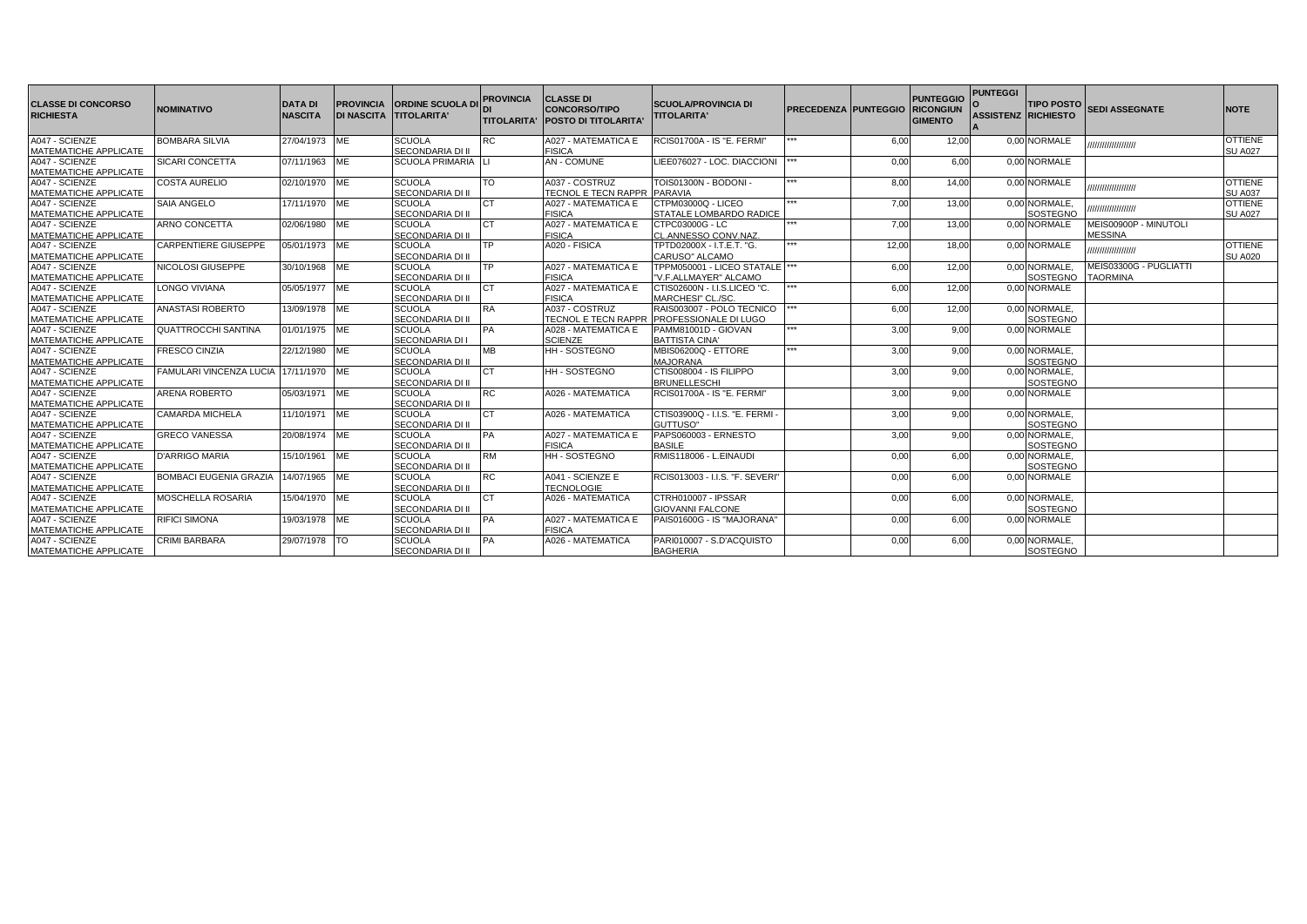| <b>ICLASSE DI CONCORSO</b><br><b>RICHIESTA</b> | <b>NOMINATIVO</b>                     | <b>DATA DI</b><br><b>NASCITA</b> | <b>PROVINCIA</b> | <b>IORDINE SCUOLA DI</b><br>DI NASCITA TITOLARITA' | <b>PROVINCIA</b> | <b>CLASSE DI</b><br><b>CONCORSO/TIPO</b><br><b>ITITOLARITA' IPOSTO DI TITOLARITA</b> | <b>SCUOLA/PROVINCIA DI</b><br><b>TITOLARITA'</b>  | <b>PRECEDENZA PUNTEGGIO RICONGIUN</b> |       | <b>PUNTEGGIO</b><br><b>GIMENTO</b> | <b>PUNTEGGI</b><br><b>ASSISTENZ RICHIESTO</b> | <b>TIPO POSTO</b>         | <b>SEDI ASSEGNATE</b>                   | <b>NOTE</b>                      |
|------------------------------------------------|---------------------------------------|----------------------------------|------------------|----------------------------------------------------|------------------|--------------------------------------------------------------------------------------|---------------------------------------------------|---------------------------------------|-------|------------------------------------|-----------------------------------------------|---------------------------|-----------------------------------------|----------------------------------|
|                                                |                                       |                                  |                  |                                                    |                  |                                                                                      |                                                   |                                       |       |                                    |                                               |                           |                                         |                                  |
| A047 - SCIENZE                                 | <b>BOMBARA SILVIA</b>                 | 27/04/1973 ME                    |                  | <b>SCUOLA</b>                                      | RC               | A027 - MATEMATICA E                                                                  | RCIS01700A - IS "E. FERMI"                        |                                       | 6.00  | 12.00                              |                                               | 0.00 NORMALE              | ,,,,,,,,,,,,,,,,,,,                     | <b>OTTIENE</b>                   |
| MATEMATICHE APPLICATE                          |                                       |                                  |                  | SECONDARIA DI II                                   |                  | <b>FISICA</b>                                                                        |                                                   |                                       |       |                                    |                                               |                           |                                         | <b>SU A027</b>                   |
| A047 - SCIENZE                                 | SICARI CONCETTA                       | 07/11/1963 IME                   |                  | <b>SCUOLA PRIMARIA</b>                             |                  | <b>AN - COMUNE</b>                                                                   | LIEE076027 - LOC. DIACCIONI                       |                                       | 0.00  | 6,00                               |                                               | 0.00 NORMALE              |                                         |                                  |
| MATEMATICHE APPLICATE                          |                                       |                                  |                  |                                                    |                  |                                                                                      |                                                   | ***                                   |       |                                    |                                               |                           |                                         |                                  |
| A047 - SCIENZE                                 | <b>COSTA AURELIO</b>                  | 02/10/1970 ME                    |                  | <b>SCUOLA</b>                                      | TO               | A037 - COSTRUZ                                                                       | TOIS01300N - BODONI -                             |                                       | 8.00  | 14.00                              |                                               | 0.00 NORMALE              | ,,,,,,,,,,,,,,,,,,,                     | <b>OTTIENE</b>                   |
| MATEMATICHE APPLICATE                          |                                       |                                  |                  | <b>SECONDARIA DI II</b>                            |                  | TECNOL E TECN RAPPR                                                                  | <b>PARAVIA</b>                                    |                                       |       |                                    |                                               |                           |                                         | <b>SU A037</b><br><b>OTTIENE</b> |
| A047 - SCIENZE                                 | SAIA ANGELO                           | 17/11/1970 ME                    |                  | <b>SCUOLA</b>                                      |                  | A027 - MATEMATICA E                                                                  | CTPM03000Q - LICEO                                |                                       | 7,00  | 13,00                              |                                               | 0.00 NORMALE.<br>SOSTEGNO | ,,,,,,,,,,,,,,,,,                       |                                  |
| MATEMATICHE APPLICATE                          |                                       |                                  |                  | <b>SECONDARIA DI II</b>                            |                  | <b>FISICA</b>                                                                        | STATALE LOMBARDO RADICE                           |                                       |       |                                    |                                               |                           |                                         | <b>SU A027</b>                   |
| A047 - SCIENZE<br>MATEMATICHE APPLICATE        | ARNO CONCETTA                         | 02/06/1980                       | <b>IME</b>       | <b>SCUOLA</b><br><b>SECONDARIA DI II</b>           |                  | A027 - MATEMATICA E<br><b>FISICA</b>                                                 | CTPC03000G - LC                                   |                                       | 7,00  | 13,00                              |                                               | 0.00 NORMALE              | MEIS00900P - MINUTOLI<br><b>MESSINA</b> |                                  |
| A047 - SCIENZE                                 | <b>CARPENTIERE GIUSEPPE</b>           |                                  |                  | <b>SCUOLA</b>                                      | TP               | A020 - FISICA                                                                        | CL.ANNESSO CONV.NAZ.<br>TPTD02000X - I.T.E.T. "G. |                                       | 12.00 |                                    |                                               | 0.00 NORMALE              |                                         | OTTIENE                          |
| MATEMATICHE APPLICATE                          |                                       | 05/01/1973 IME                   |                  | SECONDARIA DI II                                   |                  |                                                                                      | CARUSO" ALCAMO                                    |                                       |       | 18.00                              |                                               |                           | ,,,,,,,,,,,,,,,,,,                      | <b>SU A020</b>                   |
| A047 - SCIENZE                                 | NICOLOSI GIUSEPPE                     | 30/10/1968 ME                    |                  | <b>SCUOLA</b>                                      | TP               | A027 - MATEMATICA E                                                                  | TPPM050001 - LICEO STATALE  ***                   |                                       | 6.00  | 12.00                              |                                               | 0.00 NORMALE.             | MEIS03300G - PUGLIATTI                  |                                  |
| MATEMATICHE APPLICATE                          |                                       |                                  |                  | SECONDARIA DI II                                   |                  | <b>FISICA</b>                                                                        | V.F.ALLMAYER" ALCAMO                              |                                       |       |                                    |                                               | <b>SOSTEGNO</b>           | <b>TAORMINA</b>                         |                                  |
| A047 - SCIENZE                                 | <b>LONGO VIVIANA</b>                  | 05/05/1977 IME                   |                  | <b>SCUOLA</b>                                      |                  | A027 - MATEMATICA E                                                                  | CTIS02600N - I.I.S.LICEO "C.                      |                                       | 6,00  | 12.00                              |                                               | 0.00 NORMALE              |                                         |                                  |
| MATEMATICHE APPLICATE                          |                                       |                                  |                  | <b>SECONDARIA DI II</b>                            |                  | <b>FISICA</b>                                                                        | MARCHESI" CL./SC                                  |                                       |       |                                    |                                               |                           |                                         |                                  |
| A047 - SCIENZE                                 | <b>ANASTASI ROBERTO</b>               | 13/09/1978 ME                    |                  | <b>SCUOLA</b>                                      | <b>RA</b>        | A037 - COSTRUZ                                                                       | RAIS003007 - POLO TECNICO                         |                                       | 6,00  | 12,00                              |                                               | 0,00 NORMALE,             |                                         |                                  |
| MATEMATICHE APPLICATE                          |                                       |                                  |                  | <b>SECONDARIA DI II</b>                            |                  | <b>TECNOL E TECN RAPPR</b>                                                           | <b>PROFESSIONALE DI LUGO</b>                      |                                       |       |                                    |                                               | <b>SOSTEGNO</b>           |                                         |                                  |
| A047 - SCIENZE                                 | <b>QUATTROCCHI SANTINA</b>            | 01/01/1975 ME                    |                  | <b>SCUOLA</b>                                      | PА               | A028 - MATEMATICA E                                                                  | PAMM81001D - GIOVAN                               |                                       | 3,00  | 9.00                               |                                               | 0.00 NORMALE              |                                         |                                  |
| MATEMATICHE APPLICATE                          |                                       |                                  |                  | <b>SECONDARIA DI I</b>                             |                  | <b>SCIENZE</b>                                                                       | <b>BATTISTA CINA'</b>                             |                                       |       |                                    |                                               |                           |                                         |                                  |
| A047 - SCIENZE                                 | <b>FRESCO CINZIA</b>                  | 22/12/1980 ME                    |                  | <b>SCUOLA</b>                                      | MB               | <b>HH-SOSTEGNO</b>                                                                   | MBIS06200Q - ETTORE                               |                                       | 3.00  | 9.00                               |                                               | 0.00 NORMALE.             |                                         |                                  |
| MATEMATICHE APPLICATE                          |                                       |                                  |                  | SECONDARIA DI II                                   |                  |                                                                                      | <b>MAJORANA</b>                                   |                                       |       |                                    |                                               | SOSTEGNO                  |                                         |                                  |
| A047 - SCIENZE                                 | FAMULARI VINCENZA LUCIA 17/11/1970 ME |                                  |                  | <b>SCUOLA</b>                                      | CТ               | <b>HH-SOSTEGNO</b>                                                                   | CTIS008004 - IS FILIPPO                           |                                       | 3.00  | 9.00                               |                                               | 0.00 NORMALE.             |                                         |                                  |
| MATEMATICHE APPLICATE                          |                                       |                                  |                  | <b>SECONDARIA DI II</b>                            |                  |                                                                                      | <b>BRUNELLESCHI</b>                               |                                       |       |                                    |                                               | <b>SOSTEGNO</b>           |                                         |                                  |
| A047 - SCIENZE                                 | <b>ARENA ROBERTO</b>                  | 05/03/1971 IME                   |                  | <b>SCUOLA</b>                                      | <b>RC</b>        | A026 - MATEMATICA                                                                    | RCIS01700A - IS "E. FERMI"                        |                                       | 3.00  | 9,00                               |                                               | 0.00 NORMALE              |                                         |                                  |
| MATEMATICHE APPLICATE                          |                                       |                                  |                  | SECONDARIA DI II                                   |                  |                                                                                      |                                                   |                                       |       |                                    |                                               |                           |                                         |                                  |
| A047 - SCIENZE                                 | <b>CAMARDA MICHELA</b>                | 11/10/1971 ME                    |                  | <b>SCUOLA</b>                                      | CТ               | A026 - MATEMATICA                                                                    | CTIS03900Q - I.I.S. "E. FERMI -                   |                                       | 3.00  | 9.00                               |                                               | 0.00 NORMALE.             |                                         |                                  |
| MATEMATICHE APPLICATE                          |                                       |                                  |                  | SECONDARIA DI II                                   |                  |                                                                                      | GUTTUSO"                                          |                                       |       |                                    |                                               | <b>SOSTEGNO</b>           |                                         |                                  |
| A047 - SCIENZE                                 | <b>GRECO VANESSA</b>                  | 20/08/1974 ME                    |                  | <b>SCUOLA</b>                                      | PA               | A027 - MATEMATICA E                                                                  | PAPS060003 - ERNESTO                              |                                       | 3,00  | 9,00                               |                                               | 0,00 NORMALE,             |                                         |                                  |
| MATEMATICHE APPLICATE                          |                                       |                                  |                  | <b>SECONDARIA DI II</b>                            |                  | <b>FISICA</b>                                                                        | <b>BASILE</b>                                     |                                       |       |                                    |                                               | <b>SOSTEGNO</b>           |                                         |                                  |
| A047 - SCIENZE                                 | <b>D'ARRIGO MARIA</b>                 | 15/10/1961 ME                    |                  | <b>SCUOLA</b>                                      | RM               | <b>HH-SOSTEGNO</b>                                                                   | RMIS118006 - L.EINAUDI                            |                                       | 0.00  | 6.00                               |                                               | 0.00 NORMALE.             |                                         |                                  |
| MATEMATICHE APPLICATE                          |                                       |                                  |                  | <b>SECONDARIA DI II</b>                            |                  |                                                                                      |                                                   |                                       |       |                                    |                                               | SOSTEGNO                  |                                         |                                  |
| A047 - SCIENZE                                 | <b>BOMBACI EUGENIA GRAZIA</b>         | 14/07/1965 ME                    |                  | <b>SCUOLA</b>                                      | <b>RC</b>        | A041 - SCIENZE E                                                                     | RCIS013003 - I.I.S. "F. SEVERI"                   |                                       | 0.00  | 6.00                               |                                               | 0.00 NORMALE              |                                         |                                  |
| MATEMATICHE APPLICATE                          |                                       |                                  |                  | SECONDARIA DI II                                   |                  | <b>TECNOLOGIE</b>                                                                    |                                                   |                                       |       |                                    |                                               |                           |                                         |                                  |
| A047 - SCIENZE                                 | MOSCHELLA ROSARIA                     | 15/04/1970 ME                    |                  | <b>SCUOLA</b>                                      | CТ               | A026 - MATEMATICA                                                                    | CTRH010007 - IPSSAR                               |                                       | 0.00  | 6.00                               |                                               | 0.00 NORMALE.             |                                         |                                  |
| MATEMATICHE APPLICATE                          |                                       |                                  |                  | <b>SECONDARIA DI II</b>                            |                  |                                                                                      | <b>GIOVANNI FALCONE</b>                           |                                       |       |                                    |                                               | <b>SOSTEGNO</b>           |                                         |                                  |
| A047 - SCIENZE                                 | RIFICI SIMONA                         | 19/03/1978 ME                    |                  | <b>SCUOLA</b>                                      | <b>PA</b>        | A027 - MATEMATICA E                                                                  | PAIS01600G - IS "MAJORANA"                        |                                       | 0,00  | 6.00                               |                                               | 0.00 NORMALE              |                                         |                                  |
| MATEMATICHE APPLICATE                          |                                       |                                  |                  | <b>SECONDARIA DI II</b>                            |                  | <b>FISICA</b>                                                                        |                                                   |                                       |       |                                    |                                               |                           |                                         |                                  |
| A047 - SCIENZE                                 | <b>CRIMI BARBARA</b>                  | 29/07/1978 TO                    |                  | <b>SCUOLA</b>                                      | PA               | A026 - MATEMATICA                                                                    | PARI010007 - S.D'ACQUISTO                         |                                       | 0,00  | 6,00                               |                                               | 0,00 NORMALE,             |                                         |                                  |
| MATEMATICHE APPLICATE                          |                                       |                                  |                  | SECONDARIA DI II                                   |                  |                                                                                      | <b>BAGHERIA</b>                                   |                                       |       |                                    |                                               | SOSTEGNO                  |                                         |                                  |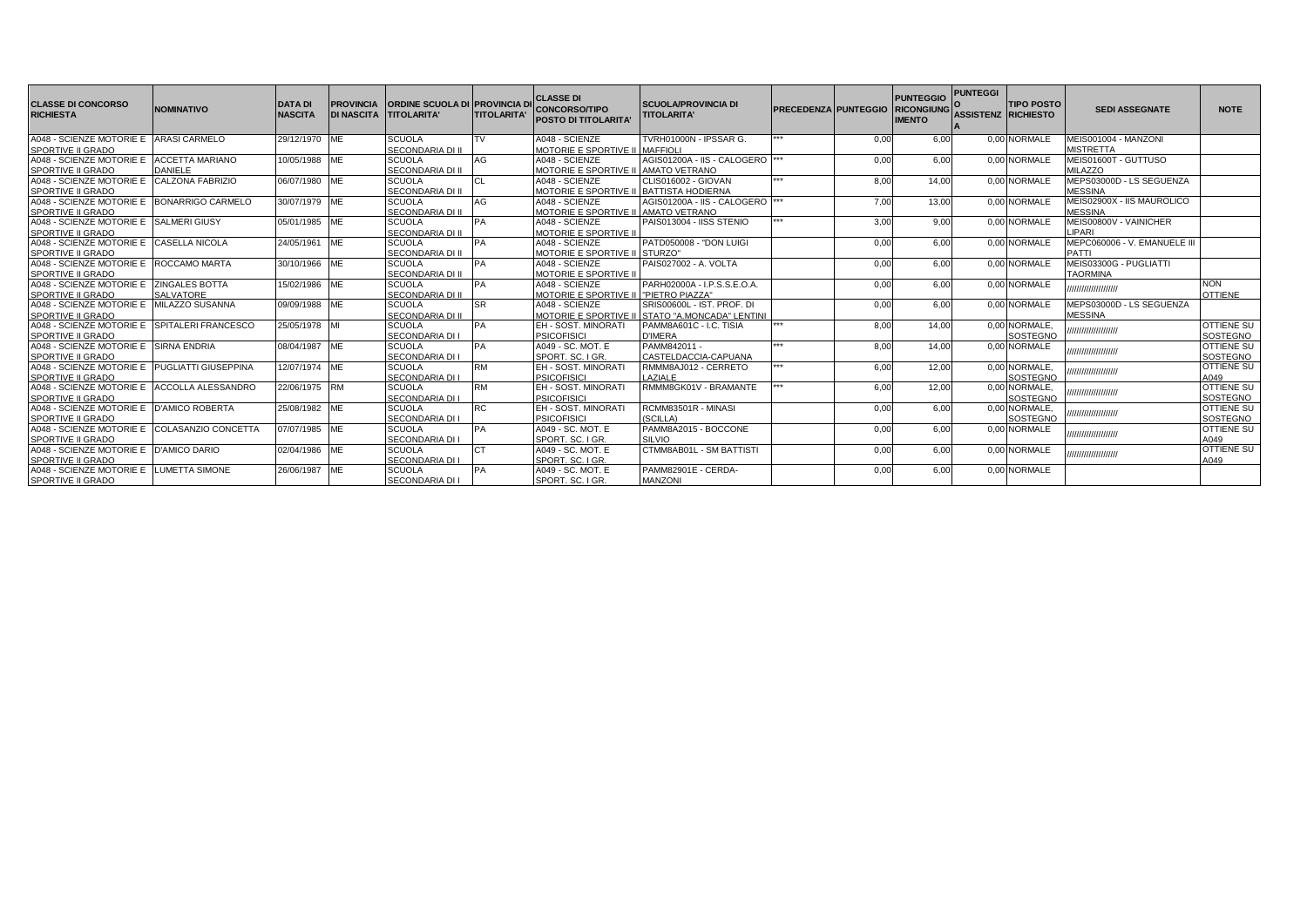| <b>CLASSE DI CONCORSO</b><br><b>RICHIESTA</b>                             | <b>NOMINATIVO</b> | <b>DATA DI</b><br><b>NASCITA</b> | <b>PROVINCIA</b><br><b>DI NASCITA</b> | <b>ORDINE SCUOLA DI PROVINCIA DI</b><br><b>TITOLARITA'</b> | <b>TITOLARITA'</b> | <b>CLASSE DI</b><br><b>CONCORSO/TIPO</b><br><b>POSTO DI TITOLARITA</b> | <b>SCUOLA/PROVINCIA DI</b><br><b>TITOLARITA'</b> | <b>PRECEDENZA PUNTEGGIO</b> |      | <b>PUNTEGGIO</b><br><b>RICONGIUNG</b><br><b>IMENTO</b> | <b>PUNTEGGI</b><br><b>ASSISTENZ RICHIESTO</b> | <b>TIPO POSTO</b> | <b>SEDI ASSEGNATE</b>        | <b>NOTE</b>                   |
|---------------------------------------------------------------------------|-------------------|----------------------------------|---------------------------------------|------------------------------------------------------------|--------------------|------------------------------------------------------------------------|--------------------------------------------------|-----------------------------|------|--------------------------------------------------------|-----------------------------------------------|-------------------|------------------------------|-------------------------------|
| A048 - SCIENZE MOTORIE E ARASI CARMELO                                    |                   | 29/12/1970                       | <b>ME</b>                             | <b>SCUOLA</b>                                              | TV                 | A048 - SCIENZE                                                         | TVRH01000N - IPSSAR G.                           | ***                         | 0,00 | 6.00                                                   |                                               | 0.00 NORMALE      | MEIS001004 - MANZONI         |                               |
| <b>SPORTIVE II GRADO</b>                                                  |                   |                                  |                                       | SECONDARIA DI II                                           |                    | MOTORIE E SPORTIVE II MAFFIOLI                                         |                                                  |                             |      |                                                        |                                               |                   | <b>MISTRETTA</b>             |                               |
| A048 - SCIENZE MOTORIE E ACCETTA MARIANO                                  |                   | 10/05/1988                       | ME                                    | <b>SCUOLA</b>                                              | AG                 | A048 - SCIENZE                                                         | AGIS01200A - IIS - CALOGERO                      |                             | 0.00 | 6.00                                                   |                                               | 0.00 NORMALE      | MEIS01600T - GUTTUSO         |                               |
| <b>SPORTIVE II GRADO</b>                                                  | <b>DANIELE</b>    |                                  |                                       | SECONDARIA DI II                                           |                    | MOTORIE E SPORTIVE II AMATO VETRANO                                    |                                                  |                             |      |                                                        |                                               |                   | <b>MILAZZO</b>               |                               |
| A048 - SCIENZE MOTORIE E CALZONA FABRIZIO                                 |                   | 06/07/1980                       | <b>ME</b>                             | <b>SCUOLA</b>                                              |                    | A048 - SCIENZE                                                         | CLIS016002 - GIOVAN                              | ***                         | 8,00 | 14.00                                                  |                                               | 0.00 NORMALE      | MEPS03000D - LS SEGUENZA     |                               |
| <b>SPORTIVE II GRADO</b>                                                  |                   |                                  |                                       | SECONDARIA DI II                                           |                    | MOTORIE E SPORTIVE II BATTISTA HODIERNA                                |                                                  |                             |      |                                                        |                                               |                   | <b>MESSINA</b>               |                               |
| A048 - SCIENZE MOTORIE E   BONARRIGO CARMELO                              |                   | 30/07/1979 ME                    |                                       | <b>SCUOLA</b>                                              | AG                 | A048 - SCIENZE                                                         | AGIS01200A - IIS - CALOGERO                      |                             | 7.00 | 13.00                                                  |                                               | 0.00 NORMALE      | MEIS02900X - IIS MAUROLICO   |                               |
| <b>SPORTIVE II GRADO</b>                                                  |                   |                                  |                                       | <b>SECONDARIA DI II</b>                                    |                    | MOTORIE E SPORTIVE II AMATO VETRANO                                    |                                                  |                             |      |                                                        |                                               |                   | <b>MESSINA</b>               |                               |
| A048 - SCIENZE MOTORIE E SALMERI GIUSY                                    |                   | 05/01/1985 ME                    |                                       | <b>SCUOLA</b>                                              | <b>PA</b>          | A048 - SCIENZE                                                         | PAIS013004 - IISS STENIO                         |                             | 3,00 | 9.00                                                   |                                               | 0.00 NORMALE      | MEIS00800V - VAINICHER       |                               |
| <b>SPORTIVE II GRADO</b>                                                  |                   |                                  |                                       | SECONDARIA DI II                                           |                    | MOTORIE E SPORTIVE II                                                  |                                                  |                             |      |                                                        |                                               |                   | LIPARI                       |                               |
| A048 - SCIENZE MOTORIE E CASELLA NICOLA                                   |                   | 24/05/1961 ME                    |                                       | <b>SCUOLA</b>                                              | PA                 | A048 - SCIENZE                                                         | PATD050008 - "DON LUIGI                          |                             | 0.00 | 6.00                                                   |                                               | 0.00 NORMALE      | MEPC060006 - V. EMANUELE III |                               |
| <b>SPORTIVE II GRADO</b>                                                  |                   |                                  |                                       | <b>SECONDARIA DI II</b>                                    |                    | MOTORIE E SPORTIVE II STURZO"                                          |                                                  |                             |      |                                                        |                                               |                   | PATTI                        |                               |
| A048 - SCIENZE MOTORIE E ROCCAMO MARTA                                    |                   | 30/10/1966 ME                    |                                       | <b>SCUOLA</b>                                              | <b>PA</b>          | A048 - SCIENZE                                                         | PAIS027002 - A. VOLTA                            |                             | 0.00 | 6.00                                                   |                                               | 0.00 NORMALE      | MEIS03300G - PUGLIATTI       |                               |
| <b>SPORTIVE II GRADO</b>                                                  |                   |                                  |                                       | SECONDARIA DI II                                           |                    | <b>MOTORIE E SPORTIVE II</b>                                           |                                                  |                             |      |                                                        |                                               |                   | <b>TAORMINA</b>              |                               |
| A048 - SCIENZE MOTORIE E ZINGALES BOTTA                                   |                   | 15/02/1986 ME                    |                                       | <b>SCUOLA</b>                                              | <b>PA</b>          | A048 - SCIENZE                                                         | PARH02000A - I.P.S.S.E.O.A.                      |                             | 0.00 | 6.00                                                   |                                               | 0.00 NORMALE      | ,,,,,,,,,,,,,,,,,,,,,        | <b>NON</b>                    |
| SPORTIVE II GRADO                                                         | <b>SALVATORE</b>  |                                  |                                       | SECONDARIA DI II                                           |                    | MOTORIE E SPORTIVE II PIETRO PIAZZA"                                   |                                                  |                             |      |                                                        |                                               |                   |                              | <b>OTTIENE</b>                |
| A048 - SCIENZE MOTORIE E MILAZZO SUSANNA                                  |                   | 09/09/1988                       | ME                                    | <b>SCUOLA</b>                                              | <b>SR</b>          | A048 - SCIENZE                                                         | SRIS00600L - IST, PROF, DI                       |                             | 0.00 | 6.00                                                   |                                               | 0.00 NORMALE      | MEPS03000D - LS SEGUENZA     |                               |
| <b>SPORTIVE II GRADO</b>                                                  |                   |                                  |                                       | SECONDARIA DI II                                           |                    |                                                                        | MOTORIE E SPORTIVE II STATO "A.MONCADA" LENTINI  | ***                         |      |                                                        |                                               |                   | <b>MESSINA</b>               |                               |
| A048 - SCIENZE MOTORIE E SPITALERI FRANCESCO                              |                   | 25/05/1978 MI                    |                                       | <b>SCUOLA</b>                                              | PA                 | <b>EH - SOST, MINORATI</b>                                             | PAMM8A601C - I.C. TISIA                          |                             | 8.00 | 14.00                                                  |                                               | 0.00 NORMALE.     | ,,,,,,,,,,,,,,,,,,,,,        | <b>OTTIENE SU</b>             |
| <b>SPORTIVE II GRADO</b>                                                  |                   |                                  |                                       | SECONDARIA DI I                                            |                    | <b>PSICOFISICI</b>                                                     | <b>D'IMERA</b><br>PAMM842011 -                   | ***                         |      |                                                        |                                               | SOSTEGNO          |                              | SOSTEGNO                      |
| A048 - SCIENZE MOTORIE E SIRNA ENDRIA                                     |                   | 08/04/1987 ME                    |                                       | <b>SCUOLA</b><br>SECONDARIA DI I                           | PA                 | A049 - SC, MOT, E                                                      | CASTELDACCIA-CAPUANA                             |                             | 8.00 | 14.00                                                  |                                               | 0.00 NORMALE      | ,,,,,,,,,,,,,,,,,,,,,        | OTTIENE SU                    |
| <b>SPORTIVE II GRADO</b><br>A048 - SCIENZE MOTORIE E PUGLIATTI GIUSEPPINA |                   | 12/07/1974 ME                    |                                       | <b>SCUOLA</b>                                              | <b>RM</b>          | SPORT, SC. I GR.<br><b>EH - SOST, MINORATI</b>                         | RMMM8AJ012 - CERRETO                             | ***                         | 6,00 | 12.00                                                  |                                               | 0.00 NORMALE.     |                              | SOSTEGNO<br><b>OTTIENE SU</b> |
| <b>SPORTIVE II GRADO</b>                                                  |                   |                                  |                                       | <b>SECONDARIA DI I</b>                                     |                    | <b>PSICOFISICI</b>                                                     | LAZIALE                                          |                             |      |                                                        |                                               | <b>SOSTEGNO</b>   | ,,,,,,,,,,,,,,,,,,,,         | A049                          |
| A048 - SCIENZE MOTORIE E ACCOLLA ALESSANDRO                               |                   | 22/06/1975 RM                    |                                       | <b>SCUOLA</b>                                              | <b>RM</b>          | EH - SOST, MINORATI                                                    | RMMM8GK01V - BRAMANTE                            |                             | 6,00 | 12,00                                                  |                                               | 0.00 NORMALE.     |                              | <b>OTTIENE SU</b>             |
| <b>SPORTIVE II GRADO</b>                                                  |                   |                                  |                                       | SECONDARIA DI                                              |                    | <b>PSICOFISICI</b>                                                     |                                                  |                             |      |                                                        |                                               | SOSTEGNO          | ,,,,,,,,,,,,,,,,,,,,,        | SOSTEGNO                      |
| A048 - SCIENZE MOTORIE E D'AMICO ROBERTA                                  |                   | 25/08/1982 ME                    |                                       | <b>SCUOLA</b>                                              | RC.                | EH - SOST, MINORATI                                                    | RCMM83501R - MINASI                              |                             | 0.00 | 6.00                                                   |                                               | 0.00 NORMALE.     |                              | OTTIENE SU                    |
| SPORTIVE II GRADO                                                         |                   |                                  |                                       | <b>SECONDARIA DI I</b>                                     |                    | <b>PSICOFISICI</b>                                                     | (SCILLA)                                         |                             |      |                                                        |                                               | SOSTEGNO          | ,,,,,,,,,,,,,,,,,,,,         | SOSTEGNO                      |
| A048 - SCIENZE MOTORIE E COLASANZIO CONCETTA                              |                   | 07/07/1985                       | <b>ME</b>                             | <b>SCUOLA</b>                                              | <b>PA</b>          | A049 - SC, MOT, E                                                      | PAMM8A2015 - BOCCONE                             |                             | 0.00 | 6.00                                                   |                                               | 0.00 NORMALE      |                              | <b>OTTIENE SU</b>             |
| <b>SPORTIVE II GRADO</b>                                                  |                   |                                  |                                       | <b>SECONDARIA DI I</b>                                     |                    | SPORT, SC. I GR.                                                       | SILVIO                                           |                             |      |                                                        |                                               |                   | ,,,,,,,,,,,,,,,,,,,,,        | A049                          |
| A048 - SCIENZE MOTORIE E D'AMICO DARIO                                    |                   | 02/04/1986 ME                    |                                       | <b>SCUOLA</b>                                              |                    | A049 - SC. MOT. E                                                      | CTMM8AB01L - SM BATTISTI                         |                             | 0,00 | 6.00                                                   |                                               | 0.00 NORMALE      |                              | <b>OTTIENE SU</b>             |
| <b>SPORTIVE II GRADO</b>                                                  |                   |                                  |                                       | <b>SECONDARIA DI I</b>                                     |                    | SPORT, SC. I GR.                                                       |                                                  |                             |      |                                                        |                                               |                   | ,,,,,,,,,,,,,,,,,,,,,        | A049                          |
| A048 - SCIENZE MOTORIE E LUMETTA SIMONE                                   |                   | 26/06/1987 ME                    |                                       | <b>SCUOLA</b>                                              | PA                 | A049 - SC, MOT, E                                                      | PAMM82901E - CERDA-                              |                             | 0.00 | 6.00                                                   |                                               | 0.00 NORMALE      |                              |                               |
| <b>SPORTIVE II GRADO</b>                                                  |                   |                                  |                                       | <b>SECONDARIA DI I</b>                                     |                    | SPORT, SC. I GR.                                                       | <b>MANZONI</b>                                   |                             |      |                                                        |                                               |                   |                              |                               |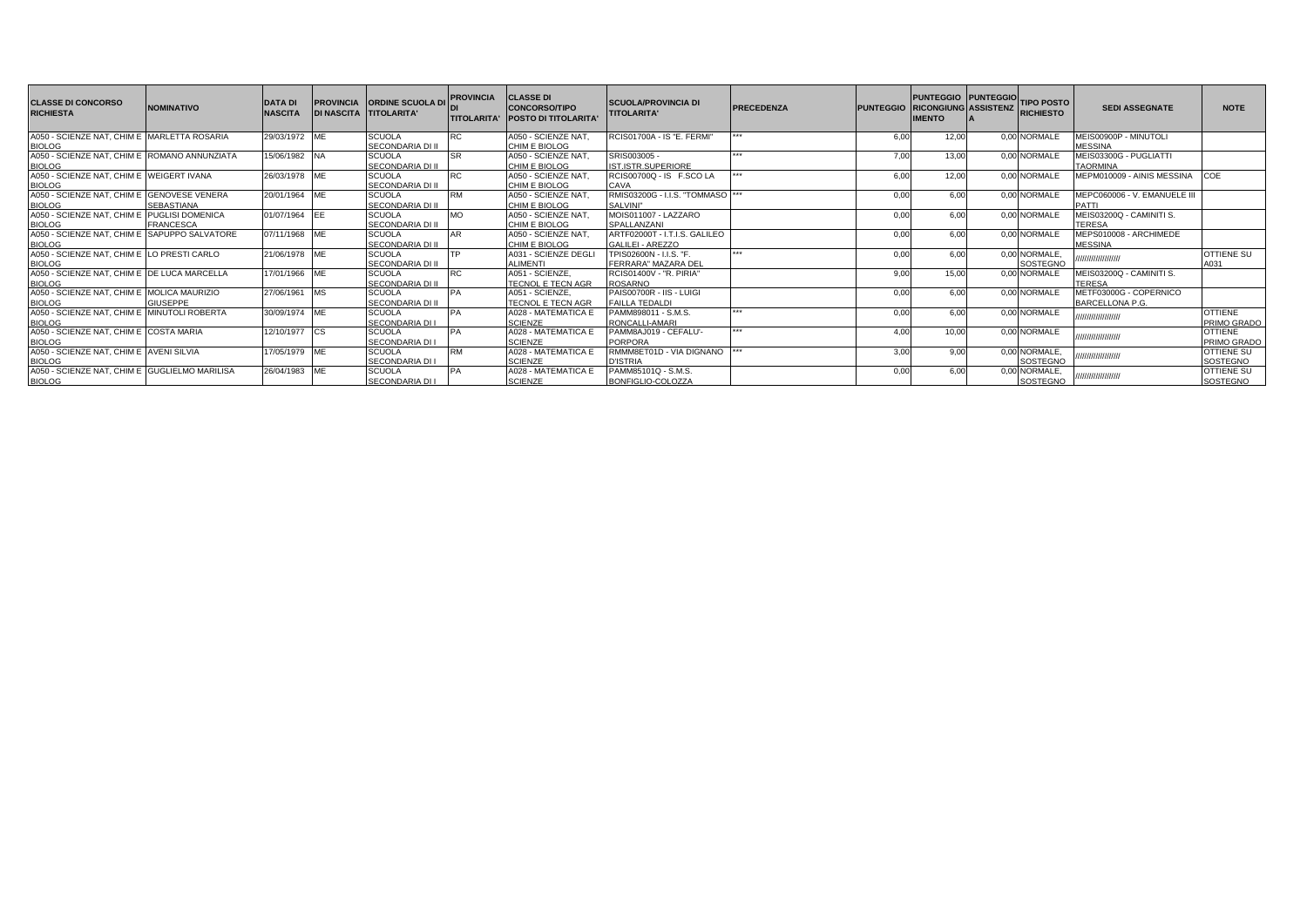| <b>CLASSE DI CONCORSO</b><br><b>RICHIESTA</b>                  | <b>NOMINATIVO</b> | <b>DATA DI</b><br><b>NASCITA</b> | <b>PROVINCIA</b><br><b>DI NASCITA TITOLARITA'</b> | <b>ORDINE SCUOLA DI</b>           | <b>PROVINCIA</b> | <b>CLASSE DI</b><br><b>CONCORSO/TIPO</b><br>TITOLARITA' POSTO DI TITOLARITA' | <b>SCUOLA/PROVINCIA DI</b><br><b>TITOLARITA'</b>  | <b>PRECEDENZA</b> |      | PUNTEGGIO PUNTEGGIO TIPO POSTO<br>PUNTEGGIO RICONGIUNG ASSISTENZ RICHIESTO<br><b>IMENTO</b> |                           | <b>SEDI ASSEGNATE</b>                            | <b>NOTE</b>                   |
|----------------------------------------------------------------|-------------------|----------------------------------|---------------------------------------------------|-----------------------------------|------------------|------------------------------------------------------------------------------|---------------------------------------------------|-------------------|------|---------------------------------------------------------------------------------------------|---------------------------|--------------------------------------------------|-------------------------------|
| A050 - SCIENZE NAT, CHIM E MARLETTA ROSARIA<br><b>BIOLOG</b>   |                   | 29/03/1972 ME                    |                                                   | <b>SCUOLA</b><br>SECONDARIA DI II |                  | A050 - SCIENZE NAT,<br>CHIM E BIOLOG                                         | RCIS01700A - IS "E. FERMI"                        |                   | 6.00 | 12.00                                                                                       | 0.00 NORMALE              | MEIS00900P - MINUTOLI<br><b>MESSINA</b>          |                               |
| A050 - SCIENZE NAT, CHIM E ROMANO ANNUNZIATA<br><b>BIOLOG</b>  |                   | 15/06/1982 NA                    |                                                   | <b>SCUOLA</b><br>SECONDARIA DI II |                  | A050 - SCIENZE NAT.<br>CHIM E BIOLOG                                         | SRIS003005 -<br>IST.ISTR.SUPERIORE                |                   | 7.00 | 13.00                                                                                       | 0.00 NORMALE              | MEIS03300G - PUGLIATTI<br><b>TAORMINA</b>        |                               |
| A050 - SCIENZE NAT, CHIM E WEIGERT IVANA<br><b>BIOLOG</b>      |                   | 26/03/1978 ME                    |                                                   | <b>SCUOLA</b><br>SECONDARIA DI II |                  | A050 - SCIENZE NAT,<br>CHIM E BIOLOG                                         | RCIS00700Q - IS F.SCO LA<br>CAVA                  |                   | 6.00 | 12.00                                                                                       | 0.00 NORMALE              | MEPM010009 - AINIS MESSINA                       | <b>COE</b>                    |
| A050 - SCIENZE NAT, CHIM E GENOVESE VENERA<br><b>BIOLOG</b>    | <b>SEBASTIANA</b> | 20/01/1964 ME                    |                                                   | <b>SCUOLA</b><br>SECONDARIA DI II |                  | A050 - SCIENZE NAT<br>CHIM E BIOLOG                                          | RMIS03200G - I.I.S. "TOMMASO<br>SALVINI"          |                   | 0,00 | 6,00                                                                                        | 0.00 NORMALE              | MEPC060006 - V. EMANUELE III<br><b>PATTI</b>     |                               |
| A050 - SCIENZE NAT. CHIM E PUGLISI DOMENICA<br><b>BIOLOG</b>   | <b>FRANCESCA</b>  | 01/07/1964 EE                    |                                                   | <b>SCUOLA</b><br>SECONDARIA DI II |                  | A050 - SCIENZE NAT,<br>CHIM E BIOLOG                                         | MOIS011007 - LAZZARO<br>SPALLANZANI               |                   | 0.00 | 6.00                                                                                        | 0.00 NORMALE              | MEIS03200Q - CAMINITI S.<br><b>TERESA</b>        |                               |
| A050 - SCIENZE NAT. CHIM E SAPUPPO SALVATORE<br><b>BIOLOG</b>  |                   | 07/11/1968 ME                    |                                                   | <b>SCUOLA</b><br>SECONDARIA DI II |                  | A050 - SCIENZE NAT,<br>CHIM E BIOLOG                                         | ARTF02000T - I.T.I.S. GALILEO<br>GALILEI - AREZZO |                   | 0.00 | 6.00                                                                                        | 0.00 NORMALE              | MEPS010008 - ARCHIMEDE<br><b>MESSINA</b>         |                               |
| A050 - SCIENZE NAT, CHIM E LO PRESTI CARLO<br><b>BIOLOG</b>    |                   | 21/06/1978 ME                    |                                                   | <b>SCUOLA</b><br>SECONDARIA DI II |                  | A031 - SCIENZE DEGL<br><b>ALIMENTI</b>                                       | TPIS02600N - I.I.S. "F.<br>FERRARA" MAZARA DEL    |                   | 0.00 | 6.00                                                                                        | 0,00 NORMALE,<br>SOSTEGNO | ,,,,,,,,,,,,,,,,,,                               | OTTIENE SU<br>A031            |
| A050 - SCIENZE NAT. CHIM E IDE LUCA MARCELLA<br><b>BIOLOG</b>  |                   | 17/01/1966 ME                    |                                                   | <b>SCUOLA</b><br>SECONDARIA DI II |                  | A051 - SCIENZE,<br><b>TECNOL E TECN AGR</b>                                  | <b>RCIS01400V - "R. PIRIA"</b><br><b>ROSARNO</b>  |                   | 9.00 | 15.00                                                                                       | 0.00 NORMALE              | MEIS03200Q - CAMINITI S.<br>TERESA               |                               |
| A050 - SCIENZE NAT, CHIM E MOLICA MAURIZIO<br><b>BIOLOG</b>    | <b>GIUSEPPE</b>   | 27/06/1961 MS                    |                                                   | <b>SCUOLA</b><br>SECONDARIA DI II |                  | A051 - SCIENZE,<br><b>TECNOL E TECN AGR</b>                                  | PAIS00700R - IIS - LUIGI<br><b>FAILLA TEDALDI</b> |                   | 0.00 | 6.00                                                                                        | 0.00 NORMALE              | METF03000G - COPERNICO<br><b>BARCELLONA P.G.</b> |                               |
| A050 - SCIENZE NAT. CHIM E MINUTOLI ROBERTA<br><b>BIOLOG</b>   |                   | 30/09/1974 ME                    |                                                   | <b>SCUOLA</b><br>SECONDARIA DI L  |                  | A028 - MATEMATICA E<br><b>SCIENZE</b>                                        | PAMM898011 - S.M.S.<br>RONCALLI-AMARI             |                   | 0.00 | 6.00                                                                                        | 0.00 NORMALE              | ,,,,,,,,,,,,,,,,,                                | <b>OTTIENE</b><br>PRIMO GRADO |
| A050 - SCIENZE NAT. CHIM E COSTA MARIA<br><b>BIOLOG</b>        |                   | 12/10/1977 CS                    |                                                   | <b>SCUOLA</b><br>SECONDARIA DI I  |                  | A028 - MATEMATICA E<br><b>SCIENZE</b>                                        | PAMM8AJ019 - CEFALU'-<br><b>PORPORA</b>           |                   | 4.00 | 10.00                                                                                       | 0.00 NORMALE              | ,,,,,,,,,,,,,,,,,                                | <b>OTTIENE</b><br>PRIMO GRADO |
| A050 - SCIENZE NAT. CHIM E AVENI SILVIA<br><b>BIOLOG</b>       |                   | 17/05/1979 ME                    |                                                   | <b>SCUOLA</b><br>SECONDARIA DI I  |                  | A028 - MATEMATICA E<br><b>SCIENZE</b>                                        | RMMM8ET01D - VIA DIGNANO<br><b>D'ISTRIA</b>       |                   | 3,00 | 9.00                                                                                        | 0,00 NORMALE,<br>SOSTEGNO | ,,,,,,,,,,,,,,,,,,                               | OTTIENE SU<br>SOSTEGNO        |
| A050 - SCIENZE NAT, CHIM E GUGLIELMO MARILISA<br><b>BIOLOG</b> |                   | 26/04/1983 ME                    |                                                   | <b>SCUOLA</b><br>SECONDARIA DI I  |                  | A028 - MATEMATICA E<br><b>SCIENZE</b>                                        | PAMM85101Q - S.M.S.<br>BONFIGLIO-COLOZZA          |                   | 0,00 | 6,00                                                                                        | 0,00 NORMALE,<br>SOSTEGNO | ,,,,,,,,,,,,,,,,,                                | OTTIENE SU<br>SOSTEGNO        |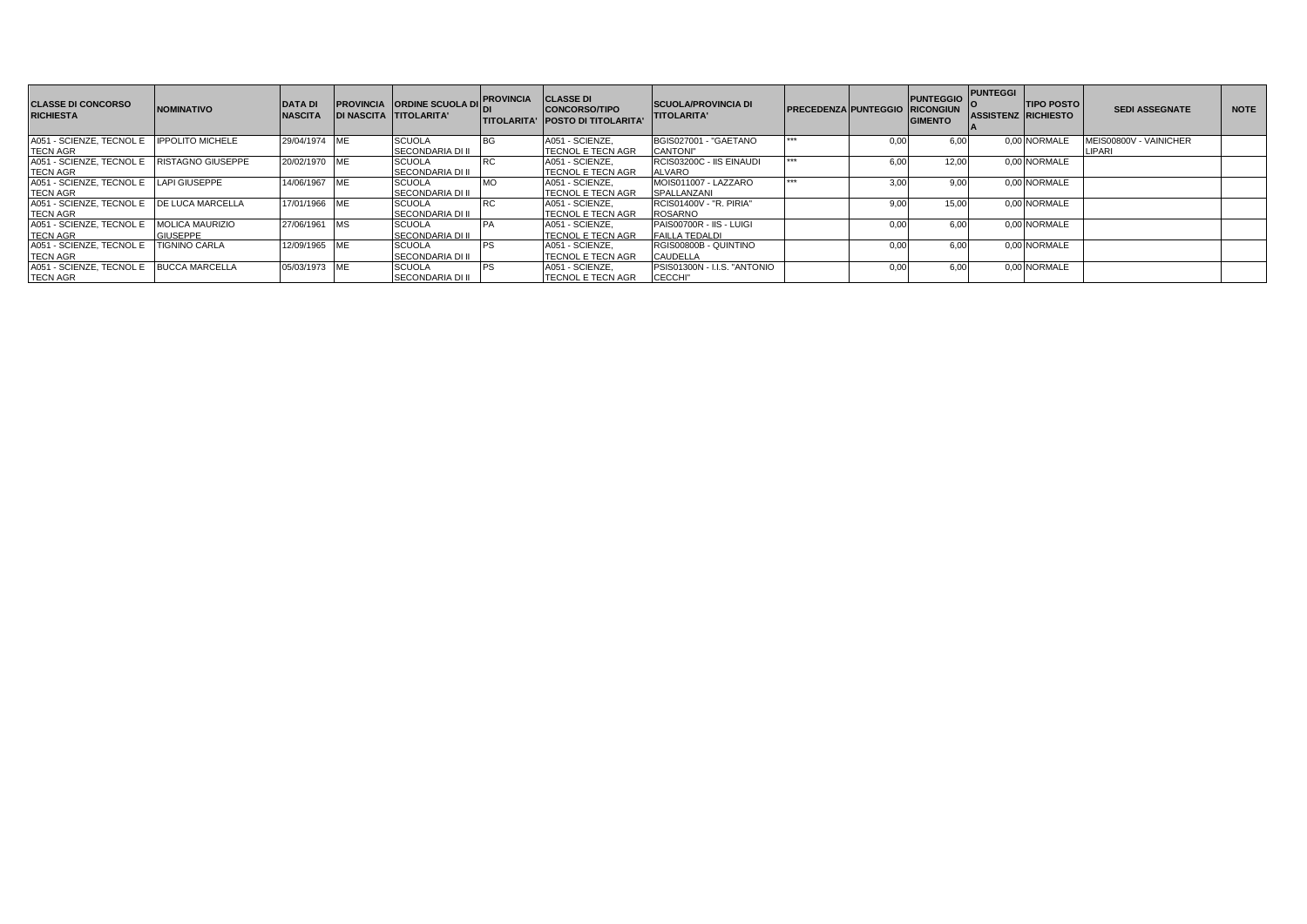| <b>CLASSE DI CONCORSO</b><br><b>RICHIESTA</b> | <b>NOMINATIVO</b>      | <b>DATA DI</b><br><b>NASCITA</b> |            | <b>PROVINCIA ORDINE SCUOLA DI</b><br><b>DI NASCITA TITOLARITA'</b> | <b>PROVINCIA</b> | <b>CLASSE DI</b><br><b>CONCORSO/TIPO</b><br><b>ITITOLARITA' IPOSTO DI TITOLARITA'</b> | <b>SCUOLA/PROVINCIA DI</b><br><b>TITOLARITA'</b> | <b>PRECEDENZA PUNTEGGIO RICONGIUN</b> |      | <b>PUNTEGGIO</b><br><b>GIMENTO</b> | <b>PUNTEGGI</b><br><b>ASSISTENZ RICHIESTO</b> | <b>TIPO POSTO</b> | <b>SEDI ASSEGNATE</b>  | <b>NOTE</b> |
|-----------------------------------------------|------------------------|----------------------------------|------------|--------------------------------------------------------------------|------------------|---------------------------------------------------------------------------------------|--------------------------------------------------|---------------------------------------|------|------------------------------------|-----------------------------------------------|-------------------|------------------------|-------------|
| A051 - SCIENZE, TECNOL E IPPOLITO MICHELE     |                        | 29/04/1974 ME                    |            | <b>SCUOLA</b>                                                      |                  | A051 - SCIENZE.                                                                       | BGIS027001 - "GAETANO                            | ***                                   | 0.00 | 6.00                               |                                               | 0.00 NORMALE      | MEIS00800V - VAINICHER |             |
| <b>TECN AGR</b>                               |                        |                                  |            | <b>SECONDARIA DI II</b>                                            |                  | TECNOL E TECN AGR                                                                     | <b>CANTONI"</b>                                  |                                       |      |                                    |                                               |                   | LIPARI                 |             |
| A051 - SCIENZE, TECNOL E RISTAGNO GIUSEPPE    |                        | 20/02/1970 ME                    |            | <b>SCUOLA</b>                                                      |                  | A051 - SCIENZE.                                                                       | RCIS03200C - IIS EINAUDI                         | ***                                   | 6.00 | 12.00                              |                                               | 0.00 NORMALE      |                        |             |
| <b>TECN AGR</b>                               |                        |                                  |            | <b>SECONDARIA DI II</b>                                            |                  | <b>TECNOL E TECN AGR</b>                                                              | <b>ALVARO</b>                                    |                                       |      |                                    |                                               |                   |                        |             |
| A051 - SCIENZE, TECNOL E LAPI GIUSEPPE        |                        | 14/06/1967                       | <b>ME</b>  | <b>SCUOLA</b>                                                      |                  | A051 - SCIENZE.                                                                       | MOIS011007 - LAZZARO                             | ***                                   | 3.00 | 9.00                               |                                               | 0.00 NORMALE      |                        |             |
| <b>TECN AGR</b>                               |                        |                                  |            | <b>SECONDARIA DI II</b>                                            |                  | <b>TECNOL E TECN AGR</b>                                                              | SPALLANZANI                                      |                                       |      |                                    |                                               |                   |                        |             |
| A051 - SCIENZE, TECNOL E IDE LUCA MARCELLA    |                        | 17/01/1966 ME                    |            | <b>SCUOLA</b>                                                      |                  | A051 - SCIENZE.                                                                       | RCIS01400V - "R. PIRIA"                          |                                       | 9.00 | 15.00                              |                                               | 0.00 NORMALE      |                        |             |
| <b>TECN AGR</b>                               |                        |                                  |            | <b>SECONDARIA DI II</b>                                            |                  | <b>TECNOL E TECN AGR</b>                                                              | <b>ROSARNO</b>                                   |                                       |      |                                    |                                               |                   |                        |             |
| A051 - SCIENZE, TECNOL E                      | <b>MOLICA MAURIZIO</b> | 27/06/1961                       |            | <b>SCUOLA</b>                                                      |                  | A051 - SCIENZE.                                                                       | PAIS00700R - IIS - LUIGI                         |                                       | 0.00 | 6.00                               |                                               | 0.00 NORMALE      |                        |             |
| <b>TECN AGR</b>                               | <b>GIUSEPPE</b>        |                                  |            | <b>SECONDARIA DI II</b>                                            |                  | TECNOL E TECN AGR                                                                     | <b>FAILLA TEDALDI</b>                            |                                       |      |                                    |                                               |                   |                        |             |
| A051 - SCIENZE, TECNOL E                      | <b>TIGNINO CARLA</b>   | 12/09/1965                       | <b>IME</b> | <b>SCUOLA</b>                                                      |                  | A051 - SCIENZE.                                                                       | RGIS00800B - QUINTINO                            |                                       | 0.00 | 6.00                               |                                               | 0.00 NORMALE      |                        |             |
| <b>TECN AGR</b>                               |                        |                                  |            | <b>SECONDARIA DI II</b>                                            |                  | TECNOL E TECN AGR                                                                     | CAUDELLA                                         |                                       |      |                                    |                                               |                   |                        |             |
| A051 - SCIENZE, TECNOL E BUCCA MARCELLA       |                        | 05/03/1973 ME                    |            | <b>SCUOLA</b>                                                      |                  | A051 - SCIENZE.                                                                       | PSIS01300N - I.I.S. "ANTONIO                     |                                       | 0.00 | 6.00                               |                                               | 0.00 NORMALE      |                        |             |
| <b>TECN AGR</b>                               |                        |                                  |            | <b>SECONDARIA DI II</b>                                            |                  | TECNOL E TECN AGR                                                                     | CECCHI"                                          |                                       |      |                                    |                                               |                   |                        |             |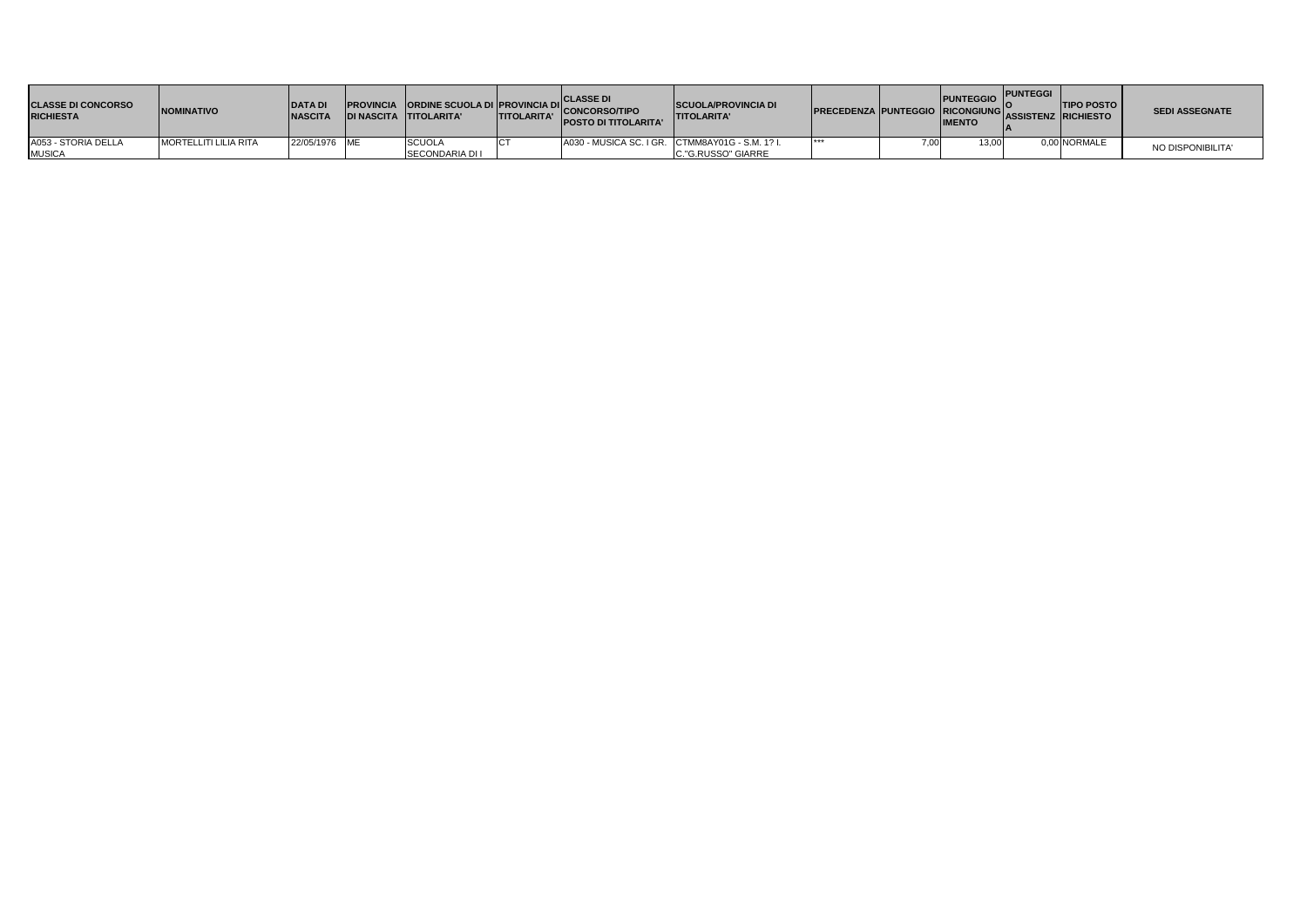| <b>CLASSE DI CONCORSO</b><br><b>RICHIESTA</b> | <b>INOMINATIVO</b>           | <b>DATA DI</b><br><b>INASCITA</b> | <b>DI NASCITA TITOLARITA'</b> | <b>TITOLARITA'</b> | <b>CLASSE D</b><br>PROVINCIA ORDINE SCUOLA DI PROVINCIA DI CONCORSO/TIPO<br><b>POSTO DI TITOLARITA'</b> | <b>SCUOLA/PROVINCIA DI</b><br><b>ITITOLARITA'</b> | <b>PRECEDENZA PUNTEGGIO RICONGIUNG ASSISTENZ RICHIESTO</b> | <b>PUNTEGGIO</b><br><b>IMENTO</b> | <b>IPUNTEGGI</b> | <b>ITIPO POSTO</b> | <b>SEDI ASSEGNATE</b> |
|-----------------------------------------------|------------------------------|-----------------------------------|-------------------------------|--------------------|---------------------------------------------------------------------------------------------------------|---------------------------------------------------|------------------------------------------------------------|-----------------------------------|------------------|--------------------|-----------------------|
| A053 - STORIA DELLA                           | <b>MORTELLITI LILIA RITA</b> | 22/05/1976 ME                     | <b>SCUOLA</b>                 |                    |                                                                                                         | A030 - MUSICA SC. I GR. CTMM8AY01G - S.M. 1? I.   | ***                                                        | 13,00                             |                  | 0,00 NORMALE       | NO DISPONIBILITA'     |
| <b>MUSICA</b>                                 |                              |                                   | <b>SECONDARIA DI I</b>        |                    |                                                                                                         | <b>C."G.RUSSO" GIARRE</b>                         |                                                            |                                   |                  |                    |                       |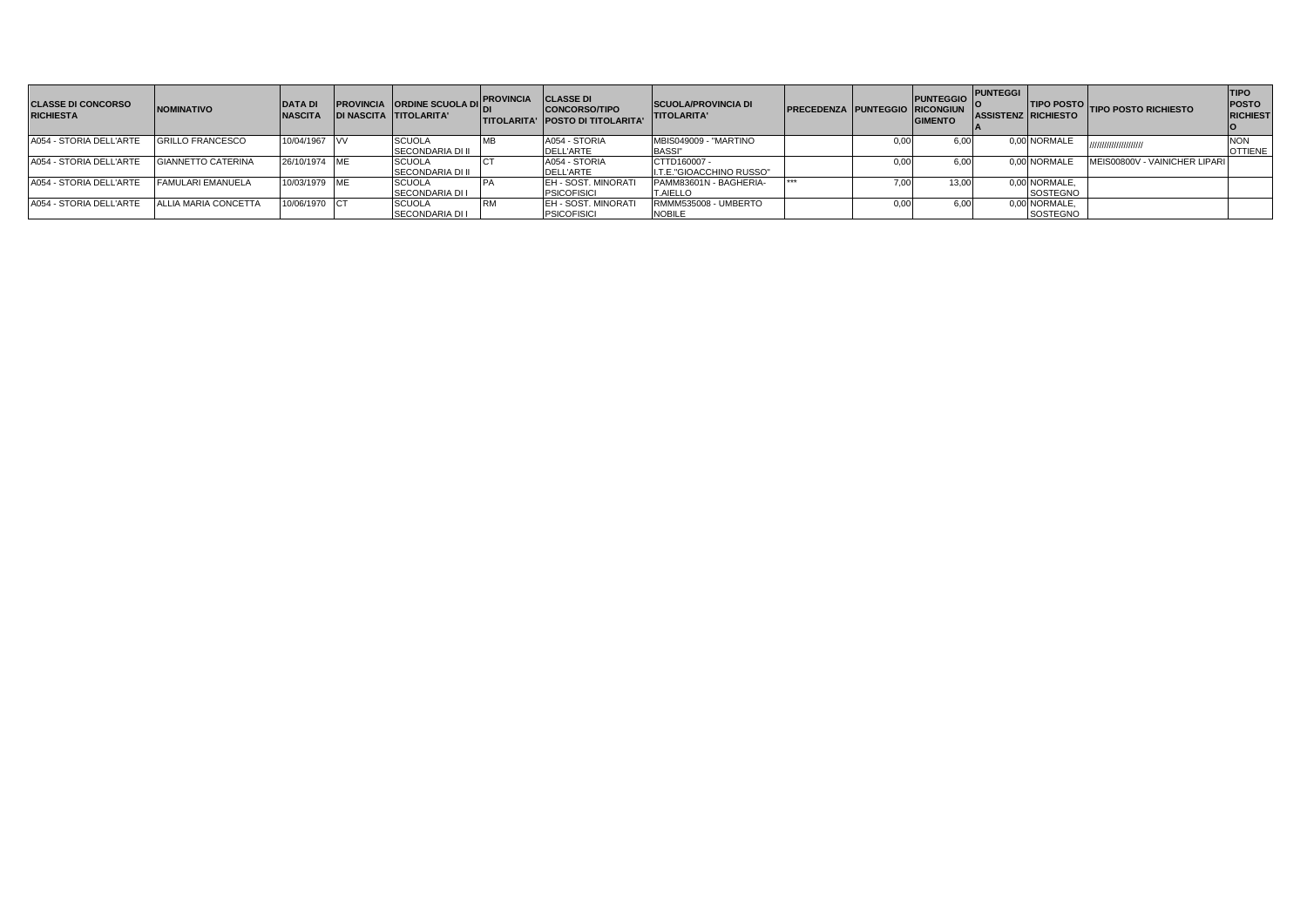| <b>CLASSE DI CONCORSO</b><br><b>RICHIESTA</b> | <b>NOMINATIVO</b>         | <b>DATA DI</b><br><b>NASCITA</b> | <b>PROVINCIA ORDINE SCUOLA DI</b><br><b>DI NASCITA TITOLARITA'</b> | <b>PROVINCIA</b> | <b>CLASSE DI</b><br><b>CONCORSO/TIPO</b><br><b>ITITOLARITA' IPOSTO DI TITOLARITA'</b> | <b>SCUOLA/PROVINCIA DI</b><br><b>TITOLARITA'</b> | PRECEDENZA PUNTEGGIO RICONGIUN |      | <b>PUNTEGGIO</b><br><b>GIMENTO</b> | <b>PUNTEGGI</b><br><b>ASSISTENZ RICHIESTO</b> |                           | TIPO POSTO TIPO POSTO RICHIESTO | <b>TIPO</b><br><b>POSTO</b><br><b>RICHIEST</b> |
|-----------------------------------------------|---------------------------|----------------------------------|--------------------------------------------------------------------|------------------|---------------------------------------------------------------------------------------|--------------------------------------------------|--------------------------------|------|------------------------------------|-----------------------------------------------|---------------------------|---------------------------------|------------------------------------------------|
| A054 - STORIA DELL'ARTE                       | <b>GRILLO FRANCESCO</b>   | 10/04/1967 VV                    | <b>SCUOLA</b><br><b>SECONDARIA DI II</b>                           |                  | A054 - STORIA<br><b>DELL'ARTE</b>                                                     | MBIS049009 - "MARTINO<br><b>BASSI"</b>           |                                | 0,00 | 6.00                               |                                               | 0.00 NORMALE              |                                 | <b>OTTIENE</b>                                 |
| A054 - STORIA DELL'ARTE                       | <b>GIANNETTO CATERINA</b> | 26/10/1974 ME                    | <b>SCUOLA</b><br><b>SECONDARIA DI II</b>                           |                  | A054 - STORIA<br><b>DELL'ARTE</b>                                                     | CTTD160007 -<br>I.T.E."GIOACCHINO RUSSO"         |                                | 0.00 | 6.00                               |                                               | 0.00 NORMALE              | MEIS00800V - VAINICHER LIPARI   |                                                |
| A054 - STORIA DELL'ARTE                       | <b>FAMULARI EMANUELA</b>  | 10/03/1979 ME                    | <b>SCUOLA</b><br><b>SECONDARIA DI I</b>                            |                  | <b>IEH - SOST, MINORATI</b><br><b>PSICOFISICI</b>                                     | PAMM83601N - BAGHERIA-<br><b>T.AIELLO</b>        |                                | 7,00 | 13.00                              |                                               | 0,00 NORMALE,<br>SOSTEGNO |                                 |                                                |
| A054 - STORIA DELL'ARTE                       | ALLIA MARIA CONCETTA      | 10/06/1970 CT                    | <b>SCUOLA</b><br><b>SECONDARIA DI I</b>                            |                  | <b>EH - SOST, MINORATI</b><br><b>PSICOFISICI</b>                                      | RMMM535008 - UMBERTO<br><b>NOBILE</b>            |                                | 0.00 | 6.00                               |                                               | 0,00 NORMALE,<br>SOSTEGNO |                                 |                                                |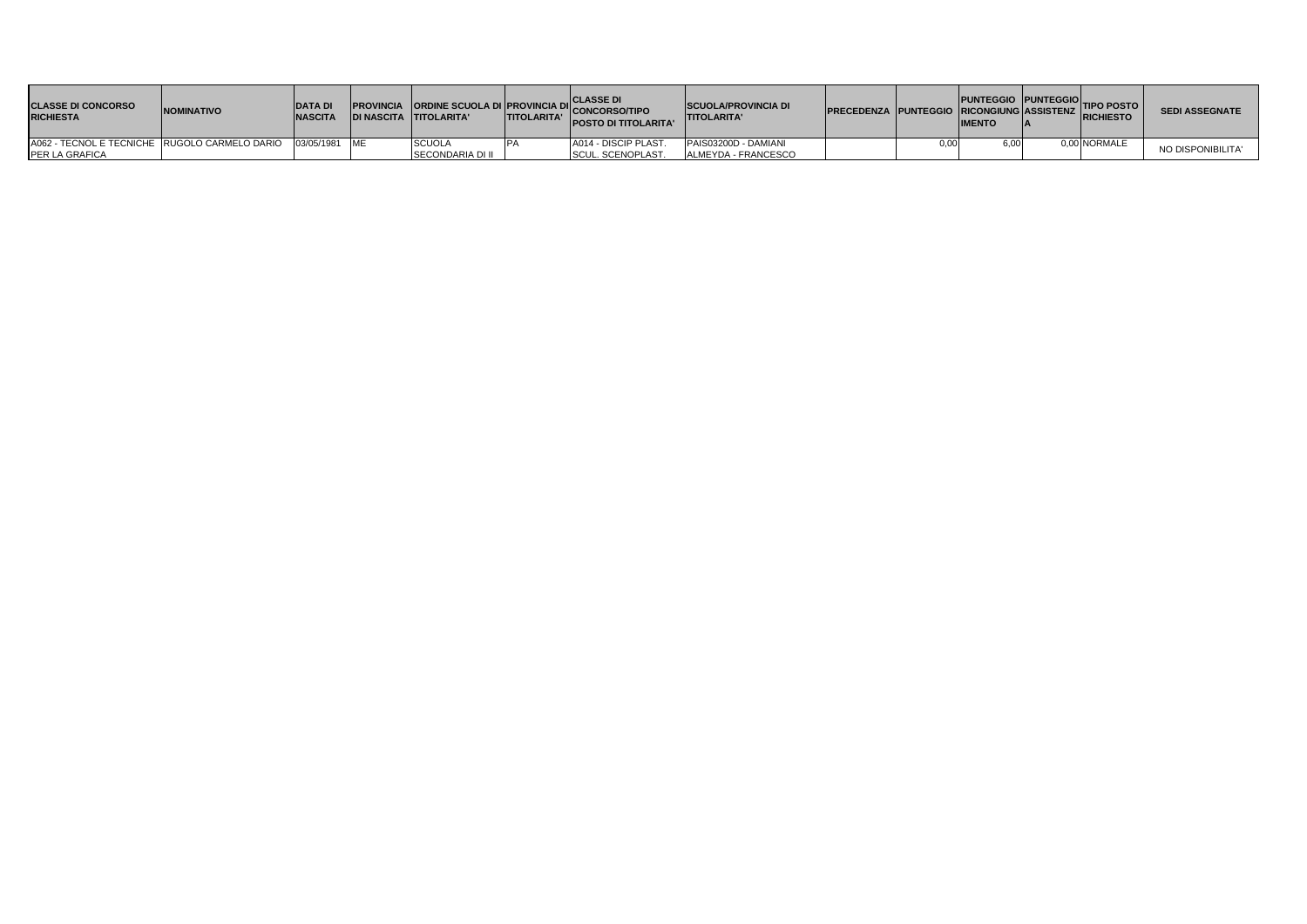| <b>CLASSE DI CONCORSO</b><br><b>RICHIESTA</b> | <b>INOMINATIVO</b> | <b>DATA DI</b><br><b>NASCITA</b> | <b>PROVINCIA ORDINE SCUOLA DI PROVINCIA DI CLASSE DI<br/>DI MARCITA CITTOLARITALE CONCORSO/TIPO</b><br>IDI NASCITA TITOLARITA' | <b>ITITOLARITA'</b> | <b>POSTO DI TITOLARITA'</b> | <b>SCUOLA/PROVINCIA DI</b><br><b>ITITOLARITA'</b> | PRECEDENZA PUNTEGGIO RUNTEGGIO PUNTEGGIO TIPO POSTO |      | <b>IMENTO</b> |              | <b>SEDI ASSEGNATE</b> |
|-----------------------------------------------|--------------------|----------------------------------|--------------------------------------------------------------------------------------------------------------------------------|---------------------|-----------------------------|---------------------------------------------------|-----------------------------------------------------|------|---------------|--------------|-----------------------|
| A062 - TECNOL E TECNICHE RUGOLO CARMELO DARIO |                    | 03/05/1981 ME                    | <b>SCUOLA</b>                                                                                                                  |                     | A014 - DISCIP PLAST.        | PAIS03200D - DAMIANI                              |                                                     | 0.00 |               | 0.00 NORMALE | NO DISPONIBILITA'     |
| <b>PER LA GRAFICA</b>                         |                    |                                  | ISECONDARIA DI II                                                                                                              |                     | <b>SCUL. SCENOPLAST.</b>    | ALMEYDA - FRANCESCO                               |                                                     |      |               |              |                       |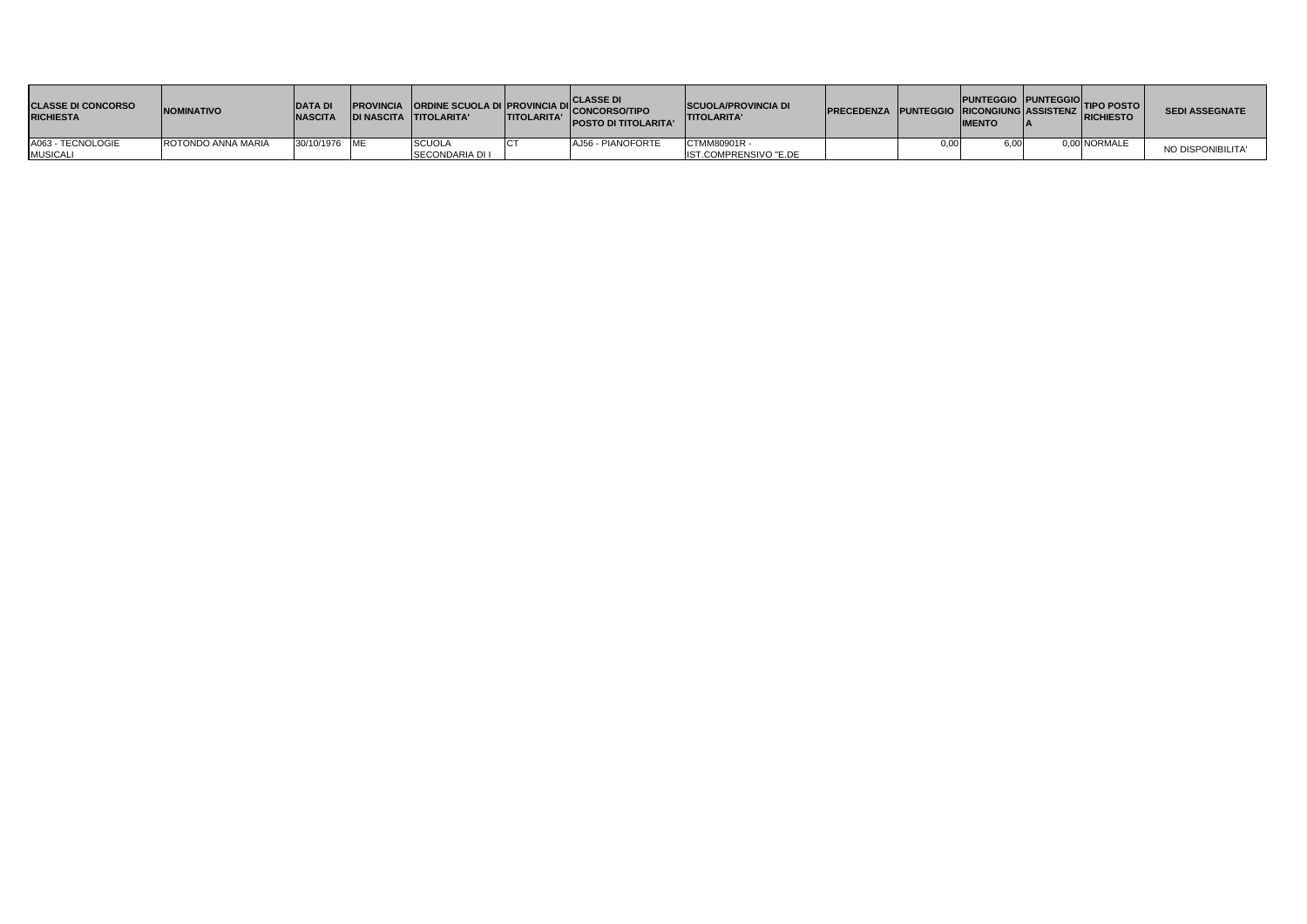| <b>CLASSE DI CONCORSO</b><br><b>RICHIESTA</b> | <b>NOMINATIVO</b>  | <b>DATA DI</b><br><b>NASCITA</b> | <b>PROVINCIA ORDINE SCUOLA DI PROVINCIA DI CLASSE DI</b><br>DI NACCITA TITOLARITALI TITOLARITALI CONCORSO/TIPO<br>IDI NASCITA TITOLARITA' | <b>TITOLARITA'</b> | <b>POSTO DI TITOLARITA'</b> | <b>SCUOLA/PROVINCIA DI</b><br><b>TITOLARITA'</b> | PRECEDENZA PUNTEGGIO PUNTEGGIO TIPO POSTO | <b>IMENTO</b> |              | <b>SEDI ASSEGNATE</b> |
|-----------------------------------------------|--------------------|----------------------------------|-------------------------------------------------------------------------------------------------------------------------------------------|--------------------|-----------------------------|--------------------------------------------------|-------------------------------------------|---------------|--------------|-----------------------|
| A063 - TECNOLOGIE                             | ROTONDO ANNA MARIA | 30/10/1976 ME                    | <b>SCUOLA</b>                                                                                                                             |                    | AJ56 - PIANOFORTE           | CTMM80901R -                                     |                                           | 6,00          | 0,00 NORMALE | NO DISPONIBILITA'     |
| <b>MUSICALI</b>                               |                    |                                  | <b>ISECONDARIA DI I</b>                                                                                                                   |                    |                             | IST.COMPRENSIVO "E.DE                            |                                           |               |              |                       |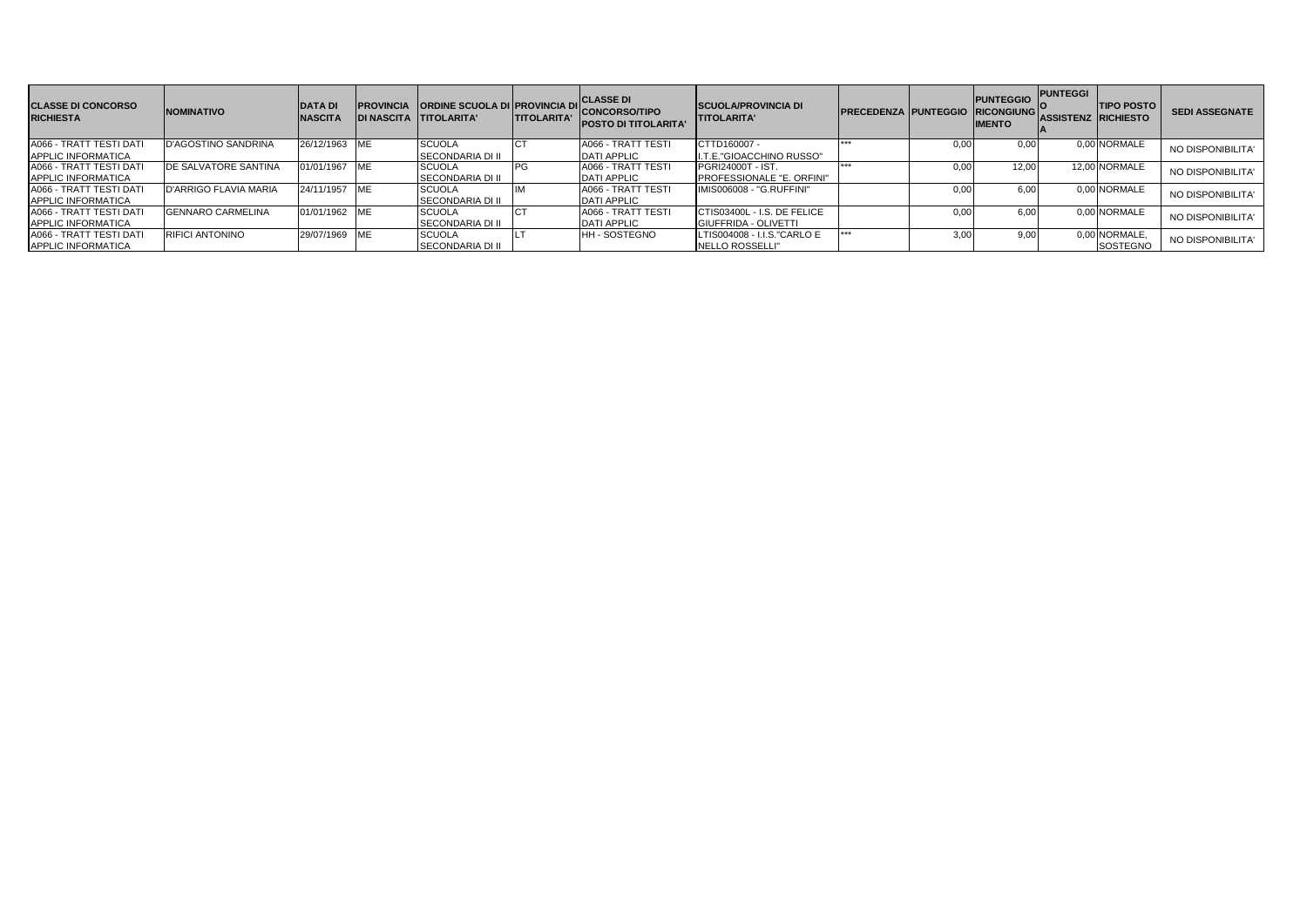| <b>CLASSE DI CONCORSO</b><br><b>RICHIESTA</b> | <b>NOMINATIVO</b>           | <b>DATA DI</b><br><b>NASCITA</b> | <b>IPROVINCIA</b> | <b>ORDINE SCUOLA DI PROVINCIA DI</b><br><b>IDI NASCITA TITOLARITA'</b> | <b>TITOLARITA'</b> | <b>CLASSE DI</b><br><b>CONCORSO/TIPO</b><br><b>POSTO DI TITOLARITA'</b> | <b>SCUOLA/PROVINCIA DI</b><br><b>ITITOLARITA'</b> | <b>PRECEDENZA PUNTEGGIO RICONGIUNG</b> |      | <b>PUNTEGGIO</b><br><b>IMENTO</b> | <b>PUNTEGGI</b><br><b>ASSISTENZ RICHIESTO</b> | <b>TIPO POSTO</b> | <b>SEDI ASSEGNATE</b> |
|-----------------------------------------------|-----------------------------|----------------------------------|-------------------|------------------------------------------------------------------------|--------------------|-------------------------------------------------------------------------|---------------------------------------------------|----------------------------------------|------|-----------------------------------|-----------------------------------------------|-------------------|-----------------------|
| A066 - TRATT TESTI DATI                       | <b>D'AGOSTINO SANDRINA</b>  | 26/12/1963                       | <b>IME</b>        | <b>SCUOLA</b>                                                          |                    | A066 - TRATT TESTI                                                      | CTTD160007 -                                      | ***                                    | 0.00 | 0.00                              |                                               | 0,00 NORMALE      | NO DISPONIBILITA'     |
| <b>APPLIC INFORMATICA</b>                     |                             |                                  |                   | <b>SECONDARIA DI II</b>                                                |                    | <b>DATI APPLIC</b>                                                      | I.T.E."GIOACCHINO RUSSO"                          |                                        |      |                                   |                                               |                   |                       |
| A066 - TRATT TESTI DATI                       | <b>DE SALVATORE SANTINA</b> | 01/01/1967                       | <b>IME</b>        | <b>SCUOLA</b>                                                          | <b>PG</b>          | A066 - TRATT TESTI                                                      | <b>PGRI24000T - IST.</b>                          | ***                                    | 0.00 | 12.00                             |                                               | 12,00 NORMALE     | NO DISPONIBILITA'     |
| <b>APPLIC INFORMATICA</b>                     |                             |                                  |                   | <b>SECONDARIA DI II</b>                                                |                    | <b>DATI APPLIC</b>                                                      | <b>PROFESSIONALE "E. ORFINI"</b>                  |                                        |      |                                   |                                               |                   |                       |
| A066 - TRATT TESTI DATI                       | D'ARRIGO FLAVIA MARIA       | 24/11/1957                       | <b>IME</b>        | <b>SCUOLA</b>                                                          |                    | A066 - TRATT TESTI                                                      | IMIS006008 - "G.RUFFINI"                          |                                        | 0.00 | 6.00                              |                                               | 0.00 NORMALE      | NO DISPONIBILITA'     |
| <b>APPLIC INFORMATICA</b>                     |                             |                                  |                   | <b>SECONDARIA DI II</b>                                                |                    | <b>DATI APPLIC</b>                                                      |                                                   |                                        |      |                                   |                                               |                   |                       |
| <b>A066 - TRATT TESTI DATI</b>                | <b>GENNARO CARMELINA</b>    | 01/01/1962 ME                    |                   | <b>SCUOLA</b>                                                          |                    | A066 - TRATT TESTI                                                      | CTIS03400L - I.S. DE FELICE                       |                                        | 0,00 | 6,00                              |                                               | 0.00 NORMALE      | NO DISPONIBILITA'     |
| APPLIC INFORMATICA                            |                             |                                  |                   | <b>SECONDARIA DI II</b>                                                |                    | <b>DATI APPLIC</b>                                                      | <b>IGIUFFRIDA - OLIVETTI</b>                      |                                        |      |                                   |                                               |                   |                       |
| A066 - TRATT TESTI DATI                       | <b>RIFICI ANTONINO</b>      | 29/07/1969                       | <b>IME</b>        | <b>SCUOLA</b>                                                          |                    | <b>HH-SOSTEGNO</b>                                                      | LTIS004008 - I.I.S."CARLO E                       | $***$                                  | 3,00 | 9,00                              |                                               | 0,00 NORMALE,     | NO DISPONIBILITA'     |
| APPLIC INFORMATICA                            |                             |                                  |                   | <b>SECONDARIA DI II</b>                                                |                    |                                                                         | <b>INELLO ROSSELLI"</b>                           |                                        |      |                                   |                                               | SOSTEGNO          |                       |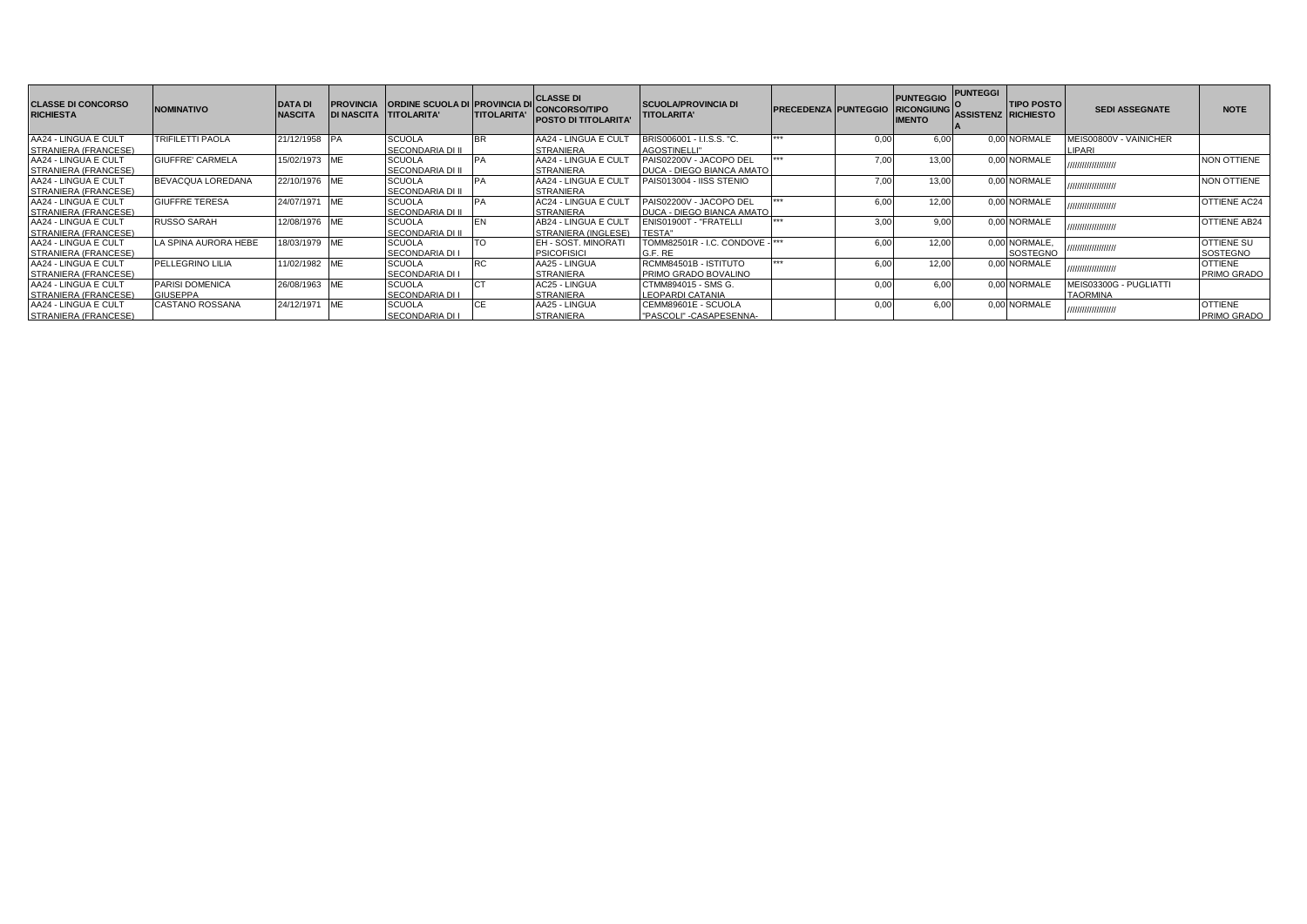| <b>CLASSE DI CONCORSO</b><br><b>RICHIESTA</b> | <b>NOMINATIVO</b>       | <b>DATA DI</b><br><b>NASCITA</b> | <b>PROVINCIA</b> | <b>ORDINE SCUOLA DI PROVINCIA DI</b><br>DI NASCITA TTITOLARITA' | <b>TITOLARITA'</b> | <b>CLASSE DI</b><br><b>CONCORSO/TIPO</b><br><b>POSTO DI TITOLARITA'</b> | <b>SCUOLA/PROVINCIA DI</b><br><b>TITOLARITA'</b> | <b>PRECEDENZA PUNTEGGIO</b> |      | <b>PUNTEGGIO</b><br><b>RICONGIUNG</b><br><b>IMENTO</b> | <b>PUNTEGGI</b><br><b>ASSISTENZ RICHIESTO</b> | <b>TIPO POSTO</b> | <b>SEDI ASSEGNATE</b>  | <b>NOTE</b>         |
|-----------------------------------------------|-------------------------|----------------------------------|------------------|-----------------------------------------------------------------|--------------------|-------------------------------------------------------------------------|--------------------------------------------------|-----------------------------|------|--------------------------------------------------------|-----------------------------------------------|-------------------|------------------------|---------------------|
| AA24 - LINGUA E CULT                          | <b>TRIFILETTI PAOLA</b> | 21/12/1958 PA                    |                  | <b>SCUOLA</b>                                                   |                    | AA24 - LINGUA E CUL                                                     | BRIS006001 - I.I.S.S. "C.                        |                             | 0.00 | 6.00                                                   |                                               | 0.00 NORMALE      | MEIS00800V - VAINICHER |                     |
| STRANIERA (FRANCESE)                          |                         |                                  |                  | <b>SECONDARIA DI II</b>                                         |                    | <b>STRANIERA</b>                                                        | AGOSTINELLI"                                     |                             |      |                                                        |                                               |                   | LIPARI                 |                     |
| AA24 - LINGUA E CULT                          | <b>GIUFFRE' CARMELA</b> | 15/02/1973 ME                    |                  | <b>SCUOLA</b>                                                   |                    | AA24 - LINGUA E CUL                                                     | PAIS02200V - JACOPO DEL                          |                             | 7,00 | 13.00                                                  |                                               | 0.00 NORMALE      | ,,,,,,,,,,,,,,,,,,     | <b>NON OTTIENE</b>  |
| STRANIERA (FRANCESE)                          |                         |                                  |                  | <b>SECONDARIA DI II</b>                                         |                    | <b>STRANIERA</b>                                                        | <b>DUCA - DIEGO BIANCA AMATO</b>                 |                             |      |                                                        |                                               |                   |                        |                     |
| AA24 - LINGUA E CULT                          | BEVACQUA LOREDANA       | 22/10/1976 ME                    |                  | <b>SCUOLA</b>                                                   |                    | AA24 - LINGUA E CUL                                                     | PAIS013004 - IISS STENIO                         |                             | 7.00 | 13.00                                                  |                                               | 0.00 NORMALE      |                        | <b>NON OTTIENE</b>  |
| STRANIERA (FRANCESE)                          |                         |                                  |                  | <b>SECONDARIA DI II</b>                                         |                    | <b>STRANIERA</b>                                                        |                                                  |                             |      |                                                        |                                               |                   | ,,,,,,,,,,,,,,,,,,,    |                     |
| AA24 - LINGUA E CULT                          | <b>GIUFFRE TERESA</b>   | 24/07/1971 ME                    |                  | <b>SCUOLA</b>                                                   |                    | <b>AC24 - LINGUA E CULT</b>                                             | PAIS02200V - JACOPO DEL                          |                             | 6,00 | 12.00                                                  |                                               | 0.00 NORMALE      | ,,,,,,,,,,,,,,,,,,     | <b>OTTIENE AC24</b> |
| STRANIERA (FRANCESE)                          |                         |                                  |                  | <b>SECONDARIA DI II</b>                                         |                    | <b>STRANIERA</b>                                                        | <b>DUCA - DIEGO BIANCA AMATO</b>                 |                             |      |                                                        |                                               |                   |                        |                     |
| AA24 - LINGUA E CULT                          | <b>RUSSO SARAH</b>      | 12/08/1976 ME                    |                  | <b>SCUOLA</b>                                                   |                    | AB24 - LINGUA E CULT                                                    | ENIS01900T - "FRATELLI                           |                             | 3.00 | 9.00                                                   |                                               | 0.00 NORMALE      | ,,,,,,,,,,,,,,,,,,,    | <b>OTTIENE AB24</b> |
| STRANIERA (FRANCESE)                          |                         |                                  |                  | <b>SECONDARIA DI I</b>                                          |                    | STRANIERA (INGLESE)                                                     | <b>TESTA</b> *                                   |                             |      |                                                        |                                               |                   |                        |                     |
| AA24 - LINGUA E CULT                          | LA SPINA AURORA HEBE    | 18/03/1979 ME                    |                  | <b>SCUOLA</b>                                                   | <b>TO</b>          | <b>EH - SOST, MINORATI</b>                                              | TOMM82501R - I.C. CONDOVE - ***                  |                             | 6,00 | 12.00                                                  |                                               | 0.00 NORMALE.     | ,,,,,,,,,,,,,,,,,,     | <b>OTTIENE SU</b>   |
| STRANIERA (FRANCESE)                          |                         |                                  |                  | SECONDARIA DI I                                                 |                    | <b>PSICOFISICI</b>                                                      | G.F. RE                                          |                             |      |                                                        |                                               | SOSTEGNO          |                        | <b>SOSTEGNO</b>     |
| AA24 - LINGUA E CULT                          | <b>PELLEGRINO LILIA</b> | 11/02/1982 ME                    |                  | <b>SCUOLA</b>                                                   | <b>RC</b>          | AA25 - LINGUA                                                           | RCMM84501B - ISTITUTO                            |                             | 6,00 | 12.00                                                  |                                               | 0.00 NORMALE      | ,,,,,,,,,,,,,,,,,,,    | <b>OTTIENE</b>      |
| STRANIERA (FRANCESE)                          |                         |                                  |                  | <b>SECONDARIA DI I</b>                                          |                    | <b>STRANIERA</b>                                                        | <b>PRIMO GRADO BOVALINO</b>                      |                             |      |                                                        |                                               |                   |                        | PRIMO GRADO         |
| AA24 - LINGUA E CULT                          | <b>PARISI DOMENICA</b>  | 26/08/1963 ME                    |                  | <b>SCUOLA</b>                                                   |                    | AC25 - LINGUA                                                           | CTMM894015 - SMS G.                              |                             | 0,00 | 6.00                                                   |                                               | 0.00 NORMALE      | MEIS03300G - PUGLIATTI |                     |
| STRANIERA (FRANCESE)                          | <b>GIUSEPPA</b>         |                                  |                  | SECONDARIA DI I                                                 |                    | <b>STRANIERA</b>                                                        | <b>LEOPARDI CATANIA</b>                          |                             |      |                                                        |                                               |                   | <b>TAORMINA</b>        |                     |
| AA24 - LINGUA E CULT                          | <b>CASTANO ROSSANA</b>  | 24/12/1971 ME                    |                  | <b>SCUOLA</b>                                                   |                    | AA25 - LINGUA                                                           | CEMM89601E - SCUOLA                              |                             | 0.00 | 6.00                                                   |                                               | 0.00 NORMALE      | ////////////////////   | <b>OTTIENE</b>      |
| STRANIERA (FRANCESE)                          |                         |                                  |                  | <b>SECONDARIA DI I</b>                                          |                    | <b>STRANIERA</b>                                                        | "PASCOLI" - CASAPESENNA-                         |                             |      |                                                        |                                               |                   |                        | PRIMO GRADO         |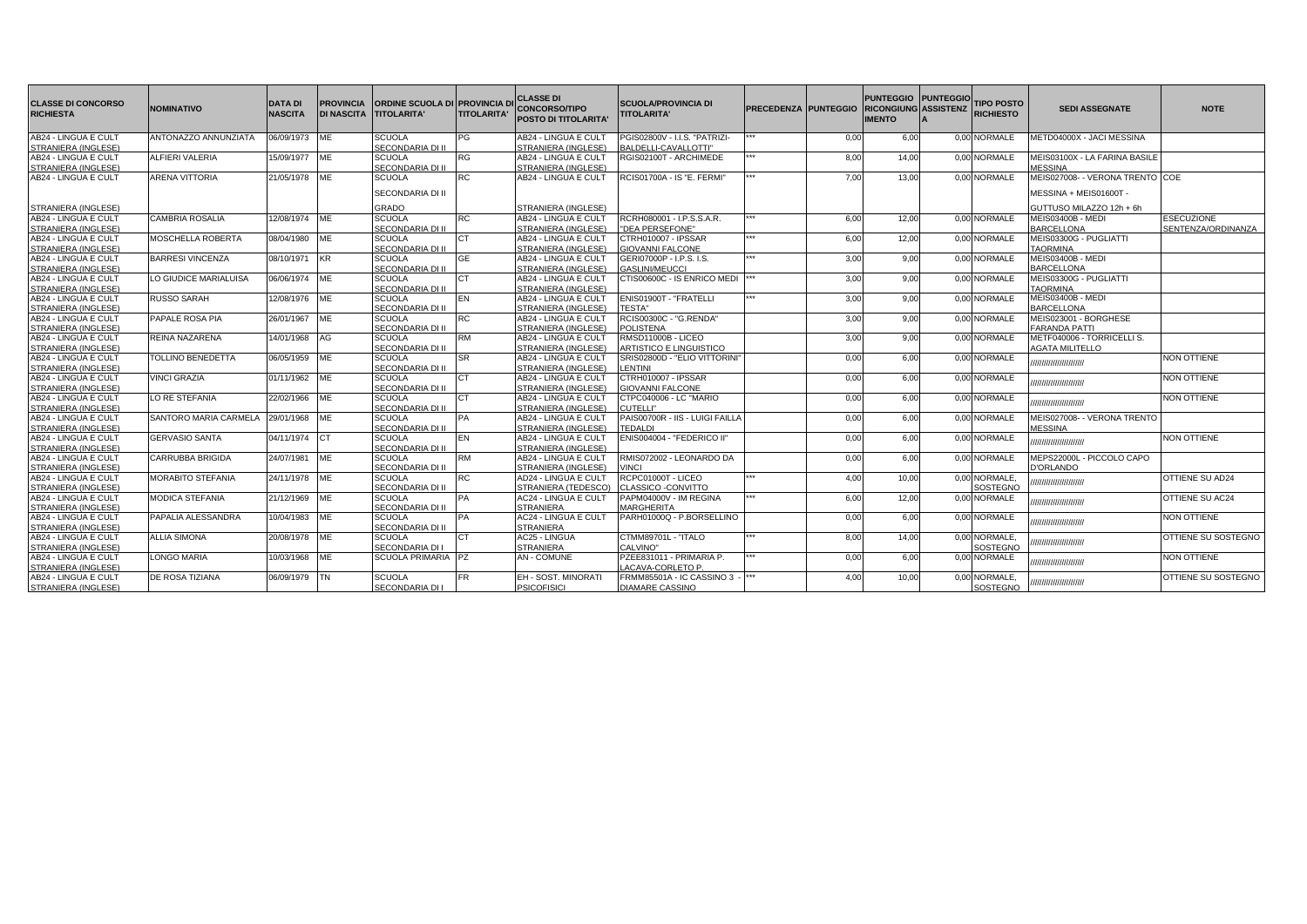| <b>CLASSE DI CONCORSO</b><br><b>RICHIESTA</b> | <b>NOMINATIVO</b>            | <b>DATA DI</b><br><b>NASCITA</b> | <b>PROVINCIA</b><br><b>DI NASCITA</b> | ORDINE SCUOLA DI PROVINCIA D<br><b>TITOLARITA'</b> | <b>TITOLARITA'</b> | <b>CLASSE DI</b><br><b>CONCORSO/TIPO</b><br><b>POSTO DI TITOLARITA'</b> | <b>SCUOLA/PROVINCIA DI</b><br><b>TITOLARITA'</b> | <b>PRECEDENZA PUNTEGGIO</b> |      | PUNTEGGIO PUNTEGGIO<br><b>RICONGIUNG ASSISTENZ</b><br><b>IMENTO</b> | <b>TIPO POSTO</b><br><b>RICHIESTO</b> | <b>SEDI ASSEGNATE</b>            | <b>NOTE</b>         |
|-----------------------------------------------|------------------------------|----------------------------------|---------------------------------------|----------------------------------------------------|--------------------|-------------------------------------------------------------------------|--------------------------------------------------|-----------------------------|------|---------------------------------------------------------------------|---------------------------------------|----------------------------------|---------------------|
| AB24 - LINGUA E CULT                          | ANTONAZZO ANNUNZIATA         | 06/09/1973                       | <b>ME</b>                             | <b>SCUOLA</b>                                      | PG                 | AB24 - LINGUA E CULT                                                    | PGIS02800V - I.I.S. "PATRIZI-                    |                             | 0.00 | 6,00                                                                | 0,00 NORMALE                          | METD04000X - JACI MESSINA        |                     |
| STRANIERA (INGLESE)                           |                              |                                  |                                       | SECONDARIA DI II                                   |                    | STRANIERA (INGLESE)                                                     | BALDELLI-CAVALLOTTI"                             |                             |      |                                                                     |                                       |                                  |                     |
| AB24 - LINGUA E CULT                          | ALFIERI VALERIA              | 15/09/1977                       | <b>IME</b>                            | <b>SCUOLA</b>                                      | <b>RG</b>          | AB24 - LINGUA E CULT                                                    | RGIS02100T - ARCHIMEDE                           |                             | 8.00 | 14.00                                                               | 0.00 NORMALE                          | MEIS03100X - LA FARINA BASILE    |                     |
| STRANIERA (INGLESE)                           |                              |                                  |                                       | SECONDARIA DI II                                   |                    | STRANIERA (INGLESE)                                                     |                                                  |                             |      |                                                                     |                                       | <b>MESSINA</b>                   |                     |
| AB24 - LINGUA E CULT                          | <b>ARENA VITTORIA</b>        | 21/05/1978                       | <b>ME</b>                             | <b>SCUOLA</b>                                      | <b>RC</b>          | AB24 - LINGUA E CULT                                                    | RCIS01700A - IS "E. FERMI"                       |                             | 7.00 | 13.00                                                               | 0.00 NORMALE                          | MEIS027008- - VERONA TRENTO ICOE |                     |
|                                               |                              |                                  |                                       | SECONDARIA DI II                                   |                    |                                                                         |                                                  |                             |      |                                                                     |                                       | MESSINA + MEIS01600T -           |                     |
| STRANIERA (INGLESE)                           |                              |                                  |                                       | GRADO                                              |                    | STRANIERA (INGLESE)                                                     |                                                  |                             |      |                                                                     |                                       | GUTTUSO MILAZZO 12h + 6h         |                     |
| AB24 - LINGUA E CULT                          | <b>CAMBRIA ROSALIA</b>       | 12/08/1974 ME                    |                                       | SCUOLA                                             | <b>RC</b>          | AB24 - LINGUA E CULT                                                    | RCRH080001 - I.P.S.S.A.R.                        |                             | 6.00 | 12.00                                                               | 0.00 NORMALE                          | <b>MEIS03400B - MEDI</b>         | <b>ESECUZIONE</b>   |
| STRANIERA (INGLESE)                           |                              |                                  |                                       | SECONDARIA DI II                                   |                    | STRANIERA (INGLESE)                                                     | "DEA PERSEFONE"                                  |                             |      |                                                                     |                                       | <b>BARCELLONA</b>                | SENTENZA/ORDINANZA  |
| AB24 - LINGUA E CULT                          | MOSCHELLA ROBERTA            | 08/04/1980                       | ME                                    | <b>SCUOLA</b>                                      | <b>CT</b>          | AB24 - LINGUA E CULT                                                    | CTRH010007 - IPSSAR                              |                             | 6.00 | 12.00                                                               | 0.00 NORMALE                          | MEIS03300G - PUGLIATTI           |                     |
| STRANIERA (INGLESE)                           |                              |                                  |                                       | SECONDARIA DI II                                   |                    | STRANIERA (INGLESE)                                                     | <b>GIOVANNI FALCONE</b>                          |                             |      |                                                                     |                                       | <b>TAORMINA</b>                  |                     |
| AB24 - LINGUA E CULT                          | <b>BARRESI VINCENZA</b>      | 08/10/1971                       | <b>KR</b>                             | <b>SCUOLA</b>                                      | <b>GE</b>          | AB24 - LINGUA E CULT                                                    | GERI07000P - I.P.S. I.S.                         |                             | 3.00 | 9,00                                                                | 0,00 NORMALE                          | <b>MEIS03400B - MEDI</b>         |                     |
| STRANIERA (INGLESE)                           |                              |                                  |                                       | SECONDARIA DI II                                   |                    | STRANIERA (INGLESE)                                                     | <b>GASLINI/MEUCCI</b>                            |                             |      |                                                                     |                                       | <b>BARCELLONA</b>                |                     |
| AB24 - LINGUA E CULT                          | LO GIUDICE MARIALUISA        | 06/06/1974                       | ME                                    | <b>SCUOLA</b>                                      | <b>CT</b>          | AB24 - LINGUA E CULT                                                    | CTIS00600C - IS ENRICO MEDI                      |                             | 3.00 | 9,00                                                                | 0.00 NORMALE                          | MEIS03300G - PUGLIATTI           |                     |
| STRANIERA (INGLESE)                           |                              |                                  |                                       | SECONDARIA DI II                                   |                    | STRANIERA (INGLESE)                                                     |                                                  |                             |      |                                                                     |                                       | <b>TAORMINA</b>                  |                     |
| AB24 - LINGUA E CULT                          | <b>RUSSO SARAH</b>           | 12/08/1976 ME                    |                                       | <b>SCUOLA</b>                                      | EN                 | AB24 - LINGUA E CULT                                                    | ENIS01900T - "FRATELLI                           |                             | 3.00 | 9,00                                                                | 0,00 NORMALE                          | <b>MEIS03400B - MEDI</b>         |                     |
| STRANIERA (INGLESE)                           |                              |                                  |                                       | SECONDARIA DI II                                   |                    | STRANIERA (INGLESE)                                                     | <b>TESTA"</b>                                    |                             |      |                                                                     |                                       | <b>BARCELLONA</b>                |                     |
| AB24 - LINGUA E CULT                          | PAPALE ROSA PIA              | 26/01/1967                       | ME                                    | SCUOLA                                             | <b>RC</b>          | AB24 - LINGUA E CULT                                                    | RCIS00300C - "G.RENDA"                           |                             | 3,00 | 9.00                                                                | 0.00 NORMALE                          | MEIS023001 - BORGHESE            |                     |
| STRANIERA (INGLESE)                           |                              |                                  |                                       | SECONDARIA DI II                                   |                    | STRANIERA (INGLESE)                                                     | <b>POLISTENA</b>                                 |                             |      |                                                                     |                                       | <b>FARANDA PATTI</b>             |                     |
| AB24 - LINGUA E CULT                          | REINA NAZARENA               | 14/01/1968                       | AG                                    | <b>SCUOLA</b>                                      | <b>RM</b>          | AB24 - LINGUA E CULT                                                    | RMSD11000B - LICEO                               |                             | 3.00 | 9.00                                                                | 0.00 NORMALE                          | METF040006 - TORRICELLI S.       |                     |
| STRANIERA (INGLESE)                           |                              |                                  |                                       | SECONDARIA DI II                                   |                    | STRANIERA (INGLESE)                                                     | <b>ARTISTICO E LINGUISTICO</b>                   |                             |      |                                                                     |                                       | <b>AGATA MILITELLO</b>           |                     |
| AB24 - LINGUA E CULT                          | TOLLINO BENEDETTA            | 06/05/1959                       | ME                                    | <b>SCUOLA</b>                                      | <b>SR</b>          | AB24 - LINGUA E CULT                                                    | SRIS02800D - "ELIO VITTORINI                     |                             | 0.00 | 6.00                                                                | 0.00 NORMALE                          |                                  | NON OTTIENE         |
| STRANIERA (INGLESE)                           |                              |                                  |                                       | SECONDARIA DI II                                   |                    | STRANIERA (INGLESE)                                                     | <b>LENTINI</b>                                   |                             |      |                                                                     |                                       | ,,,,,,,,,,,,,,,,,,,,,            |                     |
| AB24 - LINGUA E CULT                          | <b>VINCI GRAZIA</b>          | 01/11/1962 ME                    |                                       | <b>SCUOLA</b>                                      | CT.                | AB24 - LINGUA E CULT                                                    | CTRH010007 - IPSSAR                              |                             | 0.00 | 6.00                                                                | 0.00 NORMALE                          |                                  | <b>NON OTTIENE</b>  |
| STRANIERA (INGLESE)                           |                              |                                  |                                       | SECONDARIA DI II                                   |                    | STRANIERA (INGLESE)                                                     | <b>GIOVANNI FALCONE</b>                          |                             |      |                                                                     |                                       | ,,,,,,,,,,,,,,,,,,,,             |                     |
| AB24 - LINGUA E CULT                          | LO RE STEFANIA               | 22/02/1966                       | <b>ME</b>                             | <b>SCUOLA</b>                                      | CT                 | AB24 - LINGUA E CULT                                                    | CTPC040006 - LC "MARIO                           |                             | 0.00 | 6.00                                                                | 0.00 NORMALE                          |                                  | <b>NON OTTIENE</b>  |
| STRANIERA (INGLESE)                           |                              |                                  |                                       | SECONDARIA DI II                                   |                    | STRANIERA (INGLESE)                                                     | CUTELLI"                                         |                             |      |                                                                     |                                       | ,,,,,,,,,,,,,,,,,,,,,            |                     |
| AB24 - LINGUA E CULT                          | <b>SANTORO MARIA CARMELA</b> | 29/01/1968                       | <b>ME</b>                             | <b>SCUOLA</b>                                      | PA                 | AB24 - LINGUA E CULT                                                    | PAIS00700R - IIS - LUIGI FAILL                   |                             | 0.00 | 6.00                                                                | 0.00 NORMALE                          | MEIS027008- - VERONA TRENTO      |                     |
| STRANIERA (INGLESE)                           |                              |                                  |                                       | SECONDARIA DI II                                   |                    | STRANIERA (INGLESE)                                                     | <b>TEDALDI</b>                                   |                             |      |                                                                     |                                       | <b>MESSINA</b>                   |                     |
| AB24 - LINGUA E CULT                          | <b>GERVASIO SANTA</b>        | 04/11/1974                       | <b>ICT</b>                            | <b>SCUOLA</b>                                      | EN                 | AB24 - LINGUA E CULT                                                    | ENIS004004 - "FEDERICO II"                       |                             | 0.00 | 6,00                                                                | 0,00 NORMALE                          | ,,,,,,,,,,,,,,,,,,,,,            | NON OTTIENE         |
| STRANIERA (INGLESE)                           |                              |                                  |                                       | SECONDARIA DI II                                   |                    | STRANIERA (INGLESE)                                                     |                                                  |                             |      |                                                                     |                                       |                                  |                     |
| AB24 - LINGUA E CULT                          | <b>CARRUBBA BRIGIDA</b>      | 24/07/1981                       | ME                                    | SCUOLA                                             | <b>RM</b>          | AB24 - LINGUA E CULT                                                    | RMIS072002 - LEONARDO DA                         |                             | 0.00 | 6.00                                                                | 0.00 NORMALE                          | MEPS22000L - PICCOLO CAPO        |                     |
| STRANIERA (INGLESE)                           |                              |                                  |                                       | SECONDARIA DI II                                   |                    | STRANIERA (INGLESE)                                                     | <b>VINCI</b>                                     |                             |      |                                                                     |                                       | <b>J'ORLANDO</b>                 |                     |
| AB24 - LINGUA E CULT                          | <b>MORABITO STEFANIA</b>     | 24/11/1978                       | <b>IME</b>                            | <b>SCUOLA</b>                                      | <b>RC</b>          | AD24 - LINGUA E CULT                                                    | RCPC01000T - LICEO                               |                             | 4.00 | 10.00                                                               | 0,00 NORMALE,                         |                                  | OTTIENE SU AD24     |
| STRANIERA (INGLESE)                           |                              |                                  |                                       | SECONDARIA DI II                                   |                    | STRANIERA (TEDESCO)                                                     | CLASSICO -CONVITTO                               |                             |      |                                                                     | <b>SOSTEGNO</b>                       | ,,,,,,,,,,,,,,,,,,,,             |                     |
| AB24 - LINGUA E CULT                          | <b>MODICA STEFANIA</b>       | 21/12/1969                       | ME                                    | SCUOLA                                             | <b>PA</b>          | AC24 - LINGUA E CULT                                                    | PAPM04000V - IM REGINA                           |                             | 6,00 | 12,00                                                               | 0,00 NORMALE                          | ,,,,,,,,,,,,,,,,,,,,,            | OTTIENE SU AC24     |
| STRANIERA (INGLESE)                           |                              |                                  |                                       | SECONDARIA DI II                                   |                    | <b>STRANIERA</b>                                                        | MARGHERITA                                       |                             |      |                                                                     |                                       |                                  |                     |
| AB24 - LINGUA E CULT                          | PAPALIA ALESSANDRA           | 10/04/1983                       | ME                                    | <b>SCUOLA</b>                                      | <b>PA</b>          | <b>AC24 - LINGUA E CULT</b>                                             | PARH01000Q - P.BORSELLINO                        |                             | 0.00 | 6.00                                                                | 0.00 NORMALE                          | ,,,,,,,,,,,,,,,,,,,,,            | <b>NON OTTIENE</b>  |
| STRANIERA (INGLESE)                           |                              |                                  |                                       | SECONDARIA DI II                                   |                    | <b>STRANIERA</b>                                                        |                                                  |                             |      |                                                                     |                                       |                                  |                     |
| AB24 - LINGUA E CULT                          | <b>ALLIA SIMONA</b>          | 20/08/1978                       | <b>ME</b>                             | <b>SCUOLA</b>                                      | ICT.               | AC25 - LINGUA                                                           | CTMM89701L - "ITALO                              |                             | 8,00 | 14,00                                                               | 0,00 NORMALE,                         |                                  | OTTIENE SU SOSTEGNO |
| STRANIERA (INGLESE)                           |                              |                                  |                                       | SECONDARIA DI                                      |                    | <b>STRANIERA</b>                                                        | CALVINO"                                         |                             |      |                                                                     | <b>SOSTEGNO</b>                       | ,,,,,,,,,,,,,,,,,,,,             |                     |
| AB24 - LINGUA E CULT                          | LONGO MARIA                  | 10/03/1968                       | ME                                    | SCUOLA PRIMARIA PZ                                 |                    | <b>AN - COMUNE</b>                                                      | PZEE831011 - PRIMARIA P.                         |                             | 0.00 | 6,00                                                                | 0,00 NORMALE                          |                                  | NON OTTIENE         |
| STRANIERA (INGLESE)                           |                              |                                  |                                       |                                                    |                    |                                                                         | LACAVA-CORLETO P.                                |                             |      |                                                                     |                                       | ,,,,,,,,,,,,,,,,,,,,             |                     |
| AB24 - LINGUA E CULT                          | DE ROSA TIZIANA              | 06/09/1979                       | <b>ITN</b>                            | SCUOLA                                             | <b>FR</b>          | EH - SOST, MINORATI                                                     | FRMM85501A - IC CASSINO 3                        |                             | 4,00 | 10,00                                                               | 0,00 NORMALE,                         | ,,,,,,,,,,,,,,,,,,,,             | OTTIENE SU SOSTEGNO |
| STRANIERA (INGLESE)                           |                              |                                  |                                       | SECONDARIA DI                                      |                    | <b>PSICOFISICI</b>                                                      | <b>DIAMARE CASSINO</b>                           |                             |      |                                                                     | SOSTEGNO                              |                                  |                     |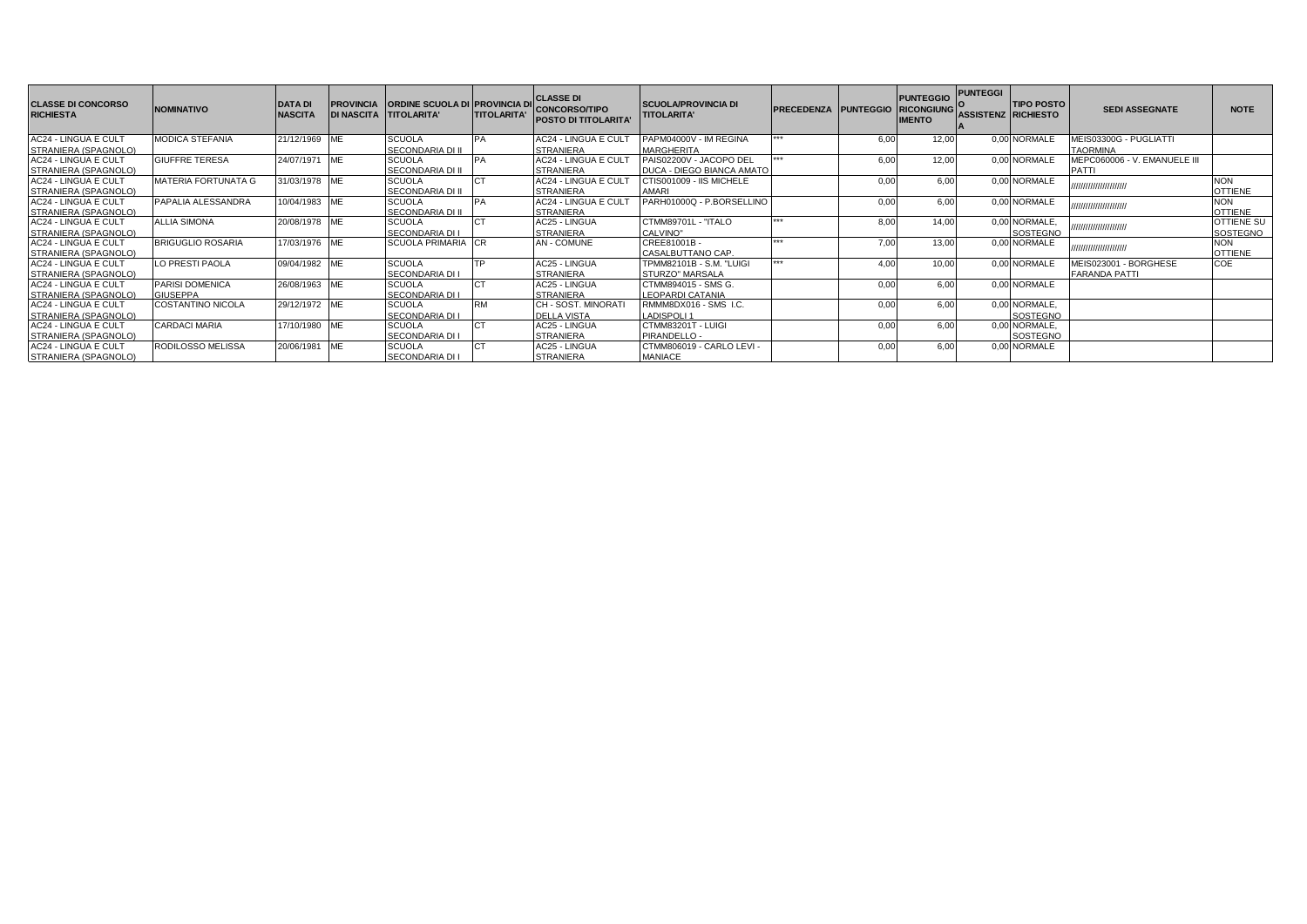| <b>ICLASSE DI CONCORSO</b><br><b>RICHIESTA</b>      | <b>NOMINATIVO</b>          | <b>DATA DI</b><br><b>NASCITA</b> | <b>PROVINCIA</b> | <b>ORDINE SCUOLA DI PROVINCIA DI</b><br>DI NASCITA TIITOLARITA' | <b>TITOLARITA'</b> | <b>CLASSE DI</b><br><b>CONCORSO/TIPO</b><br><b>POSTO DI TITOLARITA'</b> | <b>SCUOLA/PROVINCIA DI</b><br><b>TITOLARITA'</b>            | <b>PRECEDENZA PUNTEGGIO</b> |      | <b>PUNTEGGIO</b><br><b>RICONGIUNG</b><br><b>IMENTO</b> | <b>PUNTEGGI</b><br><b>ASSISTENZ RICHIESTO</b> | <b>TIPO POSTO</b>                | <b>SEDI ASSEGNATE</b>                 | <b>NOTE</b>                  |
|-----------------------------------------------------|----------------------------|----------------------------------|------------------|-----------------------------------------------------------------|--------------------|-------------------------------------------------------------------------|-------------------------------------------------------------|-----------------------------|------|--------------------------------------------------------|-----------------------------------------------|----------------------------------|---------------------------------------|------------------------------|
| <b>AC24 - LINGUA E CULT</b>                         | <b>MODICA STEFANIA</b>     | 21/12/1969                       | ME               | <b>SCUOLA</b>                                                   |                    | AC24 - LINGUA E CULT                                                    | PAPM04000V - IM REGINA                                      | ***                         | 6,00 | 12.00                                                  |                                               | 0,00 NORMALE                     | MEIS03300G - PUGLIATTI                |                              |
| STRANIERA (SPAGNOLO)                                |                            |                                  |                  | <b>SECONDARIA DI II</b>                                         |                    | <b>STRANIERA</b>                                                        | <b>MARGHERITA</b>                                           |                             |      |                                                        |                                               |                                  | <b>TAORMINA</b>                       |                              |
| AC24 - LINGUA E CULT<br>STRANIERA (SPAGNOLO)        | <b>GIUFFRE TERESA</b>      | 24/07/1971 ME                    |                  | <b>SCUOLA</b><br><b>SECONDARIA DI II</b>                        |                    | AC24 - LINGUA E CULT<br><b>STRANIERA</b>                                | PAIS02200V - JACOPO DEL<br><b>DUCA - DIEGO BIANCA AMATO</b> |                             | 6.00 | 12.00                                                  |                                               | 0.00 NORMALE                     | MEPC060006 - V. EMANUELE III<br>PATTI |                              |
| <b>AC24 - LINGUA E CULT</b>                         | <b>MATERIA FORTUNATA G</b> | 31/03/1978 ME                    |                  | <b>SCUOLA</b><br><b>SECONDARIA DI II</b>                        |                    | AC24 - LINGUA E CULT<br><b>STRANIERA</b>                                | CTIS001009 - IIS MICHELE<br><b>AMARI</b>                    |                             | 0,00 | 6.00                                                   |                                               | 0,00 NORMALE                     | ,,,,,,,,,,,,,,,,,,,,,,                | <b>NON</b><br><b>OTTIENE</b> |
| STRANIERA (SPAGNOLO)<br>AC24 - LINGUA E CULT        | PAPALIA ALESSANDRA         | 10/04/1983 ME                    |                  | <b>SCUOLA</b>                                                   |                    | AC24 - LINGUA E CULT                                                    | PARH01000Q - P.BORSELLINO                                   |                             | 0.00 | 6.00                                                   |                                               | 0,00 NORMALE                     | ,,,,,,,,,,,,,,,,,,,,,,                | <b>NON</b>                   |
| STRANIERA (SPAGNOLO)                                |                            |                                  |                  | <b>SECONDARIA DI II</b>                                         |                    | <b>STRANIERA</b>                                                        |                                                             |                             |      |                                                        |                                               |                                  |                                       | <b>OTTIENE</b>               |
| <b>AC24 - LINGUA E CULT</b>                         | <b>ALLIA SIMONA</b>        | 20/08/1978 ME                    |                  | <b>SCUOLA</b>                                                   |                    | AC25 - LINGUA                                                           | CTMM89701L - "ITALO                                         | ***                         | 8.00 | 14.00                                                  |                                               | 0.00 NORMALE.<br><b>SOSTEGNO</b> | ,,,,,,,,,,,,,,,,,,,,,,                | <b>OTTIENE SU</b>            |
| STRANIERA (SPAGNOLO)<br><b>AC24 - LINGUA E CULT</b> | <b>BRIGUGLIO ROSARIA</b>   | 17/03/1976 ME                    |                  | <b>SECONDARIA DI I</b><br><b>SCUOLA PRIMARIA CR</b>             |                    | <b>STRANIERA</b><br><b>AN-COMUNE</b>                                    | CALVINO"<br>CREE81001B-                                     | مقامله مقا                  | 7.00 | 13.00                                                  |                                               | 0.00 NORMALE                     |                                       | SOSTEGNO<br><b>NON</b>       |
| STRANIERA (SPAGNOLO)                                |                            |                                  |                  |                                                                 |                    |                                                                         | CASALBUTTANO CAP.                                           |                             |      |                                                        |                                               |                                  | ,,,,,,,,,,,,,,,,,,,,,,,               | <b>OTTIENE</b>               |
| <b>AC24 - LINGUA E CULT</b>                         | LO PRESTI PAOLA            | 09/04/1982 ME                    |                  | <b>SCUOLA</b>                                                   |                    | AC25 - LINGUA                                                           | TPMM82101B - S.M. "LUIGI                                    | ***                         | 4.00 | 10.00                                                  |                                               | 0.00 NORMALE                     | MEIS023001 - BORGHESE                 | COE                          |
| STRANIERA (SPAGNOLO)                                |                            |                                  |                  | <b>SECONDARIA DI I</b>                                          |                    | <b>STRANIERA</b>                                                        | <b>STURZO" MARSALA</b>                                      |                             |      |                                                        |                                               |                                  | <b>FARANDA PATTI</b>                  |                              |
| AC24 - LINGUA E CULT                                | PARISI DOMENICA            | 26/08/1963 ME                    |                  | <b>SCUOLA</b>                                                   |                    | AC25 - LINGUA                                                           | CTMM894015 - SMS G.                                         |                             | 0.00 | 6.00                                                   |                                               | 0.00 NORMALE                     |                                       |                              |
| STRANIERA (SPAGNOLO)                                | <b>GIUSEPPA</b>            |                                  |                  | <b>SECONDARIA DI I</b>                                          |                    | <b>STRANIERA</b>                                                        | <b>LEOPARDI CATANIA</b>                                     |                             |      |                                                        |                                               |                                  |                                       |                              |
| <b>AC24 - LINGUA E CULT</b>                         | COSTANTINO NICOLA          | 29/12/1972 ME                    |                  | <b>SCUOLA</b>                                                   | <b>RM</b>          | CH - SOST, MINORATI                                                     | RMMM8DX016 - SMS I.C.                                       |                             | 0,00 | 6.00                                                   |                                               | 0,00 NORMALE,                    |                                       |                              |
| STRANIERA (SPAGNOLO)                                |                            |                                  |                  | <b>SECONDARIA DI I</b>                                          |                    | <b>DELLA VISTA</b>                                                      | <b>LADISPOLI 1</b>                                          |                             |      |                                                        |                                               | SOSTEGNO                         |                                       |                              |
| <b>AC24 - LINGUA E CULT</b>                         | <b>CARDACI MARIA</b>       | 17/10/1980 ME                    |                  | <b>SCUOLA</b>                                                   |                    | AC25 - LINGUA                                                           | CTMM83201T - LUIGI                                          |                             | 0,0  | 6.00                                                   |                                               | 0,00 NORMALE,                    |                                       |                              |
| STRANIERA (SPAGNOLO)                                |                            |                                  |                  | <b>SECONDARIA DI I</b>                                          |                    | <b>STRANIERA</b>                                                        | PIRANDELLO -                                                |                             |      |                                                        |                                               | SOSTEGNO                         |                                       |                              |
| <b>AC24 - LINGUA E CULT</b>                         | RODILOSSO MELISSA          | 20/06/1981                       | <b>ME</b>        | <b>SCUOLA</b>                                                   |                    | AC25 - LINGUA                                                           | CTMM806019 - CARLO LEVI -                                   |                             | 0.0( | 6.00                                                   |                                               | 0.00 NORMALE                     |                                       |                              |
| STRANIERA (SPAGNOLO)                                |                            |                                  |                  | <b>SECONDARIA DI I</b>                                          |                    | STRANIERA                                                               | <b>MANIACE</b>                                              |                             |      |                                                        |                                               |                                  |                                       |                              |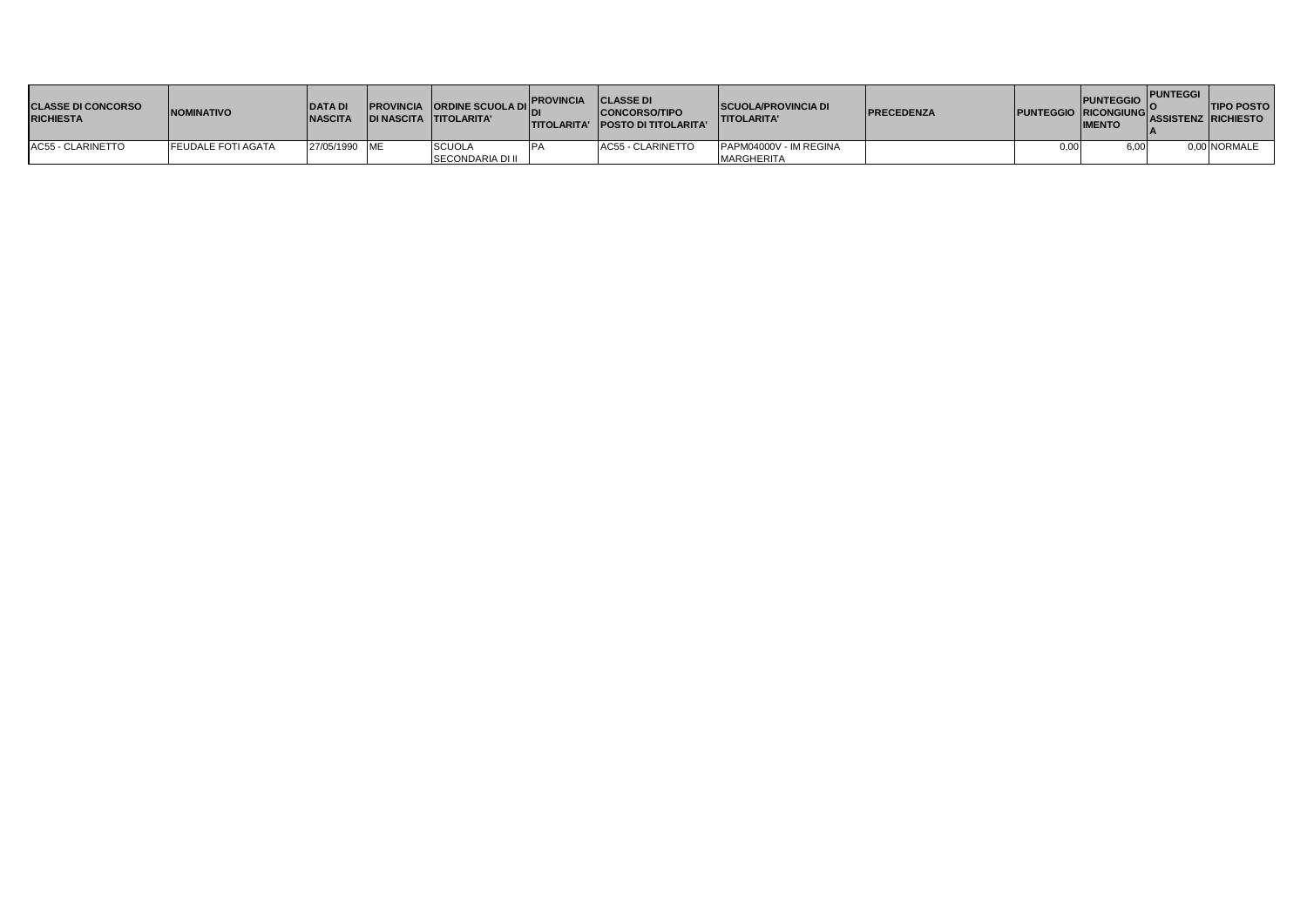| <b>ICLASSE DI CONCORSO</b><br><b>RICHIESTA</b> | <b>NOMINATIVO</b>         | <b>IDATAD</b><br><b>INASCITA</b> | <b>PROVINCIA ORDINE SCUOLA DIL</b><br>IDI NASCITA TITOLARITA' | <b>PROVINCIA</b><br><b>TITOLARITA'</b> | <b>CLASSE DI</b><br><b>CONCORSO/TIPO</b><br><b>IPOSTO DI TITOLARITA'</b> | <b>ISCUOLA/PROVINCIA DI</b><br><b>TITOLARITA'</b> | <b>IPRECEDENZA</b> |      | PUNTEGGIO I<br>PUNTEGGIO RICONGIUNG ASSISTENZ RICHIESTO<br><b>IMENTO</b> | <b>PUNTEGGI</b> | <b>TIPO POSTO</b> |
|------------------------------------------------|---------------------------|----------------------------------|---------------------------------------------------------------|----------------------------------------|--------------------------------------------------------------------------|---------------------------------------------------|--------------------|------|--------------------------------------------------------------------------|-----------------|-------------------|
| AC55 - CLARINETTO                              | <b>FEUDALE FOTI AGATA</b> | 27/05/1990 IME                   | <b>SCUOLA</b>                                                 |                                        | AC55 - CLARINETTO                                                        | PAPM04000V - IM REGINA                            |                    | 0.00 | 6.00                                                                     |                 | 0.00 NORMALE      |
|                                                |                           |                                  | <b>SECONDARIA DI II</b>                                       |                                        |                                                                          | <b>MARGHERITA</b>                                 |                    |      |                                                                          |                 |                   |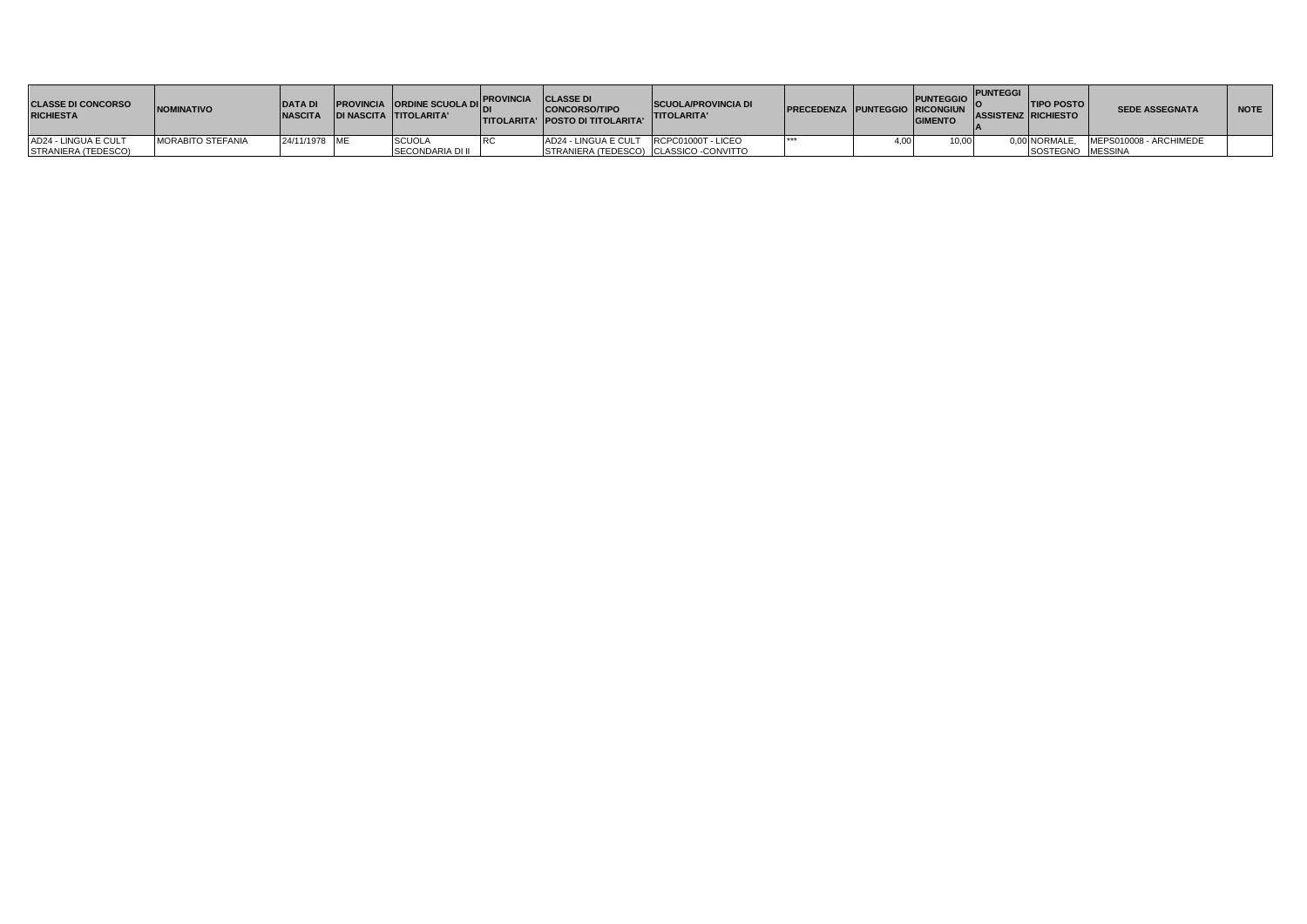| <b>CLASSE DI CONCORSO</b><br><b>RICHIESTA</b> | <b>NOMINATIVO</b>        | <b>IDATA DI</b><br><b>NASCITA</b> | <b>PROVINCIA</b> ORDINE SCUOLA DICA CLASSE DI<br><b>IDI NASCITA TITOLARITA'</b> | <b>CONCORSO/TIPO</b><br><b>ITITOLARITA' IPOSTO DI TITOLARITA'</b> | <b>SCUOLA/PROVINCIA DI</b><br><b>TITOLARITA'</b> | <b>PRECEDENZA PUNTEGGIO RICONGIUN</b> | <b>PUNTEGGIO PUNTEGGI I</b><br><b>GIMENTO</b> | <b>ITIPO POSTO</b><br><b>ASSISTENZ RICHIESTO</b> | <b>SEDE ASSEGNATA</b>  | <b>NOTE</b> |
|-----------------------------------------------|--------------------------|-----------------------------------|---------------------------------------------------------------------------------|-------------------------------------------------------------------|--------------------------------------------------|---------------------------------------|-----------------------------------------------|--------------------------------------------------|------------------------|-------------|
| AD24 - LINGUA E CULT                          | <b>MORABITO STEFANIA</b> | 24/11/1978 ME                     | <b>SCUOLA</b>                                                                   | AD24 - LINGUA E CULT RCPC01000T - LICEO                           |                                                  |                                       | 10.00.                                        | າ 00 NORMALE.                                    | MEPS010008 - ARCHIMEDE |             |
| STRANIERA (TEDESCO)                           |                          |                                   | <b>SECONDARIA DI II</b>                                                         | STRANIERA (TEDESCO) CLASSICO -CONVITTO                            |                                                  |                                       |                                               | SOSTEGNO MESSINA                                 |                        |             |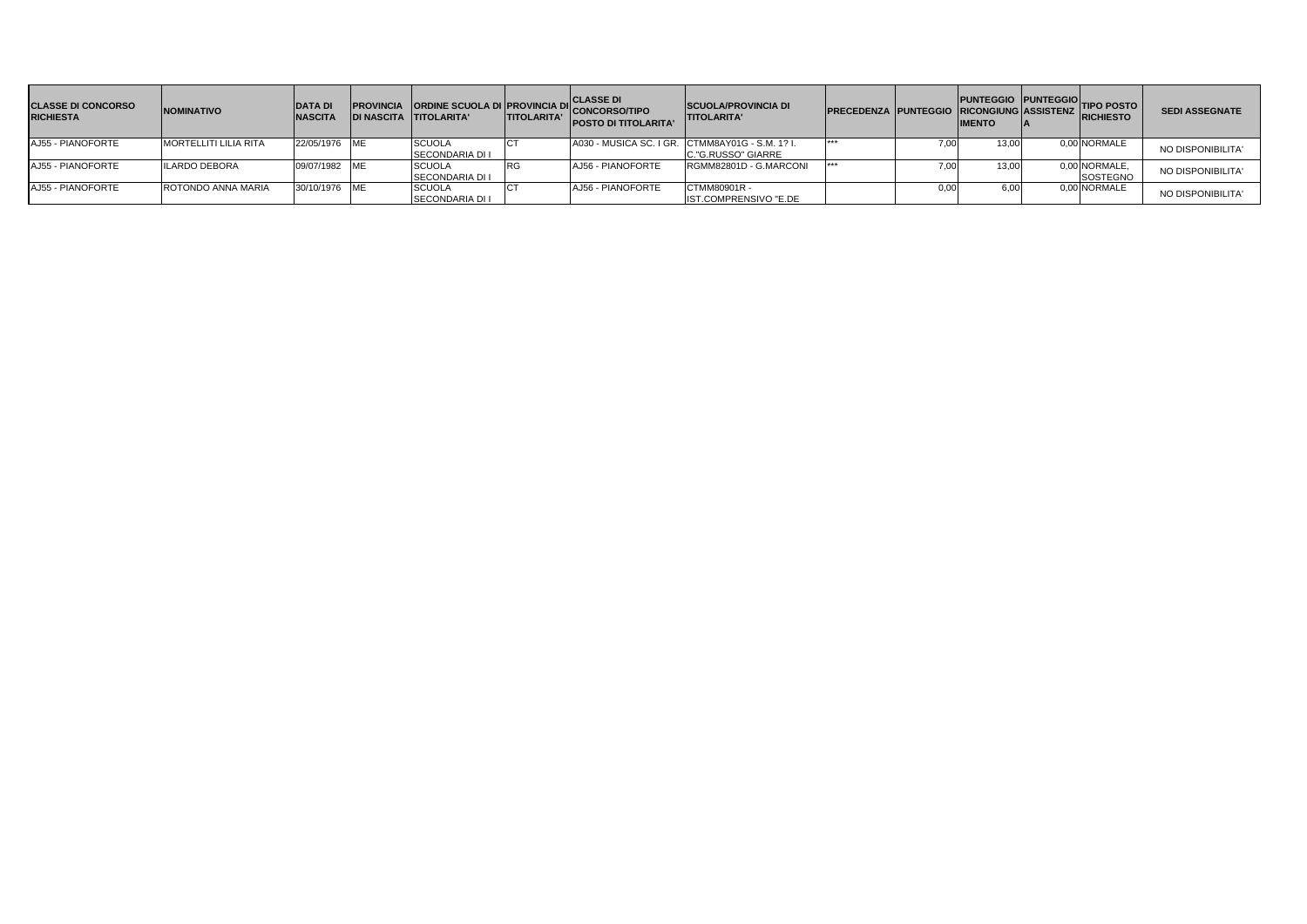| <b>CLASSE DI CONCORSO</b><br><b>RICHIESTA</b> | <b>NOMINATIVO</b>            | <b>DATA DI</b><br><b>NASCITA</b> |                                         | <b>IPROVINCIA ORDINE SCUOLA DI PROVINCIA DI CLASSE DI<br/>CONCORSO/TIPO TITOLARITA' TITOI ARITA' CONCORSO/TIPO</b><br><b>POSTO DI TITOLARITA'</b> | <b>SCUOLA/PROVINCIA DI</b><br><b>ITITOLARITA'</b>                     | PRECEDENZA PUNTEGGIO RICONGIUNG ASSISTENZ RICHIESTO | <b>IMENTO</b> | PUNTEGGIO PUNTEGGIO TIPO POSTO | <b>SEDI ASSEGNATE</b> |
|-----------------------------------------------|------------------------------|----------------------------------|-----------------------------------------|---------------------------------------------------------------------------------------------------------------------------------------------------|-----------------------------------------------------------------------|-----------------------------------------------------|---------------|--------------------------------|-----------------------|
| AJ55 - PIANOFORTE                             | <b>MORTELLITI LILIA RITA</b> | 22/05/1976 ME                    | <b>SCUOLA</b><br><b>SECONDARIA DI I</b> |                                                                                                                                                   | A030 - MUSICA SC. I GR. CTMM8AY01G - S.M. 1? I.<br>C."G.RUSSO" GIARRE |                                                     | 13,00         | 0,00 NORMALE                   | NO DISPONIBILITA'     |
| AJ55 - PIANOFORTE                             | <b>ILARDO DEBORA</b>         | 09/07/1982 ME                    | <b>SCUOLA</b><br>SECONDARIA DI I        | AJ56 - PIANOFORTE                                                                                                                                 | RGMM82801D - G.MARCONI                                                |                                                     | 13,00         | 0,00 NORMALE,<br>SOSTEGNO      | NO DISPONIBILITA'     |
| AJ55 - PIANOFORTE                             | ROTONDO ANNA MARIA           | 30/10/1976 ME                    | <b>SCUOLA</b><br><b>SECONDARIA DI I</b> | AJ56 - PIANOFORTE                                                                                                                                 | CTMM80901R -<br>IST.COMPRENSIVO "E.DE                                 |                                                     | 6.00          | 0.00 NORMALE                   | NO DISPONIBILITA'     |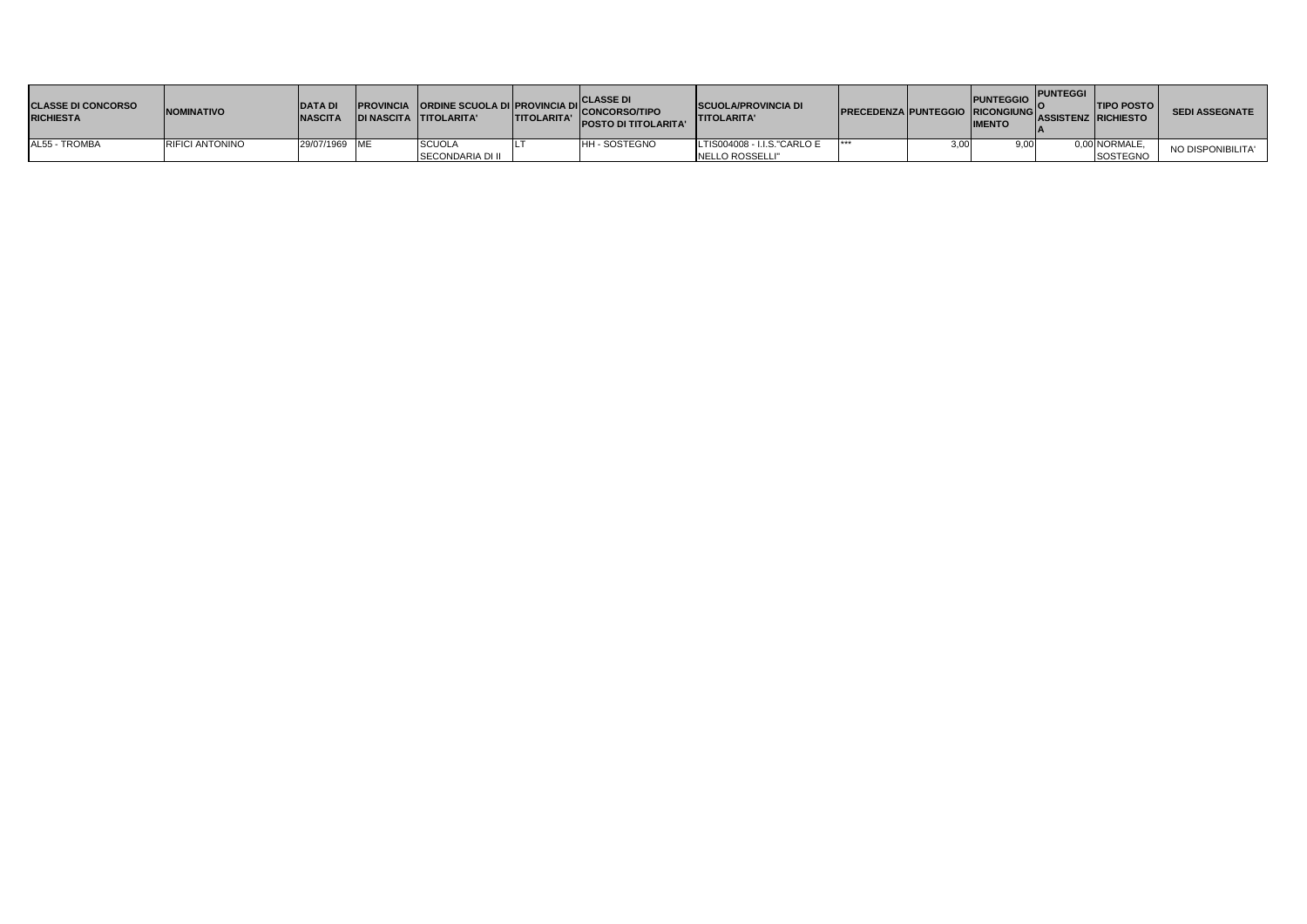| <b>CLASSE DI CONCORSO</b><br><b>RICHIESTA</b> | <b>NOMINATIVO</b>      | <b>DATA DI</b><br><b>NASCITA</b> | <b>PROVINCIA ORDINE SCUOLA DI PROVINCIA DI ACTION</b><br><b>DI NASCITA TITOLARITA'</b> | <b>TITOLARITA'</b> | <b>ICLASSE DI</b><br>''ICONCORSO/TIPO<br><b>POSTO DI TITOLARITA'</b> | <b>SCUOLA/PROVINCIA DI</b><br><b>ITITOLARITA'</b> | <b>PRECEDENZA PUNTEGGIO RICONGIUNG ASSISTENZ RICHIESTO IN OFICE</b> |      | <b>PUNTEGGIO</b><br><b>IIMENTO</b> | <b>PUNTEGGI</b> | <b>ITIPO POSTO</b>        | <b>SEDI ASSEGNATE</b> |
|-----------------------------------------------|------------------------|----------------------------------|----------------------------------------------------------------------------------------|--------------------|----------------------------------------------------------------------|---------------------------------------------------|---------------------------------------------------------------------|------|------------------------------------|-----------------|---------------------------|-----------------------|
| AL55 - TROMBA                                 | <b>RIFICI ANTONINO</b> | 29/07/1969 ME                    | <b>SCUOL</b><br>SECONDARIA DI II                                                       |                    | <b>H - SOSTEGNO</b>                                                  | LTIS004008 - I.I.S."CARLO E<br>NELLO ROSSELLI"    | ***                                                                 | 3.00 | 9.00 <sub>1</sub>                  |                 | 0.00 NORMALE.<br>SOSTEGNO | NO DISPONIBILITA'     |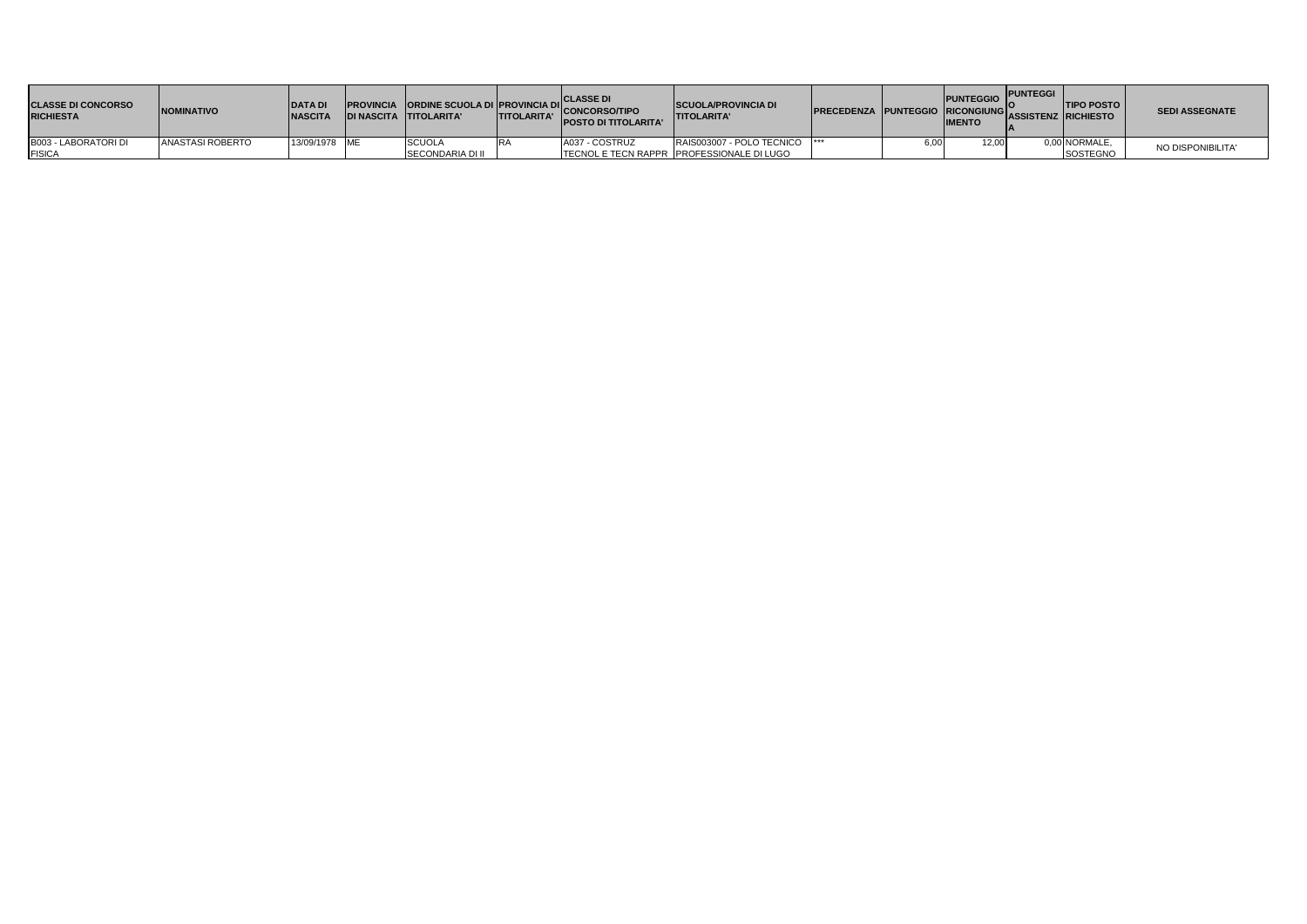| <b>CLASSE DI CONCORSO</b><br><b>RICHIESTA</b> | <b>NOMINATIVO</b> | <b>DATADI</b><br><b>NASCITA</b> | <b>DI NASCITA TITOLARITA'</b> | <b>TITOLARITA'</b> | <b>CLASSE DI</b><br>PROVINCIA ORDINE SCUOLA DI PROVINCIA DI CONCORSO/TIPO<br><b>POSTO DI TITOLARITA'</b> | <b>SCUOLA/PROVINCIA DI</b><br><b>ITITOLARITA'</b> | <b>PRECEDENZA PUNTEGGIO RICONGIUNG</b> |      | <b>IMENTO</b> | PUNTEGGIO PUNTEGGI<br>"Iassistenz Irichiesto | <b>TIPO POSTO</b> | <b>SEDI ASSEGNATE</b> |
|-----------------------------------------------|-------------------|---------------------------------|-------------------------------|--------------------|----------------------------------------------------------------------------------------------------------|---------------------------------------------------|----------------------------------------|------|---------------|----------------------------------------------|-------------------|-----------------------|
| B003 - LABORATORI DI                          | ANASTASI ROBERTO  | 13/09/1978 ME                   | <b>SCUOLA</b>                 |                    | A037 - COSTRUZ                                                                                           | RAIS003007 - POLO TECNICO  ***                    |                                        | 5,00 | 12,00         |                                              | 0,00 NORMALE,     | NO DISPONIBILITA'     |
| <b>FISICA</b>                                 |                   |                                 | <b>SECONDARIA DI II</b>       |                    |                                                                                                          | TECNOL E TECN RAPPR PROFESSIONALE DI LUGO         |                                        |      |               |                                              | SOSTEGNO          |                       |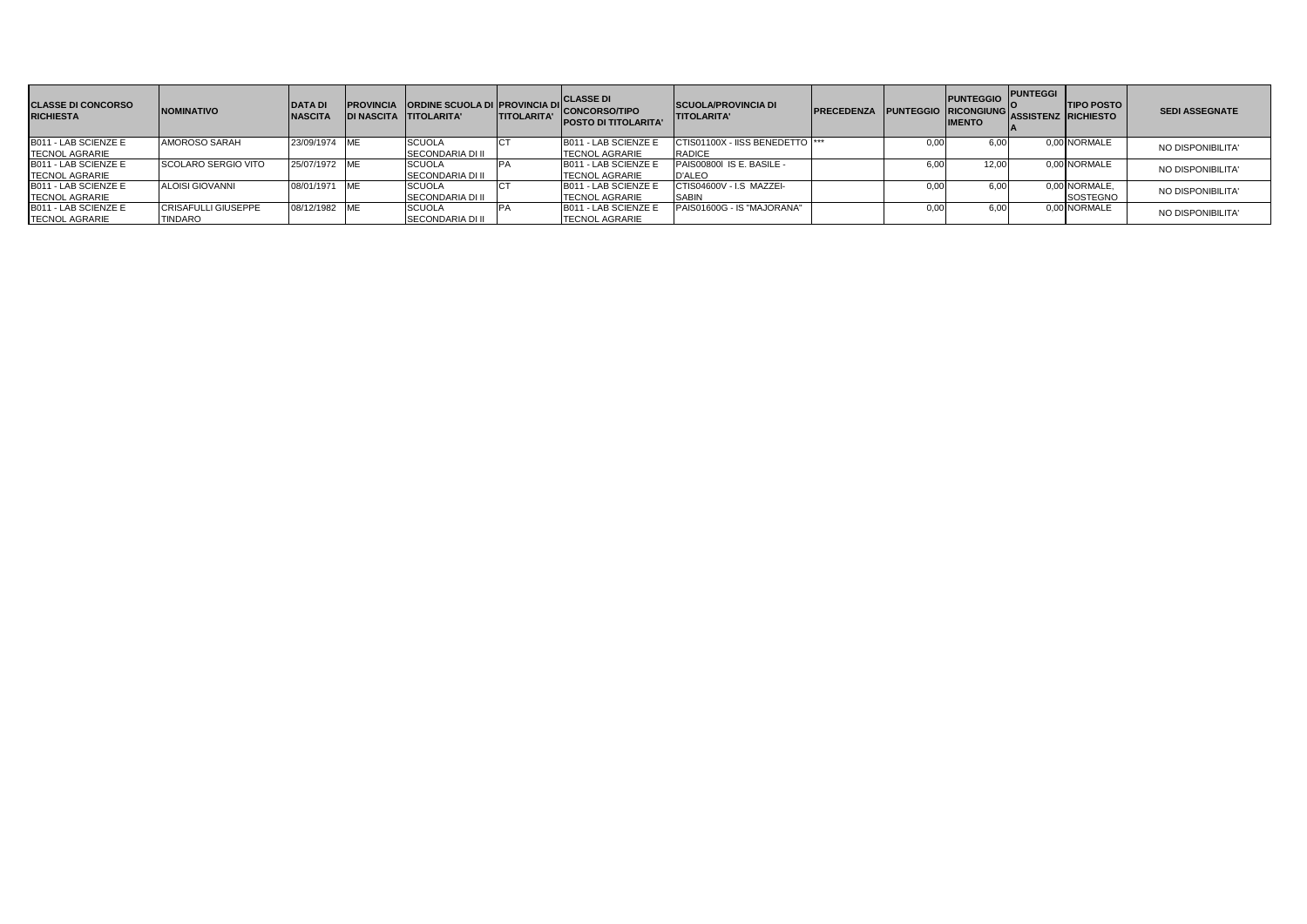| <b>CLASSE DI CONCORSO</b><br><b>RICHIESTA</b> | <b>INOMINATIVO</b>         | <b>DATA DI</b><br><b>NASCITA</b> | <b>IDI NASCITA TITOLARITA'</b> | <b>PROVINCIA ORDINE SCUOLA DI PROVINCIA DI</b> | <b>ITITOLARITA'</b> | <b>CLASSE DI</b><br>" CONCORSO/TIPO<br><b>POSTO DI TITOLARITA</b> | <b>SCUOLA/PROVINCIA DI</b><br><b>ITITOLARITA'</b> | <b>PRECEDENZA</b> |      | <b>PUNTEGGIO</b><br>PUNTEGGIO RICONGIUNG O<br><b>IIMENTO</b> | <b>PUNTEGGI</b><br><b>ASSISTENZ RICHIESTO</b> | <b>ITIPO POSTO</b> | <b>SEDI ASSEGNATE</b> |
|-----------------------------------------------|----------------------------|----------------------------------|--------------------------------|------------------------------------------------|---------------------|-------------------------------------------------------------------|---------------------------------------------------|-------------------|------|--------------------------------------------------------------|-----------------------------------------------|--------------------|-----------------------|
| B011 - LAB SCIENZE E<br><b>TECNOL AGRARIE</b> | AMOROSO SARAH              | 23/09/1974 ME                    |                                | <b>SCUOLA</b><br><b>SECONDARIA DI II</b>       |                     | B011 - LAB SCIENZE E<br><b>ITECNOL AGRARIE</b>                    | CTIS01100X - IISS BENEDETTO  ***<br><b>RADICE</b> |                   | 0.00 |                                                              |                                               | 0,00 NORMALE       | NO DISPONIBILITA'     |
| B011 - LAB SCIENZE E                          | <b>SCOLARO SERGIO VITO</b> | 25/07/1972 ME                    |                                | <b>SCUOLA</b>                                  |                     | B011 - LAB SCIENZE E                                              | PAIS00800I IS E. BASILE -                         |                   | 6.OC | 12.00                                                        |                                               | 0,00 NORMALE       |                       |
| <b>TECNOL AGRARIE</b>                         |                            |                                  |                                | <b>ISECONDARIA DI II</b>                       |                     | <b>TECNOL AGRARIE</b>                                             | D'ALEO                                            |                   |      |                                                              |                                               |                    | NO DISPONIBILITA'     |
| B011 - LAB SCIENZE E                          | <b>ALOISI GIOVANNI</b>     | 08/01/1971 ME                    |                                | <b>SCUOLA</b>                                  |                     | B011 - LAB SCIENZE E                                              | CTIS04600V - I.S MAZZEI-                          |                   | 0.00 | 6.00                                                         |                                               | 0,00 NORMALE       | NO DISPONIBILITA'     |
| <b>TECNOL AGRARIE</b>                         |                            |                                  |                                | <b>SECONDARIA DI II</b>                        |                     | <b>ITECNOL AGRARIE</b>                                            | <b>SABIN</b>                                      |                   |      |                                                              |                                               | SOSTEGNO           |                       |
| B011 - LAB SCIENZE E                          | <b>CRISAFULLI GIUSEPPE</b> | 08/12/1982 ME                    |                                | <b>SCUOLA</b>                                  |                     | B011 - LAB SCIENZE E                                              | PAIS01600G - IS "MAJORANA"                        |                   | 0.00 |                                                              |                                               | 0.00 NORMALE       | NO DISPONIBILITA'     |
| <b>TECNOL AGRARIE</b>                         | <b>TINDARO</b>             |                                  |                                | <b>SECONDARIA DI II</b>                        |                     | <b>TECNOL AGRARIE</b>                                             |                                                   |                   |      |                                                              |                                               |                    |                       |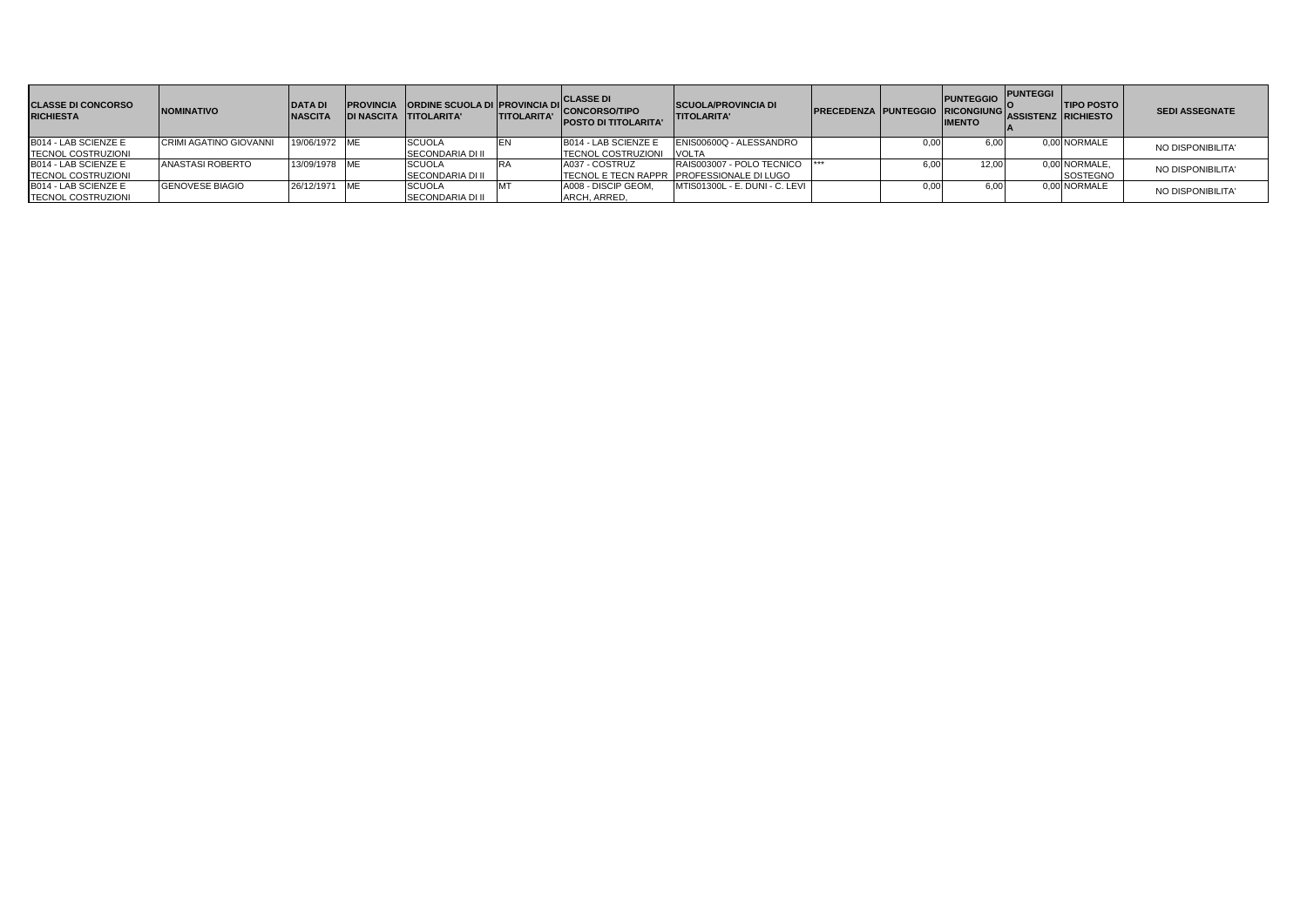| <b>CLASSE DI CONCORSO</b><br><b>RICHIESTA</b> | <b>INOMINATIVO</b>            | <b>DATAD</b><br><b>NASCITA</b> | <b>DI NASCITA TITOLARITA'</b> | <b>TITOLARITA'</b> | <b>PROVINCIA ORDINE SCUOLA DI PROVINCIA DI CONCORSO/TIPO</b><br><b>POSTO DI TITOLARITA'</b> | <b>SCUOLA/PROVINCIA DI</b><br><b>ITITOLARITA'</b> | <b>IPRECEDENZA PUNTEGGIO RICONGIUNG</b> |      | <b>PUNTEGGIO</b><br><b>IMENTO</b> | <b>PUNTEGGI</b><br>ASSISTENZ RICHIESTO | <b>TIPO POSTO</b> | <b>SEDI ASSEGNATE</b> |
|-----------------------------------------------|-------------------------------|--------------------------------|-------------------------------|--------------------|---------------------------------------------------------------------------------------------|---------------------------------------------------|-----------------------------------------|------|-----------------------------------|----------------------------------------|-------------------|-----------------------|
| B014 - LAB SCIENZE E                          | <b>CRIMI AGATINO GIOVANNI</b> | 19/06/1972 ME                  | <b>SCUOLA</b>                 |                    | B014 - LAB SCIENZE E                                                                        | ENIS00600Q - ALESSANDRO                           |                                         | 0.00 |                                   |                                        | 0.00 NORMALE      | NO DISPONIBILITA'     |
| <b>TECNOL COSTRUZIONI</b>                     |                               |                                | <b>SECONDARIA DI II</b>       |                    | <b>TECNOL COSTRUZIONI</b>                                                                   | <b>VOLTA</b>                                      |                                         |      |                                   |                                        |                   |                       |
| B014 - LAB SCIENZE E                          | ANASTASI ROBERTO              | 13/09/1978 ME                  | <b>SCUOLA</b>                 |                    | A037 - COSTRUZ                                                                              | RAIS003007 - POLO TECNICO                         |                                         | 6.00 | 12.00                             |                                        | 0,00 NORMALE.     | NO DISPONIBILITA'     |
| <b>TECNOL COSTRUZIONI</b>                     |                               |                                | <b>SECONDARIA DI II</b>       |                    |                                                                                             | TECNOL E TECN RAPPR PROFESSIONALE DI LUGO         |                                         |      |                                   |                                        | <b>SOSTEGNO</b>   |                       |
| B014 - LAB SCIENZE E                          | <b>GENOVESE BIAGIO</b>        | 26/12/1971 ME                  | <b>SCUOLA</b>                 |                    | A008 - DISCIP GEOM.                                                                         | MTIS01300L - E. DUNI - C. LEVI                    |                                         | 0.00 | ነ.በበ                              |                                        | 0.00 NORMALE      | NO DISPONIBILITA'     |
| <b>TECNOL COSTRUZIONI</b>                     |                               |                                | <b>SECONDARIA DI II</b>       |                    | ARCH, ARRED,                                                                                |                                                   |                                         |      |                                   |                                        |                   |                       |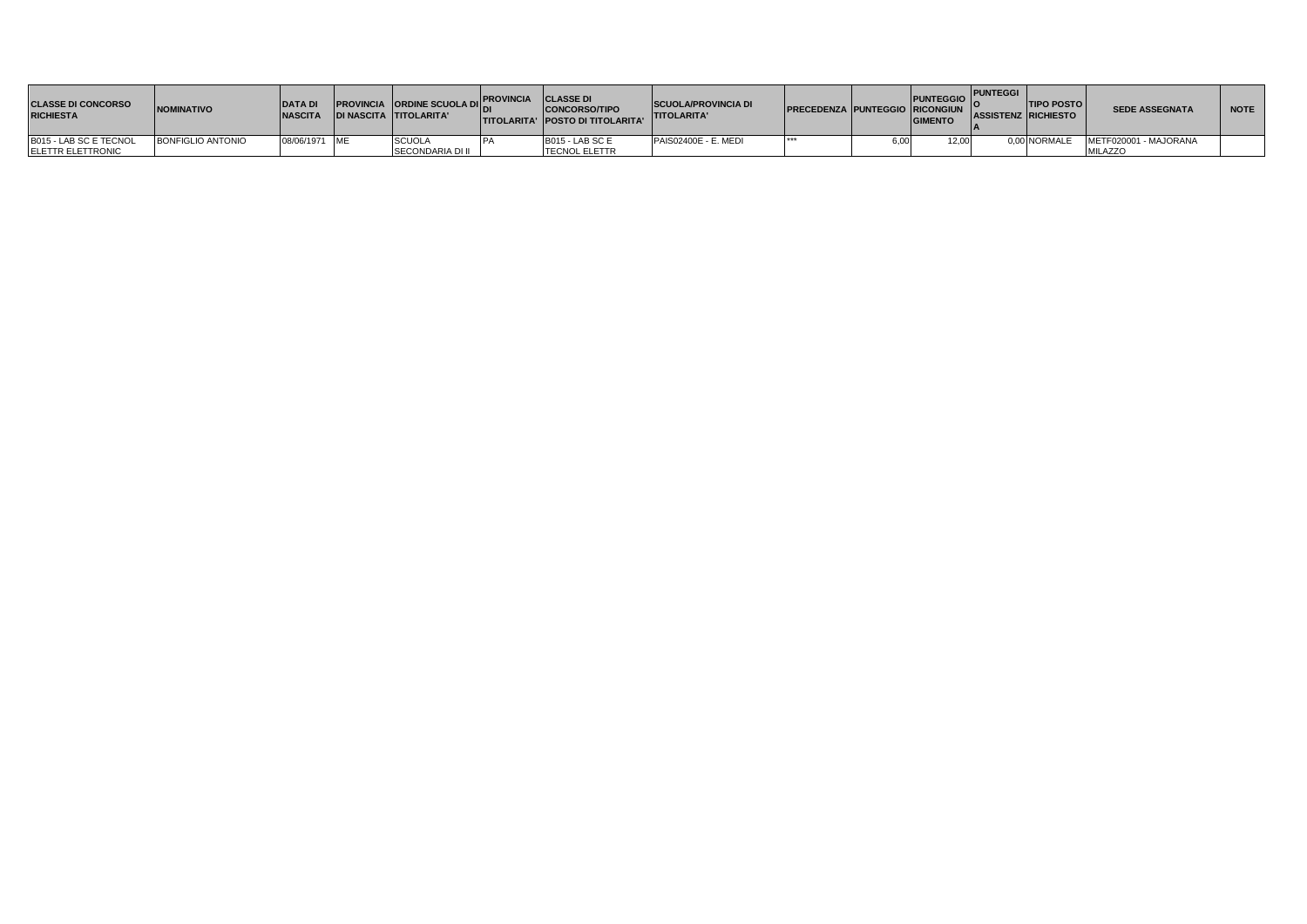| <b>CLASSE DI CONCORSO</b><br><b>RICHIESTA</b> | <b>NOMINATIVO</b>        | <b>DATA DI</b><br><b>NASCITA</b> | <b>IPROVINCIA ORDINE SCUOLA DIL.</b><br><b>DI NASCITA TITOLARITA'</b> | <b>PROVINCIA</b> | <b>CLASSE DI</b><br><b>CONCORSO/TIPO</b><br><b>TITOLARITA' POSTO DI TITOLARITA'</b> | <b>SCUOLA/PROVINCIA DI</b><br><b>TITOLARITA'</b> | <b>PRECEDENZA PUNTEGGIO RICONGIUN</b> |       | PUNTEGGIO PUNTEGGI<br><b>GIMENTO</b> | <b>TIPO POSTO</b><br><b>ASSISTENZ RICHIESTO</b> | <b>SEDE ASSEGNATA</b> | <b>NOTE</b> |
|-----------------------------------------------|--------------------------|----------------------------------|-----------------------------------------------------------------------|------------------|-------------------------------------------------------------------------------------|--------------------------------------------------|---------------------------------------|-------|--------------------------------------|-------------------------------------------------|-----------------------|-------------|
| B015 - LAB SC E TECNOL                        | <b>BONFIGLIO ANTONIO</b> | 08/06/1971 ME                    | <b>SCUOLA</b>                                                         |                  | <b>B015 - LAB SC E</b>                                                              | PAIS02400E - E. MEDI                             |                                       | i.OO. | 12.00                                | 0.00 NORMALE                                    | METF020001 - MAJORANA |             |
| <b>ELETTR ELETTRONIC</b>                      |                          |                                  | <b>SECONDARIA DI II</b>                                               |                  | <b>TECNOL ELETTR</b>                                                                |                                                  |                                       |       |                                      |                                                 | <b>MILAZZO</b>        |             |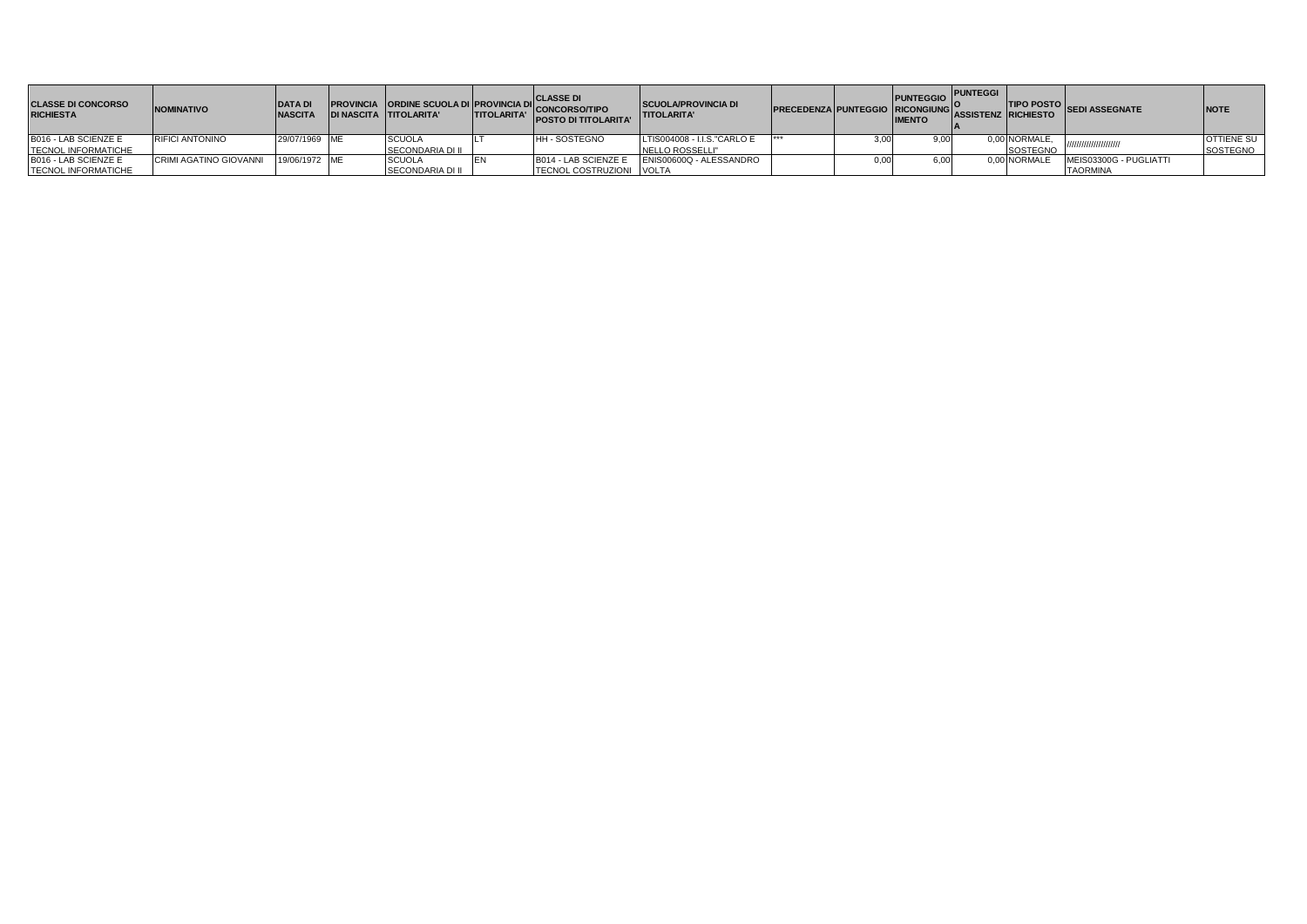| <b>CLASSE DI CONCORSO</b><br><b>RICHIESTA</b> | <b>NOMINATIVO</b>                    | <b>IDATAD.</b><br><b>NASCITA</b> | <b>PROVINCIA ORDINE SCUOLA DI PROVINCIA DI</b><br><b>DI NASCITA TITOLARITA'</b> | <b>TITOLARITA'</b> | <b>. CLASSE DI</b><br>'ICONCORSO/TIPO<br><b>POSTO DI TITOLARITA'</b> | <b>SCUOLA/PROVINCIA DI</b><br><b>TITOLARITA'</b> | <b>PRECEDENZA PUNTEGGIO RICONGIUNG</b> | PUNTEGGIO PUNTEGGI<br><b>IMENTO</b> | <b>ASSISTENZ RICHIESTO</b> |                 | <b>TIPO POSTO</b> SEDI ASSEGNATE | <b>NOTE</b>       |
|-----------------------------------------------|--------------------------------------|----------------------------------|---------------------------------------------------------------------------------|--------------------|----------------------------------------------------------------------|--------------------------------------------------|----------------------------------------|-------------------------------------|----------------------------|-----------------|----------------------------------|-------------------|
| B016 - LAB SCIENZE E                          | <b>RIFICI ANTONINO</b>               | 29/07/1969 ME                    | <b>SCUOLA</b>                                                                   |                    | <b>HH-SOSTEGNO</b>                                                   | LTIS004008 - I.I.S."CARLO E                      | .                                      | 9.OO                                |                            | 0,00 NORMALE,   |                                  | <b>OTTIENE SU</b> |
| <b>TECNOL INFORMATICHE</b>                    |                                      |                                  | <b>SECONDARIA DI II</b>                                                         |                    |                                                                      | NELLO ROSSELLI"                                  |                                        |                                     |                            | <b>SOSTEGNO</b> |                                  | SOSTEGNO          |
| B016 - LAB SCIENZE E                          | CRIMI AGATINO GIOVANNI 19/06/1972 ME |                                  | <b>SCUOLA</b>                                                                   |                    | B014 - LAB SCIENZE E                                                 | ENIS00600Q - ALESSANDRO                          |                                        |                                     |                            | 0.00 NORMALE    | MEIS03300G - PUGLIATTI           |                   |
| <b>TECNOL INFORMATICHE</b>                    |                                      |                                  | <b>SECONDARIA DI II</b>                                                         |                    | TECNOL COSTRUZIONI VOLTA                                             |                                                  |                                        |                                     |                            |                 | <b>TAORMINA</b>                  |                   |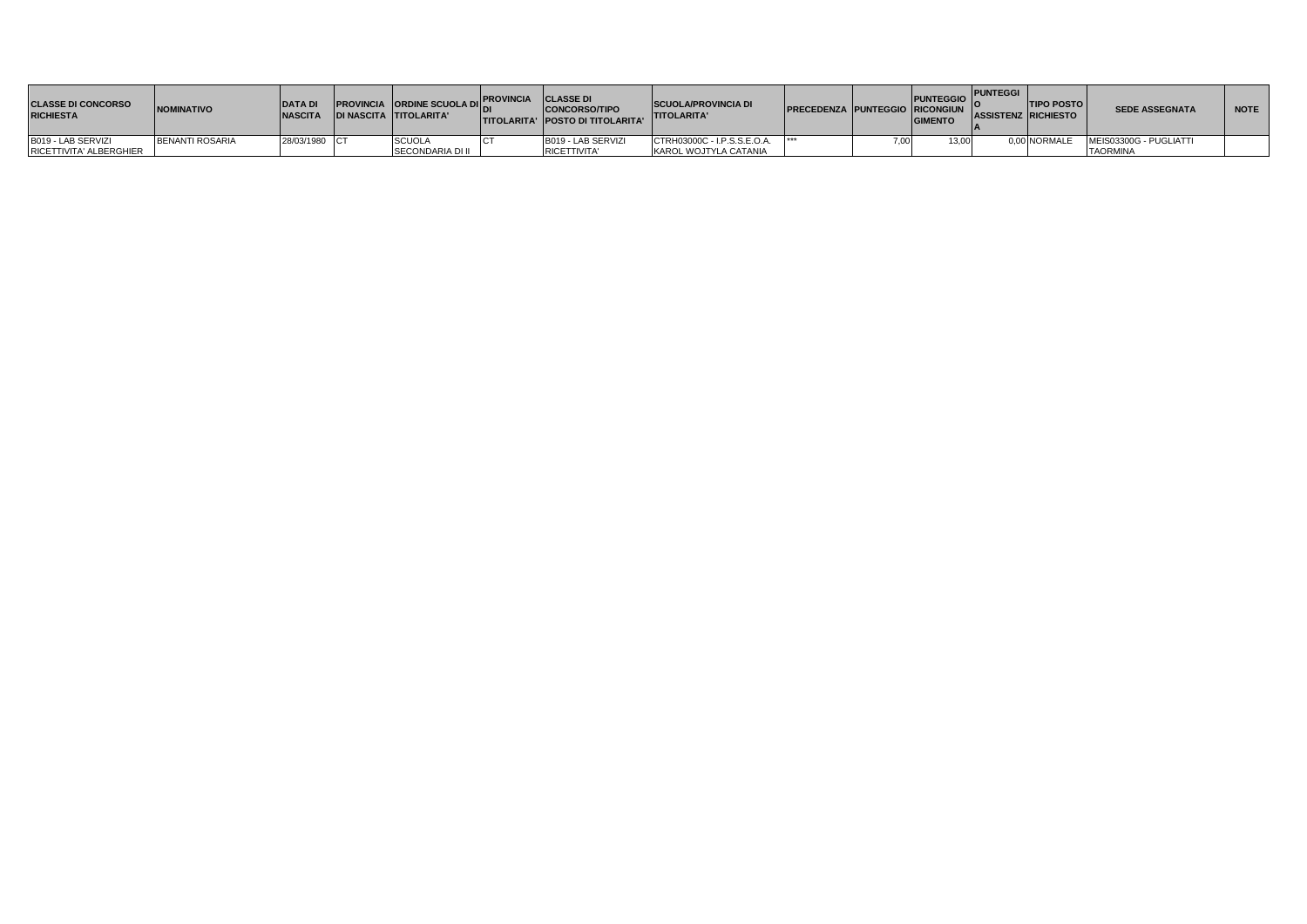| <b>CLASSE DI CONCORSO</b><br><b>RICHIESTA</b> | <b>NOMINATIVO</b>      | <b>DATA DI</b><br><b>NASCITA</b> | <b>PROVINCIA ORDINE SCUOLA DIL''</b><br><b>IDI NASCITA TITOLARITA'</b> | . PROVINCIA CLASSE DI | <b>CONCORSO/TIPO</b><br><b>ITITOLARITA' POSTO DI TITOLARITA'</b> | <b>SCUOLA/PROVINCIA DI</b><br><b>TITOLARITA'</b> | <b>IPRECEDENZA PUNTEGGIO RICONGIUN I</b> | PUNTEGGIO PUNTEGGI LA PUNTEGGI LA PUNTEGGI LA PUNTEGGIO PUNTEGGI LA PUNTEGGI<br><b>GIMENTO</b> | <b>ASSISTENZ RICHIESTO</b> | <b>ITIPO POSTO</b> | <b>SEDE ASSEGNATA</b>  | <b>NOTE</b> |
|-----------------------------------------------|------------------------|----------------------------------|------------------------------------------------------------------------|-----------------------|------------------------------------------------------------------|--------------------------------------------------|------------------------------------------|------------------------------------------------------------------------------------------------|----------------------------|--------------------|------------------------|-------------|
| B019 - LAB SERVIZI                            | <b>BENANTI ROSARIA</b> | 28/03/1980 CT                    | <b>SCUOL</b>                                                           |                       | B019 - LAB SERVIZI                                               | CTRH03000C - I.P.S.S.E.O.A.                      | ***                                      | 3.00.                                                                                          |                            | 0.00 NORMALE       | MEIS03300G - PUGLIATTI |             |
| RICETTIVITA' ALBERGHIER                       |                        |                                  | <b>SECONDARIA DI II</b>                                                |                       | <b>IRICETTIVITA'</b>                                             | KAROL WOJTYLA CATANIA                            |                                          |                                                                                                |                            |                    | <b>TAORMINA</b>        |             |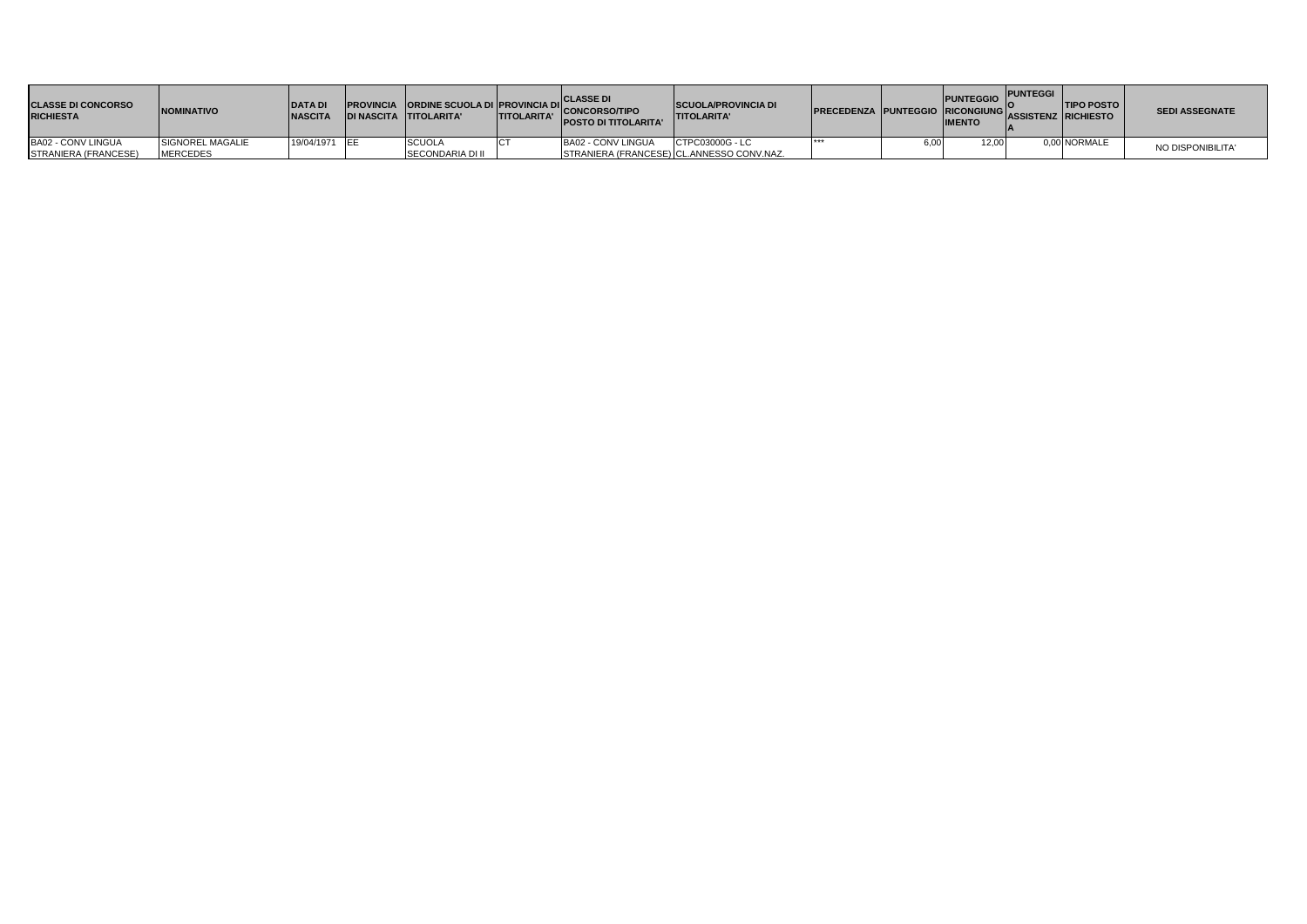| <b>CLASSE DI CONCORSO</b><br><b>RICHIESTA</b> | <b>NOMINATIVO</b> | <b>DATA DI</b><br><b>NASCIT</b> | DI NASCITA TITOLARITA'  | <b>ITITOLARITA'</b> | <b>CLASSE DI</b><br>ISLAMI PROVINCIA ORDINE SCUOLA DI PROVINCIA DI CONCORSO/TIPO<br><b>POSTO DI TITOLARITA'</b> | <b>SCUOLA/PROVINCIA DI</b><br><b>ITITOLARITA'</b> | <b>IPRECEDENZA PUNTEGGIO RICONGIUNGI</b> |      | PUNTEGGIO PUNTEGGI<br><b>IMENTO</b> | <b>ITIPO POSTO</b><br>'IASSISTENZ IRICHIESTO | <b>SEDI ASSEGNATE</b> |
|-----------------------------------------------|-------------------|---------------------------------|-------------------------|---------------------|-----------------------------------------------------------------------------------------------------------------|---------------------------------------------------|------------------------------------------|------|-------------------------------------|----------------------------------------------|-----------------------|
| BA02 - CONV LINGUA                            | SIGNOREL MAGALIE  | 19/04/1971 EE                   | <b>SCUOLA</b>           |                     | BA02 - CONV LINGUA                                                                                              | CTPC03000G - LC                                   |                                          | 3.OC | 12,00                               | 0,00 NORMALE                                 | NO DISPONIBILITA'     |
| <b>STRANIERA (FRANCESE)</b>                   | <b>MERCEDES</b>   |                                 | <b>SECONDARIA DI II</b> |                     |                                                                                                                 | STRANIERA (FRANCESE) CL.ANNESSO CONV.NAZ.         |                                          |      |                                     |                                              |                       |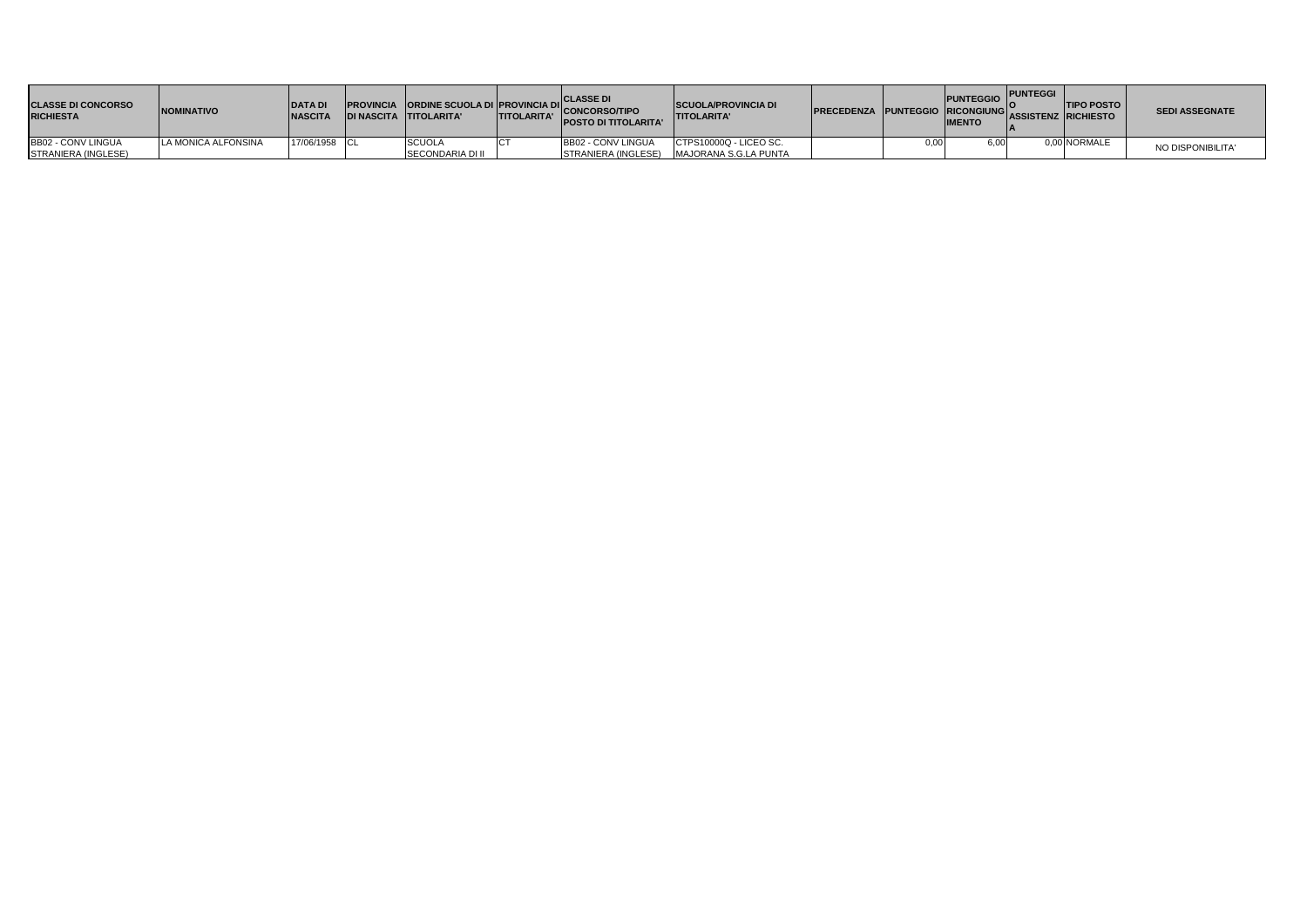| <b>CLASSE DI CONCORSO</b><br><b>RICHIESTA</b> | <b>INOMINATIVO</b>  | <b>DATA DI</b><br><b>NASCITA</b> | <b>DI NASCITA TITOLARITA'</b> | <b>TITOLARITA'</b> | <b>CLASSE DI</b><br>PROVINCIA ORDINE SCUOLA DI PROVINCIA DI CONCORSO/TIPO<br>POSTO DI TITOLARITA' | <b>SCUOLA/PROVINCIA DI</b><br><b>ITITOLARITA'</b> | <b>PRECEDENZA PUNTEGGIO RICONGIUNG ASSISTENZ RICHIESTO</b> | <b>PUNTEGGIO</b><br><b>IMENTO</b> | <b>PUNTEGGI</b> | <b>TIPO POSTO</b> | <b>SEDI ASSEGNATE</b> |
|-----------------------------------------------|---------------------|----------------------------------|-------------------------------|--------------------|---------------------------------------------------------------------------------------------------|---------------------------------------------------|------------------------------------------------------------|-----------------------------------|-----------------|-------------------|-----------------------|
| <b>BB02 - CONV LINGUA</b>                     | LA MONICA ALFONSINA | 17/06/1958 CL                    | <b>SCUOLA</b>                 |                    | <b>BB02 - CONV LINGUA</b>                                                                         | CTPS10000Q - LICEO SC.                            |                                                            | 6,00                              |                 | 0,00 NORMALE      | NO DISPONIBILITA'     |
| STRANIERA (INGLESE)                           |                     |                                  | SECONDARIA DI II              |                    |                                                                                                   | STRANIERA (INGLESE) MAJORANA S.G.LA PUNTA         |                                                            |                                   |                 |                   |                       |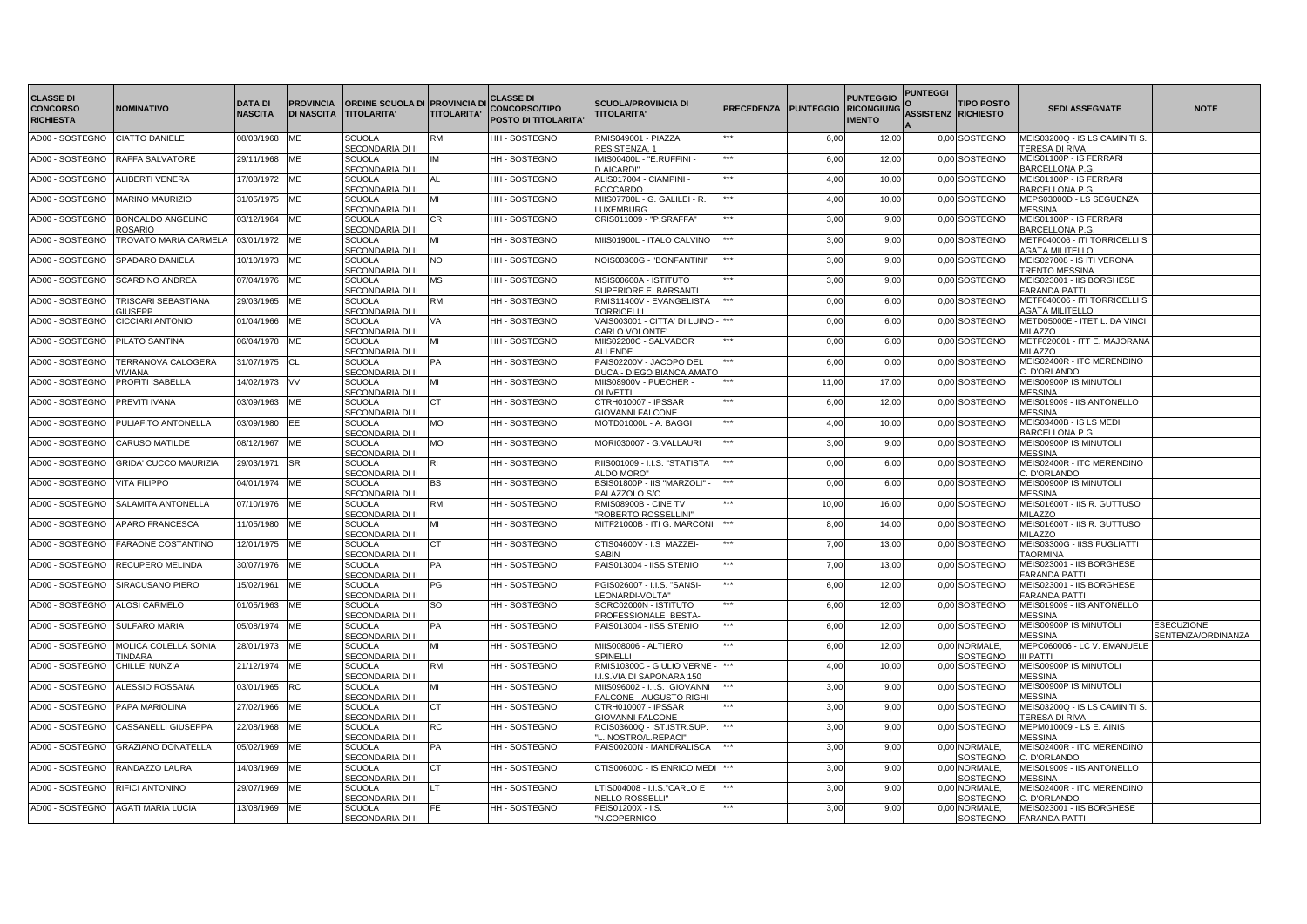| <b>CLASSE DI</b>                    |                                            |                                  |                                       |                                                                     |                    | <b>CLASSE DI</b>                             |                                                             |                   |                  | <b>PUNTEGGIO</b>                   | <b>PUNTEGGI</b>            |                                  |                                                                    |                                         |
|-------------------------------------|--------------------------------------------|----------------------------------|---------------------------------------|---------------------------------------------------------------------|--------------------|----------------------------------------------|-------------------------------------------------------------|-------------------|------------------|------------------------------------|----------------------------|----------------------------------|--------------------------------------------------------------------|-----------------------------------------|
| <b>CONCORSO</b><br><b>RICHIESTA</b> | <b>NOMINATIVO</b>                          | <b>DATA DI</b><br><b>NASCITA</b> | <b>PROVINCIA</b><br><b>DI NASCITA</b> | <b>ORDINE SCUOLA DI PROVINCIA DI</b><br><b>TITOLARITA'</b>          | <b>TITOLARITA'</b> | <b>CONCORSO/TIPO</b><br>POSTO DI TITOLARITA' | <b>SCUOLA/PROVINCIA DI</b><br><b>TITOLARITA'</b>            | <b>PRECEDENZA</b> | <b>PUNTEGGIO</b> | <b>RICONGIUNG</b><br><b>IMENTO</b> | <b>ASSISTENZ RICHIESTO</b> | <b>TIPO POSTO</b>                | <b>SEDI ASSEGNATE</b>                                              | <b>NOTE</b>                             |
| AD00 - SOSTEGNO                     | <b>CIATTO DANIELE</b>                      | 08/03/1968                       | МE                                    | SCUOLA                                                              | <b>RM</b>          | HH - SOSTEGNO                                | RMIS049001 - PIAZZA                                         |                   | 6,00             | 12,00                              |                            | 0,00 SOSTEGNO                    | MEIS03200Q - IS LS CAMINITI S.                                     |                                         |
| AD00 - SOSTEGNO                     | RAFFA SALVATORE                            | 29/11/1968                       | ME                                    | SECONDARIA DI II<br><b>SCUOLA</b>                                   | IM                 | HH - SOSTEGNO                                | RESISTENZA, 1<br>MIS00400L - "E.RUFFINI -                   |                   | 6,00             | 12,00                              |                            | 0,00 SOSTEGNO                    | TERESA DI RIVA<br>MEIS01100P - IS FERRARI                          |                                         |
|                                     |                                            |                                  |                                       | SECONDARIA DI II                                                    |                    |                                              | D.AICARDI"                                                  |                   |                  |                                    |                            |                                  | BARCELLONA P.G.                                                    |                                         |
| AD00 - SOSTEGNO                     | ALIBERTI VENERA                            | 17/08/1972                       | ME                                    | <b>SCUOLA</b><br>SECONDARIA DI II                                   | AL                 | HH-SOSTEGNO                                  | ALIS017004 - CIAMPINI -<br><b>BOCCARDO</b>                  |                   | 4,00             | 10,00                              |                            | 0,00 SOSTEGNO                    | MEIS01100P - IS FERRARI<br>BARCELLONA P.G.                         |                                         |
| AD00 - SOSTEGNO                     | <b>MARINO MAURIZIO</b>                     | 31/05/1975                       | <b>ME</b>                             | <b>SCUOLA</b><br>SECONDARIA DI II                                   | MI                 | HH-SOSTEGNO                                  | MIIS07700L - G. GALILEI - R.<br><b>LUXEMBURG</b>            |                   | 4,00             | 10,00                              |                            | 0,00 SOSTEGNO                    | MEPS03000D - LS SEGUENZA<br><b>MESSINA</b>                         |                                         |
| AD00 - SOSTEGNO                     | <b>BONCALDO ANGELINO</b><br><b>ROSARIO</b> | 03/12/1964                       | <b>ME</b>                             | <b>SCUOLA</b><br>SECONDARIA DI II                                   | <b>CR</b>          | HH - SOSTEGNO                                | CRIS011009 - "P.SRAFFA"                                     |                   | 3,00             | 9,00                               |                            | 0,00 SOSTEGNO                    | MEIS01100P - IS FERRARI<br>BARCELLONA P.G.                         |                                         |
| AD00 - SOSTEGNO                     | TROVATO MARIA CARMELA                      | 03/01/1972                       | <b>ME</b>                             | <b>SCUOLA</b><br>SECONDARIA DI II                                   | MI                 | HH - SOSTEGNO                                | MIIS01900L - ITALO CALVINO                                  |                   | 3,00             | 9,00                               |                            | 0,00 SOSTEGNO                    | METF040006 - ITI TORRICELLI S<br><b>AGATA MILITELLO</b>            |                                         |
| AD00 - SOSTEGNO                     | SPADARO DANIELA                            | 10/10/1973                       | <b>ME</b>                             | <b>SCUOLA</b>                                                       | NO                 | HH - SOSTEGNO                                | NOIS00300G - "BONFANTINI"                                   |                   | 3,00             | 9,00                               |                            | 0,00 SOSTEGNO                    | MEIS027008 - IS ITI VERONA<br><b>TRENTO MESSINA</b>                |                                         |
| AD00 - SOSTEGNO                     | SCARDINO ANDREA                            | 07/04/1976                       | <b>ME</b>                             | SECONDARIA DI II<br><b>SCUOLA</b>                                   | <b>MS</b>          | HH - SOSTEGNO                                | MSIS00600A - ISTITUTO                                       |                   | 3,00             | 9,00                               |                            | 0,00 SOSTEGNO                    | MEIS023001 - IIS BORGHESE                                          |                                         |
| AD00 - SOSTEGNO                     | TRISCARI SEBASTIANA                        | 29/03/1965                       | <b>ME</b>                             | SECONDARIA DI II<br><b>SCUOLA</b>                                   | <b>RM</b>          | HH - SOSTEGNO                                | SUPERIORE E. BARSANTI<br>RMIS11400V - EVANGELISTA           |                   | 0,00             | 6,00                               |                            | 0,00 SOSTEGNO                    | <b>FARANDA PATTI</b><br>METF040006 - ITI TORRICELLI S              |                                         |
| AD00 - SOSTEGNO                     | <b>SIUSEPP</b><br>CICCIARI ANTONIO         | 01/04/1966                       | <b>ME</b>                             | SECONDARIA DI II<br><b>SCUOLA</b>                                   | VA                 | HH - SOSTEGNO                                | <b>CORRICELLI</b><br>VAIS003001 - CITTA' DI LUINO -         |                   | 0,00             | 6,00                               |                            | 0,00 SOSTEGNO                    | <b>AGATA MILITELLO</b><br>METD05000E - ITET L. DA VINCI            |                                         |
|                                     |                                            |                                  | <b>ME</b>                             | <b>SECONDARIA DI II</b>                                             |                    |                                              | CARLO VOLONTE'                                              |                   |                  |                                    |                            |                                  | <b>MILAZZO</b><br>METF020001 - ITT E. MAJORANA                     |                                         |
| AD00 - SOSTEGNO                     | PILATO SANTINA                             | 06/04/1978                       |                                       | <b>SCUOLA</b><br><b>SECONDARIA DI II</b>                            |                    | HH-SOSTEGNO                                  | MIIS02200C - SALVADOR<br><b>ILLENDE</b>                     |                   | 0,00             | 6,00                               |                            | 0,00 SOSTEGNO                    | MILAZZO                                                            |                                         |
| AD00 - SOSTEGNO                     | TERRANOVA CALOGERA<br>/IVIANA              | 31/07/1975                       | <b>CL</b>                             | <b>SCUOLA</b><br>SECONDARIA DI II                                   | РA                 | HH - SOSTEGNO                                | PAIS02200V - JACOPO DEL<br><b>DUCA - DIEGO BIANCA AMATO</b> |                   | 6,00             | 0,00                               |                            | 0,00 SOSTEGNO                    | MEIS02400R - ITC MERENDINO<br>C. D'ORLANDO                         |                                         |
| AD00 - SOSTEGNO                     | PROFITI ISABELLA                           | 14/02/1973                       | <b>VV</b>                             | <b>SCUOLA</b><br><b>SECONDARIA DI II</b>                            | MI                 | HH - SOSTEGNO                                | MIIS08900V - PUECHER -<br><b>OLIVETTI</b>                   |                   | 11,00            | 17,00                              |                            | 0,00 SOSTEGNO                    | MEIS00900P IS MINUTOLI<br><b>MESSINA</b>                           |                                         |
| AD00 - SOSTEGNO                     | PREVITI IVANA                              | 03/09/1963                       | <b>ME</b>                             | <b>SCUOLA</b><br><b>SECONDARIA DI II</b>                            | CT.                | HH - SOSTEGNO                                | CTRH010007 - IPSSAR<br><b>GIOVANNI FALCONE</b>              |                   | 6,00             | 12,00                              |                            | 0,00 SOSTEGNO                    | MEIS019009 - IIS ANTONELLO<br><b>MESSINA</b>                       |                                         |
| AD00 - SOSTEGNO                     | PULIAFITO ANTONELLA                        | 03/09/1980                       | <b>EE</b>                             | <b>SCUOLA</b><br>SECONDARIA DI II                                   | <b>MO</b>          | HH - SOSTEGNO                                | MOTD01000L - A. BAGGI                                       |                   | 4,00             | 10,00                              |                            | 0,00 SOSTEGNO                    | MEIS03400B - IS LS MEDI<br>BARCELLONA P.G.                         |                                         |
| AD00 - SOSTEGNO                     | CARUSO MATILDE                             | 08/12/1967                       | <b>ME</b>                             | <b>SCUOLA</b><br><b>SECONDARIA DI II</b>                            | <b>MO</b>          | HH - SOSTEGNO                                | MORI030007 - G.VALLAURI                                     |                   | 3,00             | 9,00                               |                            | 0,00 SOSTEGNO                    | MEIS00900P IS MINUTOLI<br><b>MESSINA</b>                           |                                         |
| AD00 - SOSTEGNO                     | <b>GRIDA' CUCCO MAURIZIA</b>               | 29/03/1971                       | SR                                    | <b>SCUOLA</b><br>SECONDARIA DI II                                   | <b>RI</b>          | HH - SOSTEGNO                                | RIIS001009 - I.I.S. "STATISTA<br><b>ALDO MORO"</b>          |                   | 0,00             | 6,00                               |                            | 0,00 SOSTEGNO                    | MEIS02400R - ITC MERENDINO<br>C. D'ORLANDO                         |                                         |
| AD00 - SOSTEGNO                     | <b>VITA FILIPPO</b>                        | 04/01/1974                       | <b>ME</b>                             | <b>SCUOLA</b><br>SECONDARIA DI II                                   | <b>BS</b>          | HH - SOSTEGNO                                | BSIS01800P - IIS "MARZOLI" -<br>PALAZZOLO S/O               |                   | 0,00             | 6,00                               | 0.00                       | <b>SOSTEGNO</b>                  | MEIS00900P IS MINUTOLI<br><b>MESSINA</b>                           |                                         |
| AD00 - SOSTEGNO                     | SALAMITA ANTONELLA                         | 07/10/1976                       | ME                                    | <b>SCUOLA</b><br>SECONDARIA DI II                                   | <b>RM</b>          | HH - SOSTEGNO                                | RMIS08900B - CINE TV<br>ROBERTO ROSSELLINI"                 |                   | 10,00            | 16,00                              |                            | 0,00 SOSTEGNO                    | MEIS01600T - IIS R. GUTTUSO<br><b>MILAZZO</b>                      |                                         |
| AD00 - SOSTEGNO                     | APARO FRANCESCA                            | 11/05/1980                       | <b>ME</b>                             | <b>SCUOLA</b><br>SECONDARIA DI II                                   | MI                 | HH - SOSTEGNO                                | MITF21000B - ITI G. MARCONI                                 |                   | 8,00             | 14,00                              |                            | 0,00 SOSTEGNO                    | MEIS01600T - IIS R. GUTTUSO<br><b>MILAZZO</b>                      |                                         |
| AD00 - SOSTEGNO                     | FARAONE COSTANTINO                         | 12/01/1975                       | <b>ME</b>                             | <b>SCUOLA</b><br>SECONDARIA DI II                                   | СT                 | HH - SOSTEGNO                                | CTIS04600V - I.S MAZZEI-<br>ABIN                            |                   | 7,00             | 13,00                              |                            | 0,00 SOSTEGNO                    | MEIS03300G - IISS PUGLIATTI<br><b>TAORMINA</b>                     |                                         |
| AD00 - SOSTEGNO                     | RECUPERO MELINDA                           | 30/07/1976                       | <b>ME</b>                             | <b>SCUOLA</b><br>SECONDARIA DI II                                   | PA                 | HH-SOSTEGNO                                  | PAIS013004 - IISS STENIO                                    |                   | 7,00             | 13,00                              |                            | 0,00 SOSTEGNO                    | MEIS023001 - IIS BORGHESE<br>FARANDA PATTI                         |                                         |
| AD00 - SOSTEGNO                     | SIRACUSANO PIERO                           | 15/02/1961                       | ME                                    | <b>SCUOLA</b><br>SECONDARIA DI II                                   | PG                 | HH-SOSTEGNO                                  | PGIS026007 - I.I.S. "SANSI-<br>EONARDI-VOLTA"               |                   | 6,00             | 12,00                              |                            | 0,00 SOSTEGNO                    | MEIS023001 - IIS BORGHESE<br><b>FARANDA PATTI</b>                  |                                         |
| AD00 - SOSTEGNO                     | <b>ALOSI CARMELO</b>                       | 01/05/1963                       | <b>ME</b>                             | <b>SCUOLA</b><br>SECONDARIA DI II                                   | SO                 | HH-SOSTEGNO                                  | SORC02000N - ISTITUTO<br>PROFESSIONALE BESTA                |                   | 6,00             | 12,00                              |                            | 0,00 SOSTEGNO                    | MEIS019009 - IIS ANTONELLO<br><b>MESSINA</b>                       |                                         |
| AD00 - SOSTEGNO                     | <b>SULFARO MARIA</b>                       | 05/08/1974                       | <b>ME</b>                             | <b>SCUOLA</b><br>SECONDARIA DI II                                   | PA                 | HH - SOSTEGNO                                | PAIS013004 - IISS STENIO                                    |                   | 6,00             | 12,00                              |                            | 0,00 SOSTEGNO                    | MEIS00900P IS MINUTOLI<br><b>MESSINA</b>                           | <b>ESECUZIONE</b><br>SENTENZA/ORDINANZA |
| AD00 - SOSTEGNO                     | MOLICA COLELLA SONIA<br><b>TINDARA</b>     | 28/01/1973                       | <b>ME</b>                             | <b>SCUOLA</b><br>SECONDARIA DI II                                   | MI                 | HH - SOSTEGNO                                | MIIS008006 - ALTIERO<br><b>SPINELLI</b>                     |                   | 6,00             | 12,00                              |                            | 0,00 NORMALE,<br>SOSTEGNO        | MEPC060006 - LC V. EMANUELE<br>III PATTI                           |                                         |
| AD00 - SOSTEGNO                     | CHILLE' NUNZIA                             | 21/12/1974                       | <b>ME</b>                             | SCUOLA<br>SECONDARIA DI II                                          | <b>RM</b>          | HH - SOSTEGNO                                | RMIS10300C - GIULIO VERNE -<br>I.I.S.VIA DI SAPONARA 150    |                   | 4,00             | 10,00                              | 0,00                       | <b>SOSTEGNO</b>                  | MEIS00900P IS MINUTOLI<br><b>MESSINA</b>                           |                                         |
| AD00 - SOSTEGNO                     | ALESSIO ROSSANA                            | 03/01/1965                       | <b>RC</b>                             | <b>SCUOLA</b>                                                       | MI                 | HH - SOSTEGNO                                | MIIS096002 - I.I.S. GIOVANNI                                |                   | 3,00             | 9,00                               | 0.00                       | SOSTEGNO                         | MEIS00900P IS MINUTOLI                                             |                                         |
| AD00 - SOSTEGNO                     | PAPA MARIOLINA                             | 27/02/1966                       | ME                                    | SECONDARIA DI II<br><b>SCUOLA</b><br>SECONDARIA DI II               | CT                 | HH - SOSTEGNO                                | FALCONE - AUGUSTO RIGHI<br>CTRH010007 - IPSSAR              |                   | 3,00             | 9,00                               |                            | 0,00 SOSTEGNO                    | <b>MESSINA</b><br>MEIS03200Q - IS LS CAMINITI S.<br>TERESA DI RIVA |                                         |
| AD00 - SOSTEGNO                     | CASSANELLI GIUSEPPA                        | 22/08/1968                       | <b>ME</b>                             | <b>SCUOLA</b>                                                       | RC                 | HH - SOSTEGNO                                | <b>GIOVANNI FALCONE</b><br>RCIS03600Q - IST.ISTR.SUP.       |                   | 3,00             | 9,00                               |                            | 0,00 SOSTEGNO                    | MEPM010009 - LS E. AINIS<br><b>MESSINA</b>                         |                                         |
| AD00 - SOSTEGNO                     | <b>GRAZIANO DONATELLA</b>                  | 05/02/1969                       | ME                                    | <b>SECONDARIA DI II</b><br><b>SCUOLA</b><br><b>SECONDARIA DI II</b> | PA                 | HH - SOSTEGNO                                | NOSTRO/L.REPACI"<br>PAIS00200N - MANDRALISCA                |                   | 3,00             | 9,00                               |                            | 0,00 NORMALE,<br>SOSTEGNO        | MEIS02400R - ITC MERENDINO<br>C. D'ORLANDO                         |                                         |
| AD00 - SOSTEGNO                     | RANDAZZO LAURA                             | 14/03/1969                       | ME                                    | SCUOLA<br><b>SECONDARIA DI II</b>                                   | CТ                 | HH-SOSTEGNO                                  | CTIS00600C - IS ENRICO MEDI                                 |                   | 3,00             | 9,00                               |                            | 0,00 NORMALE,<br>SOSTEGNO        | MEIS019009 - IIS ANTONELLO<br><b>MESSINA</b>                       |                                         |
| AD00 - SOSTEGNO                     | <b>RIFICI ANTONINO</b>                     | 29/07/1969                       | ME                                    | <b>SCUOLA</b><br><b>SECONDARIA DI II</b>                            | LТ                 | HH - SOSTEGNO                                | LTIS004008 - I.I.S."CARLO E<br><b>VELLO ROSSELLI"</b>       |                   | 3,00             | 9,00                               |                            | 0,00 NORMALE,<br><b>SOSTEGNO</b> | MEIS02400R - ITC MERENDINO<br>C. D'ORLANDO                         |                                         |
|                                     | AD00 - SOSTEGNO AGATI MARIA LUCIA          | 13/08/1969                       | <b>ME</b>                             | <b>SCUOLA</b>                                                       | FE                 | HH - SOSTEGNO                                | FEIS01200X - I.S.                                           |                   | 3,00             | 9,00                               |                            | 0,00 NORMALE,                    | MEIS023001 - IIS BORGHESE                                          |                                         |
|                                     |                                            |                                  |                                       | SECONDARIA DI II                                                    |                    |                                              | "N.COPERNICO-                                               |                   |                  |                                    |                            | SOSTEGNO                         | <b>FARANDA PATTI</b>                                               |                                         |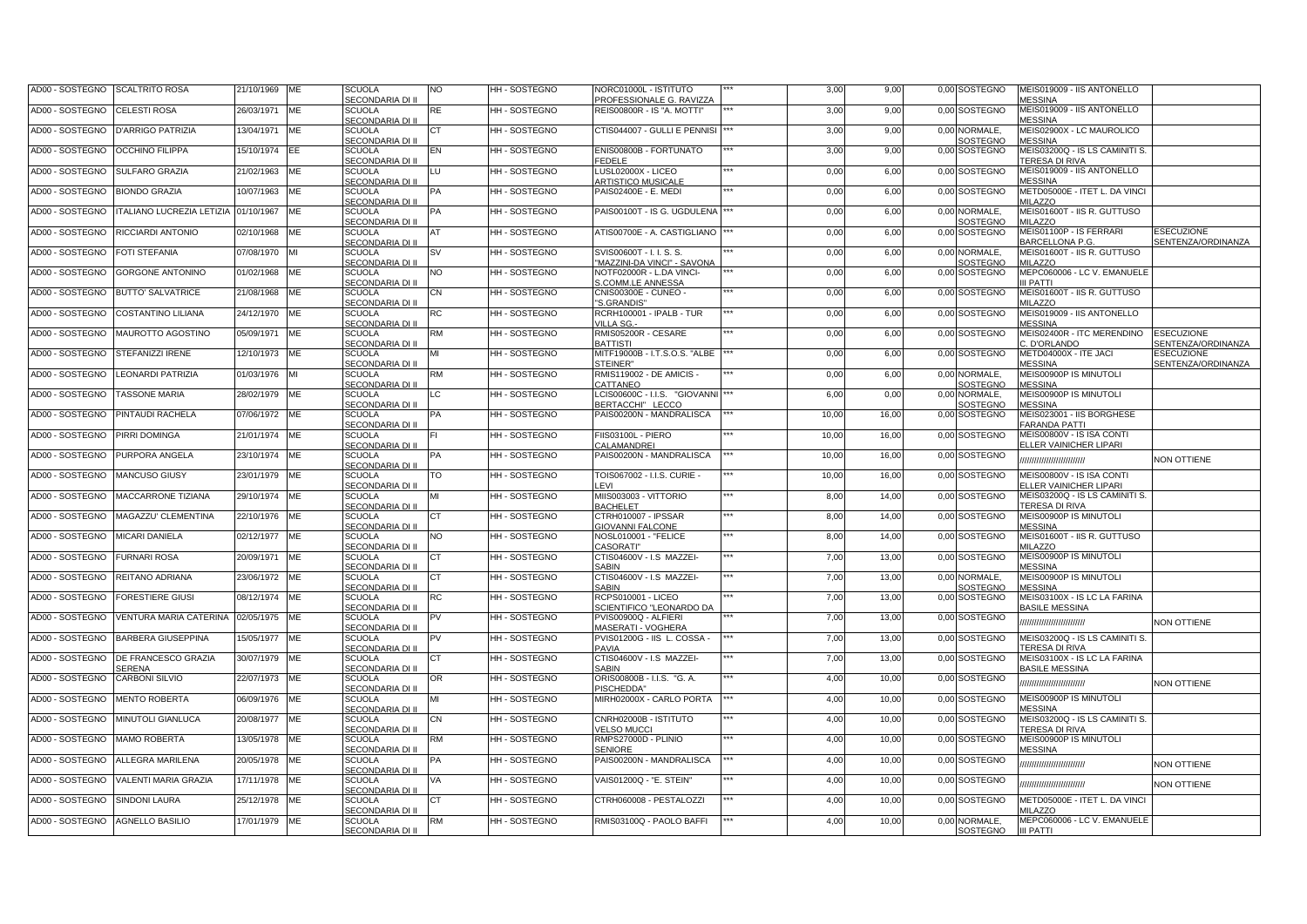| AD00 - SOSTEGNO                 | <b>SCALTRITO ROSA</b>                | 21/10/1969 | ME        | <b>SCUOLA</b><br>SECONDARIA DI II        | NO        | HH - SOSTEGNO      | VORC01000L - ISTITUTO<br>PROFESSIONALE G. RAVIZZA            | 3,00  | 9,00  |      | 0,00 SOSTEGNO             | MEIS019009 - IIS ANTONELLO<br><b>MESSINA</b>            |                                                |
|---------------------------------|--------------------------------------|------------|-----------|------------------------------------------|-----------|--------------------|--------------------------------------------------------------|-------|-------|------|---------------------------|---------------------------------------------------------|------------------------------------------------|
| AD00 - SOSTEGNO                 | <b>CELESTI ROSA</b>                  | 26/03/1971 | ME        | <b>SCUOLA</b><br>SECONDARIA DI II        | RE        | HH - SOSTEGNO      | REIS00800R - IS "A. MOTTI"                                   | 3,00  | 9,00  | 0,00 | SOSTEGNO                  | MEIS019009 - IIS ANTONELLO<br><b>MESSINA</b>            |                                                |
| AD00 - SOSTEGNO                 | <b>D'ARRIGO PATRIZIA</b>             | 13/04/1971 | ME        | <b>SCUOLA</b><br>SECONDARIA DI II        | СT        | HH - SOSTEGNO      | CTIS044007 - GULLI E PENNISI                                 | 3,00  | 9,00  | 0,00 | NORMALE.<br>SOSTEGNO      | MEIS02900X - LC MAUROLICO<br><b>MESSINA</b>             |                                                |
| AD00 - SOSTEGNO                 | <b>OCCHINO FILIPPA</b>               | 15/10/1974 | EE        | <b>SCUOLA</b><br>SECONDARIA DI II        | EN        | HH - SOSTEGNO      | ENIS00800B - FORTUNATO<br><b>EDELE</b>                       | 3,00  | 9,00  |      | 0,00 SOSTEGNO             | MEIS03200Q - IS LS CAMINITI S.<br><b>TERESA DI RIVA</b> |                                                |
| AD00 - SOSTEGNO                 | <b>SULFARO GRAZIA</b>                | 21/02/1963 | ME        | <b>SCUOLA</b><br>SECONDARIA DI II        | LU        | HH - SOSTEGNO      | LUSL02000X - LICEO<br><b>ARTISTICO MUSICALE</b>              | 0,00  | 6,00  | 0,00 | SOSTEGNO                  | MEIS019009 - IIS ANTONELLO<br><b>MESSINA</b>            |                                                |
| AD00 - SOSTEGNO                 | <b>BIONDO GRAZIA</b>                 | 10/07/1963 | <b>ME</b> | <b>SCUOLA</b><br>SECONDARIA DI II        | PA        | HH - SOSTEGNO      | PAIS02400E - E. MEDI                                         | 0,00  | 6,00  |      | 0.00 SOSTEGNO             | METD05000E - ITET L. DA VINCI<br>MILAZZO                |                                                |
| AD00 - SOSTEGNO                 | ITALIANO LUCREZIA LETIZIA 01/10/1967 |            | <b>ME</b> | <b>SCUOLA</b><br>SECONDARIA DI II        | PA        | HH - SOSTEGNO      | PAIS00100T - IS G. UGDULENA                                  | 0,00  | 6,00  |      | 0,00 NORMALE.<br>SOSTEGNO | MEIS01600T - IIS R. GUTTUSO<br><b>MILAZZO</b>           |                                                |
| AD00 - SOSTEGNO                 | <b>RICCIARDI ANTONIO</b>             | 02/10/1968 | МE        | <b>SCUOLA</b><br>SECONDARIA DI II        | AT        | HH-SOSTEGNO        | ATIS00700E - A. CASTIGLIANO                                  | 0,00  | 6,00  |      | 0.00 SOSTEGNO             | MEIS01100P - IS FERRARI<br>BARCELLONA P.G.              | <b>ESECUZIONE</b><br>SENTENZA/ORDINANZA        |
| AD00 - SOSTEGNO                 | <b>FOTI STEFANIA</b>                 | 07/08/1970 |           | <b>SCUOLA</b><br>SECONDARIA DI II        | <b>SV</b> | <b>HH-SOSTEGNO</b> | SVIS00600T - I. I. S. S.<br>MAZZINI-DA VINCI" - SAVONA       | 0,00  | 6,00  | 0.00 | NORMALE.<br>SOSTEGNO      | MEIS01600T - IIS R. GUTTUSO<br>MILAZZO                  |                                                |
| AD00 - SOSTEGNO                 | <b>GORGONE ANTONINO</b>              | 01/02/1968 | ME        | <b>SCUOLA</b><br>SECONDARIA DI II        | NO.       | HH - SOSTEGNO      | NOTF02000R - L.DA VINCI-<br>S.COMM.LE ANNESSA                | 0,00  | 6,00  | 0.00 | SOSTEGNO                  | MEPC060006 - LC V. EMANUELE<br><b>II PATTI</b>          |                                                |
| AD00 - SOSTEGNO                 | <b>BUTTO' SALVATRICE</b>             | 21/08/1968 | ME        | <b>SCUOLA</b><br>SECONDARIA DI II        | <b>CN</b> | HH - SOSTEGNO      | CNIS00300E - CUNEO -<br>'S.GRANDIS'                          | 0,00  | 6,00  | 0.00 | SOSTEGNO                  | MEIS01600T - IIS R. GUTTUSO<br><b>MILAZZO</b>           |                                                |
| AD00 - SOSTEGNO                 | <b>COSTANTINO LILIANA</b>            | 24/12/1970 | <b>ME</b> | <b>SCUOLA</b><br><b>SECONDARIA DI II</b> | <b>RC</b> | HH - SOSTEGNO      | RCRH100001 - IPALB - TUR<br>/ILLA SG.                        | 0,00  | 6,00  | 0,00 | SOSTEGNO                  | MEIS019009 - IIS ANTONELLO<br><b>MESSINA</b>            |                                                |
| AD00 - SOSTEGNO                 | MAUROTTO AGOSTINO                    | 05/09/1971 | МE        | <b>SCUOLA</b><br>SECONDARIA DI II        | RM        | HH - SOSTEGNO      | RMIS05200R - CESARE<br><b>BATTISTI</b>                       | 0,00  | 6,00  | 0,00 | SOSTEGNO                  | MEIS02400R - ITC MERENDINO<br>C. D'ORLANDO              | <b>SECUZIONE</b><br><b>ENTENZA/ORDINANZA</b>   |
| AD00 - SOSTEGNO                 | STEFANIZZI IRENE                     | 12/10/1973 | ME        | <b>SCUOLA</b><br>SECONDARIA DI II        | мı        | HH - SOSTEGNO      | MITF19000B - I.T.S.O.S. "ALBE<br>STEINER"                    | 0,00  | 6,00  | 0,00 | SOSTEGNO                  | METD04000X - ITE JACI<br><b>MESSINA</b>                 | <b>ESECUZIONE</b><br><b>SENTENZA/ORDINANZA</b> |
| AD00 - SOSTEGNO                 | <b>LEONARDI PATRIZIA</b>             | 01/03/1976 | MI        | <b>SCUOLA</b><br>SECONDARIA DI II        | RM        | HH - SOSTEGNO      | RMIS119002 - DE AMICIS -<br>CATTANEO                         | 0,00  | 6,00  | 0,00 | NORMALE,<br>OSTEGNO       | MEIS00900P IS MINUTOLI<br><b>MESSINA</b>                |                                                |
| AD00 - SOSTEGNO                 | <b>TASSONE MARIA</b>                 | 28/02/1979 | ME        | <b>SCUOLA</b><br>SECONDARIA DI II        | LC.       | HH - SOSTEGNO      | LCIS00600C - I.I.S. "GIOVANNI<br>BERTACCHI" LECCO            | 6,00  | 0,00  | 0,00 | NORMALE,<br>OSTEGNO       | MEIS00900P IS MINUTOLI<br><b>MESSINA</b>                |                                                |
| AD00 - SOSTEGNO                 | PINTAUDI RACHELA                     | 07/06/1972 | ME        | <b>SCUOLA</b><br>SECONDARIA DI II        | PA        | HH-SOSTEGNO        | PAIS00200N - MANDRALISCA                                     | 10,00 | 16,00 | 0.00 | SOSTEGNO                  | MEIS023001 - IIS BORGHESE<br><b>FARANDA PATTI</b>       |                                                |
| AD00 - SOSTEGNO                 | PIRRI DOMINGA                        | 21/01/1974 | ME        | <b>SCUOLA</b><br>SECONDARIA DI II        |           | HH - SOSTEGNO      | FIIS03100L - PIERO<br>CALAMANDREI                            | 10,00 | 16,00 | 0,00 | SOSTEGNO                  | MEIS00800V - IS ISA CONTI<br>ELLER VAINICHER LIPARI     |                                                |
| AD00 - SOSTEGNO                 | PURPORA ANGELA                       | 23/10/1974 | ME        | <b>SCUOLA</b><br>SECONDARIA DI II        | PA        | HH - SOSTEGNO      | PAIS00200N - MANDRALISCA                                     | 10,00 | 16,00 | 0,00 | SOSTEGNO                  | ,,,,,,,,,,,,,,,,,,,,,,,,                                | <b>NON OTTIENE</b>                             |
| AD00 - SOSTEGNO                 | <b>MANCUSO GIUSY</b>                 | 23/01/1979 | <b>ME</b> | <b>SCUOLA</b><br>SECONDARIA DI II        | ТO        | HH - SOSTEGNO      | <b>FOIS067002 - I.I.S. CURIE -</b><br><b>EVI</b>             | 10,00 | 16,00 | 0,00 | SOSTEGNO                  | MEIS00800V - IS ISA CONTI<br>ELLER VAINICHER LIPARI     |                                                |
| AD00 - SOSTEGNO                 | MACCARRONE TIZIANA                   | 29/10/1974 | ME        | <b>SCUOLA</b><br>SECONDARIA DI II        | мі        | HH - SOSTEGNO      | MIIS003003 - VITTORIO<br><b>BACHELET</b>                     | 8,00  | 14,00 | 0,00 | SOSTEGNO                  | MEIS03200Q - IS LS CAMINITI S.<br><b>TERESA DI RIVA</b> |                                                |
| AD00 - SOSTEGNO                 | MAGAZZU' CLEMENTINA                  | 22/10/1976 | ME        | <b>SCUOLA</b><br>SECONDARIA DI II        | СT        | HH - SOSTEGNO      | CTRH010007 - IPSSAR<br><b>SIOVANNI FALCONE</b>               | 8,00  | 14,00 | 0,00 | SOSTEGNO                  | MEIS00900P IS MINUTOLI<br><b>MESSINA</b>                |                                                |
| AD00 - SOSTEGNO                 | <b>MICARI DANIELA</b>                | 02/12/1977 | <b>ME</b> | <b>SCUOLA</b><br>SECONDARIA DI II        | NO.       | HH - SOSTEGNO      | VOSL010001 - "FELICE<br>CASORATI"                            | 8,00  | 14,00 | 0.00 | SOSTEGNO                  | MEIS01600T - IIS R. GUTTUSO<br><b>MILAZZO</b>           |                                                |
| AD00 - SOSTEGNO                 | <b>FURNARI ROSA</b>                  | 20/09/1971 | <b>ME</b> | <b>SCUOLA</b><br><b>SECONDARIA DI II</b> | CТ        | HH - SOSTEGNO      | CTIS04600V - I.S MAZZEI-<br><b>SARIN</b>                     | 7,00  | 13,00 | 0,00 | <b>SOSTEGNO</b>           | MEIS00900P IS MINUTOLI<br><b>MESSINA</b>                |                                                |
| AD00 - SOSTEGNO                 | REITANO ADRIANA                      | 23/06/1972 | МE        | <b>SCUOLA</b><br><b>SECONDARIA DI II</b> | CТ        | HH - SOSTEGNO      | CTIS04600V - I.S MAZZEI-<br><b>ARIN</b>                      | 7,00  | 13,00 | 0,00 | NORMALE,<br>OSTEGNO       | MEIS00900P IS MINUTOLI<br><b>MESSINA</b>                |                                                |
| AD00 - SOSTEGNO                 | <b>FORESTIERE GIUSI</b>              | 08/12/1974 | ME        | <b>SCUOLA</b><br>SECONDARIA DI II        | RC        | <b>HH-SOSTEGNO</b> | <b>RCPS010001 - LICEO</b><br><b>SCIENTIFICO "LEONARDO DA</b> | 7,00  | 13,00 | 0.00 | <b>SOSTEGNO</b>           | MEIS03100X - IS LC LA FARINA<br><b>BASILE MESSINA</b>   |                                                |
| AD00 - SOSTEGNO                 | VENTURA MARIA CATERINA               | 02/05/1975 | ME        | <b>SCUOLA</b><br><b>SECONDARIA DI II</b> | ∍∨        | HH - SOSTEGNO      | PVIS00900Q - ALFIERI<br><b>MASERATI - VOGHERA</b>            | 7,00  | 13,00 |      | 0,00 SOSTEGNO             |                                                         | <b>NON OTTIENE</b>                             |
| AD00 - SOSTEGNO                 | <b>BARBERA GIUSEPPINA</b>            | 15/05/1977 | МE        | <b>SCUOLA</b><br><b>SECONDARIA DI II</b> | ⊃V        | HH - SOSTEGNO      | PVIS01200G - IIS L. COSSA ·<br><b>PAVIA</b>                  | 7,00  | 13,00 |      | 0,00 SOSTEGNO             | MEIS03200Q - IS LS CAMINITI S.<br>TERESA DI RIVA        |                                                |
| AD00 - SOSTEGNO                 | DE FRANCESCO GRAZIA<br><b>ERENA</b>  | 30/07/1979 | ME        | <b>SCUOLA</b><br>SECONDARIA DI II        | CТ        | HH - SOSTEGNO      | CTIS04600V - I.S MAZZEI-<br><b>SABIN</b>                     | 7,00  | 13,00 |      | 0,00 SOSTEGNO             | MEIS03100X - IS LC LA FARINA<br><b>BASILE MESSINA</b>   |                                                |
| AD00 - SOSTEGNO                 | <b>CARBONI SILVIO</b>                | 22/07/1973 | МE        | <b>SCUOLA</b><br><b>SECONDARIA DI II</b> | OR        | HH - SOSTEGNO      | ORIS00800B - I.I.S. "G. A.<br>PISCHEDDA"                     | 4,00  | 10,00 |      | 0,00 SOSTEGNO             | ,,,,,,,,,,,,,,,,,,,,,,,,                                | <b>NON OTTIENE</b>                             |
| AD00 - SOSTEGNO                 | <b>MENTO ROBERTA</b>                 | 06/09/1976 | МE        | <b>SCUOLA</b><br>SECONDARIA DI II        | мі        | HH - SOSTEGNO      | MIRH02000X - CARLO PORTA                                     | 4,00  | 10,00 |      | 0,00 SOSTEGNO             | MEIS00900P IS MINUTOLI<br><b>JESSINA</b>                |                                                |
| AD00 - SOSTEGNO                 | MINUTOLI GIANLUCA                    | 20/08/1977 | ME        | <b>SCUOLA</b><br>SECONDARIA DI II        | CN        | HH - SOSTEGNO      | CNRH02000B - ISTITUTO<br><b>VELSO MUCCI</b>                  | 4,00  | 10,00 |      | 0,00 SOSTEGNO             | MEIS03200Q - IS LS CAMINITI S.<br>TERESA DI RIVA        |                                                |
| AD00 - SOSTEGNO                 | <b>MAMO ROBERTA</b>                  | 13/05/1978 | МE        | <b>SCUOLA</b><br>SECONDARIA DI II        | RM        | HH - SOSTEGNO      | RMPS27000D - PLINIO<br><b>SENIORE</b>                        | 4,00  | 10,00 | 0,00 | SOSTEGNO                  | MEIS00900P IS MINUTOLI<br><b>MESSINA</b>                |                                                |
| AD00 - SOSTEGNO                 | <b>ALLEGRA MARILENA</b>              | 20/05/1978 | МE        | <b>SCUOLA</b><br>SECONDARIA DI II        | PА        | HH - SOSTEGNO      | PAIS00200N - MANDRALISCA                                     | 4,00  | 10,00 |      | 0,00 SOSTEGNO             | ,,,,,,,,,,,,,,,,,,,,,,,                                 | <b>NON OTTIENE</b>                             |
| AD00 - SOSTEGNO                 | VALENTI MARIA GRAZIA                 | 17/11/1978 | <b>ME</b> | <b>SCUOLA</b><br>SECONDARIA DI II        | VA        | HH - SOSTEGNO      | /AIS01200Q - "E. STEIN"                                      | 4,00  | 10,00 |      | 0,00 SOSTEGNO             | ,,,,,,,,,,,,,,,,,,,,,,,,                                | <b>NON OTTIENE</b>                             |
| AD00 - SOSTEGNO                 | <b>SINDONI LAURA</b>                 | 25/12/1978 | МE        | <b>SCUOLA</b><br><b>SECONDARIA DI II</b> | ст        | <b>HH-SOSTEGNO</b> | CTRH060008 - PESTALOZZI                                      | 4,00  | 10,00 |      | 0,00 SOSTEGNO             | METD05000E - ITET L. DA VINCI<br><b>MILAZZO</b>         |                                                |
| AD00 - SOSTEGNO AGNELLO BASILIO |                                      | 17/01/1979 | ME        | <b>SCUOLA</b><br>SECONDARIA DI II        | RM        | HH - SOSTEGNO      | RMIS03100Q - PAOLO BAFFI                                     | 4,00  | 10,00 | 0,00 | NORMALE,<br>SOSTEGNO      | MEPC060006 - LC V. EMANUELE<br><b>III PATTI</b>         |                                                |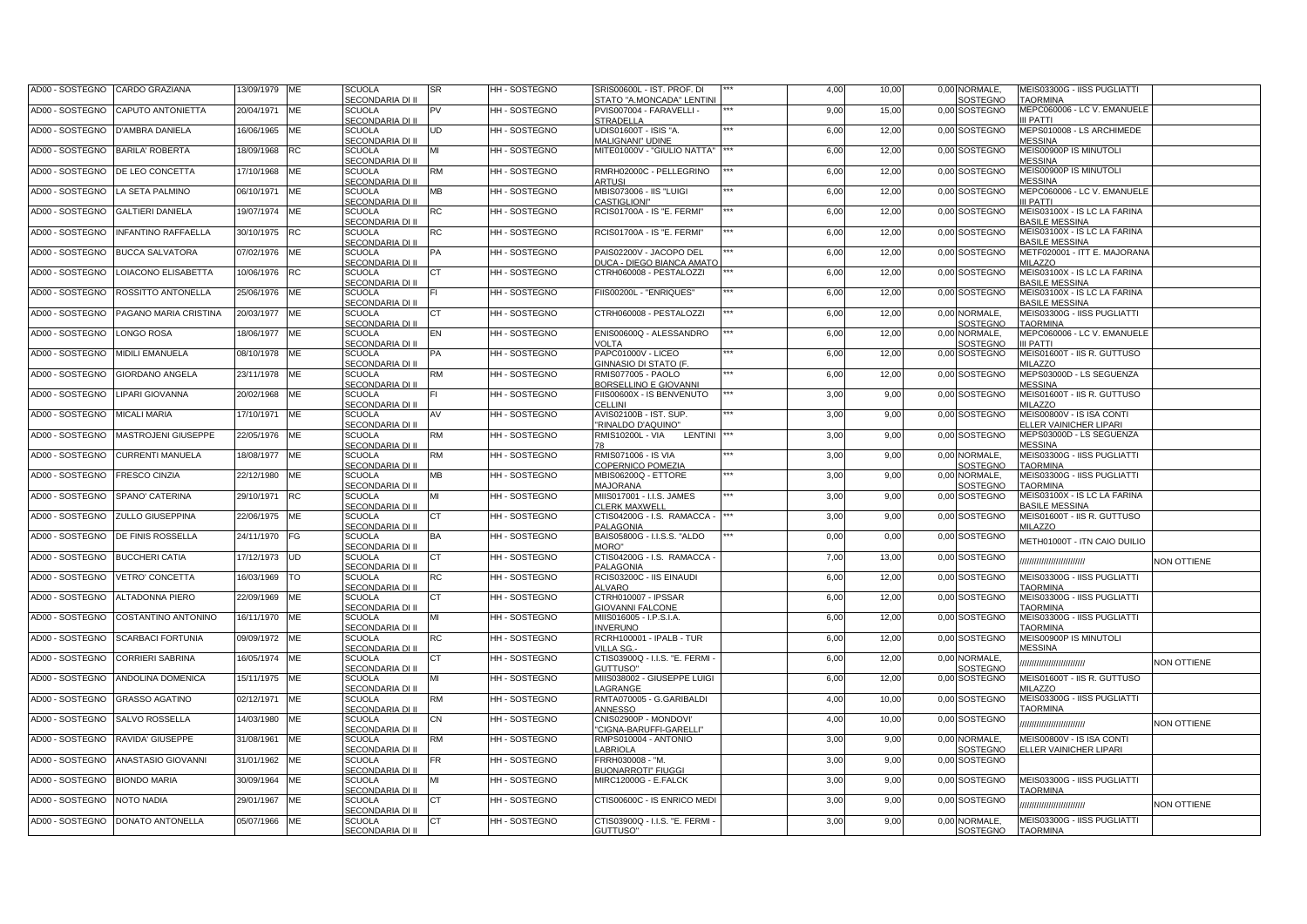| AD00 - SOSTEGNO | CARDO GRAZIANA                     | 3/09/1979 ME |           | <b>SCUOLA</b><br>SECONDARIA DI II        | SR        | HH - SOSTEGNO      | SRIS00600L - IST. PROF. DI<br>STATO "A.MONCADA" LENTINI     | 4,00 | 10,00 | 0,00 NORMALE,<br>SOSTEGNO        | MEIS03300G - IISS PUGLIATTI<br><b>TAORMINA</b>             |                    |
|-----------------|------------------------------------|--------------|-----------|------------------------------------------|-----------|--------------------|-------------------------------------------------------------|------|-------|----------------------------------|------------------------------------------------------------|--------------------|
| AD00 - SOSTEGNO | CAPUTO ANTONIETTA                  | 20/04/1971   | ME        | <b>SCUOLA</b><br>SECONDARIA DI II        | PV        | HH - SOSTEGNO      | PVIS007004 - FARAVELLI -<br><b>STRADELLA</b>                | 9,00 | 15,00 | 0,00 SOSTEGNO                    | MEPC060006 - LC V. EMANUELE<br>II PATTI                    |                    |
| AD00 - SOSTEGNO | <b>D'AMBRA DANIELA</b>             | 16/06/1965   | <b>ME</b> | <b>SCUOLA</b><br>SECONDARIA DI II        | UD        | HH - SOSTEGNO      | UDIS01600T - ISIS "A.<br><b>MALIGNANI" UDINE</b>            | 6,00 | 12,00 | 0,00 SOSTEGNO                    | MEPS010008 - LS ARCHIMEDE<br>MESSINA                       |                    |
| AD00 - SOSTEGNO | <b>BARILA' ROBERTA</b>             | 18/09/1968   | <b>RC</b> | <b>SCUOLA</b><br>SECONDARIA DI II        | MI        | HH - SOSTEGNO      | MITE01000V - "GIULIO NATTA"                                 | 6,00 | 12,00 | 0,00 SOSTEGNO                    | MEIS00900P IS MINUTOLI<br><b>MESSINA</b>                   |                    |
| AD00 - SOSTEGNO | DE LEO CONCETTA                    | 17/10/1968   | ME        | <b>SCUOLA</b><br>SECONDARIA DI II        | RM        | HH - SOSTEGNO      | RMRH02000C - PELLEGRINO<br>ARTUSI                           | 6,00 | 12,00 | 0,00 SOSTEGNO                    | MEIS00900P IS MINUTOLI<br><b>MESSINA</b>                   |                    |
| AD00 - SOSTEGNO | LA SETA PALMINO                    | 06/10/1971   | <b>ME</b> | <b>SCUOLA</b><br>SECONDARIA DI II        | <b>MB</b> | HH - SOSTEGNO      | <b>MBIS073006 - IIS "LUIGI</b><br><b>CASTIGLIONI"</b>       | 6,00 | 12.00 | 0.00 SOSTEGNO                    | MEPC060006 - LC V. EMANUELE<br>II PATTI                    |                    |
| AD00 - SOSTEGNO | <b>GALTIERI DANIELA</b>            | 19/07/1974   | <b>ME</b> | <b>SCUOLA</b><br>SECONDARIA DI II        | RC        | HH - SOSTEGNO      | RCIS01700A - IS "E. FERMI"                                  | 6,00 | 12,00 | 0,00 SOSTEGNO                    | MEIS03100X - IS LC LA FARINA<br><b>BASILE MESSINA</b>      |                    |
| AD00 - SOSTEGNO | <b>INFANTINO RAFFAELLA</b>         | 30/10/1975   | <b>RC</b> | <b>SCUOLA</b><br>SECONDARIA DI II        | RC        | HH - SOSTEGNO      | RCIS01700A - IS "E. FERMI"                                  | 6,00 | 12,00 | 0,00 SOSTEGNO                    | MEIS03100X - IS LC LA FARINA<br><b>BASILE MESSINA</b>      |                    |
| AD00 - SOSTEGNO | <b>BUCCA SALVATORA</b>             | 07/02/1976   | <b>ME</b> | <b>SCUOLA</b><br>SECONDARIA DI II        | PA        | <b>HH-SOSTEGNO</b> | PAIS02200V - JACOPO DEL<br><b>DUCA - DIEGO BIANCA AMATO</b> | 6,00 | 12,00 | 0,00 SOSTEGNO                    | METF020001 - ITT E. MAJORANA<br><b>MILAZZO</b>             |                    |
| AD00 - SOSTEGNO | LOIACONO ELISABETTA                | 10/06/1976   | <b>RC</b> | <b>SCUOLA</b><br>SECONDARIA DI II        | СT        | HH - SOSTEGNO      | CTRH060008 - PESTALOZZI                                     | 6,00 | 12,00 | 0,00 SOSTEGNO                    | MEIS03100X - IS LC LA FARINA<br><b>BASILE MESSINA</b>      |                    |
| AD00 - SOSTEGNO | ROSSITTO ANTONELLA                 | 25/06/1976   | <b>ME</b> | <b>SCUOLA</b><br>SECONDARIA DI II        |           | HH - SOSTEGNO      | FIIS00200L - "ENRIQUES"                                     | 6,00 | 12,00 | 0,00 SOSTEGNO                    | MEIS03100X - IS LC LA FARINA<br><b>BASILE MESSINA</b>      |                    |
| AD00 - SOSTEGNO | PAGANO MARIA CRISTINA              | 20/03/1977   | <b>ME</b> | <b>SCUOLA</b><br>SECONDARIA DI II        | CТ        | HH - SOSTEGNO      | CTRH060008 - PESTALOZZI                                     | 6,00 | 12,00 | 0.00 NORMALE.<br>SOSTEGNO        | MEIS03300G - IISS PUGLIATTI<br><b>AORMINA</b>              |                    |
| AD00 - SOSTEGNO | LONGO ROSA                         | 18/06/1977   | <b>ME</b> | <b>SCUOLA</b><br><b>SECONDARIA DI II</b> | EN        | HH - SOSTEGNO      | ENIS00600Q - ALESSANDRO<br>VOLTA                            | 6,00 | 12,00 | 0,00 NORMALE,<br><b>SOSTEGNO</b> | MEPC060006 - LC V. EMANUELE<br>II PATTI                    |                    |
| AD00 - SOSTEGNO | MIDILI EMANUELA                    | 08/10/1978   | ME        | <b>SCUOLA</b><br>SECONDARIA DI II        | PA        | HH - SOSTEGNO      | PAPC01000V - LICEO<br>GINNASIO DI STATO (F.                 | 6,00 | 12,00 | 0,00 SOSTEGNO                    | MEIS01600T - IIS R. GUTTUSO<br>MILAZZO                     |                    |
| AD00 - SOSTEGNO | <b>GIORDANO ANGELA</b>             | 23/11/1978   | ME        | <b>SCUOLA</b><br>SECONDARIA DI II        | RM        | HH - SOSTEGNO      | RMIS077005 - PAOLO<br>BORSELLINO E GIOVANNI                 | 6,00 | 12,00 | 0,00 SOSTEGNO                    | MEPS03000D - LS SEGUENZA<br><b>JESSINA</b>                 |                    |
| AD00 - SOSTEGNO | LIPARI GIOVANNA                    | 20/02/1968   | ME        | <b>SCUOLA</b><br>SECONDARIA DI II        |           | HH - SOSTEGNO      | FIIS00600X - IS BENVENUTO<br>CELLINI                        | 3,00 | 9,00  | 0,00 SOSTEGNO                    | MEIS01600T - IIS R. GUTTUSO<br>MILAZZO                     |                    |
| AD00 - SOSTEGNO | <b>MICALI MARIA</b>                | 17/10/1971   | ME        | <b>SCUOLA</b><br>SECONDARIA DI II        | AV        | HH - SOSTEGNO      | AVIS02100B - IST. SUP.<br>"RINALDO D'AQUINO"                | 3,00 | 9,00  | 0,00 SOSTEGNO                    | MEIS00800V - IS ISA CONTI<br><b>ELLER VAINICHER LIPARI</b> |                    |
| AD00 - SOSTEGNO | MASTROJENI GIUSEPPE                | 22/05/1976   | ME        | <b>SCUOLA</b><br>SECONDARIA DI II        | RM        | HH - SOSTEGNO      | <b>RMIS10200L - VIA</b><br>LENTINI                          | 3,00 | 9,00  | 0,00 SOSTEGNO                    | MEPS03000D - LS SEGUENZA<br><b>MESSINA</b>                 |                    |
| AD00 - SOSTEGNO | <b>CURRENTI MANUELA</b>            | 18/08/1977   | ME        | <b>SCUOLA</b><br>SECONDARIA DI II        | RM        | HH - SOSTEGNO      | RMIS071006 - IS VIA<br>COPERNICO POMEZIA                    | 3,00 | 9,00  | 0,00 NORMALE,<br>SOSTEGNO        | MEIS03300G - IISS PUGLIATTI<br><b><i>FAORMINA</i></b>      |                    |
| AD00 - SOSTEGNO | <b>FRESCO CINZIA</b>               | 22/12/1980   | ME        | SCUOLA<br>SECONDARIA DI II               | ΜВ        | HH - SOSTEGNO      | MBIS06200Q - ETTORE<br><b>MAJORANA</b>                      | 3,00 | 9,00  | 0,00 NORMALE,<br>SOSTEGNO        | MEIS03300G - IISS PUGLIATTI<br><b>TAORMINA</b>             |                    |
| AD00 - SOSTEGNO | SPANO' CATERINA                    | 29/10/1971   | <b>RC</b> | SCUOLA<br>SECONDARIA DI II               | MI        | HH - SOSTEGNO      | MIIS017001 - I.I.S. JAMES<br>CLERK MAXWELL                  | 3,00 | 9,00  | 0,00 SOSTEGNO                    | MEIS03100X - IS LC LA FARINA<br><b>BASILE MESSINA</b>      |                    |
| AD00 - SOSTEGNO | <b>ZULLO GIUSEPPINA</b>            | 22/06/1975   | <b>ME</b> | <b>SCUOLA</b><br>SECONDARIA DI II        | СT        | HH - SOSTEGNO      | CTIS04200G - I.S. RAMACCA -<br>PALAGONIA                    | 3,00 | 9,00  | 0,00 SOSTEGNO                    | MEIS01600T - IIS R. GUTTUSO<br>MILAZZO                     |                    |
| AD00 - SOSTEGNO | <b>DE FINIS ROSSELLA</b>           | 24/11/1970   | FG        | <b>SCUOLA</b><br>SECONDARIA DI II        | BA        | HH - SOSTEGNO      | BAIS05800G - I.I.S.S. "ALDO<br>"MORO                        | 0,00 | 0,00  | 0,00 SOSTEGNO                    | METH01000T - ITN CAIO DUILIO                               |                    |
| AD00 - SOSTEGNO | <b>BUCCHERI CATIA</b>              | 17/12/1973   | <b>UD</b> | <b>SCUOLA</b><br>SECONDARIA DI II        | CТ        | HH - SOSTEGNO      | CTIS04200G - I.S. RAMACCA<br>PALAGONIA                      | 7,00 | 13,00 | 0,00 SOSTEGNO                    | ,,,,,,,,,,,,,,,,,,,,,,,,                                   | NON OTTIENE        |
| AD00 - SOSTEGNO | VETRO' CONCETTA                    | 16/03/1969   | TO        | <b>SCUOLA</b><br>SECONDARIA DI II        | RC        | HH - SOSTEGNO      | RCIS03200C - IIS EINAUDI<br>ALVARO                          | 6,00 | 12,00 | 0,00 SOSTEGNO                    | MEIS03300G - IISS PUGLIATTI<br><b><i>FAORMINA</i></b>      |                    |
| AD00 - SOSTEGNO | <b>ALTADONNA PIERO</b>             | 22/09/1969   | <b>ME</b> | <b>SCUOLA</b><br>SECONDARIA DI II        | CТ        | HH - SOSTEGNO      | CTRH010007 - IPSSAR<br><b>GIOVANNI FALCONE</b>              | 6,00 | 12,00 | 0,00 SOSTEGNO                    | MEIS03300G - IISS PUGLIATTI<br><b>AORMINA</b>              |                    |
| AD00 - SOSTEGNO | COSTANTINO ANTONINO                | 16/11/1970   | ME        | <b>SCUOLA</b><br>SECONDARIA DI II        |           | HH - SOSTEGNO      | MIIS016005 - I.P.S.I.A.<br><b>INVERUNO</b>                  | 6,00 | 12,00 | 0,00 SOSTEGNO                    | MEIS03300G - IISS PUGLIATTI<br><b>AORMINA</b>              |                    |
| AD00 - SOSTEGNO | <b>SCARBACI FORTUNIA</b>           | 09/09/1972   | <b>ME</b> | <b>SCUOLA</b><br>SECONDARIA DI II        | RC        | HH - SOSTEGNO      | RCRH100001 - IPALB - TUR<br>/ILLA SG.-                      | 6,00 | 12,00 | 0,00 SOSTEGNO                    | MEIS00900P IS MINUTOLI<br><b>MESSINA</b>                   |                    |
| AD00 - SOSTEGNO | <b>CORRIERI SABRINA</b>            | 6/05/1974    | <b>ME</b> | <b>SCUOLA</b><br>SECONDARIA DI II        | CТ        | HH - SOSTEGNO      | CTIS03900Q - I.I.S. "E. FERMI-<br><b>GUTTUSO"</b>           | 6,00 | 12,00 | 0,00 NORMALE,<br><b>OSTEGNO</b>  | ,,,,,,,,,,,,,,,,,,,,,,,,                                   | NON OTTIENE        |
| AD00 - SOSTEGNO | ANDOLINA DOMENICA                  | 5/11/1975    | ME        | <b>SCUOLA</b><br>SECONDARIA DI II        | мі        | HH - SOSTEGNO      | MIIS038002 - GIUSEPPE LUIGI<br>AGRANGE                      | 6,00 | 12,00 | 0,00 SOSTEGNO                    | MEIS01600T - IIS R. GUTTUSO<br><b>AILAZZO</b>              |                    |
| AD00 - SOSTEGNO | <b>GRASSO AGATINO</b>              | 02/12/1971   | <b>ME</b> | <b>SCUOLA</b><br>SECONDARIA DI II        | RM        | HH - SOSTEGNO      | RMTA070005 - G.GARIBALDI<br>ANNESSO                         | 4,00 | 10,00 | 0,00 SOSTEGNO                    | MEIS03300G - IISS PUGLIATTI<br><b>AORMINA</b>              |                    |
| AD00 - SOSTEGNO | <b>SALVO ROSSELLA</b>              | 4/03/1980    | ME        | <b>SCUOLA</b><br>SECONDARIA DI II        | СN        | HH - SOSTEGNO      | CNIS02900P - MONDOVI'<br>'CIGNA-BARUFFI-GARELLI             | 4,00 | 10,00 | 0,00 SOSTEGNO                    |                                                            | <b>NON OTTIENE</b> |
| AD00 - SOSTEGNO | RAVIDA' GIUSEPPE                   | 31/08/1961   | ME        | <b>SCUOLA</b><br>SECONDARIA DI II        | RM        | HH - SOSTEGNO      | RMPS010004 - ANTONIO<br>ABRIOLA                             | 3,00 | 9,00  | 0,00 NORMALE,<br>SOSTEGNO        | MEIS00800V - IS ISA CONTI<br>ELLER VAINICHER LIPARI        |                    |
| AD00 - SOSTEGNO | ANASTASIO GIOVANNI                 | 31/01/1962   | ME        | <b>SCUOLA</b><br>SECONDARIA DI II        | FR        | HH - SOSTEGNO      | FRRH030008 - "M.<br><b>BUONARROTI" FIUGGI</b>               | 3,00 | 9,00  | 0,00 SOSTEGNO                    |                                                            |                    |
| AD00 - SOSTEGNO | <b>BIONDO MARIA</b>                | 30/09/1964   | <b>ME</b> | <b>SCUOLA</b><br>SECONDARIA DI II        | ΜІ        | HH - SOSTEGNO      | MIRC12000G - E.FALCK                                        | 3,00 | 9,00  | 0,00 SOSTEGNO                    | MEIS03300G - IISS PUGLIATTI<br><b><i>FAORMINA</i></b>      |                    |
| AD00 - SOSTEGNO | NOTO NADIA                         | 29/01/1967   | ME        | <b>SCUOLA</b><br>SECONDARIA DI II        | СΤ        | HH - SOSTEGNO      | CTIS00600C - IS ENRICO MEDI                                 | 3,00 | 9,00  | 0,00 SOSTEGNO                    | ,,,,,,,,,,                                                 | <b>NON OTTIENE</b> |
|                 | AD00 - SOSTEGNO   DONATO ANTONELLA | 05/07/1966   | <b>MF</b> | SCUOLA<br>SECONDARIA DI II               | CТ        | HH - SOSTEGNO      | CTIS03900Q - I.I.S. "E. FERMI-<br>GUTTUSO"                  | 3,00 | 9,00  | 0,00 NORMALE,<br>SOSTEGNO        | MEIS03300G - IISS PUGLIATTI<br><b>TAORMINA</b>             |                    |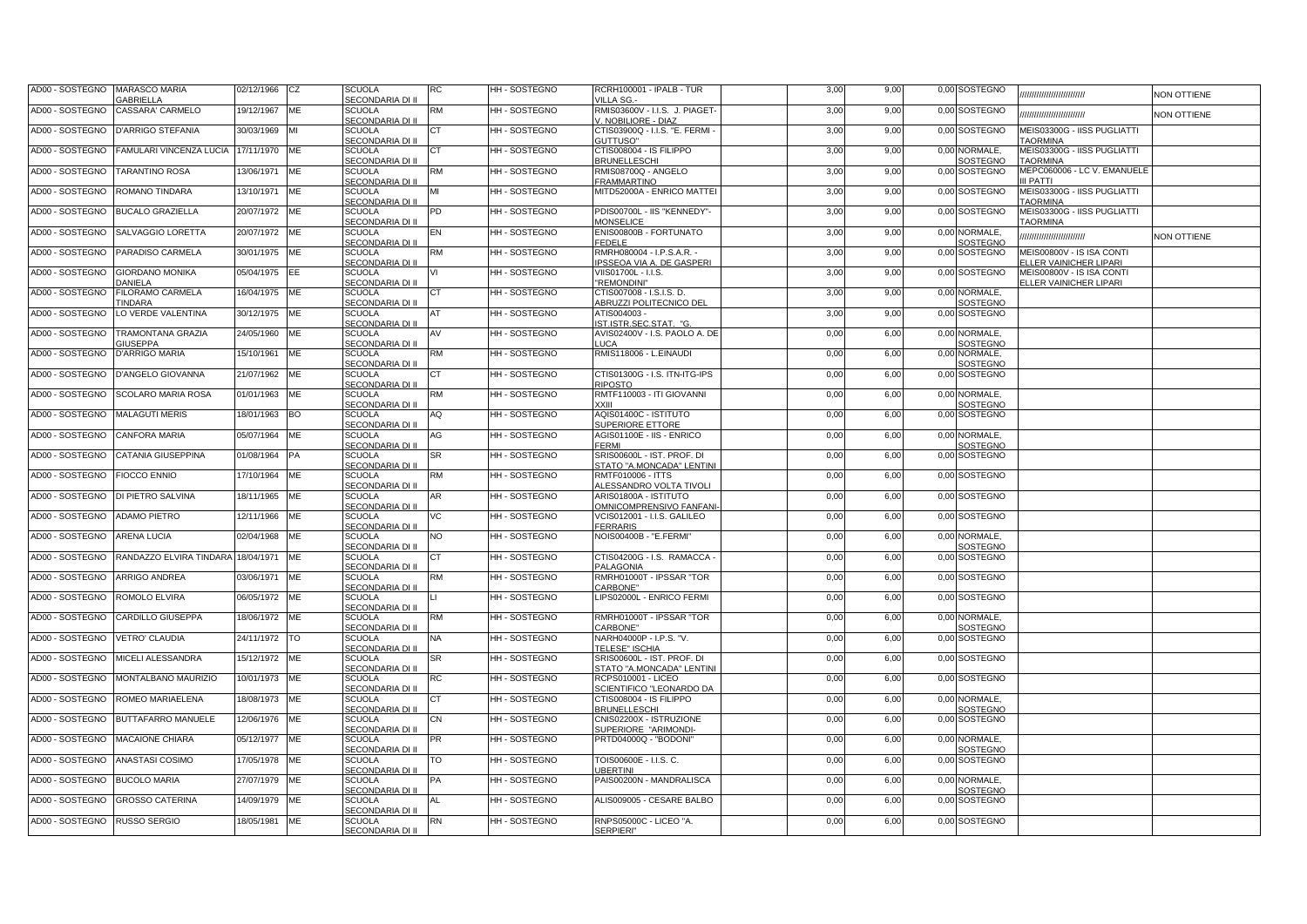| AD00 - SOSTEGNO<br>MARASCO MARIA<br><b>GABRIELLA</b>        | 02/12/1966    | <b>CZ</b> | <b>SCUOLA</b><br>SECONDARIA DI II        | RC        | HH - SOSTEGNO      | RCRH100001 - IPALB - TUR<br><b>VILLA SG.</b>                   | 3,00 | 9,00 | 0,00 SOSTEGNO                    | ,,,,,,,,,,,,,,,,,,,,,,,,                                   | <b>NON OTTIENE</b> |
|-------------------------------------------------------------|---------------|-----------|------------------------------------------|-----------|--------------------|----------------------------------------------------------------|------|------|----------------------------------|------------------------------------------------------------|--------------------|
| CASSARA' CARMELO<br>AD00 - SOSTEGNO                         | 19/12/1967    | ME        | <b>SCUOLA</b><br>SECONDARIA DI II        | RM        | HH - SOSTEGNO      | RMIS03600V - I.I.S. J. PIAGET-<br>. NOBILIORE - DIAZ           | 3,00 | 9,00 | 0,00 SOSTEGNO                    | ,,,,,,,,,,,,,,,,,,,,,,                                     | <b>VON OTTIENE</b> |
| AD00 - SOSTEGNO<br>D'ARRIGO STEFANIA                        | 30/03/1969    | MI        | <b>SCUOLA</b><br>SECONDARIA DI II        | СT        | HH - SOSTEGNO      | CTIS03900Q - I.I.S. "E. FERMI -<br><b>GUTTUSO"</b>             | 3,00 | 9,00 | 0,00 SOSTEGNO                    | MEIS03300G - IISS PUGLIATTI<br><b>AORMINA</b>              |                    |
| AD00 - SOSTEGNO<br>FAMULARI VINCENZA LUCIA                  | 17/11/1970    | ME        | <b>SCUOLA</b><br>SECONDARIA DI II        | СT        | HH - SOSTEGNO      | CTIS008004 - IS FILIPPO<br><b>BRUNELLESCHI</b>                 | 3,00 | 9,00 | 0,00 NORMALE,<br>SOSTEGNO        | MEIS03300G - IISS PUGLIATTI<br><b>TAORMINA</b>             |                    |
| AD00 - SOSTEGNO<br>TARANTINO ROSA                           | 13/06/1971    | ME        | <b>SCUOLA</b><br>SECONDARIA DI II        | RM        | HH - SOSTEGNO      | RMIS08700Q - ANGELO<br><b>RAMMARTINO</b>                       | 3,00 | 9,00 | 0,00 SOSTEGNO                    | MEPC060006 - LC V. EMANUELE<br>II PATTI                    |                    |
| AD00 - SOSTEGNO<br>ROMANO TINDARA                           | 13/10/1971    | <b>ME</b> | <b>SCUOLA</b><br>SECONDARIA DI II        | МΙ        | HH - SOSTEGNO      | MITD52000A - ENRICO MATTEI                                     | 3,00 | 9,00 | 0,00 SOSTEGNO                    | MEIS03300G - IISS PUGLIATTI<br><b>AORMINA</b>              |                    |
| AD00 - SOSTEGNO<br><b>BUCALO GRAZIELLA</b>                  | 20/07/1972    | ME        | <b>SCUOLA</b><br>SECONDARIA DI II        | PD        | HH-SOSTEGNO        | PDIS00700L - IIS "KENNEDY"-<br><b>MONSELICE</b>                | 3,00 | 9,00 | 0,00 SOSTEGNO                    | MEIS03300G - IISS PUGLIATTI<br><b>TAORMINA</b>             |                    |
| AD00 - SOSTEGNO<br>SALVAGGIO LORETTA                        | 20/07/1972    | ME        | <b>SCUOLA</b><br>SECONDARIA DI II        | EN        | HH-SOSTEGNO        | ENIS00800B - FORTUNATO<br><b>EDELE</b>                         | 3,00 | 9,00 | 0.00 NORMALE.<br>SOSTEGNO        |                                                            | <b>VON OTTIENE</b> |
| PARADISO CARMELA<br>AD00 - SOSTEGNO                         | 30/01/1975    | ME        | <b>SCUOLA</b><br>SECONDARIA DI II        | <b>RM</b> | HH-SOSTEGNO        | RMRH080004 - I.P.S.A.R. -<br>PSSEOA VIA A. DE GASPERI          | 3,00 | 9,00 | 0,00 SOSTEGNO                    | MEIS00800V - IS ISA CONTI<br><b>ELLER VAINICHER LIPARI</b> |                    |
| <b>GIORDANO MONIKA</b><br>AD00 - SOSTEGNO<br><b>DANIELA</b> | 05/04/1975    | EE        | <b>SCUOLA</b><br>SECONDARIA DI II        |           | HH - SOSTEGNO      | /IIS01700L - I.I.S.<br>'REMONDINI"                             | 3,00 | 9,00 | 0,00 SOSTEGNO                    | MEIS00800V - IS ISA CONTI<br><b>ELLER VAINICHER LIPARI</b> |                    |
| AD00 - SOSTEGNO<br><b>ILORAMO CARMELA</b><br><b>TINDARA</b> | 16/04/1975    | <b>ME</b> | <b>SCUOLA</b><br>SECONDARIA DI II        | CT.       | HH - SOSTEGNO      | CTIS007008 - I.S.I.S. D.<br><b>ABRUZZI POLITECNICO DEL</b>     | 3,00 | 9,00 | 0.00 NORMALE.<br><b>SOSTEGNO</b> |                                                            |                    |
| LO VERDE VALENTINA<br>AD00 - SOSTEGNO                       | 30/12/1975    | ME        | <b>SCUOLA</b><br>SECONDARIA DI II        | AT        | HH - SOSTEGNO      | ATIS004003<br>ST.ISTR.SEC.STAT. "G                             | 3,00 | 9,00 | 0,00 SOSTEGNO                    |                                                            |                    |
| AD00 - SOSTEGNO<br>TRAMONTANA GRAZIA<br><b>GIUSEPPA</b>     | 24/05/1960    | ME        | <b>SCUOLA</b><br>SECONDARIA DI II        | AV        | HH - SOSTEGNO      | AVIS02400V - I.S. PAOLO A. DE<br>UCA                           | 0,00 | 6,00 | 0,00 NORMALE,<br><b>SOSTEGNO</b> |                                                            |                    |
| <b>D'ARRIGO MARIA</b><br>AD00 - SOSTEGNO                    | 15/10/1961    | ME        | <b>SCUOLA</b><br>SECONDARIA DI II        | RM        | HH - SOSTEGNO      | RMIS118006 - L.EINAUDI                                         | 0,00 | 6,00 | 0,00 NORMALE,<br><b>SOSTEGNO</b> |                                                            |                    |
| AD00 - SOSTEGNO<br>D'ANGELO GIOVANNA                        | 21/07/1962    | ME        | <b>SCUOLA</b><br>SECONDARIA DI II        | СT        | HH - SOSTEGNO      | CTIS01300G - I.S. ITN-ITG-IPS<br>राPOSTO                       | 0,00 | 6,00 | 0,00 SOSTEGNO                    |                                                            |                    |
| SCOLARO MARIA ROSA<br>AD00 - SOSTEGNO                       | 01/01/1963    | ME        | <b>SCUOLA</b><br>SECONDARIA DI II        | RM        | HH - SOSTEGNO      | RMTF110003 - ITI GIOVANNI<br><b>XXIII</b>                      | 0,00 | 6,00 | 0,00 NORMALE,<br>SOSTEGNO        |                                                            |                    |
| AD00 - SOSTEGNO<br><b>MALAGUTI MERIS</b>                    | 18/01/1963    | <b>BO</b> | <b>SCUOLA</b><br>SECONDARIA DI II        | AQ        | HH-SOSTEGNO        | AQIS01400C - ISTITUTO<br>SUPERIORE ETTORE                      | 0,00 | 6,00 | 0,00 SOSTEGNO                    |                                                            |                    |
| AD00 - SOSTEGNO<br><b>CANFORA MARIA</b>                     | 05/07/1964    | ME        | SCUOLA<br>SECONDARIA DI II               | AG        | HH - SOSTEGNO      | AGIS01100E - IIS - ENRICO<br><b>FERMI</b>                      | 0,00 | 6,00 | 0,00 NORMALE,<br><b>SOSTEGNO</b> |                                                            |                    |
| AD00 - SOSTEGNO<br>CATANIA GIUSEPPINA                       | 01/08/1964    | <b>PA</b> | <b>SCUOLA</b><br>SECONDARIA DI II        | SR        | HH - SOSTEGNO      | SRIS00600L - IST. PROF. DI<br><b>STATO "A.MONCADA" LENTINI</b> | 0,00 | 6,00 | 0,00 SOSTEGNO                    |                                                            |                    |
| AD00 - SOSTEGNO<br><b>FIOCCO ENNIO</b>                      | 17/10/1964    | ME        | <b>SCUOLA</b><br>SECONDARIA DI II        | RM        | HH - SOSTEGNO      | RMTF010006 - ITTS<br>ALESSANDRO VOLTA TIVOLI                   | 0,00 | 6,00 | 0,00 SOSTEGNO                    |                                                            |                    |
| AD00 - SOSTEGNO<br>DI PIETRO SALVINA                        | 18/11/1965    | ME        | <b>SCUOLA</b><br>SECONDARIA DI II        | AR        | HH - SOSTEGNO      | ARIS01800A - ISTITUTO<br><b>DMNICOMPRENSIVO FANFAN</b>         | 0,00 | 6,00 | 0,00 SOSTEGNO                    |                                                            |                    |
| AD00 - SOSTEGNO<br><b>ADAMO PIETRO</b>                      | 12/11/1966    | ME        | <b>SCUOLA</b><br>SECONDARIA DI II        | VС        | HH - SOSTEGNO      | /CIS012001 - I.I.S. GALILEO<br><b>ERRARIS</b>                  | 0,00 | 6,00 | 0,00 SOSTEGNO                    |                                                            |                    |
| AD00 - SOSTEGNO<br>ARENA LUCIA                              | 02/04/1968    | <b>ME</b> | <b>SCUOLA</b><br>SECONDARIA DI II        | NO.       | HH - SOSTEGNO      | NOIS00400B - "E.FERMI"                                         | 0,00 | 6,00 | 0.00 NORMALE.<br>SOSTEGNO        |                                                            |                    |
| AD00 - SOSTEGNO<br>RANDAZZO ELVIRA TINDARA                  | 18/04/1971    | ME        | <b>SCUOLA</b><br>SECONDARIA DI II        | CT.       | HH - SOSTEGNO      | CTIS04200G - I.S. RAMACCA -<br><b>PALAGONIA</b>                | 0,00 | 6,00 | 0,00 SOSTEGNO                    |                                                            |                    |
| ARRIGO ANDREA<br>AD00 - SOSTEGNO                            | 03/06/1971    | ME        | <b>SCUOLA</b><br><b>SECONDARIA DI II</b> | КM        | HH - SOSTEGNO      | RMRH01000T - IPSSAR "TOR<br>CARBONE"                           | 0,00 | 6,00 | 0,00 SOSTEGNO                    |                                                            |                    |
| AD00 - SOSTEGNO<br>ROMOLO ELVIRA                            | 06/05/1972    | ME        | <b>SCUOLA</b><br>SECONDARIA DI II        |           | <b>HH-SOSTEGNO</b> | IPS02000L - ENRICO FERMI                                       | 0,00 | 6,00 | 0,00 SOSTEGNO                    |                                                            |                    |
| AD00 - SOSTEGNO<br>CARDILLO GIUSEPPA                        | 18/06/1972 ME |           | <b>SCUOLA</b><br>SECONDARIA DI II        | КM        | HH - SOSTEGNO      | RMRH01000T - IPSSAR "TOR<br>ARBONE"                            | 0,00 | 6,00 | 0,00 NORMALE,<br>SOSTEGNO        |                                                            |                    |
| AD00 - SOSTEGNO<br><b>VETRO' CLAUDIA</b>                    | 24/11/1972    | TO        | <b>SCUOLA</b><br>SECONDARIA DI II        | NA        | HH - SOSTEGNO      | VARH04000P - I.P.S. "V.<br><b>ELESE" ISCHIA</b>                | 0,00 | 6,00 | 0,00 SOSTEGNO                    |                                                            |                    |
| AD00 - SOSTEGNO<br>MICELI ALESSANDRA                        | 15/12/1972    | ME        | <b>SCUOLA</b><br><b>SECONDARIA DI II</b> | SR        | HH - SOSTEGNO      | SRIS00600L - IST. PROF. DI<br><b>STATO "A.MONCADA" LENTINI</b> | 0,00 | 6,00 | 0,00 SOSTEGNO                    |                                                            |                    |
| AD00 - SOSTEGNO<br>MONTALBANO MAURIZIO                      | 10/01/1973    | ME        | <b>SCUOLA</b><br>SECONDARIA DI II        | RC        | HH - SOSTEGNO      | RCPS010001 - LICEO<br>SCIENTIFICO "LEONARDO DA                 | 0,00 | 6,00 | 0,00 SOSTEGNO                    |                                                            |                    |
| ROMEO MARIAELENA<br>AD00 - SOSTEGNO                         | 18/08/1973    | ME        | <b>SCUOLA</b><br>SECONDARIA DI II        | CТ        | HH - SOSTEGNO      | CTIS008004 - IS FILIPPO<br><b>BRUNELLESCHI</b>                 | 0,00 | 6,00 | 0,00 NORMALE,<br>SOSTEGNO        |                                                            |                    |
| AD00 - SOSTEGNO<br>BUTTAFARRO MANUELE                       | 12/06/1976    | ME        | <b>SCUOLA</b><br>SECONDARIA DI II        | CN        | HH - SOSTEGNO      | CNIS02200X - ISTRUZIONE<br>SUPERIORE "ARIMONDI-                | 0,00 | 6,00 | 0,00 SOSTEGNO                    |                                                            |                    |
| AD00 - SOSTEGNO<br>MACAIONE CHIARA                          | 05/12/1977    | ME        | <b>SCUOLA</b><br>SECONDARIA DI II        | PR        | HH - SOSTEGNO      | PRTD04000Q - "BODONI"                                          | 0,00 | 6,00 | 0,00 NORMALE,<br>30STEGNO        |                                                            |                    |
| AD00 - SOSTEGNO<br>ANASTASI COSIMO                          | 17/05/1978    | ME        | SCUOLA<br>SECONDARIA DI II               | го        | HH - SOSTEGNO      | TOIS00600E - I.I.S. C.<br><b>JBERTINI</b>                      | 0,00 | 6,00 | 0,00 SOSTEGNO                    |                                                            |                    |
| AD00 - SOSTEGNO<br><b>BUCOLO MARIA</b>                      | 27/07/1979    | ME        | <b>SCUOLA</b><br>SECONDARIA DI II        | PA        | HH - SOSTEGNO      | PAIS00200N - MANDRALISCA                                       | 0,00 | 6,00 | 0,00 NORMALE,<br>SOSTEGNO        |                                                            |                    |
| AD00 - SOSTEGNO<br><b>GROSSO CATERINA</b>                   | 14/09/1979    | ME        | SCUOLA<br>SECONDARIA DI II               | AL        | HH - SOSTEGNO      | ALIS009005 - CESARE BALBO                                      | 0,00 | 6,00 | 0,00 SOSTEGNO                    |                                                            |                    |
| AD00 - SOSTEGNO<br><b>RUSSO SERGIO</b>                      | 18/05/1981    | ME        | SCUOLA<br>SECONDARIA DI II               | RN        | HH - SOSTEGNO      | RNPS05000C - LICEO "A.<br><b>SERPIERI"</b>                     | 0,00 | 6,00 | 0,00 SOSTEGNO                    |                                                            |                    |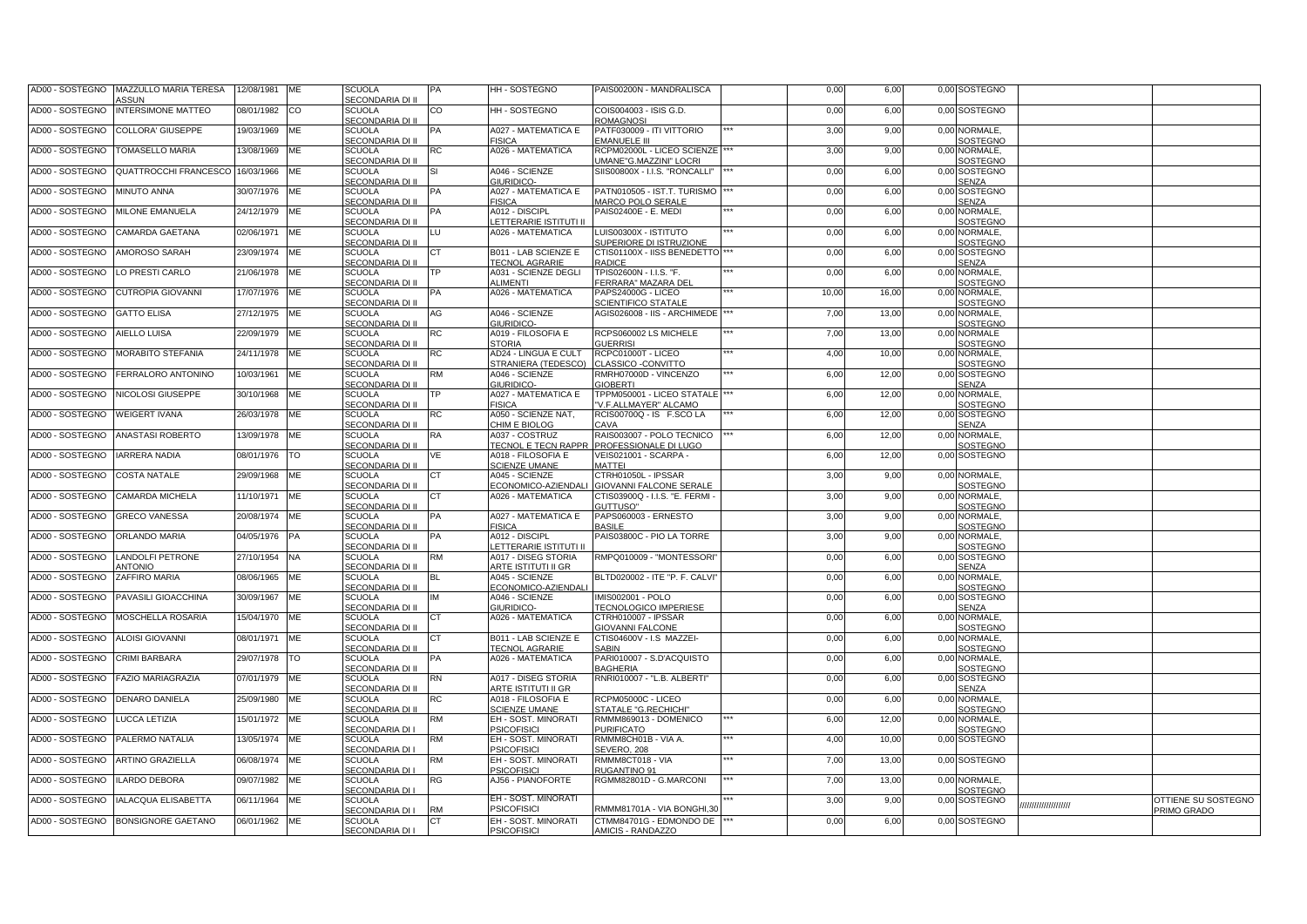| MAZZULLO MARIA TERESA<br>AD00 - SOSTEGNO<br><b>ASSUN</b> | 12/08/1981    | ME         | <b>SCUOLA</b><br>SECONDARIA DI II        | PА        | HH - SOSTEGNO                                   | PAIS00200N - MANDRALISCA                                    | 0,00  | 6,00  |      | 0,00 SOSTEGNO                 |                    |                                           |
|----------------------------------------------------------|---------------|------------|------------------------------------------|-----------|-------------------------------------------------|-------------------------------------------------------------|-------|-------|------|-------------------------------|--------------------|-------------------------------------------|
| <b>INTERSIMONE MATTEO</b><br>AD00 - SOSTEGNO             | 08/01/1982    | <b>CO</b>  | <b>SCUOLA</b><br>SECONDARIA DI II        | CO        | HH - SOSTEGNO                                   | COIS004003 - ISIS G.D.<br><b>ROMAGNOSI</b>                  | 0,00  | 6,00  |      | 0,00 SOSTEGNO                 |                    |                                           |
| <b>COLLORA' GIUSEPPE</b><br>AD00 - SOSTEGNO              | 19/03/1969    | <b>ME</b>  | <b>SCUOLA</b><br>SECONDARIA DI II        | PA        | A027 - MATEMATICA E<br><b>FISICA</b>            | PATF030009 - ITI VITTORIO<br><b>EMANUELE III</b>            | 3,00  | 9,00  |      | 0.00 NORMALE.<br>SOSTEGNO     |                    |                                           |
| <b>TOMASELLO MARIA</b><br>AD00 - SOSTEGNO                | 13/08/1969    | <b>ME</b>  | <b>SCUOLA</b><br>SECONDARIA DI II        | RC        | A026 - MATEMATICA                               | RCPM02000L - LICEO SCIENZE<br><b>JMANE"G.MAZZINI" LOCRI</b> | 3,00  | 9,00  |      | 0.00 NORMALE.<br>SOSTEGNO     |                    |                                           |
| QUATTROCCHI FRANCESCO<br>AD00 - SOSTEGNO                 | 16/03/1966    | <b>ME</b>  | <b>SCUOLA</b><br>SECONDARIA DI II        |           | A046 - SCIENZE<br>GIURIDICO-                    | SIIS00800X - I.I.S. "RONCALLI"                              | 0,00  | 6,00  | 0,00 | SOSTEGNO<br>SENZA             |                    |                                           |
| AD00 - SOSTEGNO<br>MINUTO ANNA                           | 30/07/1976    | <b>ME</b>  | <b>SCUOLA</b><br>SECONDARIA DI II        | PА        | A027 - MATEMATICA E<br><b>FISICA</b>            | PATN010505 - IST.T. TURISMO<br><b>MARCO POLO SERALE</b>     | 0,00  | 6,00  | 0.00 | SOSTEGNO<br><b>SENZA</b>      |                    |                                           |
| MILONE EMANUELA<br>AD00 - SOSTEGNO                       | 24/12/1979    | <b>ME</b>  | <b>SCUOLA</b><br>SECONDARIA DI II        | PА        | A012 - DISCIPL<br>LETTERARIE ISTITUTI II        | PAIS02400E - E. MEDI                                        | 0,00  | 6,00  | 0.00 | NORMALE.<br>SOSTEGNO          |                    |                                           |
| AD00 - SOSTEGNO<br>CAMARDA GAETANA                       | 02/06/1971    | ME         | SCUOLA<br>SECONDARIA DI II               | LU        | A026 - MATEMATICA                               | LUIS00300X - ISTITUTO<br>SUPERIORE DI ISTRUZIONE            | 0,00  | 6,00  | 0,00 | NORMALE,<br>SOSTEGNO          |                    |                                           |
| AD00 - SOSTEGNO<br>AMOROSO SARAH                         | 23/09/1974    | <b>ME</b>  | <b>SCUOLA</b><br>SECONDARIA DI II        | CТ        | B011 - LAB SCIENZE E<br><b>TECNOL AGRARIE</b>   | CTIS01100X - IISS BENEDETTO<br>RADICE                       | 0,00  | 6,00  |      | 0,00 SOSTEGNO<br><b>SENZA</b> |                    |                                           |
| AD00 - SOSTEGNO<br>LO PRESTI CARLO                       | 21/06/1978    | ME         | <b>SCUOLA</b><br>SECONDARIA DI II        | ΓP.       | A031 - SCIENZE DEGLI<br>ALIMENTI                | TPIS02600N - I.I.S. "F.<br>FERRARA" MAZARA DEI              | 0,00  | 6,00  | 0,00 | NORMALE.<br>SOSTEGNO          |                    |                                           |
| AD00 - SOSTEGNO<br>CUTROPIA GIOVANNI                     | 17/07/1976    | ME         | <b>SCUOLA</b><br>SECONDARIA DI II        | PА        | A026 - MATEMATICA                               | PAPS24000G - LICEO<br><b>SCIENTIFICO STATALE</b>            | 10,00 | 16,00 | 0,00 | NORMALE,<br>SOSTEGNO          |                    |                                           |
| <b>GATTO ELISA</b><br>AD00 - SOSTEGNO                    | 27/12/1975    | ME         | <b>SCUOLA</b><br>SECONDARIA DI II        | AG        | A046 - SCIENZE<br>GIURIDICO-                    | AGIS026008 - IIS - ARCHIMEDE                                | 7,00  | 13,00 |      | 0,00 NORMALE,<br>SOSTEGNO     |                    |                                           |
| AD00 - SOSTEGNO<br>AIELLO LUISA                          | 22/09/1979    | ME         | <b>SCUOLA</b><br>SECONDARIA DI II        | RC        | A019 - FILOSOFIA E<br><b>STORIA</b>             | RCPS060002 LS MICHELE<br><b>GUERRISI</b>                    | 7,00  | 13,00 | 0,00 | <b>NORMALE</b><br>SOSTEGNO    |                    |                                           |
| AD00 - SOSTEGNO<br>MORABITO STEFANIA                     | 24/11/1978    | ME         | <b>SCUOLA</b><br>SECONDARIA DI II        | RC        | AD24 - LINGUA E CULT<br>STRANIERA (TEDESCO)     | RCPC01000T - LICEO<br>CLASSICO -CONVITTO                    | 4,00  | 10,00 |      | 0,00 NORMALE,<br>SOSTEGNO     |                    |                                           |
| AD00 - SOSTEGNO<br>FERRALORO ANTONINO                    | 10/03/1961    | ME         | <b>SCUOLA</b><br>SECONDARIA DI II        | <b>RM</b> | A046 - SCIENZE<br>GIURIDICO-                    | RMRH07000D - VINCENZO<br><b>GIOBERTI</b>                    | 6,00  | 12,00 | 0,00 | SOSTEGNO<br><b>SENZA</b>      |                    |                                           |
| AD00 - SOSTEGNO<br>NICOLOSI GIUSEPPE                     | 30/10/1968    | ME         | <b>SCUOLA</b><br>SECONDARIA DI II        | P.        | A027 - MATEMATICA E<br><b>FISICA</b>            | TPPM050001 - LICEO STATALE<br>V.F.ALLMAYER" ALCAMO          | 6,00  | 12,00 | 0,00 | NORMALE,<br>SOSTEGNO          |                    |                                           |
| AD00 - SOSTEGNO<br><b>WEIGERT IVANA</b>                  | 26/03/1978    | <b>IME</b> | <b>SCUOLA</b><br>SECONDARIA DI II        | RC        | A050 - SCIENZE NAT,<br>CHIM E BIOLOG            | RCIS00700Q - IS F.SCO LA<br><b>CAVA</b>                     | 6,00  | 12,00 |      | 0,00 SOSTEGNO<br><b>SENZA</b> |                    |                                           |
| AD00 - SOSTEGNO<br><b>ANASTASI ROBERTO</b>               | 13/09/1978 ME |            | <b>SCUOLA</b><br>SECONDARIA DI II        | RA        | A037 - COSTRUZ<br>TECNOL E TECN RAPPR           | RAIS003007 - POLO TECNICO<br>PROFESSIONALE DI LUGO          | 6,00  | 12,00 | 0.00 | NORMALE,<br>SOSTEGNO          |                    |                                           |
| AD00 - SOSTEGNO<br><b>IARRERA NADIA</b>                  | 08/01/1976    | <b>TO</b>  | <b>SCUOLA</b><br>SECONDARIA DI II        | ٧E        | A018 - FILOSOFIA E<br><b>SCIENZE UMANE</b>      | VEIS021001 - SCARPA -<br><b>MATTEI</b>                      | 6,00  | 12,00 |      | 0,00 SOSTEGNO                 |                    |                                           |
| AD00 - SOSTEGNO<br>COSTA NATALE                          | 29/09/1968    | <b>ME</b>  | <b>SCUOLA</b><br>SECONDARIA DI II        | CT.       | A045 - SCIENZE<br>ECONOMICO-AZIENDALI           | CTRH01050L - IPSSAR<br><b>GIOVANNI FALCONE SERALE</b>       | 3,00  | 9,00  |      | 0.00 NORMALE.<br>SOSTEGNO     |                    |                                           |
| AD00 - SOSTEGNO<br>CAMARDA MICHELA                       | 11/10/1971    | <b>ME</b>  | <b>SCUOLA</b><br>SECONDARIA DI II        | DТ        | A026 - MATEMATICA                               | CTIS03900Q - I.I.S. "E. FERMI -<br><b>SUTTUSO"</b>          | 3,00  | 9,00  |      | 0.00 NORMALE.<br>SOSTEGNO     |                    |                                           |
| AD00 - SOSTEGNO<br><b>GRECO VANESSA</b>                  | 20/08/1974    | ME         | <b>SCUOLA</b><br><b>SECONDARIA DI II</b> | ÞА        | A027 - MATEMATICA E<br><b>FISICA</b>            | PAPS060003 - ERNESTO<br><b>ASILE</b>                        | 3,00  | 9,00  |      | 0,00 NORMALE,<br>SOSTEGNO     |                    |                                           |
| AD00 - SOSTEGNO<br><b>ORLANDO MARIA</b>                  | 04/05/1976    | PA         | <b>SCUOLA</b><br><b>SECONDARIA DI II</b> | ÞА        | A012 - DISCIPL<br><b>LETTERARIE ISTITUTI II</b> | PAIS03800C - PIO LA TORRE                                   | 3,00  | 9,00  |      | 0,00 NORMALE,<br>SOSTEGNO     |                    |                                           |
| AD00 - SOSTEGNO<br>ANDOLFI PETRONE<br><b>NTONIO</b>      | 27/10/1954    | <b>NA</b>  | <b>SCUOLA</b><br><b>SECONDARIA DI II</b> | И۶        | A017 - DISEG STORIA<br>ARTE ISTITUTI II GR      | RMPQ010009 - "MONTESSORI'                                   | 0,00  | 6,00  |      | 0,00 SOSTEGNO<br>SENZA        |                    |                                           |
| AD00 - SOSTEGNO<br>ZAFFIRO MARIA                         | 08/06/1965    | ME         | <b>SCUOLA</b><br>SECONDARIA DI II        | ВL        | A045 - SCIENZE<br>ECONOMICO-AZIENDALI           | BLTD020002 - ITE "P. F. CALVI'                              | 0,00  | 6,00  |      | 0,00 NORMALE,<br>SOSTEGNO     |                    |                                           |
| AD00 - SOSTEGNO<br>PAVASILI GIOACCHINA                   | 30/09/1967    | <b>ME</b>  | <b>SCUOLA</b><br>SECONDARIA DI II        |           | A046 - SCIENZE<br>GIURIDICO-                    | MIS002001 - POLO<br><b>ECNOLOGICO IMPERIESE</b>             | 0,00  | 6,00  |      | 0,00 SOSTEGNO<br><b>SENZA</b> |                    |                                           |
| AD00 - SOSTEGNO<br>MOSCHELLA ROSARIA                     | 15/04/1970    | ME         | SCUOLA<br>SECONDARIA DI II               | .Т        | A026 - MATEMATICA                               | CTRH010007 - IPSSAR<br><b>GIOVANNI FALCONE</b>              | 0,00  | 6,00  |      | 0,00 NORMALE<br>SOSTEGNO      |                    |                                           |
| AD00 - SOSTEGNO<br><b>ALOISI GIOVANNI</b>                | 08/01/1971    | ME         | <b>SCUOLA</b><br>SECONDARIA DI II        | υТ        | B011 - LAB SCIENZE E<br><b>TECNOL AGRARIE</b>   | CTIS04600V - I.S MAZZEI-<br><b>ABIN</b>                     | 0,00  | 6,00  |      | 0,00 NORMALE,<br>SOSTEGNO     |                    |                                           |
| AD00 - SOSTEGNO<br><b>CRIMI BARBARA</b>                  | 29/07/1978    | TO         | <b>SCUOLA</b><br>SECONDARIA DI II        | ÞА        | A026 - MATEMATICA                               | PARI010007 - S.D'ACQUISTO<br><b>BAGHERIA</b>                | 0,00  | 6,00  |      | 0,00 NORMALE,<br>SOSTEGNO     |                    |                                           |
| <b>FAZIO MARIAGRAZIA</b><br>AD00 - SOSTEGNO              | 07/01/1979    | ME         | <b>SCUOLA</b><br>SECONDARIA DI II        | RN        | A017 - DISEG STORIA<br>ARTE ISTITUTI II GR      | RNRI010007 - "L.B. ALBERTI"                                 | 0,00  | 6,00  |      | 0,00 SOSTEGNO<br><b>SENZA</b> |                    |                                           |
| AD00 - SOSTEGNO<br>DENARO DANIELA                        | 25/09/1980    | ME         | SCUOLA<br>SECONDARIA DI II               | RC        | A018 - FILOSOFIA E<br><b>SCIENZE UMANE</b>      | RCPM05000C - LICEO<br>STA <u>TALE "G.RECHICHI</u>           | 0,00  | 6,00  |      | 0,00 NORMALE<br>SOSTEGNO      |                    |                                           |
| AD00 - SOSTEGNO<br><b>UCCA LETIZIA</b>                   | 15/01/1972    | <b>ME</b>  | <b>SCUOLA</b><br>SECONDARIA DI I         | RM        | EH - SOST. MINORATI<br><b>PSICOFISICI</b>       | RMMM869013 - DOMENICO<br><b>PURIFICATO</b>                  | 6,00  | 12,00 |      | 0.00 NORMALE.<br>SOSTEGNO     |                    |                                           |
| AD00 - SOSTEGNO<br>PALERMO NATALIA                       | 13/05/1974    | <b>ME</b>  | <b>SCUOLA</b><br>SECONDARIA DI I         | RM        | EH - SOST. MINORATI<br><b>PSICOFISICI</b>       | RMMM8CH01B - VIA A.<br>SEVERO, 208                          | 4,00  | 10,00 |      | 0,00 SOSTEGNO                 |                    |                                           |
| AD00 - SOSTEGNO<br>ARTINO GRAZIELLA                      | 06/08/1974    | ME         | <b>SCUOLA</b><br>SECONDARIA DI I         | RM        | EH - SOST. MINORATI<br><b>PSICOFISICI</b>       | RMMM8CT018 - VIA<br><b>RUGANTINO 91</b>                     | 7,00  | 13,00 |      | 0,00 SOSTEGNO                 |                    |                                           |
| AD00 - SOSTEGNO<br>LARDO DEBORA                          | 09/07/1982    | <b>ME</b>  | <b>SCUOLA</b><br>SECONDARIA DI I         | RG.       | AJ56 - PIANOFORTE                               | RGMM82801D - G.MARCONI                                      | 7,00  | 13,00 |      | 0.00 NORMALE.<br>SOSTEGNO     |                    |                                           |
| AD00 - SOSTEGNO<br><b>IALACQUA ELISABETTA</b>            | 06/11/1964    | ME         | <b>SCUOLA</b><br>SECONDARIA DI I         | RM        | EH - SOST. MINORATI<br><b>PSICOFISICI</b>       | NMM81701A - VIA BONGHI,30                                   | 3,00  | 9,00  |      | 0,00 SOSTEGNO                 | ,,,,,,,,,,,,,,,,,, | OTTIENE SU SOSTEGNO<br><b>PRIMO GRADO</b> |
| AD00 - SOSTEGNO<br><b>BONSIGNORE GAETANO</b>             | 06/01/1962    | ME         | <b>SCUOLA</b><br>SECONDARIA DI I         | CТ        | EH - SOST. MINORATI<br><b>PSICOFISICI</b>       | CTMM84701G - EDMONDO DE<br><b>AMICIS - RANDAZZO</b>         | 0,00  | 6,00  |      | 0,00 SOSTEGNO                 |                    |                                           |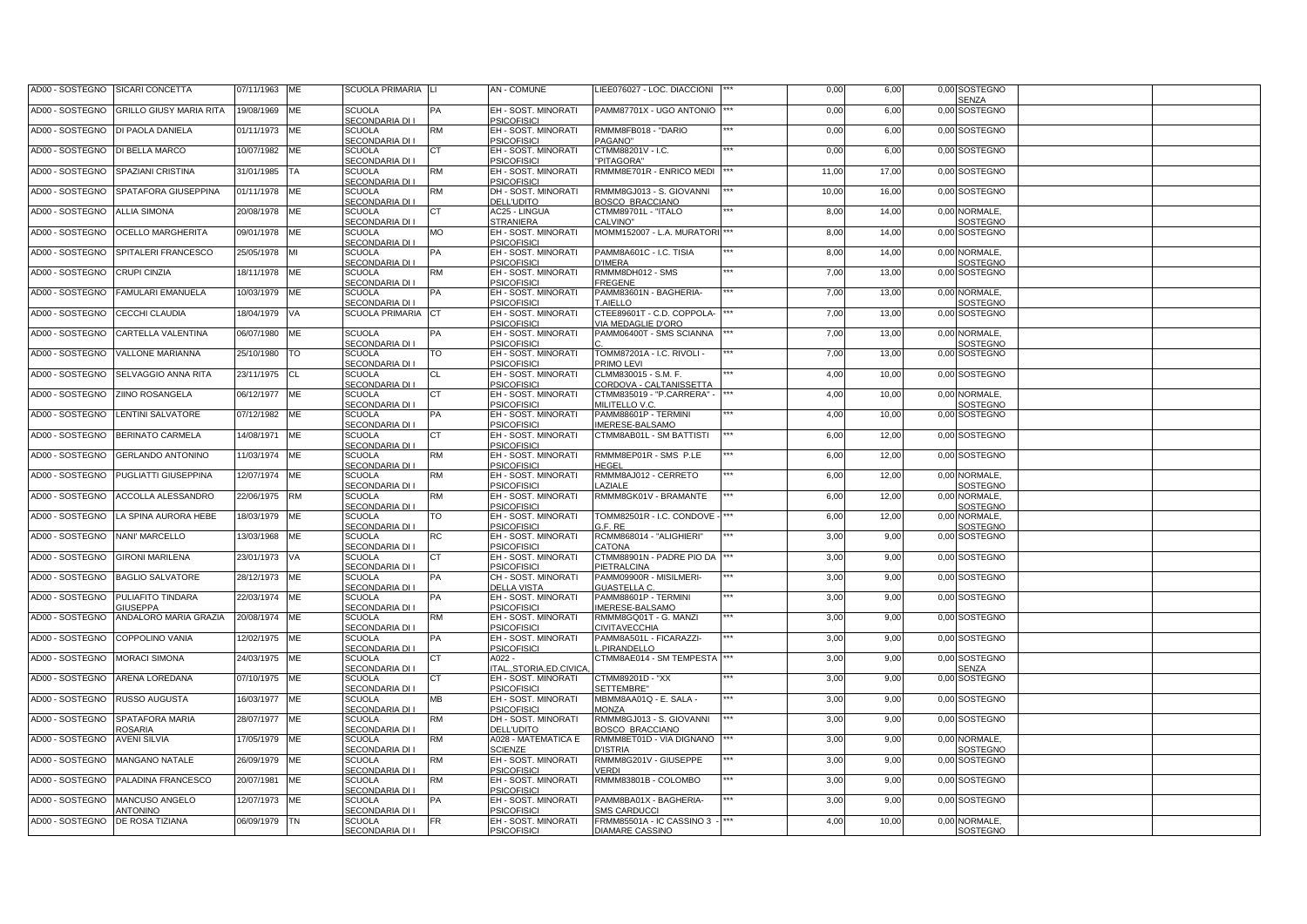| AD00 - SOSTEGNO<br><b>GRILLO GIUSY MARIA RITA</b><br>19/08/1969<br><b>SCUOLA</b><br>EH - SOST. MINORATI<br>PAMM87701X - UGO ANTONIO<br>ME<br>0,00<br>6,00<br>0,00<br>SOSTEGNO<br><b>PSICOFISICI</b><br>SECONDARIA DI I<br>AD00 - SOSTEGNO<br>DI PAOLA DANIELA<br>RMMM8FB018 - "DARIO<br><b>SOSTEGNO</b><br>01/11/1973<br><b>ME</b><br><b>SCUOLA</b><br><b>RM</b><br>EH - SOST, MINORATI<br>0,00<br>6,00<br>0.00<br>SECONDARIA DI I<br><b>PSICOFISICI</b><br>PAGANO"<br>AD00 - SOSTEGNO<br>DI BELLA MARCO<br>10/07/1982<br><b>ME</b><br><b>SCUOLA</b><br>EH - SOST. MINORATI<br>CTMM88201V - I.C.<br>0,00<br>6,00<br>0,00<br><b>SOSTEGNO</b><br>СT<br><b>SECONDARIA DI I</b><br><b>PSICOFISICI</b><br>"PITAGORA"<br>SPAZIANI CRISTINA<br><b>SCUOLA</b><br>EH - SOST. MINORATI<br>RMMM8E701R - ENRICO MEDI<br>11,00<br>17,00<br>SOSTEGNO<br>AD00 - SOSTEGNO<br>31/01/1985<br>TA<br>RM<br>0,00<br>SECONDARIA DI I<br><b>PSICOFISICI</b><br>SPATAFORA GIUSEPPINA<br><b>SCUOLA</b><br>DH - SOST. MINORATI<br>RMMM8GJ013 - S. GIOVANNI<br>10,00<br>16,00<br>SOSTEGNO<br>AD00 - SOSTEGNO<br>01/11/1978<br>ME<br>RM<br>0,00<br><b>3OSCO BRACCIANO</b><br>SECONDARIA DI I<br><b>DELL'UDITO</b><br>AD00 - SOSTEGNO<br><b>ALLIA SIMONA</b><br>20/08/1978<br><b>ME</b><br><b>SCUOLA</b><br><b>AC25 - LINGUA</b><br>CTMM89701L - "ITALO<br>8,00<br>14,00<br>0,00<br>NORMALE,<br>ùТ<br>SECONDARIA DI I<br><b>STRANIERA</b><br>CALVINO"<br>SOSTEGNO<br>AD00 - SOSTEGNO<br><b>OCELLO MARGHERITA</b><br>09/01/1978<br><b>SCUOLA</b><br>МO<br>EH - SOST. MINORATI<br>MOMM152007 - L.A. MURATORI<br>8,00<br>14,00<br><b>SOSTEGNO</b><br>ME<br>0,00<br>SECONDARIA DI I<br><b>PSICOFISICI</b><br>SPITALERI FRANCESCO<br>25/05/1978<br>EH - SOST. MINORATI<br>PAMM8A601C - I.C. TISIA<br>8,00<br>14,00<br>NORMALE,<br>AD00 - SOSTEGNO<br><b>SCUOLA</b><br>0,00<br>ÞА<br>IMI<br>SECONDARIA DI I<br><b>PSICOFISICI</b><br>SOSTEGNO<br><b>J'IMERA</b><br><b>SCUOLA</b><br>RMMM8DH012 - SMS<br>13,00<br><b>SOSTEGNO</b><br>AD00 - SOSTEGNO<br><b>CRUPI CINZIA</b><br>18/11/1978<br>ME<br>RM<br>EH - SOST. MINORATI<br>7,00<br>0,00<br>SECONDARIA DI I<br><b>PSICOFISICI</b><br>FREGENE<br>EH - SOST. MINORATI<br>7,00<br>13,00<br>NORMALE,<br>AD00 - SOSTEGNO<br><b>FAMULARI EMANUELA</b><br>10/03/1979<br>ME<br><b>SCUOLA</b><br>PAMM83601N - BAGHERIA-<br>0,00<br>٥A<br><b>PSICOFISICI</b><br>SECONDARIA DI<br>AIELLO<br>SOSTEGNO<br>AD00 - SOSTEGNO<br>CECCHI CLAUDIA<br>EH - SOST. MINORATI<br>7,00<br>13,00<br>SOSTEGNO<br>18/04/1979<br>VA<br><b>SCUOLA PRIMARIA</b><br>СT<br>CTEE89601T - C.D. COPPOLA-<br>0,00<br><b>PSICOFISICI</b><br><b>IA MEDAGLIE D'ORO</b><br>ME<br><b>SCUOLA</b><br>13,00<br>AD00 - SOSTEGNO<br>CARTELLA VALENTINA<br>06/07/1980<br>EH - SOST. MINORATI<br>PAMM06400T - SMS SCIANNA<br>7,00<br>0,00<br>NORMALE,<br>PA<br>SECONDARIA DI I<br><b>PSICOFISICI</b><br>SOSTEGNO<br>7,00<br>13,00<br>AD00 - SOSTEGNO<br><b>VALLONE MARIANNA</b><br>25/10/1980<br><b>SCUOLA</b><br>ГO<br>EH - SOST. MINORATI<br>TOMM87201A - I.C. RIVOLI -<br><b>SOSTEGNO</b><br>TO<br>0,00<br>SECONDARIA DI I<br><b>PSICOFISICI</b><br><b>PRIMO LEVI</b><br>4,00<br>10,00<br>0,00 SOSTEGNO<br>AD00 - SOSTEGNO<br>SELVAGGIO ANNA RITA<br>23/11/1975<br><b>CL</b><br><b>SCUOLA</b><br>СL<br>EH - SOST. MINORATI<br>CLMM830015 - S.M. F.<br>SECONDARIA DI I<br><b>PSICOFISICI</b><br>CORDOVA - CALTANISSETTA<br>AD00 - SOSTEGNO<br><b>ZIINO ROSANGELA</b><br>06/12/1977<br>ME<br><b>SCUOLA</b><br>EH - SOST. MINORATI<br>CTMM835019 - "P.CARRERA" -<br>4,00<br>10,00<br>0,00 NORMALE,<br>CТ<br>SECONDARIA DI I<br><b>PSICOFISICI</b><br><b>MILITELLO V.C.</b><br>SOSTEGNO<br>AD00 - SOSTEGNO<br>LENTINI SALVATORE<br>4,00<br>10,00<br>07/12/1982<br>ME<br><b>SCUOLA</b><br>EH - SOST. MINORATI<br>PAMM88601P - TERMINI<br>0,00<br>SOSTEGNO<br>SECONDARIA DI I<br><b>PSICOFISICI</b><br>MERESE-BALSAMO<br>12,00<br>AD00 - SOSTEGNO<br>BERINATO CARMELA<br>14/08/1971<br>ME<br><b>SCUOLA</b><br>EH - SOST. MINORATI<br>CTMM8AB01L - SM BATTISTI<br>6,00<br>0,00 SOSTEGNO<br>SECONDARIA DI I<br><b>PSICOFISICI</b><br>RMMM8EP01R - SMS P.LE<br>12,00<br>AD00 - SOSTEGNO<br><b>GERLANDO ANTONINO</b><br>11/03/1974<br>ME<br><b>SCUOLA</b><br>RM<br>EH - SOST. MINORATI<br>6,00<br>0,00 SOSTEGNO<br>SECONDARIA DI I<br><b>PSICOFISICI</b><br><b>IEGEL</b><br>AD00 - SOSTEGNO<br>PUGLIATTI GIUSEPPINA<br>12/07/1974<br>ME<br><b>SCUOLA</b><br>EH - SOST. MINORATI<br>RMMM8AJ012 - CERRETO<br>6,00<br>12,00<br>0,00 NORMALE,<br>RM<br>SECONDARIA DI I<br><b>PSICOFISICI</b><br><b>AZIALE</b><br>SOSTEGNO<br>AD00 - SOSTEGNO<br>ACCOLLA ALESSANDRO<br>22/06/1975<br><b>RM</b><br><b>SCUOLA</b><br>EH - SOST. MINORATI<br>RMMM8GK01V - BRAMANTE<br>6,00<br>12,00<br>NORMALE.<br>КM<br>0,00<br>SECONDARIA DI I<br><b>PSICOFISICI</b><br>SOSTEGNO<br>AD00 - SOSTEGNO<br>LA SPINA AURORA HEBE<br>18/03/1979<br><b>ME</b><br><b>SCUOLA</b><br>EH - SOST. MINORATI<br>TOMM82501R - I.C. CONDOVE -<br>6,00<br>12,00<br>NORMALE.<br>ГO<br>0,00<br>SECONDARIA DI I<br><b>SICOFISICI</b><br>E. RE<br>SOSTEGNO<br>NANI' MARCELLO<br><b>SCUOLA</b><br>EH - SOST. MINORATI<br>RCMM868014 - "ALIGHIERI"<br>3,00<br>9,00<br>AD00 - SOSTEGNO<br>13/03/1968<br>ME<br>RC<br>0,00<br>SOSTEGNO<br>SECONDARIA DI I<br><b>SICOFISICI</b><br><b>ATONA</b><br>AD00 - SOSTEGNO<br><b>GIRONI MARILENA</b><br>23/01/1973<br><b>SCUOLA</b><br>EH - SOST. MINORATI<br>CTMM88901N - PADRE PIO DA<br>3,00<br>9,00<br>0,00 SOSTEGNO<br>VA<br>эT<br>SECONDARIA DI I<br><b>SICOFISICI</b><br><b>IETRALCINA</b><br>AD00 - SOSTEGNO<br><b>BAGLIO SALVATORE</b><br>28/12/1973<br><b>ME</b><br><b>SCUOLA</b><br>CH - SOST. MINORATI<br>PAMM09900R - MISILMERI-<br>3,00<br>9,00<br>0,00 SOSTEGNO<br>ÞА<br><b>SECONDARIA DI I</b><br><b>DELLA VISTA</b><br><b>GUASTELLA C.</b><br>AD00 - SOSTEGNO<br>PULIAFITO TINDARA<br>22/03/1974<br>ME<br><b>SCUOLA</b><br>EH - SOST. MINORATI<br>PAMM88601P - TERMINI<br>3,00<br>9,00<br>0,00 SOSTEGNO<br>ÞА<br>SECONDARIA DI I<br><b>PSICOFISICI</b><br>MERESE-BALSAMO<br><b>GIUSEPPA</b><br>AD00 - SOSTEGNO<br>ANDALORO MARIA GRAZIA<br>20/08/1974<br><b>ME</b><br><b>SCUOLA</b><br>EH - SOST, MINORATI<br>RMMM8GQ01T - G. MANZI<br>3,00<br>9,00<br>0,00 SOSTEGNO<br>КM<br><b>SECONDARIA DI I</b><br><b>PSICOFISICI</b><br><b>IVITAVECCHIA</b><br>AD00 - SOSTEGNO<br>COPPOLINO VANIA<br>12/02/1975<br><b>SCUOLA</b><br>EH - SOST. MINORATI<br>PAMM8A501L - FICARAZZI-<br>3,00<br>9,00<br>0,00 SOSTEGNO<br><b>ME</b><br>ÞА<br>SECONDARIA DI I<br><b>PSICOFISICI</b><br>.PIRANDELLO<br>AD00 - SOSTEGNO<br><b>MORACI SIMONA</b><br><b>SCUOLA</b><br>CTMM8AE014 - SM TEMPESTA<br>3,00<br>9,00<br>SOSTEGNO<br>24/03/1975<br>ME<br>A022 -<br>0,00<br>СT<br><b>SECONDARIA DI I</b><br><b>TAL.,STORIA,ED.CIVICA</b><br><b>SENZA</b><br>AD00 - SOSTEGNO<br>ARENA LOREDANA<br>EH - SOST. MINORATI<br><b>TMM89201D - "XX</b><br>3,00<br>9,00<br>07/10/1975<br>ME<br><b>SCUOLA</b><br>0,00<br>SOSTEGNO<br>CТ<br>SECONDARIA DI I<br><b>PSICOFISICI</b><br><b>ETTEMBRE</b> "<br><b>RUSSO AUGUSTA</b><br>MBMM8AA01Q - E. SALA -<br>3,00<br>AD00 - SOSTEGNO<br>16/03/1977<br><b>ME</b><br><b>SCUOLA</b><br>MВ<br>EH - SOST. MINORATI<br>9,00<br>0,00 SOSTEGNO<br>SECONDARIA DI I<br><b>PSICOFISICI</b><br><b>ANONZA</b><br>AD00 - SOSTEGNO<br>SPATAFORA MARIA<br>ME<br>RMMM8GJ013 - S. GIOVANNI<br>3,00<br>9,00<br>0,00 SOSTEGNO<br>28/07/1977<br><b>SCUOLA</b><br>RM<br>DH - SOST. MINORATI<br><b>ROSARIA</b><br>SECONDARIA DI I<br><b>DELL'UDITO</b><br><b>3OSCO BRACCIANO</b><br>3,00<br>9,00<br>0,00 NORMALE,<br>AD00 - SOSTEGNO<br><b>AVENI SILVIA</b><br>17/05/1979<br>ME<br>A028 - MATEMATICA E<br>RMMM8ET01D - VIA DIGNANO<br><b>SCUOLA</b><br>RM<br>SECONDARIA DI I<br><b>SCIENZE</b><br>SOSTEGNO<br><b>J'ISTRIA</b><br>3,00<br>AD00 - SOSTEGNO<br>MANGANO NATALE<br>EH - SOST. MINORATI<br>RMMM8G201V - GIUSEPPE<br>9,00<br>26/09/1979<br><b>ME</b><br><b>SCUOLA</b><br>RM<br>0,00 SOSTEGNO<br><b>PSICOFISICI</b><br>SECONDARIA DI I<br><b>/ERDI</b><br>PALADINA FRANCESCO<br>RMMM83801B - COLOMBO<br>AD00 - SOSTEGNO<br>20/07/1981<br><b>ME</b><br><b>SCUOLA</b><br>КM<br>EH - SOST. MINORATI<br>3,00<br>9,00<br>0,00 SOSTEGNO<br>SECONDARIA DI I<br><b>PSICOFISICI</b> | AD00 - SOSTEGNO | SICARI CONCETTA | 07/11/1963 | ME | SCUOLA PRIMARIA LI | AN - COMUNE         | IEE076027 - LOC. DIACCIONI | 0,00 | 6,00 | 0,00 SOSTEGNO<br>SENZA |  |
|---------------------------------------------------------------------------------------------------------------------------------------------------------------------------------------------------------------------------------------------------------------------------------------------------------------------------------------------------------------------------------------------------------------------------------------------------------------------------------------------------------------------------------------------------------------------------------------------------------------------------------------------------------------------------------------------------------------------------------------------------------------------------------------------------------------------------------------------------------------------------------------------------------------------------------------------------------------------------------------------------------------------------------------------------------------------------------------------------------------------------------------------------------------------------------------------------------------------------------------------------------------------------------------------------------------------------------------------------------------------------------------------------------------------------------------------------------------------------------------------------------------------------------------------------------------------------------------------------------------------------------------------------------------------------------------------------------------------------------------------------------------------------------------------------------------------------------------------------------------------------------------------------------------------------------------------------------------------------------------------------------------------------------------------------------------------------------------------------------------------------------------------------------------------------------------------------------------------------------------------------------------------------------------------------------------------------------------------------------------------------------------------------------------------------------------------------------------------------------------------------------------------------------------------------------------------------------------------------------------------------------------------------------------------------------------------------------------------------------------------------------------------------------------------------------------------------------------------------------------------------------------------------------------------------------------------------------------------------------------------------------------------------------------------------------------------------------------------------------------------------------------------------------------------------------------------------------------------------------------------------------------------------------------------------------------------------------------------------------------------------------------------------------------------------------------------------------------------------------------------------------------------------------------------------------------------------------------------------------------------------------------------------------------------------------------------------------------------------------------------------------------------------------------------------------------------------------------------------------------------------------------------------------------------------------------------------------------------------------------------------------------------------------------------------------------------------------------------------------------------------------------------------------------------------------------------------------------------------------------------------------------------------------------------------------------------------------------------------------------------------------------------------------------------------------------------------------------------------------------------------------------------------------------------------------------------------------------------------------------------------------------------------------------------------------------------------------------------------------------------------------------------------------------------------------------------------------------------------------------------------------------------------------------------------------------------------------------------------------------------------------------------------------------------------------------------------------------------------------------------------------------------------------------------------------------------------------------------------------------------------------------------------------------------------------------------------------------------------------------------------------------------------------------------------------------------------------------------------------------------------------------------------------------------------------------------------------------------------------------------------------------------------------------------------------------------------------------------------------------------------------------------------------------------------------------------------------------------------------------------------------------------------------------------------------------------------------------------------------------------------------------------------------------------------------------------------------------------------------------------------------------------------------------------------------------------------------------------------------------------------------------------------------------------------------------------------------------------------------------------------------------------------------------------------------------------------------------------------------------------------------------------------------------------------------------------------------------------------------------------------------------------------------------------------------------------------------------------------------------------------------------------------------------------------------------------------------------------------------------------------------------------------------------------------------------------------------------------------------------------------------------------------------------------------------------------------------------------------------------------------------------------------------------------------------------------------------------------------------------------------------------------------------------------------------------------------------------------------------------------------------------------------------------------------------------------------------------------------------------------------------------------------------------------------------------------------------------------------------------------------------------------------------------------------------------------------------------------------------------------------------------------------------------------------------------------------------------------------------------------------------------------------------------------------------------------------------------------------------------------------------------------------------------------------------------------------------------------------------------------------------------------------------------------------------------------------------------------------------------|-----------------|-----------------|------------|----|--------------------|---------------------|----------------------------|------|------|------------------------|--|
|                                                                                                                                                                                                                                                                                                                                                                                                                                                                                                                                                                                                                                                                                                                                                                                                                                                                                                                                                                                                                                                                                                                                                                                                                                                                                                                                                                                                                                                                                                                                                                                                                                                                                                                                                                                                                                                                                                                                                                                                                                                                                                                                                                                                                                                                                                                                                                                                                                                                                                                                                                                                                                                                                                                                                                                                                                                                                                                                                                                                                                                                                                                                                                                                                                                                                                                                                                                                                                                                                                                                                                                                                                                                                                                                                                                                                                                                                                                                                                                                                                                                                                                                                                                                                                                                                                                                                                                                                                                                                                                                                                                                                                                                                                                                                                                                                                                                                                                                                                                                                                                                                                                                                                                                                                                                                                                                                                                                                                                                                                                                                                                                                                                                                                                                                                                                                                                                                                                                                                                                                                                                                                                                                                                                                                                                                                                                                                                                                                                                                                                                                                                                                                                                                                                                                                                                                                                                                                                                                                                                                                                                                                                                                                                                                                                                                                                                                                                                                                                                                                                                                                                                                                                                                                                                                                                                                                                                                                                                                                                                                                                                                                                                                                                                                                       |                 |                 |            |    |                    |                     |                            |      |      |                        |  |
|                                                                                                                                                                                                                                                                                                                                                                                                                                                                                                                                                                                                                                                                                                                                                                                                                                                                                                                                                                                                                                                                                                                                                                                                                                                                                                                                                                                                                                                                                                                                                                                                                                                                                                                                                                                                                                                                                                                                                                                                                                                                                                                                                                                                                                                                                                                                                                                                                                                                                                                                                                                                                                                                                                                                                                                                                                                                                                                                                                                                                                                                                                                                                                                                                                                                                                                                                                                                                                                                                                                                                                                                                                                                                                                                                                                                                                                                                                                                                                                                                                                                                                                                                                                                                                                                                                                                                                                                                                                                                                                                                                                                                                                                                                                                                                                                                                                                                                                                                                                                                                                                                                                                                                                                                                                                                                                                                                                                                                                                                                                                                                                                                                                                                                                                                                                                                                                                                                                                                                                                                                                                                                                                                                                                                                                                                                                                                                                                                                                                                                                                                                                                                                                                                                                                                                                                                                                                                                                                                                                                                                                                                                                                                                                                                                                                                                                                                                                                                                                                                                                                                                                                                                                                                                                                                                                                                                                                                                                                                                                                                                                                                                                                                                                                                                       |                 |                 |            |    |                    |                     |                            |      |      |                        |  |
|                                                                                                                                                                                                                                                                                                                                                                                                                                                                                                                                                                                                                                                                                                                                                                                                                                                                                                                                                                                                                                                                                                                                                                                                                                                                                                                                                                                                                                                                                                                                                                                                                                                                                                                                                                                                                                                                                                                                                                                                                                                                                                                                                                                                                                                                                                                                                                                                                                                                                                                                                                                                                                                                                                                                                                                                                                                                                                                                                                                                                                                                                                                                                                                                                                                                                                                                                                                                                                                                                                                                                                                                                                                                                                                                                                                                                                                                                                                                                                                                                                                                                                                                                                                                                                                                                                                                                                                                                                                                                                                                                                                                                                                                                                                                                                                                                                                                                                                                                                                                                                                                                                                                                                                                                                                                                                                                                                                                                                                                                                                                                                                                                                                                                                                                                                                                                                                                                                                                                                                                                                                                                                                                                                                                                                                                                                                                                                                                                                                                                                                                                                                                                                                                                                                                                                                                                                                                                                                                                                                                                                                                                                                                                                                                                                                                                                                                                                                                                                                                                                                                                                                                                                                                                                                                                                                                                                                                                                                                                                                                                                                                                                                                                                                                                                       |                 |                 |            |    |                    |                     |                            |      |      |                        |  |
|                                                                                                                                                                                                                                                                                                                                                                                                                                                                                                                                                                                                                                                                                                                                                                                                                                                                                                                                                                                                                                                                                                                                                                                                                                                                                                                                                                                                                                                                                                                                                                                                                                                                                                                                                                                                                                                                                                                                                                                                                                                                                                                                                                                                                                                                                                                                                                                                                                                                                                                                                                                                                                                                                                                                                                                                                                                                                                                                                                                                                                                                                                                                                                                                                                                                                                                                                                                                                                                                                                                                                                                                                                                                                                                                                                                                                                                                                                                                                                                                                                                                                                                                                                                                                                                                                                                                                                                                                                                                                                                                                                                                                                                                                                                                                                                                                                                                                                                                                                                                                                                                                                                                                                                                                                                                                                                                                                                                                                                                                                                                                                                                                                                                                                                                                                                                                                                                                                                                                                                                                                                                                                                                                                                                                                                                                                                                                                                                                                                                                                                                                                                                                                                                                                                                                                                                                                                                                                                                                                                                                                                                                                                                                                                                                                                                                                                                                                                                                                                                                                                                                                                                                                                                                                                                                                                                                                                                                                                                                                                                                                                                                                                                                                                                                                       |                 |                 |            |    |                    |                     |                            |      |      |                        |  |
|                                                                                                                                                                                                                                                                                                                                                                                                                                                                                                                                                                                                                                                                                                                                                                                                                                                                                                                                                                                                                                                                                                                                                                                                                                                                                                                                                                                                                                                                                                                                                                                                                                                                                                                                                                                                                                                                                                                                                                                                                                                                                                                                                                                                                                                                                                                                                                                                                                                                                                                                                                                                                                                                                                                                                                                                                                                                                                                                                                                                                                                                                                                                                                                                                                                                                                                                                                                                                                                                                                                                                                                                                                                                                                                                                                                                                                                                                                                                                                                                                                                                                                                                                                                                                                                                                                                                                                                                                                                                                                                                                                                                                                                                                                                                                                                                                                                                                                                                                                                                                                                                                                                                                                                                                                                                                                                                                                                                                                                                                                                                                                                                                                                                                                                                                                                                                                                                                                                                                                                                                                                                                                                                                                                                                                                                                                                                                                                                                                                                                                                                                                                                                                                                                                                                                                                                                                                                                                                                                                                                                                                                                                                                                                                                                                                                                                                                                                                                                                                                                                                                                                                                                                                                                                                                                                                                                                                                                                                                                                                                                                                                                                                                                                                                                                       |                 |                 |            |    |                    |                     |                            |      |      |                        |  |
|                                                                                                                                                                                                                                                                                                                                                                                                                                                                                                                                                                                                                                                                                                                                                                                                                                                                                                                                                                                                                                                                                                                                                                                                                                                                                                                                                                                                                                                                                                                                                                                                                                                                                                                                                                                                                                                                                                                                                                                                                                                                                                                                                                                                                                                                                                                                                                                                                                                                                                                                                                                                                                                                                                                                                                                                                                                                                                                                                                                                                                                                                                                                                                                                                                                                                                                                                                                                                                                                                                                                                                                                                                                                                                                                                                                                                                                                                                                                                                                                                                                                                                                                                                                                                                                                                                                                                                                                                                                                                                                                                                                                                                                                                                                                                                                                                                                                                                                                                                                                                                                                                                                                                                                                                                                                                                                                                                                                                                                                                                                                                                                                                                                                                                                                                                                                                                                                                                                                                                                                                                                                                                                                                                                                                                                                                                                                                                                                                                                                                                                                                                                                                                                                                                                                                                                                                                                                                                                                                                                                                                                                                                                                                                                                                                                                                                                                                                                                                                                                                                                                                                                                                                                                                                                                                                                                                                                                                                                                                                                                                                                                                                                                                                                                                                       |                 |                 |            |    |                    |                     |                            |      |      |                        |  |
|                                                                                                                                                                                                                                                                                                                                                                                                                                                                                                                                                                                                                                                                                                                                                                                                                                                                                                                                                                                                                                                                                                                                                                                                                                                                                                                                                                                                                                                                                                                                                                                                                                                                                                                                                                                                                                                                                                                                                                                                                                                                                                                                                                                                                                                                                                                                                                                                                                                                                                                                                                                                                                                                                                                                                                                                                                                                                                                                                                                                                                                                                                                                                                                                                                                                                                                                                                                                                                                                                                                                                                                                                                                                                                                                                                                                                                                                                                                                                                                                                                                                                                                                                                                                                                                                                                                                                                                                                                                                                                                                                                                                                                                                                                                                                                                                                                                                                                                                                                                                                                                                                                                                                                                                                                                                                                                                                                                                                                                                                                                                                                                                                                                                                                                                                                                                                                                                                                                                                                                                                                                                                                                                                                                                                                                                                                                                                                                                                                                                                                                                                                                                                                                                                                                                                                                                                                                                                                                                                                                                                                                                                                                                                                                                                                                                                                                                                                                                                                                                                                                                                                                                                                                                                                                                                                                                                                                                                                                                                                                                                                                                                                                                                                                                                                       |                 |                 |            |    |                    |                     |                            |      |      |                        |  |
|                                                                                                                                                                                                                                                                                                                                                                                                                                                                                                                                                                                                                                                                                                                                                                                                                                                                                                                                                                                                                                                                                                                                                                                                                                                                                                                                                                                                                                                                                                                                                                                                                                                                                                                                                                                                                                                                                                                                                                                                                                                                                                                                                                                                                                                                                                                                                                                                                                                                                                                                                                                                                                                                                                                                                                                                                                                                                                                                                                                                                                                                                                                                                                                                                                                                                                                                                                                                                                                                                                                                                                                                                                                                                                                                                                                                                                                                                                                                                                                                                                                                                                                                                                                                                                                                                                                                                                                                                                                                                                                                                                                                                                                                                                                                                                                                                                                                                                                                                                                                                                                                                                                                                                                                                                                                                                                                                                                                                                                                                                                                                                                                                                                                                                                                                                                                                                                                                                                                                                                                                                                                                                                                                                                                                                                                                                                                                                                                                                                                                                                                                                                                                                                                                                                                                                                                                                                                                                                                                                                                                                                                                                                                                                                                                                                                                                                                                                                                                                                                                                                                                                                                                                                                                                                                                                                                                                                                                                                                                                                                                                                                                                                                                                                                                                       |                 |                 |            |    |                    |                     |                            |      |      |                        |  |
|                                                                                                                                                                                                                                                                                                                                                                                                                                                                                                                                                                                                                                                                                                                                                                                                                                                                                                                                                                                                                                                                                                                                                                                                                                                                                                                                                                                                                                                                                                                                                                                                                                                                                                                                                                                                                                                                                                                                                                                                                                                                                                                                                                                                                                                                                                                                                                                                                                                                                                                                                                                                                                                                                                                                                                                                                                                                                                                                                                                                                                                                                                                                                                                                                                                                                                                                                                                                                                                                                                                                                                                                                                                                                                                                                                                                                                                                                                                                                                                                                                                                                                                                                                                                                                                                                                                                                                                                                                                                                                                                                                                                                                                                                                                                                                                                                                                                                                                                                                                                                                                                                                                                                                                                                                                                                                                                                                                                                                                                                                                                                                                                                                                                                                                                                                                                                                                                                                                                                                                                                                                                                                                                                                                                                                                                                                                                                                                                                                                                                                                                                                                                                                                                                                                                                                                                                                                                                                                                                                                                                                                                                                                                                                                                                                                                                                                                                                                                                                                                                                                                                                                                                                                                                                                                                                                                                                                                                                                                                                                                                                                                                                                                                                                                                                       |                 |                 |            |    |                    |                     |                            |      |      |                        |  |
|                                                                                                                                                                                                                                                                                                                                                                                                                                                                                                                                                                                                                                                                                                                                                                                                                                                                                                                                                                                                                                                                                                                                                                                                                                                                                                                                                                                                                                                                                                                                                                                                                                                                                                                                                                                                                                                                                                                                                                                                                                                                                                                                                                                                                                                                                                                                                                                                                                                                                                                                                                                                                                                                                                                                                                                                                                                                                                                                                                                                                                                                                                                                                                                                                                                                                                                                                                                                                                                                                                                                                                                                                                                                                                                                                                                                                                                                                                                                                                                                                                                                                                                                                                                                                                                                                                                                                                                                                                                                                                                                                                                                                                                                                                                                                                                                                                                                                                                                                                                                                                                                                                                                                                                                                                                                                                                                                                                                                                                                                                                                                                                                                                                                                                                                                                                                                                                                                                                                                                                                                                                                                                                                                                                                                                                                                                                                                                                                                                                                                                                                                                                                                                                                                                                                                                                                                                                                                                                                                                                                                                                                                                                                                                                                                                                                                                                                                                                                                                                                                                                                                                                                                                                                                                                                                                                                                                                                                                                                                                                                                                                                                                                                                                                                                                       |                 |                 |            |    |                    |                     |                            |      |      |                        |  |
|                                                                                                                                                                                                                                                                                                                                                                                                                                                                                                                                                                                                                                                                                                                                                                                                                                                                                                                                                                                                                                                                                                                                                                                                                                                                                                                                                                                                                                                                                                                                                                                                                                                                                                                                                                                                                                                                                                                                                                                                                                                                                                                                                                                                                                                                                                                                                                                                                                                                                                                                                                                                                                                                                                                                                                                                                                                                                                                                                                                                                                                                                                                                                                                                                                                                                                                                                                                                                                                                                                                                                                                                                                                                                                                                                                                                                                                                                                                                                                                                                                                                                                                                                                                                                                                                                                                                                                                                                                                                                                                                                                                                                                                                                                                                                                                                                                                                                                                                                                                                                                                                                                                                                                                                                                                                                                                                                                                                                                                                                                                                                                                                                                                                                                                                                                                                                                                                                                                                                                                                                                                                                                                                                                                                                                                                                                                                                                                                                                                                                                                                                                                                                                                                                                                                                                                                                                                                                                                                                                                                                                                                                                                                                                                                                                                                                                                                                                                                                                                                                                                                                                                                                                                                                                                                                                                                                                                                                                                                                                                                                                                                                                                                                                                                                                       |                 |                 |            |    |                    |                     |                            |      |      |                        |  |
|                                                                                                                                                                                                                                                                                                                                                                                                                                                                                                                                                                                                                                                                                                                                                                                                                                                                                                                                                                                                                                                                                                                                                                                                                                                                                                                                                                                                                                                                                                                                                                                                                                                                                                                                                                                                                                                                                                                                                                                                                                                                                                                                                                                                                                                                                                                                                                                                                                                                                                                                                                                                                                                                                                                                                                                                                                                                                                                                                                                                                                                                                                                                                                                                                                                                                                                                                                                                                                                                                                                                                                                                                                                                                                                                                                                                                                                                                                                                                                                                                                                                                                                                                                                                                                                                                                                                                                                                                                                                                                                                                                                                                                                                                                                                                                                                                                                                                                                                                                                                                                                                                                                                                                                                                                                                                                                                                                                                                                                                                                                                                                                                                                                                                                                                                                                                                                                                                                                                                                                                                                                                                                                                                                                                                                                                                                                                                                                                                                                                                                                                                                                                                                                                                                                                                                                                                                                                                                                                                                                                                                                                                                                                                                                                                                                                                                                                                                                                                                                                                                                                                                                                                                                                                                                                                                                                                                                                                                                                                                                                                                                                                                                                                                                                                                       |                 |                 |            |    |                    |                     |                            |      |      |                        |  |
|                                                                                                                                                                                                                                                                                                                                                                                                                                                                                                                                                                                                                                                                                                                                                                                                                                                                                                                                                                                                                                                                                                                                                                                                                                                                                                                                                                                                                                                                                                                                                                                                                                                                                                                                                                                                                                                                                                                                                                                                                                                                                                                                                                                                                                                                                                                                                                                                                                                                                                                                                                                                                                                                                                                                                                                                                                                                                                                                                                                                                                                                                                                                                                                                                                                                                                                                                                                                                                                                                                                                                                                                                                                                                                                                                                                                                                                                                                                                                                                                                                                                                                                                                                                                                                                                                                                                                                                                                                                                                                                                                                                                                                                                                                                                                                                                                                                                                                                                                                                                                                                                                                                                                                                                                                                                                                                                                                                                                                                                                                                                                                                                                                                                                                                                                                                                                                                                                                                                                                                                                                                                                                                                                                                                                                                                                                                                                                                                                                                                                                                                                                                                                                                                                                                                                                                                                                                                                                                                                                                                                                                                                                                                                                                                                                                                                                                                                                                                                                                                                                                                                                                                                                                                                                                                                                                                                                                                                                                                                                                                                                                                                                                                                                                                                                       |                 |                 |            |    |                    |                     |                            |      |      |                        |  |
|                                                                                                                                                                                                                                                                                                                                                                                                                                                                                                                                                                                                                                                                                                                                                                                                                                                                                                                                                                                                                                                                                                                                                                                                                                                                                                                                                                                                                                                                                                                                                                                                                                                                                                                                                                                                                                                                                                                                                                                                                                                                                                                                                                                                                                                                                                                                                                                                                                                                                                                                                                                                                                                                                                                                                                                                                                                                                                                                                                                                                                                                                                                                                                                                                                                                                                                                                                                                                                                                                                                                                                                                                                                                                                                                                                                                                                                                                                                                                                                                                                                                                                                                                                                                                                                                                                                                                                                                                                                                                                                                                                                                                                                                                                                                                                                                                                                                                                                                                                                                                                                                                                                                                                                                                                                                                                                                                                                                                                                                                                                                                                                                                                                                                                                                                                                                                                                                                                                                                                                                                                                                                                                                                                                                                                                                                                                                                                                                                                                                                                                                                                                                                                                                                                                                                                                                                                                                                                                                                                                                                                                                                                                                                                                                                                                                                                                                                                                                                                                                                                                                                                                                                                                                                                                                                                                                                                                                                                                                                                                                                                                                                                                                                                                                                                       |                 |                 |            |    |                    |                     |                            |      |      |                        |  |
|                                                                                                                                                                                                                                                                                                                                                                                                                                                                                                                                                                                                                                                                                                                                                                                                                                                                                                                                                                                                                                                                                                                                                                                                                                                                                                                                                                                                                                                                                                                                                                                                                                                                                                                                                                                                                                                                                                                                                                                                                                                                                                                                                                                                                                                                                                                                                                                                                                                                                                                                                                                                                                                                                                                                                                                                                                                                                                                                                                                                                                                                                                                                                                                                                                                                                                                                                                                                                                                                                                                                                                                                                                                                                                                                                                                                                                                                                                                                                                                                                                                                                                                                                                                                                                                                                                                                                                                                                                                                                                                                                                                                                                                                                                                                                                                                                                                                                                                                                                                                                                                                                                                                                                                                                                                                                                                                                                                                                                                                                                                                                                                                                                                                                                                                                                                                                                                                                                                                                                                                                                                                                                                                                                                                                                                                                                                                                                                                                                                                                                                                                                                                                                                                                                                                                                                                                                                                                                                                                                                                                                                                                                                                                                                                                                                                                                                                                                                                                                                                                                                                                                                                                                                                                                                                                                                                                                                                                                                                                                                                                                                                                                                                                                                                                                       |                 |                 |            |    |                    |                     |                            |      |      |                        |  |
|                                                                                                                                                                                                                                                                                                                                                                                                                                                                                                                                                                                                                                                                                                                                                                                                                                                                                                                                                                                                                                                                                                                                                                                                                                                                                                                                                                                                                                                                                                                                                                                                                                                                                                                                                                                                                                                                                                                                                                                                                                                                                                                                                                                                                                                                                                                                                                                                                                                                                                                                                                                                                                                                                                                                                                                                                                                                                                                                                                                                                                                                                                                                                                                                                                                                                                                                                                                                                                                                                                                                                                                                                                                                                                                                                                                                                                                                                                                                                                                                                                                                                                                                                                                                                                                                                                                                                                                                                                                                                                                                                                                                                                                                                                                                                                                                                                                                                                                                                                                                                                                                                                                                                                                                                                                                                                                                                                                                                                                                                                                                                                                                                                                                                                                                                                                                                                                                                                                                                                                                                                                                                                                                                                                                                                                                                                                                                                                                                                                                                                                                                                                                                                                                                                                                                                                                                                                                                                                                                                                                                                                                                                                                                                                                                                                                                                                                                                                                                                                                                                                                                                                                                                                                                                                                                                                                                                                                                                                                                                                                                                                                                                                                                                                                                                       |                 |                 |            |    |                    |                     |                            |      |      |                        |  |
|                                                                                                                                                                                                                                                                                                                                                                                                                                                                                                                                                                                                                                                                                                                                                                                                                                                                                                                                                                                                                                                                                                                                                                                                                                                                                                                                                                                                                                                                                                                                                                                                                                                                                                                                                                                                                                                                                                                                                                                                                                                                                                                                                                                                                                                                                                                                                                                                                                                                                                                                                                                                                                                                                                                                                                                                                                                                                                                                                                                                                                                                                                                                                                                                                                                                                                                                                                                                                                                                                                                                                                                                                                                                                                                                                                                                                                                                                                                                                                                                                                                                                                                                                                                                                                                                                                                                                                                                                                                                                                                                                                                                                                                                                                                                                                                                                                                                                                                                                                                                                                                                                                                                                                                                                                                                                                                                                                                                                                                                                                                                                                                                                                                                                                                                                                                                                                                                                                                                                                                                                                                                                                                                                                                                                                                                                                                                                                                                                                                                                                                                                                                                                                                                                                                                                                                                                                                                                                                                                                                                                                                                                                                                                                                                                                                                                                                                                                                                                                                                                                                                                                                                                                                                                                                                                                                                                                                                                                                                                                                                                                                                                                                                                                                                                                       |                 |                 |            |    |                    |                     |                            |      |      |                        |  |
|                                                                                                                                                                                                                                                                                                                                                                                                                                                                                                                                                                                                                                                                                                                                                                                                                                                                                                                                                                                                                                                                                                                                                                                                                                                                                                                                                                                                                                                                                                                                                                                                                                                                                                                                                                                                                                                                                                                                                                                                                                                                                                                                                                                                                                                                                                                                                                                                                                                                                                                                                                                                                                                                                                                                                                                                                                                                                                                                                                                                                                                                                                                                                                                                                                                                                                                                                                                                                                                                                                                                                                                                                                                                                                                                                                                                                                                                                                                                                                                                                                                                                                                                                                                                                                                                                                                                                                                                                                                                                                                                                                                                                                                                                                                                                                                                                                                                                                                                                                                                                                                                                                                                                                                                                                                                                                                                                                                                                                                                                                                                                                                                                                                                                                                                                                                                                                                                                                                                                                                                                                                                                                                                                                                                                                                                                                                                                                                                                                                                                                                                                                                                                                                                                                                                                                                                                                                                                                                                                                                                                                                                                                                                                                                                                                                                                                                                                                                                                                                                                                                                                                                                                                                                                                                                                                                                                                                                                                                                                                                                                                                                                                                                                                                                                                       |                 |                 |            |    |                    |                     |                            |      |      |                        |  |
|                                                                                                                                                                                                                                                                                                                                                                                                                                                                                                                                                                                                                                                                                                                                                                                                                                                                                                                                                                                                                                                                                                                                                                                                                                                                                                                                                                                                                                                                                                                                                                                                                                                                                                                                                                                                                                                                                                                                                                                                                                                                                                                                                                                                                                                                                                                                                                                                                                                                                                                                                                                                                                                                                                                                                                                                                                                                                                                                                                                                                                                                                                                                                                                                                                                                                                                                                                                                                                                                                                                                                                                                                                                                                                                                                                                                                                                                                                                                                                                                                                                                                                                                                                                                                                                                                                                                                                                                                                                                                                                                                                                                                                                                                                                                                                                                                                                                                                                                                                                                                                                                                                                                                                                                                                                                                                                                                                                                                                                                                                                                                                                                                                                                                                                                                                                                                                                                                                                                                                                                                                                                                                                                                                                                                                                                                                                                                                                                                                                                                                                                                                                                                                                                                                                                                                                                                                                                                                                                                                                                                                                                                                                                                                                                                                                                                                                                                                                                                                                                                                                                                                                                                                                                                                                                                                                                                                                                                                                                                                                                                                                                                                                                                                                                                                       |                 |                 |            |    |                    |                     |                            |      |      |                        |  |
|                                                                                                                                                                                                                                                                                                                                                                                                                                                                                                                                                                                                                                                                                                                                                                                                                                                                                                                                                                                                                                                                                                                                                                                                                                                                                                                                                                                                                                                                                                                                                                                                                                                                                                                                                                                                                                                                                                                                                                                                                                                                                                                                                                                                                                                                                                                                                                                                                                                                                                                                                                                                                                                                                                                                                                                                                                                                                                                                                                                                                                                                                                                                                                                                                                                                                                                                                                                                                                                                                                                                                                                                                                                                                                                                                                                                                                                                                                                                                                                                                                                                                                                                                                                                                                                                                                                                                                                                                                                                                                                                                                                                                                                                                                                                                                                                                                                                                                                                                                                                                                                                                                                                                                                                                                                                                                                                                                                                                                                                                                                                                                                                                                                                                                                                                                                                                                                                                                                                                                                                                                                                                                                                                                                                                                                                                                                                                                                                                                                                                                                                                                                                                                                                                                                                                                                                                                                                                                                                                                                                                                                                                                                                                                                                                                                                                                                                                                                                                                                                                                                                                                                                                                                                                                                                                                                                                                                                                                                                                                                                                                                                                                                                                                                                                                       |                 |                 |            |    |                    |                     |                            |      |      |                        |  |
|                                                                                                                                                                                                                                                                                                                                                                                                                                                                                                                                                                                                                                                                                                                                                                                                                                                                                                                                                                                                                                                                                                                                                                                                                                                                                                                                                                                                                                                                                                                                                                                                                                                                                                                                                                                                                                                                                                                                                                                                                                                                                                                                                                                                                                                                                                                                                                                                                                                                                                                                                                                                                                                                                                                                                                                                                                                                                                                                                                                                                                                                                                                                                                                                                                                                                                                                                                                                                                                                                                                                                                                                                                                                                                                                                                                                                                                                                                                                                                                                                                                                                                                                                                                                                                                                                                                                                                                                                                                                                                                                                                                                                                                                                                                                                                                                                                                                                                                                                                                                                                                                                                                                                                                                                                                                                                                                                                                                                                                                                                                                                                                                                                                                                                                                                                                                                                                                                                                                                                                                                                                                                                                                                                                                                                                                                                                                                                                                                                                                                                                                                                                                                                                                                                                                                                                                                                                                                                                                                                                                                                                                                                                                                                                                                                                                                                                                                                                                                                                                                                                                                                                                                                                                                                                                                                                                                                                                                                                                                                                                                                                                                                                                                                                                                                       |                 |                 |            |    |                    |                     |                            |      |      |                        |  |
|                                                                                                                                                                                                                                                                                                                                                                                                                                                                                                                                                                                                                                                                                                                                                                                                                                                                                                                                                                                                                                                                                                                                                                                                                                                                                                                                                                                                                                                                                                                                                                                                                                                                                                                                                                                                                                                                                                                                                                                                                                                                                                                                                                                                                                                                                                                                                                                                                                                                                                                                                                                                                                                                                                                                                                                                                                                                                                                                                                                                                                                                                                                                                                                                                                                                                                                                                                                                                                                                                                                                                                                                                                                                                                                                                                                                                                                                                                                                                                                                                                                                                                                                                                                                                                                                                                                                                                                                                                                                                                                                                                                                                                                                                                                                                                                                                                                                                                                                                                                                                                                                                                                                                                                                                                                                                                                                                                                                                                                                                                                                                                                                                                                                                                                                                                                                                                                                                                                                                                                                                                                                                                                                                                                                                                                                                                                                                                                                                                                                                                                                                                                                                                                                                                                                                                                                                                                                                                                                                                                                                                                                                                                                                                                                                                                                                                                                                                                                                                                                                                                                                                                                                                                                                                                                                                                                                                                                                                                                                                                                                                                                                                                                                                                                                                       |                 |                 |            |    |                    |                     |                            |      |      |                        |  |
|                                                                                                                                                                                                                                                                                                                                                                                                                                                                                                                                                                                                                                                                                                                                                                                                                                                                                                                                                                                                                                                                                                                                                                                                                                                                                                                                                                                                                                                                                                                                                                                                                                                                                                                                                                                                                                                                                                                                                                                                                                                                                                                                                                                                                                                                                                                                                                                                                                                                                                                                                                                                                                                                                                                                                                                                                                                                                                                                                                                                                                                                                                                                                                                                                                                                                                                                                                                                                                                                                                                                                                                                                                                                                                                                                                                                                                                                                                                                                                                                                                                                                                                                                                                                                                                                                                                                                                                                                                                                                                                                                                                                                                                                                                                                                                                                                                                                                                                                                                                                                                                                                                                                                                                                                                                                                                                                                                                                                                                                                                                                                                                                                                                                                                                                                                                                                                                                                                                                                                                                                                                                                                                                                                                                                                                                                                                                                                                                                                                                                                                                                                                                                                                                                                                                                                                                                                                                                                                                                                                                                                                                                                                                                                                                                                                                                                                                                                                                                                                                                                                                                                                                                                                                                                                                                                                                                                                                                                                                                                                                                                                                                                                                                                                                                                       |                 |                 |            |    |                    |                     |                            |      |      |                        |  |
|                                                                                                                                                                                                                                                                                                                                                                                                                                                                                                                                                                                                                                                                                                                                                                                                                                                                                                                                                                                                                                                                                                                                                                                                                                                                                                                                                                                                                                                                                                                                                                                                                                                                                                                                                                                                                                                                                                                                                                                                                                                                                                                                                                                                                                                                                                                                                                                                                                                                                                                                                                                                                                                                                                                                                                                                                                                                                                                                                                                                                                                                                                                                                                                                                                                                                                                                                                                                                                                                                                                                                                                                                                                                                                                                                                                                                                                                                                                                                                                                                                                                                                                                                                                                                                                                                                                                                                                                                                                                                                                                                                                                                                                                                                                                                                                                                                                                                                                                                                                                                                                                                                                                                                                                                                                                                                                                                                                                                                                                                                                                                                                                                                                                                                                                                                                                                                                                                                                                                                                                                                                                                                                                                                                                                                                                                                                                                                                                                                                                                                                                                                                                                                                                                                                                                                                                                                                                                                                                                                                                                                                                                                                                                                                                                                                                                                                                                                                                                                                                                                                                                                                                                                                                                                                                                                                                                                                                                                                                                                                                                                                                                                                                                                                                                                       |                 |                 |            |    |                    |                     |                            |      |      |                        |  |
|                                                                                                                                                                                                                                                                                                                                                                                                                                                                                                                                                                                                                                                                                                                                                                                                                                                                                                                                                                                                                                                                                                                                                                                                                                                                                                                                                                                                                                                                                                                                                                                                                                                                                                                                                                                                                                                                                                                                                                                                                                                                                                                                                                                                                                                                                                                                                                                                                                                                                                                                                                                                                                                                                                                                                                                                                                                                                                                                                                                                                                                                                                                                                                                                                                                                                                                                                                                                                                                                                                                                                                                                                                                                                                                                                                                                                                                                                                                                                                                                                                                                                                                                                                                                                                                                                                                                                                                                                                                                                                                                                                                                                                                                                                                                                                                                                                                                                                                                                                                                                                                                                                                                                                                                                                                                                                                                                                                                                                                                                                                                                                                                                                                                                                                                                                                                                                                                                                                                                                                                                                                                                                                                                                                                                                                                                                                                                                                                                                                                                                                                                                                                                                                                                                                                                                                                                                                                                                                                                                                                                                                                                                                                                                                                                                                                                                                                                                                                                                                                                                                                                                                                                                                                                                                                                                                                                                                                                                                                                                                                                                                                                                                                                                                                                                       |                 |                 |            |    |                    |                     |                            |      |      |                        |  |
|                                                                                                                                                                                                                                                                                                                                                                                                                                                                                                                                                                                                                                                                                                                                                                                                                                                                                                                                                                                                                                                                                                                                                                                                                                                                                                                                                                                                                                                                                                                                                                                                                                                                                                                                                                                                                                                                                                                                                                                                                                                                                                                                                                                                                                                                                                                                                                                                                                                                                                                                                                                                                                                                                                                                                                                                                                                                                                                                                                                                                                                                                                                                                                                                                                                                                                                                                                                                                                                                                                                                                                                                                                                                                                                                                                                                                                                                                                                                                                                                                                                                                                                                                                                                                                                                                                                                                                                                                                                                                                                                                                                                                                                                                                                                                                                                                                                                                                                                                                                                                                                                                                                                                                                                                                                                                                                                                                                                                                                                                                                                                                                                                                                                                                                                                                                                                                                                                                                                                                                                                                                                                                                                                                                                                                                                                                                                                                                                                                                                                                                                                                                                                                                                                                                                                                                                                                                                                                                                                                                                                                                                                                                                                                                                                                                                                                                                                                                                                                                                                                                                                                                                                                                                                                                                                                                                                                                                                                                                                                                                                                                                                                                                                                                                                                       |                 |                 |            |    |                    |                     |                            |      |      |                        |  |
|                                                                                                                                                                                                                                                                                                                                                                                                                                                                                                                                                                                                                                                                                                                                                                                                                                                                                                                                                                                                                                                                                                                                                                                                                                                                                                                                                                                                                                                                                                                                                                                                                                                                                                                                                                                                                                                                                                                                                                                                                                                                                                                                                                                                                                                                                                                                                                                                                                                                                                                                                                                                                                                                                                                                                                                                                                                                                                                                                                                                                                                                                                                                                                                                                                                                                                                                                                                                                                                                                                                                                                                                                                                                                                                                                                                                                                                                                                                                                                                                                                                                                                                                                                                                                                                                                                                                                                                                                                                                                                                                                                                                                                                                                                                                                                                                                                                                                                                                                                                                                                                                                                                                                                                                                                                                                                                                                                                                                                                                                                                                                                                                                                                                                                                                                                                                                                                                                                                                                                                                                                                                                                                                                                                                                                                                                                                                                                                                                                                                                                                                                                                                                                                                                                                                                                                                                                                                                                                                                                                                                                                                                                                                                                                                                                                                                                                                                                                                                                                                                                                                                                                                                                                                                                                                                                                                                                                                                                                                                                                                                                                                                                                                                                                                                                       |                 |                 |            |    |                    |                     |                            |      |      |                        |  |
|                                                                                                                                                                                                                                                                                                                                                                                                                                                                                                                                                                                                                                                                                                                                                                                                                                                                                                                                                                                                                                                                                                                                                                                                                                                                                                                                                                                                                                                                                                                                                                                                                                                                                                                                                                                                                                                                                                                                                                                                                                                                                                                                                                                                                                                                                                                                                                                                                                                                                                                                                                                                                                                                                                                                                                                                                                                                                                                                                                                                                                                                                                                                                                                                                                                                                                                                                                                                                                                                                                                                                                                                                                                                                                                                                                                                                                                                                                                                                                                                                                                                                                                                                                                                                                                                                                                                                                                                                                                                                                                                                                                                                                                                                                                                                                                                                                                                                                                                                                                                                                                                                                                                                                                                                                                                                                                                                                                                                                                                                                                                                                                                                                                                                                                                                                                                                                                                                                                                                                                                                                                                                                                                                                                                                                                                                                                                                                                                                                                                                                                                                                                                                                                                                                                                                                                                                                                                                                                                                                                                                                                                                                                                                                                                                                                                                                                                                                                                                                                                                                                                                                                                                                                                                                                                                                                                                                                                                                                                                                                                                                                                                                                                                                                                                                       |                 |                 |            |    |                    |                     |                            |      |      |                        |  |
|                                                                                                                                                                                                                                                                                                                                                                                                                                                                                                                                                                                                                                                                                                                                                                                                                                                                                                                                                                                                                                                                                                                                                                                                                                                                                                                                                                                                                                                                                                                                                                                                                                                                                                                                                                                                                                                                                                                                                                                                                                                                                                                                                                                                                                                                                                                                                                                                                                                                                                                                                                                                                                                                                                                                                                                                                                                                                                                                                                                                                                                                                                                                                                                                                                                                                                                                                                                                                                                                                                                                                                                                                                                                                                                                                                                                                                                                                                                                                                                                                                                                                                                                                                                                                                                                                                                                                                                                                                                                                                                                                                                                                                                                                                                                                                                                                                                                                                                                                                                                                                                                                                                                                                                                                                                                                                                                                                                                                                                                                                                                                                                                                                                                                                                                                                                                                                                                                                                                                                                                                                                                                                                                                                                                                                                                                                                                                                                                                                                                                                                                                                                                                                                                                                                                                                                                                                                                                                                                                                                                                                                                                                                                                                                                                                                                                                                                                                                                                                                                                                                                                                                                                                                                                                                                                                                                                                                                                                                                                                                                                                                                                                                                                                                                                                       |                 |                 |            |    |                    |                     |                            |      |      |                        |  |
|                                                                                                                                                                                                                                                                                                                                                                                                                                                                                                                                                                                                                                                                                                                                                                                                                                                                                                                                                                                                                                                                                                                                                                                                                                                                                                                                                                                                                                                                                                                                                                                                                                                                                                                                                                                                                                                                                                                                                                                                                                                                                                                                                                                                                                                                                                                                                                                                                                                                                                                                                                                                                                                                                                                                                                                                                                                                                                                                                                                                                                                                                                                                                                                                                                                                                                                                                                                                                                                                                                                                                                                                                                                                                                                                                                                                                                                                                                                                                                                                                                                                                                                                                                                                                                                                                                                                                                                                                                                                                                                                                                                                                                                                                                                                                                                                                                                                                                                                                                                                                                                                                                                                                                                                                                                                                                                                                                                                                                                                                                                                                                                                                                                                                                                                                                                                                                                                                                                                                                                                                                                                                                                                                                                                                                                                                                                                                                                                                                                                                                                                                                                                                                                                                                                                                                                                                                                                                                                                                                                                                                                                                                                                                                                                                                                                                                                                                                                                                                                                                                                                                                                                                                                                                                                                                                                                                                                                                                                                                                                                                                                                                                                                                                                                                                       |                 |                 |            |    |                    |                     |                            |      |      |                        |  |
|                                                                                                                                                                                                                                                                                                                                                                                                                                                                                                                                                                                                                                                                                                                                                                                                                                                                                                                                                                                                                                                                                                                                                                                                                                                                                                                                                                                                                                                                                                                                                                                                                                                                                                                                                                                                                                                                                                                                                                                                                                                                                                                                                                                                                                                                                                                                                                                                                                                                                                                                                                                                                                                                                                                                                                                                                                                                                                                                                                                                                                                                                                                                                                                                                                                                                                                                                                                                                                                                                                                                                                                                                                                                                                                                                                                                                                                                                                                                                                                                                                                                                                                                                                                                                                                                                                                                                                                                                                                                                                                                                                                                                                                                                                                                                                                                                                                                                                                                                                                                                                                                                                                                                                                                                                                                                                                                                                                                                                                                                                                                                                                                                                                                                                                                                                                                                                                                                                                                                                                                                                                                                                                                                                                                                                                                                                                                                                                                                                                                                                                                                                                                                                                                                                                                                                                                                                                                                                                                                                                                                                                                                                                                                                                                                                                                                                                                                                                                                                                                                                                                                                                                                                                                                                                                                                                                                                                                                                                                                                                                                                                                                                                                                                                                                                       |                 |                 |            |    |                    |                     |                            |      |      |                        |  |
|                                                                                                                                                                                                                                                                                                                                                                                                                                                                                                                                                                                                                                                                                                                                                                                                                                                                                                                                                                                                                                                                                                                                                                                                                                                                                                                                                                                                                                                                                                                                                                                                                                                                                                                                                                                                                                                                                                                                                                                                                                                                                                                                                                                                                                                                                                                                                                                                                                                                                                                                                                                                                                                                                                                                                                                                                                                                                                                                                                                                                                                                                                                                                                                                                                                                                                                                                                                                                                                                                                                                                                                                                                                                                                                                                                                                                                                                                                                                                                                                                                                                                                                                                                                                                                                                                                                                                                                                                                                                                                                                                                                                                                                                                                                                                                                                                                                                                                                                                                                                                                                                                                                                                                                                                                                                                                                                                                                                                                                                                                                                                                                                                                                                                                                                                                                                                                                                                                                                                                                                                                                                                                                                                                                                                                                                                                                                                                                                                                                                                                                                                                                                                                                                                                                                                                                                                                                                                                                                                                                                                                                                                                                                                                                                                                                                                                                                                                                                                                                                                                                                                                                                                                                                                                                                                                                                                                                                                                                                                                                                                                                                                                                                                                                                                                       |                 |                 |            |    |                    |                     |                            |      |      |                        |  |
|                                                                                                                                                                                                                                                                                                                                                                                                                                                                                                                                                                                                                                                                                                                                                                                                                                                                                                                                                                                                                                                                                                                                                                                                                                                                                                                                                                                                                                                                                                                                                                                                                                                                                                                                                                                                                                                                                                                                                                                                                                                                                                                                                                                                                                                                                                                                                                                                                                                                                                                                                                                                                                                                                                                                                                                                                                                                                                                                                                                                                                                                                                                                                                                                                                                                                                                                                                                                                                                                                                                                                                                                                                                                                                                                                                                                                                                                                                                                                                                                                                                                                                                                                                                                                                                                                                                                                                                                                                                                                                                                                                                                                                                                                                                                                                                                                                                                                                                                                                                                                                                                                                                                                                                                                                                                                                                                                                                                                                                                                                                                                                                                                                                                                                                                                                                                                                                                                                                                                                                                                                                                                                                                                                                                                                                                                                                                                                                                                                                                                                                                                                                                                                                                                                                                                                                                                                                                                                                                                                                                                                                                                                                                                                                                                                                                                                                                                                                                                                                                                                                                                                                                                                                                                                                                                                                                                                                                                                                                                                                                                                                                                                                                                                                                                                       |                 |                 |            |    |                    |                     |                            |      |      |                        |  |
|                                                                                                                                                                                                                                                                                                                                                                                                                                                                                                                                                                                                                                                                                                                                                                                                                                                                                                                                                                                                                                                                                                                                                                                                                                                                                                                                                                                                                                                                                                                                                                                                                                                                                                                                                                                                                                                                                                                                                                                                                                                                                                                                                                                                                                                                                                                                                                                                                                                                                                                                                                                                                                                                                                                                                                                                                                                                                                                                                                                                                                                                                                                                                                                                                                                                                                                                                                                                                                                                                                                                                                                                                                                                                                                                                                                                                                                                                                                                                                                                                                                                                                                                                                                                                                                                                                                                                                                                                                                                                                                                                                                                                                                                                                                                                                                                                                                                                                                                                                                                                                                                                                                                                                                                                                                                                                                                                                                                                                                                                                                                                                                                                                                                                                                                                                                                                                                                                                                                                                                                                                                                                                                                                                                                                                                                                                                                                                                                                                                                                                                                                                                                                                                                                                                                                                                                                                                                                                                                                                                                                                                                                                                                                                                                                                                                                                                                                                                                                                                                                                                                                                                                                                                                                                                                                                                                                                                                                                                                                                                                                                                                                                                                                                                                                                       |                 |                 |            |    |                    |                     |                            |      |      |                        |  |
|                                                                                                                                                                                                                                                                                                                                                                                                                                                                                                                                                                                                                                                                                                                                                                                                                                                                                                                                                                                                                                                                                                                                                                                                                                                                                                                                                                                                                                                                                                                                                                                                                                                                                                                                                                                                                                                                                                                                                                                                                                                                                                                                                                                                                                                                                                                                                                                                                                                                                                                                                                                                                                                                                                                                                                                                                                                                                                                                                                                                                                                                                                                                                                                                                                                                                                                                                                                                                                                                                                                                                                                                                                                                                                                                                                                                                                                                                                                                                                                                                                                                                                                                                                                                                                                                                                                                                                                                                                                                                                                                                                                                                                                                                                                                                                                                                                                                                                                                                                                                                                                                                                                                                                                                                                                                                                                                                                                                                                                                                                                                                                                                                                                                                                                                                                                                                                                                                                                                                                                                                                                                                                                                                                                                                                                                                                                                                                                                                                                                                                                                                                                                                                                                                                                                                                                                                                                                                                                                                                                                                                                                                                                                                                                                                                                                                                                                                                                                                                                                                                                                                                                                                                                                                                                                                                                                                                                                                                                                                                                                                                                                                                                                                                                                                                       |                 |                 |            |    |                    |                     |                            |      |      |                        |  |
|                                                                                                                                                                                                                                                                                                                                                                                                                                                                                                                                                                                                                                                                                                                                                                                                                                                                                                                                                                                                                                                                                                                                                                                                                                                                                                                                                                                                                                                                                                                                                                                                                                                                                                                                                                                                                                                                                                                                                                                                                                                                                                                                                                                                                                                                                                                                                                                                                                                                                                                                                                                                                                                                                                                                                                                                                                                                                                                                                                                                                                                                                                                                                                                                                                                                                                                                                                                                                                                                                                                                                                                                                                                                                                                                                                                                                                                                                                                                                                                                                                                                                                                                                                                                                                                                                                                                                                                                                                                                                                                                                                                                                                                                                                                                                                                                                                                                                                                                                                                                                                                                                                                                                                                                                                                                                                                                                                                                                                                                                                                                                                                                                                                                                                                                                                                                                                                                                                                                                                                                                                                                                                                                                                                                                                                                                                                                                                                                                                                                                                                                                                                                                                                                                                                                                                                                                                                                                                                                                                                                                                                                                                                                                                                                                                                                                                                                                                                                                                                                                                                                                                                                                                                                                                                                                                                                                                                                                                                                                                                                                                                                                                                                                                                                                                       |                 |                 |            |    |                    |                     |                            |      |      |                        |  |
| 0,00 SOSTEGNO<br><b>SICOFISIC</b><br><b>SMS CARDUCCI</b><br>ANTONINO<br><b>SECONDARIA DI I</b>                                                                                                                                                                                                                                                                                                                                                                                                                                                                                                                                                                                                                                                                                                                                                                                                                                                                                                                                                                                                                                                                                                                                                                                                                                                                                                                                                                                                                                                                                                                                                                                                                                                                                                                                                                                                                                                                                                                                                                                                                                                                                                                                                                                                                                                                                                                                                                                                                                                                                                                                                                                                                                                                                                                                                                                                                                                                                                                                                                                                                                                                                                                                                                                                                                                                                                                                                                                                                                                                                                                                                                                                                                                                                                                                                                                                                                                                                                                                                                                                                                                                                                                                                                                                                                                                                                                                                                                                                                                                                                                                                                                                                                                                                                                                                                                                                                                                                                                                                                                                                                                                                                                                                                                                                                                                                                                                                                                                                                                                                                                                                                                                                                                                                                                                                                                                                                                                                                                                                                                                                                                                                                                                                                                                                                                                                                                                                                                                                                                                                                                                                                                                                                                                                                                                                                                                                                                                                                                                                                                                                                                                                                                                                                                                                                                                                                                                                                                                                                                                                                                                                                                                                                                                                                                                                                                                                                                                                                                                                                                                                                                                                                                                        | AD00 - SOSTEGNO | MANCUSO ANGELO  | 12/07/1973 | ME | SCUOLA             | EH - SOST. MINORATI | -AMM8BA01X - BAGHERIA      | 3,00 | 9,00 |                        |  |
| AD00 - SOSTEGNO<br>4,00<br>DE ROSA TIZIANA<br>06/09/1979<br><b>TN</b><br>SCUOLA<br>EH - SOST. MINORATI<br>FRMM85501A - IC CASSINO 3 -<br>10,00<br>0,00 NORMALE,<br>FR.<br>SECONDARIA DI I<br><b>PSICOFISICI</b><br><b>DIAMARE CASSINO</b><br>SOSTEGNO                                                                                                                                                                                                                                                                                                                                                                                                                                                                                                                                                                                                                                                                                                                                                                                                                                                                                                                                                                                                                                                                                                                                                                                                                                                                                                                                                                                                                                                                                                                                                                                                                                                                                                                                                                                                                                                                                                                                                                                                                                                                                                                                                                                                                                                                                                                                                                                                                                                                                                                                                                                                                                                                                                                                                                                                                                                                                                                                                                                                                                                                                                                                                                                                                                                                                                                                                                                                                                                                                                                                                                                                                                                                                                                                                                                                                                                                                                                                                                                                                                                                                                                                                                                                                                                                                                                                                                                                                                                                                                                                                                                                                                                                                                                                                                                                                                                                                                                                                                                                                                                                                                                                                                                                                                                                                                                                                                                                                                                                                                                                                                                                                                                                                                                                                                                                                                                                                                                                                                                                                                                                                                                                                                                                                                                                                                                                                                                                                                                                                                                                                                                                                                                                                                                                                                                                                                                                                                                                                                                                                                                                                                                                                                                                                                                                                                                                                                                                                                                                                                                                                                                                                                                                                                                                                                                                                                                                                                                                                                                 |                 |                 |            |    |                    |                     |                            |      |      |                        |  |